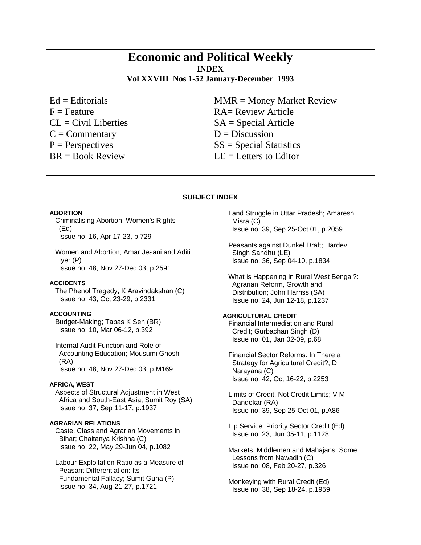| <b>Economic and Political Weekly</b><br><b>INDEX</b><br>Vol XXVIII Nos 1-52 January-December 1993 |                             |
|---------------------------------------------------------------------------------------------------|-----------------------------|
| $Ed =$ Editorials                                                                                 | $MMR = Money Market Review$ |
| $F =$ Feature                                                                                     | <b>RA= Review Article</b>   |
| $CL = Civil Libraries$                                                                            | $SA = Special Article$      |
| $C = \text{Commentary}$                                                                           | $D = Discussion$            |
| $P =$ Perspectives                                                                                | $SS = Special Statistics$   |
| $BR = Book Review$                                                                                | $LE = Letters to Editor$    |

# **SUBJECT INDEX**

## **ABORTION**

 Criminalising Abortion: Women's Rights (Ed) Issue no: 16, Apr 17-23, p.729

 Women and Abortion; Amar Jesani and Aditi Iyer (P) Issue no: 48, Nov 27-Dec 03, p.2591

## **ACCIDENTS**

 The Phenol Tragedy; K Aravindakshan (C) Issue no: 43, Oct 23-29, p.2331

# **ACCOUNTING**

 Budget-Making; Tapas K Sen (BR) Issue no: 10, Mar 06-12, p.392

 Internal Audit Function and Role of Accounting Education; Mousumi Ghosh (RA) Issue no: 48, Nov 27-Dec 03, p.M169

## **AFRICA, WEST**

 Aspects of Structural Adjustment in West Africa and South-East Asia; Sumit Roy (SA) Issue no: 37, Sep 11-17, p.1937

# **AGRARIAN RELATIONS**

 Caste, Class and Agrarian Movements in Bihar; Chaitanya Krishna (C) Issue no: 22, May 29-Jun 04, p.1082

 Labour-Exploitation Ratio as a Measure of Peasant Differentiation: Its Fundamental Fallacy; Sumit Guha (P) Issue no: 34, Aug 21-27, p.1721

 Land Struggle in Uttar Pradesh; Amaresh Misra (C) Issue no: 39, Sep 25-Oct 01, p.2059

 Peasants against Dunkel Draft; Hardev Singh Sandhu (LE) Issue no: 36, Sep 04-10, p.1834

 What is Happening in Rural West Bengal?: Agrarian Reform, Growth and Distribution; John Harriss (SA) Issue no: 24, Jun 12-18, p.1237

# **AGRICULTURAL CREDIT**

 Financial Intermediation and Rural Credit; Gurbachan Singh (D) Issue no: 01, Jan 02-09, p.68

 Financial Sector Reforms: In There a Strategy for Agricultural Credit?; D Narayana (C) Issue no: 42, Oct 16-22, p.2253

 Limits of Credit, Not Credit Limits; V M Dandekar (RA) Issue no: 39, Sep 25-Oct 01, p.A86

 Lip Service: Priority Sector Credit (Ed) Issue no: 23, Jun 05-11, p.1128

 Markets, Middlemen and Mahajans: Some Lessons from Nawadih (C) Issue no: 08, Feb 20-27, p.326

 Monkeying with Rural Credit (Ed) Issue no: 38, Sep 18-24, p.1959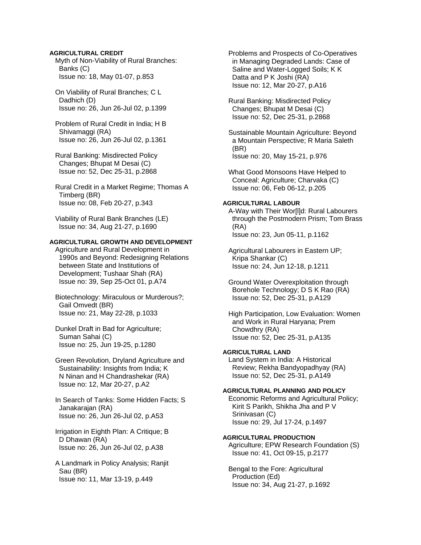## **AGRICULTURAL CREDIT**

 Myth of Non-Viability of Rural Branches: Banks (C) Issue no: 18, May 01-07, p.853

 On Viability of Rural Branches; C L Dadhich (D) Issue no: 26, Jun 26-Jul 02, p.1399

 Problem of Rural Credit in India; H B Shivamaggi (RA) Issue no: 26, Jun 26-Jul 02, p.1361

 Rural Banking: Misdirected Policy Changes; Bhupat M Desai (C) Issue no: 52, Dec 25-31, p.2868

 Rural Credit in a Market Regime; Thomas A Timberg (BR) Issue no: 08, Feb 20-27, p.343

 Viability of Rural Bank Branches (LE) Issue no: 34, Aug 21-27, p.1690

# **AGRICULTURAL GROWTH AND DEVELOPMENT**

 Agriculture and Rural Development in 1990s and Beyond: Redesigning Relations between State and Institutions of Development; Tushaar Shah (RA) Issue no: 39, Sep 25-Oct 01, p.A74

 Biotechnology: Miraculous or Murderous?; Gail Omvedt (BR) Issue no: 21, May 22-28, p.1033

 Dunkel Draft in Bad for Agriculture; Suman Sahai (C) Issue no: 25, Jun 19-25, p.1280

 Green Revolution, Dryland Agriculture and Sustainability: Insights from India; K N Ninan and H Chandrashekar (RA) Issue no: 12, Mar 20-27, p.A2

 In Search of Tanks: Some Hidden Facts; S Janakarajan (RA) Issue no: 26, Jun 26-Jul 02, p.A53

 Irrigation in Eighth Plan: A Critique; B D Dhawan (RA) Issue no: 26, Jun 26-Jul 02, p.A38

 A Landmark in Policy Analysis; Ranjit Sau (BR) Issue no: 11, Mar 13-19, p.449

 Problems and Prospects of Co-Operatives in Managing Degraded Lands: Case of Saline and Water-Logged Soils; K K Datta and P K Joshi (RA) Issue no: 12, Mar 20-27, p.A16

 Rural Banking: Misdirected Policy Changes; Bhupat M Desai (C) Issue no: 52, Dec 25-31, p.2868

 Sustainable Mountain Agriculture: Beyond a Mountain Perspective; R Maria Saleth (BR) Issue no: 20, May 15-21, p.976

 What Good Monsoons Have Helped to Conceal: Agriculture; Charvaka (C) Issue no: 06, Feb 06-12, p.205

## **AGRICULTURAL LABOUR**

 A-Way with Their Wor[l]d: Rural Labourers through the Postmodern Prism; Tom Brass (RA) Issue no: 23, Jun 05-11, p.1162

 Agricultural Labourers in Eastern UP; Kripa Shankar (C) Issue no: 24, Jun 12-18, p.1211

 Ground Water Overexploitation through Borehole Technology; D S K Rao (RA) Issue no: 52, Dec 25-31, p.A129

 High Participation, Low Evaluation: Women and Work in Rural Haryana; Prem Chowdhry (RA) Issue no: 52, Dec 25-31, p.A135

# **AGRICULTURAL LAND**

 Land System in India: A Historical Review; Rekha Bandyopadhyay (RA) Issue no: 52, Dec 25-31, p.A149

# **AGRICULTURAL PLANNING AND POLICY**

 Economic Reforms and Agricultural Policy; Kirit S Parikh, Shikha Jha and P V Srinivasan (C) Issue no: 29, Jul 17-24, p.1497

## **AGRICULTURAL PRODUCTION**

 Agriculture; EPW Research Foundation (S) Issue no: 41, Oct 09-15, p.2177

 Bengal to the Fore: Agricultural Production (Ed) Issue no: 34, Aug 21-27, p.1692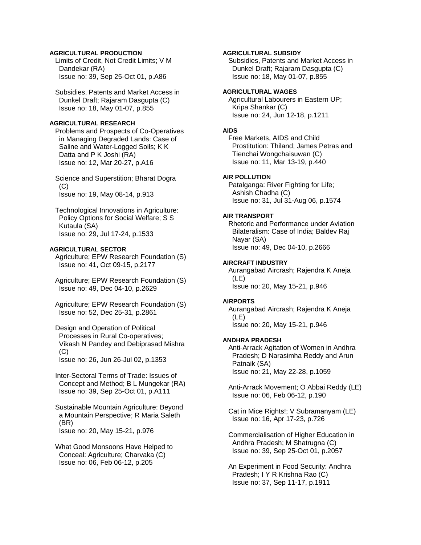# **AGRICULTURAL PRODUCTION**

 Limits of Credit, Not Credit Limits; V M Dandekar (RA) Issue no: 39, Sep 25-Oct 01, p.A86

 Subsidies, Patents and Market Access in Dunkel Draft; Rajaram Dasgupta (C) Issue no: 18, May 01-07, p.855

# **AGRICULTURAL RESEARCH**

 Problems and Prospects of Co-Operatives in Managing Degraded Lands: Case of Saline and Water-Logged Soils; K K Datta and P K Joshi (RA) Issue no: 12, Mar 20-27, p.A16

 Science and Superstition; Bharat Dogra  $(C)$ Issue no: 19, May 08-14, p.913

 Technological Innovations in Agriculture: Policy Options for Social Welfare; S S Kutaula (SA) Issue no: 29, Jul 17-24, p.1533

# **AGRICULTURAL SECTOR**

 Agriculture; EPW Research Foundation (S) Issue no: 41, Oct 09-15, p.2177

 Agriculture; EPW Research Foundation (S) Issue no: 49, Dec 04-10, p.2629

 Agriculture; EPW Research Foundation (S) Issue no: 52, Dec 25-31, p.2861

 Design and Operation of Political Processes in Rural Co-operatives; Vikash N Pandey and Debiprasad Mishra  $(C)$ Issue no: 26, Jun 26-Jul 02, p.1353

 Inter-Sectoral Terms of Trade: Issues of Concept and Method; B L Mungekar (RA) Issue no: 39, Sep 25-Oct 01, p.A111

 Sustainable Mountain Agriculture: Beyond a Mountain Perspective; R Maria Saleth (BR) Issue no: 20, May 15-21, p.976

 What Good Monsoons Have Helped to Conceal: Agriculture; Charvaka (C) Issue no: 06, Feb 06-12, p.205

# **AGRICULTURAL SUBSIDY**

 Subsidies, Patents and Market Access in Dunkel Draft; Rajaram Dasgupta (C) Issue no: 18, May 01-07, p.855

# **AGRICULTURAL WAGES**

 Agricultural Labourers in Eastern UP; Kripa Shankar (C) Issue no: 24, Jun 12-18, p.1211

#### **AIDS**

 Free Markets, AIDS and Child Prostitution: Thiland; James Petras and Tienchai Wongchaisuwan (C) Issue no: 11, Mar 13-19, p.440

## **AIR POLLUTION**

 Patalganga: River Fighting for Life; Ashish Chadha (C) Issue no: 31, Jul 31-Aug 06, p.1574

## **AIR TRANSPORT**

 Rhetoric and Performance under Aviation Bilateralism: Case of India; Baldev Raj Nayar (SA) Issue no: 49, Dec 04-10, p.2666

## **AIRCRAFT INDUSTRY**

 Aurangabad Aircrash; Rajendra K Aneja (LE) Issue no: 20, May 15-21, p.946

#### **AIRPORTS**

 Aurangabad Aircrash; Rajendra K Aneja (LE) Issue no: 20, May 15-21, p.946

# **ANDHRA PRADESH**

 Anti-Arrack Agitation of Women in Andhra Pradesh; D Narasimha Reddy and Arun Patnaik (SA) Issue no: 21, May 22-28, p.1059

 Anti-Arrack Movement; O Abbai Reddy (LE) Issue no: 06, Feb 06-12, p.190

 Cat in Mice Rights!; V Subramanyam (LE) Issue no: 16, Apr 17-23, p.726

 Commercialisation of Higher Education in Andhra Pradesh; M Shatrugna (C) Issue no: 39, Sep 25-Oct 01, p.2057

 An Experiment in Food Security: Andhra Pradesh; I Y R Krishna Rao (C) Issue no: 37, Sep 11-17, p.1911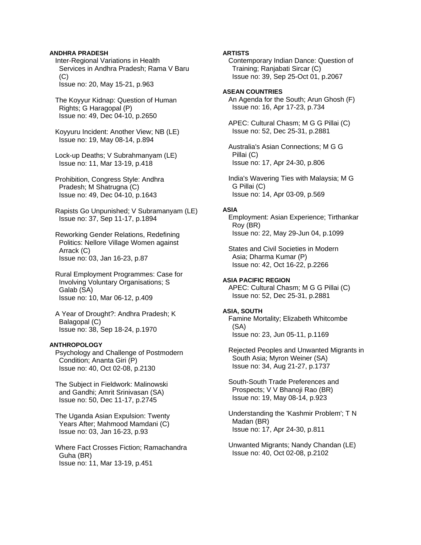## **ANDHRA PRADESH**

 Inter-Regional Variations in Health Services in Andhra Pradesh; Rama V Baru (C) Issue no: 20, May 15-21, p.963

 The Koyyur Kidnap: Question of Human Rights; G Haragopal (P) Issue no: 49, Dec 04-10, p.2650

 Koyyuru Incident: Another View; NB (LE) Issue no: 19, May 08-14, p.894

 Lock-up Deaths; V Subrahmanyam (LE) Issue no: 11, Mar 13-19, p.418

 Prohibition, Congress Style: Andhra Pradesh; M Shatrugna (C) Issue no: 49, Dec 04-10, p.1643

 Rapists Go Unpunished; V Subramanyam (LE) Issue no: 37, Sep 11-17, p.1894

 Reworking Gender Relations, Redefining Politics: Nellore Village Women against Arrack (C) Issue no: 03, Jan 16-23, p.87

 Rural Employment Programmes: Case for Involving Voluntary Organisations; S Galab (SA) Issue no: 10, Mar 06-12, p.409

 A Year of Drought?: Andhra Pradesh; K Balagopal (C) Issue no: 38, Sep 18-24, p.1970

### **ANTHROPOLOGY**

 Psychology and Challenge of Postmodern Condition; Ananta Giri (P) Issue no: 40, Oct 02-08, p.2130

 The Subject in Fieldwork: Malinowski and Gandhi; Amrit Srinivasan (SA) Issue no: 50, Dec 11-17, p.2745

 The Uganda Asian Expulsion: Twenty Years After; Mahmood Mamdani (C) Issue no: 03, Jan 16-23, p.93

 Where Fact Crosses Fiction; Ramachandra Guha (BR) Issue no: 11, Mar 13-19, p.451

## **ARTISTS**

 Contemporary Indian Dance: Question of Training; Ranjabati Sircar (C) Issue no: 39, Sep 25-Oct 01, p.2067

## **ASEAN COUNTRIES**

 An Agenda for the South; Arun Ghosh (F) Issue no: 16, Apr 17-23, p.734

 APEC: Cultural Chasm; M G G Pillai (C) Issue no: 52, Dec 25-31, p.2881

 Australia's Asian Connections; M G G Pillai (C) Issue no: 17, Apr 24-30, p.806

 India's Wavering Ties with Malaysia; M G G Pillai (C) Issue no: 14, Apr 03-09, p.569

## **ASIA**

 Employment: Asian Experience; Tirthankar Roy (BR) Issue no: 22, May 29-Jun 04, p.1099

 States and Civil Societies in Modern Asia; Dharma Kumar (P) Issue no: 42, Oct 16-22, p.2266

## **ASIA PACIFIC REGION**

 APEC: Cultural Chasm; M G G Pillai (C) Issue no: 52, Dec 25-31, p.2881

# **ASIA, SOUTH**

 Famine Mortality; Elizabeth Whitcombe (SA) Issue no: 23, Jun 05-11, p.1169

 Rejected Peoples and Unwanted Migrants in South Asia; Myron Weiner (SA) Issue no: 34, Aug 21-27, p.1737

 South-South Trade Preferences and Prospects; V V Bhanoji Rao (BR) Issue no: 19, May 08-14, p.923

 Understanding the 'Kashmir Problem'; T N Madan (BR) Issue no: 17, Apr 24-30, p.811

 Unwanted Migrants; Nandy Chandan (LE) Issue no: 40, Oct 02-08, p.2102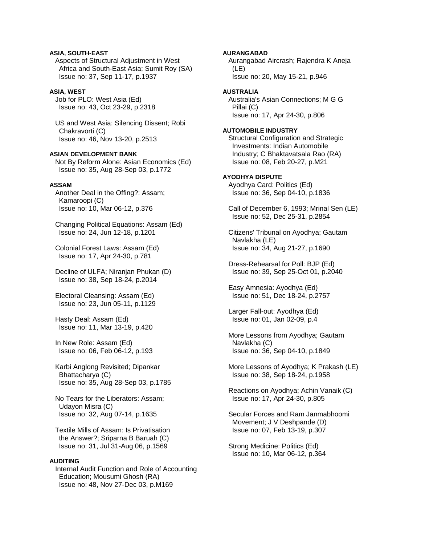# **ASIA, SOUTH-EAST**

 Aspects of Structural Adjustment in West Africa and South-East Asia; Sumit Roy (SA) Issue no: 37, Sep 11-17, p.1937

## **ASIA, WEST**

 Job for PLO: West Asia (Ed) Issue no: 43, Oct 23-29, p.2318

 US and West Asia: Silencing Dissent; Robi Chakravorti (C) Issue no: 46, Nov 13-20, p.2513

## **ASIAN DEVELOPMENT BANK**

 Not By Reform Alone: Asian Economics (Ed) Issue no: 35, Aug 28-Sep 03, p.1772

# **ASSAM**

 Another Deal in the Offing?: Assam; Kamaroopi (C) Issue no: 10, Mar 06-12, p.376

 Changing Political Equations: Assam (Ed) Issue no: 24, Jun 12-18, p.1201

 Colonial Forest Laws: Assam (Ed) Issue no: 17, Apr 24-30, p.781

 Decline of ULFA; Niranjan Phukan (D) Issue no: 38, Sep 18-24, p.2014

 Electoral Cleansing: Assam (Ed) Issue no: 23, Jun 05-11, p.1129

 Hasty Deal: Assam (Ed) Issue no: 11, Mar 13-19, p.420

 In New Role: Assam (Ed) Issue no: 06, Feb 06-12, p.193

 Karbi Anglong Revisited; Dipankar Bhattacharya (C) Issue no: 35, Aug 28-Sep 03, p.1785

 No Tears for the Liberators: Assam; Udayon Misra (C) Issue no: 32, Aug 07-14, p.1635

 Textile Mills of Assam: Is Privatisation the Answer?; Sriparna B Baruah (C) Issue no: 31, Jul 31-Aug 06, p.1569

## **AUDITING**

 Internal Audit Function and Role of Accounting Education; Mousumi Ghosh (RA) Issue no: 48, Nov 27-Dec 03, p.M169

## **AURANGABAD**

 Aurangabad Aircrash; Rajendra K Aneja (LE) Issue no: 20, May 15-21, p.946

## **AUSTRALIA**

 Australia's Asian Connections; M G G Pillai (C) Issue no: 17, Apr 24-30, p.806

### **AUTOMOBILE INDUSTRY**

 Structural Configuration and Strategic Investments: Indian Automobile Industry; C Bhaktavatsala Rao (RA) Issue no: 08, Feb 20-27, p.M21

## **AYODHYA DISPUTE**

 Ayodhya Card: Politics (Ed) Issue no: 36, Sep 04-10, p.1836

 Call of December 6, 1993; Mrinal Sen (LE) Issue no: 52, Dec 25-31, p.2854

 Citizens' Tribunal on Ayodhya; Gautam Navlakha (LE) Issue no: 34, Aug 21-27, p.1690

 Dress-Rehearsal for Poll: BJP (Ed) Issue no: 39, Sep 25-Oct 01, p.2040

 Easy Amnesia: Ayodhya (Ed) Issue no: 51, Dec 18-24, p.2757

 Larger Fall-out: Ayodhya (Ed) Issue no: 01, Jan 02-09, p.4

 More Lessons from Ayodhya; Gautam Navlakha (C) Issue no: 36, Sep 04-10, p.1849

 More Lessons of Ayodhya; K Prakash (LE) Issue no: 38, Sep 18-24, p.1958

 Reactions on Ayodhya; Achin Vanaik (C) Issue no: 17, Apr 24-30, p.805

 Secular Forces and Ram Janmabhoomi Movement; J V Deshpande (D) Issue no: 07, Feb 13-19, p.307

 Strong Medicine: Politics (Ed) Issue no: 10, Mar 06-12, p.364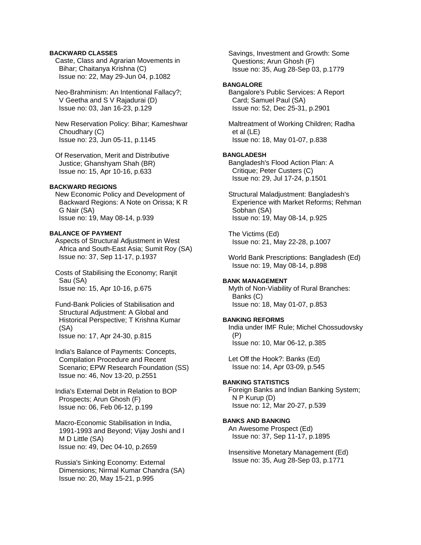# **BACKWARD CLASSES**

 Caste, Class and Agrarian Movements in Bihar; Chaitanya Krishna (C) Issue no: 22, May 29-Jun 04, p.1082

 Neo-Brahminism: An Intentional Fallacy?; V Geetha and S V Rajadurai (D) Issue no: 03, Jan 16-23, p.129

 New Reservation Policy: Bihar; Kameshwar Choudhary (C) Issue no: 23, Jun 05-11, p.1145

 Of Reservation, Merit and Distributive Justice; Ghanshyam Shah (BR) Issue no: 15, Apr 10-16, p.633

## **BACKWARD REGIONS**

 New Economic Policy and Development of Backward Regions: A Note on Orissa; K R G Nair (SA) Issue no: 19, May 08-14, p.939

## **BALANCE OF PAYMENT**

 Aspects of Structural Adjustment in West Africa and South-East Asia; Sumit Roy (SA) Issue no: 37, Sep 11-17, p.1937

 Costs of Stabilising the Economy; Ranjit Sau (SA) Issue no: 15, Apr 10-16, p.675

 Fund-Bank Policies of Stabilisation and Structural Adjustment: A Global and Historical Perspective; T Krishna Kumar (SA) Issue no: 17, Apr 24-30, p.815

 India's Balance of Payments: Concepts, Compilation Procedure and Recent Scenario; EPW Research Foundation (SS) Issue no: 46, Nov 13-20, p.2551

 India's External Debt in Relation to BOP Prospects; Arun Ghosh (F) Issue no: 06, Feb 06-12, p.199

 Macro-Economic Stabilisation in India, 1991-1993 and Beyond; Vijay Joshi and I M D Little (SA) Issue no: 49, Dec 04-10, p.2659

 Russia's Sinking Economy: External Dimensions; Nirmal Kumar Chandra (SA) Issue no: 20, May 15-21, p.995

 Savings, Investment and Growth: Some Questions; Arun Ghosh (F) Issue no: 35, Aug 28-Sep 03, p.1779

## **BANGALORE**

 Bangalore's Public Services: A Report Card; Samuel Paul (SA) Issue no: 52, Dec 25-31, p.2901

 Maltreatment of Working Children; Radha et al (LE) Issue no: 18, May 01-07, p.838

## **BANGLADESH**

 Bangladesh's Flood Action Plan: A Critique; Peter Custers (C) Issue no: 29, Jul 17-24, p.1501

 Structural Maladjustment: Bangladesh's Experience with Market Reforms; Rehman Sobhan (SA) Issue no: 19, May 08-14, p.925

 The Victims (Ed) Issue no: 21, May 22-28, p.1007

 World Bank Prescriptions: Bangladesh (Ed) Issue no: 19, May 08-14, p.898

#### **BANK MANAGEMENT**

 Myth of Non-Viability of Rural Branches: Banks (C) Issue no: 18, May 01-07, p.853

### **BANKING REFORMS**

 India under IMF Rule; Michel Chossudovsky (P) Issue no: 10, Mar 06-12, p.385

 Let Off the Hook?: Banks (Ed) Issue no: 14, Apr 03-09, p.545

# **BANKING STATISTICS**

 Foreign Banks and Indian Banking System; N P Kurup (D) Issue no: 12, Mar 20-27, p.539

# **BANKS AND BANKING**

 An Awesome Prospect (Ed) Issue no: 37, Sep 11-17, p.1895

 Insensitive Monetary Management (Ed) Issue no: 35, Aug 28-Sep 03, p.1771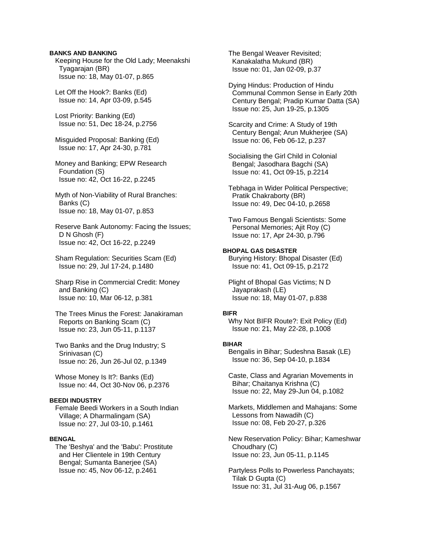## **BANKS AND BANKING**

 Keeping House for the Old Lady; Meenakshi Tyagarajan (BR) Issue no: 18, May 01-07, p.865

 Let Off the Hook?: Banks (Ed) Issue no: 14, Apr 03-09, p.545

 Lost Priority: Banking (Ed) Issue no: 51, Dec 18-24, p.2756

 Misguided Proposal: Banking (Ed) Issue no: 17, Apr 24-30, p.781

 Money and Banking; EPW Research Foundation (S) Issue no: 42, Oct 16-22, p.2245

 Myth of Non-Viability of Rural Branches: Banks (C) Issue no: 18, May 01-07, p.853

 Reserve Bank Autonomy: Facing the Issues; D N Ghosh (F) Issue no: 42, Oct 16-22, p.2249

 Sham Regulation: Securities Scam (Ed) Issue no: 29, Jul 17-24, p.1480

 Sharp Rise in Commercial Credit: Money and Banking (C) Issue no: 10, Mar 06-12, p.381

 The Trees Minus the Forest: Janakiraman Reports on Banking Scam (C) Issue no: 23, Jun 05-11, p.1137

 Two Banks and the Drug Industry; S Srinivasan (C) Issue no: 26, Jun 26-Jul 02, p.1349

 Whose Money Is It?: Banks (Ed) Issue no: 44, Oct 30-Nov 06, p.2376

## **BEEDI INDUSTRY**

 Female Beedi Workers in a South Indian Village; A Dharmalingam (SA) Issue no: 27, Jul 03-10, p.1461

# **BENGAL**

 The 'Beshya' and the 'Babu': Prostitute and Her Clientele in 19th Century Bengal; Sumanta Banerjee (SA) Issue no: 45, Nov 06-12, p.2461

 The Bengal Weaver Revisited; Kanakalatha Mukund (BR) Issue no: 01, Jan 02-09, p.37

 Dying Hindus: Production of Hindu Communal Common Sense in Early 20th Century Bengal; Pradip Kumar Datta (SA) Issue no: 25, Jun 19-25, p.1305

 Scarcity and Crime: A Study of 19th Century Bengal; Arun Mukherjee (SA) Issue no: 06, Feb 06-12, p.237

 Socialising the Girl Child in Colonial Bengal; Jasodhara Bagchi (SA) Issue no: 41, Oct 09-15, p.2214

 Tebhaga in Wider Political Perspective; Pratik Chakraborty (BR) Issue no: 49, Dec 04-10, p.2658

 Two Famous Bengali Scientists: Some Personal Memories; Ajit Roy (C) Issue no: 17, Apr 24-30, p.796

# **BHOPAL GAS DISASTER**

 Burying History: Bhopal Disaster (Ed) Issue no: 41, Oct 09-15, p.2172

 Plight of Bhopal Gas Victims; N D Jayaprakash (LE) Issue no: 18, May 01-07, p.838

#### **BIFR**

 Why Not BIFR Route?: Exit Policy (Ed) Issue no: 21, May 22-28, p.1008

## **BIHAR**

 Bengalis in Bihar; Sudeshna Basak (LE) Issue no: 36, Sep 04-10, p.1834

 Caste, Class and Agrarian Movements in Bihar; Chaitanya Krishna (C) Issue no: 22, May 29-Jun 04, p.1082

 Markets, Middlemen and Mahajans: Some Lessons from Nawadih (C) Issue no: 08, Feb 20-27, p.326

 New Reservation Policy: Bihar; Kameshwar Choudhary (C) Issue no: 23, Jun 05-11, p.1145

 Partyless Polls to Powerless Panchayats; Tilak D Gupta (C) Issue no: 31, Jul 31-Aug 06, p.1567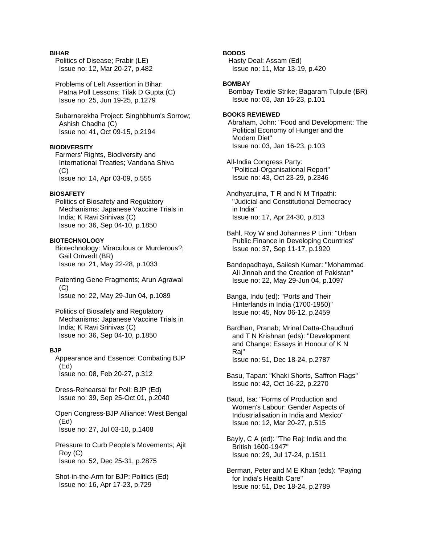## **BIHAR**

 Politics of Disease; Prabir (LE) Issue no: 12, Mar 20-27, p.482

 Problems of Left Assertion in Bihar: Patna Poll Lessons; Tilak D Gupta (C) Issue no: 25, Jun 19-25, p.1279

 Subarnarekha Project: Singhbhum's Sorrow; Ashish Chadha (C) Issue no: 41, Oct 09-15, p.2194

# **BIODIVERSITY**

 Farmers' Rights, Biodiversity and International Treaties; Vandana Shiva (C) Issue no: 14, Apr 03-09, p.555

## **BIOSAFETY**

 Politics of Biosafety and Regulatory Mechanisms: Japanese Vaccine Trials in India; K Ravi Srinivas (C) Issue no: 36, Sep 04-10, p.1850

## **BIOTECHNOLOGY**

 Biotechnology: Miraculous or Murderous?; Gail Omvedt (BR) Issue no: 21, May 22-28, p.1033

 Patenting Gene Fragments; Arun Agrawal  $(C)$ Issue no: 22, May 29-Jun 04, p.1089

 Politics of Biosafety and Regulatory Mechanisms: Japanese Vaccine Trials in India; K Ravi Srinivas (C) Issue no: 36, Sep 04-10, p.1850

#### **BJP**

 Appearance and Essence: Combating BJP (Ed) Issue no: 08, Feb 20-27, p.312

 Dress-Rehearsal for Poll: BJP (Ed) Issue no: 39, Sep 25-Oct 01, p.2040

 Open Congress-BJP Alliance: West Bengal (Ed) Issue no: 27, Jul 03-10, p.1408

 Pressure to Curb People's Movements; Ajit Roy (C) Issue no: 52, Dec 25-31, p.2875

 Shot-in-the-Arm for BJP: Politics (Ed) Issue no: 16, Apr 17-23, p.729

# **BODOS**

 Hasty Deal: Assam (Ed) Issue no: 11, Mar 13-19, p.420

#### **BOMBAY**

 Bombay Textile Strike; Bagaram Tulpule (BR) Issue no: 03, Jan 16-23, p.101

# **BOOKS REVIEWED**

Abraham, John: "Food and Development: The Political Economy of Hunger and the Modern Diet" Issue no: 03, Jan 16-23, p.103

 All-India Congress Party: "Political-Organisational Report" Issue no: 43, Oct 23-29, p.2346

 Andhyarujina, T R and N M Tripathi: "Judicial and Constitutional Democracy in India" Issue no: 17, Apr 24-30, p.813

 Bahl, Roy W and Johannes P Linn: "Urban Public Finance in Developing Countries" Issue no: 37, Sep 11-17, p.1920

 Bandopadhaya, Sailesh Kumar: "Mohammad Ali Jinnah and the Creation of Pakistan" Issue no: 22, May 29-Jun 04, p.1097

 Banga, Indu (ed): "Ports and Their Hinterlands in India (1700-1950)" Issue no: 45, Nov 06-12, p.2459

- Bardhan, Pranab; Mrinal Datta-Chaudhuri and T N Krishnan (eds): "Development and Change: Essays in Honour of K N Raj" Issue no: 51, Dec 18-24, p.2787
- Basu, Tapan: "Khaki Shorts, Saffron Flags" Issue no: 42, Oct 16-22, p.2270
- Baud, Isa: "Forms of Production and Women's Labour: Gender Aspects of Industrialisation in India and Mexico" Issue no: 12, Mar 20-27, p.515
- Bayly, C A (ed): "The Raj: India and the British 1600-1947" Issue no: 29, Jul 17-24, p.1511

 Berman, Peter and M E Khan (eds): "Paying for India's Health Care" Issue no: 51, Dec 18-24, p.2789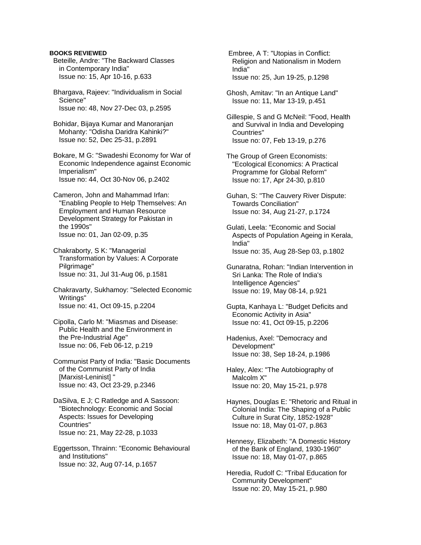## **BOOKS REVIEWED**

 Beteille, Andre: "The Backward Classes in Contemporary India" Issue no: 15, Apr 10-16, p.633

 Bhargava, Rajeev: "Individualism in Social Science" Issue no: 48, Nov 27-Dec 03, p.2595

 Bohidar, Bijaya Kumar and Manoranjan Mohanty: "Odisha Daridra Kahinki?" Issue no: 52, Dec 25-31, p.2891

 Bokare, M G: "Swadeshi Economy for War of Economic Independence against Economic Imperialism" Issue no: 44, Oct 30-Nov 06, p.2402

 Cameron, John and Mahammad Irfan: "Enabling People to Help Themselves: An Employment and Human Resource Development Strategy for Pakistan in the 1990s" Issue no: 01, Jan 02-09, p.35

 Chakraborty, S K: "Managerial Transformation by Values: A Corporate Pilgrimage" Issue no: 31, Jul 31-Aug 06, p.1581

 Chakravarty, Sukhamoy: "Selected Economic Writings" Issue no: 41, Oct 09-15, p.2204

 Cipolla, Carlo M: "Miasmas and Disease: Public Health and the Environment in the Pre-Industrial Age" Issue no: 06, Feb 06-12, p.219

 Communist Party of India: "Basic Documents of the Communist Party of India [Marxist-Leninist] " Issue no: 43, Oct 23-29, p.2346

 DaSilva, E J; C Ratledge and A Sassoon: "Biotechnology: Economic and Social Aspects: Issues for Developing Countries" Issue no: 21, May 22-28, p.1033

 Eggertsson, Thrainn: "Economic Behavioural and Institutions" Issue no: 32, Aug 07-14, p.1657

 Embree, A T: "Utopias in Conflict: Religion and Nationalism in Modern India" Issue no: 25, Jun 19-25, p.1298

 Ghosh, Amitav: "In an Antique Land" Issue no: 11, Mar 13-19, p.451

 Gillespie, S and G McNeil: "Food, Health and Survival in India and Developing Countries" Issue no: 07, Feb 13-19, p.276

 The Group of Green Economists: "Ecological Economics: A Practical Programme for Global Reform" Issue no: 17, Apr 24-30, p.810

 Guhan, S: "The Cauvery River Dispute: Towards Conciliation" Issue no: 34, Aug 21-27, p.1724

 Gulati, Leela: "Economic and Social Aspects of Population Ageing in Kerala, India" Issue no: 35, Aug 28-Sep 03, p.1802

 Gunaratna, Rohan: "Indian Intervention in Sri Lanka: The Role of India's Intelligence Agencies" Issue no: 19, May 08-14, p.921

 Gupta, Kanhaya L: "Budget Deficits and Economic Activity in Asia" Issue no: 41, Oct 09-15, p.2206

 Hadenius, Axel: "Democracy and Development" Issue no: 38, Sep 18-24, p.1986

 Haley, Alex: "The Autobiography of Malcolm X" Issue no: 20, May 15-21, p.978

 Haynes, Douglas E: "Rhetoric and Ritual in Colonial India: The Shaping of a Public Culture in Surat City, 1852-1928" Issue no: 18, May 01-07, p.863

 Hennesy, Elizabeth: "A Domestic History of the Bank of England, 1930-1960" Issue no: 18, May 01-07, p.865

 Heredia, Rudolf C: "Tribal Education for Community Development" Issue no: 20, May 15-21, p.980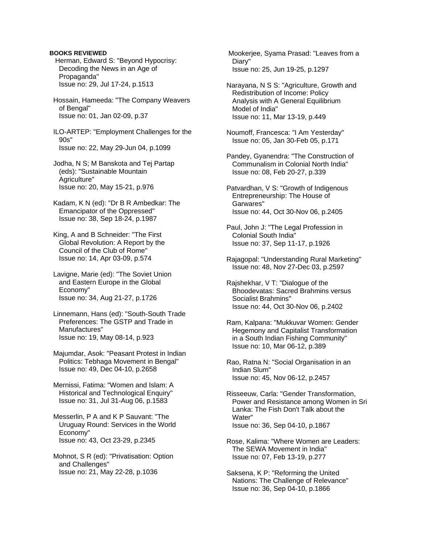## **BOOKS REVIEWED**

- Herman, Edward S: "Beyond Hypocrisy: Decoding the News in an Age of Propaganda" Issue no: 29, Jul 17-24, p.1513
- Hossain, Hameeda: "The Company Weavers of Bengal" Issue no: 01, Jan 02-09, p.37
- ILO-ARTEP: "Employment Challenges for the 90s" Issue no: 22, May 29-Jun 04, p.1099
- Jodha, N S; M Banskota and Tej Partap (eds): "Sustainable Mountain Agriculture" Issue no: 20, May 15-21, p.976
- Kadam, K N (ed): "Dr B R Ambedkar: The Emancipator of the Oppressed" Issue no: 38, Sep 18-24, p.1987
- King, A and B Schneider: "The First Global Revolution: A Report by the Council of the Club of Rome" Issue no: 14, Apr 03-09, p.574
- Lavigne, Marie (ed): "The Soviet Union and Eastern Europe in the Global Economy" Issue no: 34, Aug 21-27, p.1726
- Linnemann, Hans (ed): "South-South Trade Preferences: The GSTP and Trade in Manufactures" Issue no: 19, May 08-14, p.923
- Majumdar, Asok: "Peasant Protest in Indian Politics: Tebhaga Movement in Bengal" Issue no: 49, Dec 04-10, p.2658
- Mernissi, Fatima: "Women and Islam: A Historical and Technological Enquiry" Issue no: 31, Jul 31-Aug 06, p.1583
- Messerlin, P A and K P Sauvant: "The Uruguay Round: Services in the World Economy" Issue no: 43, Oct 23-29, p.2345
- Mohnot, S R (ed): "Privatisation: Option and Challenges" Issue no: 21, May 22-28, p.1036

 Mookerjee, Syama Prasad: "Leaves from a Diary" Issue no: 25, Jun 19-25, p.1297

- Narayana, N S S: "Agriculture, Growth and Redistribution of Income: Policy Analysis with A General Equilibrium Model of India" Issue no: 11, Mar 13-19, p.449
- Noumoff, Francesca: "I Am Yesterday" Issue no: 05, Jan 30-Feb 05, p.171
- Pandey, Gyanendra: "The Construction of Communalism in Colonial North India" Issue no: 08, Feb 20-27, p.339
- Patvardhan, V S: "Growth of Indigenous Entrepreneurship: The House of Garwares" Issue no: 44, Oct 30-Nov 06, p.2405
- Paul, John J: "The Legal Profession in Colonial South India" Issue no: 37, Sep 11-17, p.1926
- Rajagopal: "Understanding Rural Marketing" Issue no: 48, Nov 27-Dec 03, p.2597
- Rajshekhar, V T: "Dialogue of the Bhoodevatas: Sacred Brahmins versus Socialist Brahmins" Issue no: 44, Oct 30-Nov 06, p.2402
- Ram, Kalpana: "Mukkuvar Women: Gender Hegemony and Capitalist Transformation in a South Indian Fishing Community" Issue no: 10, Mar 06-12, p.389
- Rao, Ratna N: "Social Organisation in an Indian Slum" Issue no: 45, Nov 06-12, p.2457
- Risseeuw, Carla: "Gender Transformation, Power and Resistance among Women in Sri Lanka: The Fish Don't Talk about the Water" Issue no: 36, Sep 04-10, p.1867
- Rose, Kalima: "Where Women are Leaders: The SEWA Movement in India" Issue no: 07, Feb 13-19, p.277
- Saksena, K P: "Reforming the United Nations: The Challenge of Relevance" Issue no: 36, Sep 04-10, p.1866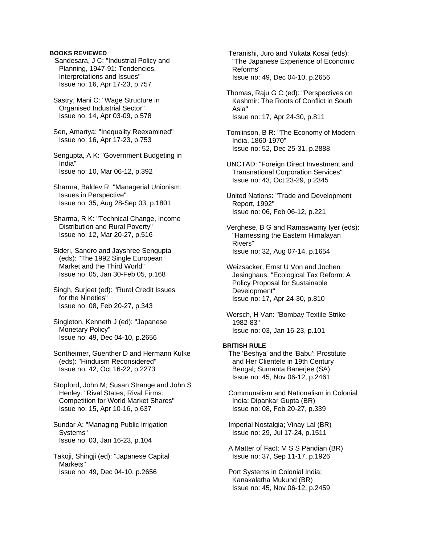## **BOOKS REVIEWED**

Sandesara, J C: "Industrial Policy and Planning, 1947-91: Tendencies, Interpretations and Issues" Issue no: 16, Apr 17-23, p.757

 Sastry, Mani C: "Wage Structure in Organised Industrial Sector" Issue no: 14, Apr 03-09, p.578

 Sen, Amartya: "Inequality Reexamined" Issue no: 16, Apr 17-23, p.753

 Sengupta, A K: "Government Budgeting in India" Issue no: 10, Mar 06-12, p.392

 Sharma, Baldev R: "Managerial Unionism: Issues in Perspective" Issue no: 35, Aug 28-Sep 03, p.1801

 Sharma, R K: "Technical Change, Income Distribution and Rural Poverty" Issue no: 12, Mar 20-27, p.516

 Sideri, Sandro and Jayshree Sengupta (eds): "The 1992 Single European Market and the Third World" Issue no: 05, Jan 30-Feb 05, p.168

 Singh, Surjeet (ed): "Rural Credit Issues for the Nineties" Issue no: 08, Feb 20-27, p.343

 Singleton, Kenneth J (ed): "Japanese Monetary Policy" Issue no: 49, Dec 04-10, p.2656

 Sontheimer, Guenther D and Hermann Kulke (eds): "Hinduism Reconsidered" Issue no: 42, Oct 16-22, p.2273

 Stopford, John M; Susan Strange and John S Henley: "Rival States, Rival Firms: Competition for World Market Shares" Issue no: 15, Apr 10-16, p.637

 Sundar A: "Managing Public Irrigation Systems" Issue no: 03, Jan 16-23, p.104

 Takoji, Shingji (ed): "Japanese Capital Markets" Issue no: 49, Dec 04-10, p.2656

 Teranishi, Juro and Yukata Kosai (eds): "The Japanese Experience of Economic Reforms" Issue no: 49, Dec 04-10, p.2656

 Thomas, Raju G C (ed): "Perspectives on Kashmir: The Roots of Conflict in South Asia" Issue no: 17, Apr 24-30, p.811

 Tomlinson, B R: "The Economy of Modern India, 1860-1970" Issue no: 52, Dec 25-31, p.2888

 UNCTAD: "Foreign Direct Investment and Transnational Corporation Services" Issue no: 43, Oct 23-29, p.2345

 United Nations: "Trade and Development Report, 1992" Issue no: 06, Feb 06-12, p.221

 Verghese, B G and Ramaswamy Iyer (eds): "Harnessing the Eastern Himalayan Rivers" Issue no: 32, Aug 07-14, p.1654

 Weizsacker, Ernst U Von and Jochen Jesinghaus: "Ecological Tax Reform: A Policy Proposal for Sustainable Development" Issue no: 17, Apr 24-30, p.810

 Wersch, H Van: "Bombay Textile Strike 1982-83" Issue no: 03, Jan 16-23, p.101

# **BRITISH RULE**

 The 'Beshya' and the 'Babu': Prostitute and Her Clientele in 19th Century Bengal; Sumanta Banerjee (SA) Issue no: 45, Nov 06-12, p.2461

 Communalism and Nationalism in Colonial India; Dipankar Gupta (BR) Issue no: 08, Feb 20-27, p.339

 Imperial Nostalgia; Vinay Lal (BR) Issue no: 29, Jul 17-24, p.1511

 A Matter of Fact; M S S Pandian (BR) Issue no: 37, Sep 11-17, p.1926

 Port Systems in Colonial India; Kanakalatha Mukund (BR) Issue no: 45, Nov 06-12, p.2459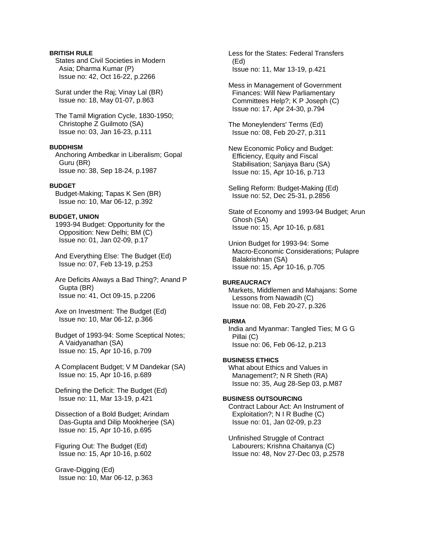# **BRITISH RULE**

 States and Civil Societies in Modern Asia; Dharma Kumar (P) Issue no: 42, Oct 16-22, p.2266

 Surat under the Raj; Vinay Lal (BR) Issue no: 18, May 01-07, p.863

 The Tamil Migration Cycle, 1830-1950; Christophe Z Guilmoto (SA) Issue no: 03, Jan 16-23, p.111

# **BUDDHISM**

 Anchoring Ambedkar in Liberalism; Gopal Guru (BR) Issue no: 38, Sep 18-24, p.1987

## **BUDGET**

 Budget-Making; Tapas K Sen (BR) Issue no: 10, Mar 06-12, p.392

# **BUDGET, UNION**

 1993-94 Budget: Opportunity for the Opposition: New Delhi; BM (C) Issue no: 01, Jan 02-09, p.17

 And Everything Else: The Budget (Ed) Issue no: 07, Feb 13-19, p.253

 Are Deficits Always a Bad Thing?; Anand P Gupta (BR) Issue no: 41, Oct 09-15, p.2206

 Axe on Investment: The Budget (Ed) Issue no: 10, Mar 06-12, p.366

 Budget of 1993-94: Some Sceptical Notes; A Vaidyanathan (SA) Issue no: 15, Apr 10-16, p.709

 A Complacent Budget; V M Dandekar (SA) Issue no: 15, Apr 10-16, p.689

 Defining the Deficit: The Budget (Ed) Issue no: 11, Mar 13-19, p.421

 Dissection of a Bold Budget; Arindam Das-Gupta and Dilip Mookherjee (SA) Issue no: 15, Apr 10-16, p.695

 Figuring Out: The Budget (Ed) Issue no: 15, Apr 10-16, p.602

 Grave-Digging (Ed) Issue no: 10, Mar 06-12, p.363  Less for the States: Federal Transfers (Ed) Issue no: 11, Mar 13-19, p.421

 Mess in Management of Government Finances: Will New Parliamentary Committees Help?; K P Joseph (C) Issue no: 17, Apr 24-30, p.794

 The Moneylenders' Terms (Ed) Issue no: 08, Feb 20-27, p.311

 New Economic Policy and Budget: Efficiency, Equity and Fiscal Stabilisation; Sanjaya Baru (SA) Issue no: 15, Apr 10-16, p.713

 Selling Reform: Budget-Making (Ed) Issue no: 52, Dec 25-31, p.2856

 State of Economy and 1993-94 Budget; Arun Ghosh (SA) Issue no: 15, Apr 10-16, p.681

 Union Budget for 1993-94: Some Macro-Economic Considerations; Pulapre Balakrishnan (SA) Issue no: 15, Apr 10-16, p.705

## **BUREAUCRACY**

 Markets, Middlemen and Mahajans: Some Lessons from Nawadih (C) Issue no: 08, Feb 20-27, p.326

## **BURMA**

 India and Myanmar: Tangled Ties; M G G Pillai (C) Issue no: 06, Feb 06-12, p.213

**BUSINESS ETHICS**  What about Ethics and Values in

 Management?; N R Sheth (RA) Issue no: 35, Aug 28-Sep 03, p.M87

# **BUSINESS OUTSOURCING**

 Contract Labour Act: An Instrument of Exploitation?; N I R Budhe (C) Issue no: 01, Jan 02-09, p.23

 Unfinished Struggle of Contract Labourers; Krishna Chaitanya (C) Issue no: 48, Nov 27-Dec 03, p.2578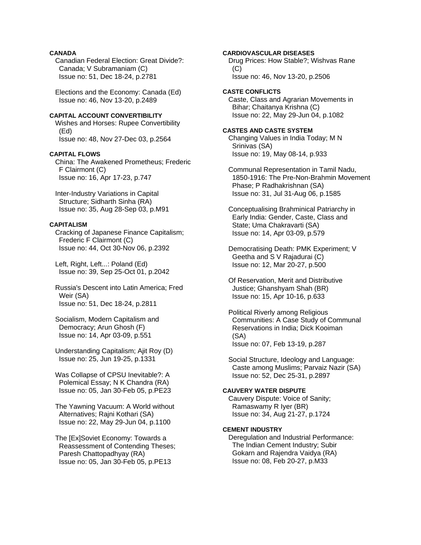# **CANADA**

 Canadian Federal Election: Great Divide?: Canada; V Subramaniam (C) Issue no: 51, Dec 18-24, p.2781

 Elections and the Economy: Canada (Ed) Issue no: 46, Nov 13-20, p.2489

# **CAPITAL ACCOUNT CONVERTIBILITY**

 Wishes and Horses: Rupee Convertibility (Ed) Issue no: 48, Nov 27-Dec 03, p.2564

#### **CAPITAL FLOWS**

 China: The Awakened Prometheus; Frederic F Clairmont (C) Issue no: 16, Apr 17-23, p.747

 Inter-Industry Variations in Capital Structure; Sidharth Sinha (RA) Issue no: 35, Aug 28-Sep 03, p.M91

# **CAPITALISM**

 Cracking of Japanese Finance Capitalism; Frederic F Clairmont (C) Issue no: 44, Oct 30-Nov 06, p.2392

 Left, Right, Left...: Poland (Ed) Issue no: 39, Sep 25-Oct 01, p.2042

 Russia's Descent into Latin America; Fred Weir (SA) Issue no: 51, Dec 18-24, p.2811

 Socialism, Modern Capitalism and Democracy; Arun Ghosh (F) Issue no: 14, Apr 03-09, p.551

 Understanding Capitalism; Ajit Roy (D) Issue no: 25, Jun 19-25, p.1331

 Was Collapse of CPSU Inevitable?: A Polemical Essay; N K Chandra (RA) Issue no: 05, Jan 30-Feb 05, p.PE23

 The Yawning Vacuum: A World without Alternatives; Rajni Kothari (SA) Issue no: 22, May 29-Jun 04, p.1100

 The [Ex]Soviet Economy: Towards a Reassessment of Contending Theses; Paresh Chattopadhyay (RA) Issue no: 05, Jan 30-Feb 05, p.PE13

**CARDIOVASCULAR DISEASES** 

 Drug Prices: How Stable?; Wishvas Rane  $(C)$ Issue no: 46, Nov 13-20, p.2506

**CASTE CONFLICTS**  Caste, Class and Agrarian Movements in Bihar; Chaitanya Krishna (C) Issue no: 22, May 29-Jun 04, p.1082

### **CASTES AND CASTE SYSTEM**

 Changing Values in India Today; M N Srinivas (SA) Issue no: 19, May 08-14, p.933

 Communal Representation in Tamil Nadu, 1850-1916: The Pre-Non-Brahmin Movement Phase; P Radhakrishnan (SA) Issue no: 31, Jul 31-Aug 06, p.1585

 Conceptualising Brahminical Patriarchy in Early India: Gender, Caste, Class and State; Uma Chakravarti (SA) Issue no: 14, Apr 03-09, p.579

 Democratising Death: PMK Experiment; V Geetha and S V Rajadurai (C) Issue no: 12, Mar 20-27, p.500

 Of Reservation, Merit and Distributive Justice; Ghanshyam Shah (BR) Issue no: 15, Apr 10-16, p.633

 Political Riverly among Religious Communities: A Case Study of Communal Reservations in India; Dick Kooiman (SA) Issue no: 07, Feb 13-19, p.287

 Social Structure, Ideology and Language: Caste among Muslims; Parvaiz Nazir (SA) Issue no: 52, Dec 25-31, p.2897

# **CAUVERY WATER DISPUTE**

 Cauvery Dispute: Voice of Sanity; Ramaswamy R Iyer (BR) Issue no: 34, Aug 21-27, p.1724

#### **CEMENT INDUSTRY**

 Deregulation and Industrial Performance: The Indian Cement Industry; Subir Gokarn and Rajendra Vaidya (RA) Issue no: 08, Feb 20-27, p.M33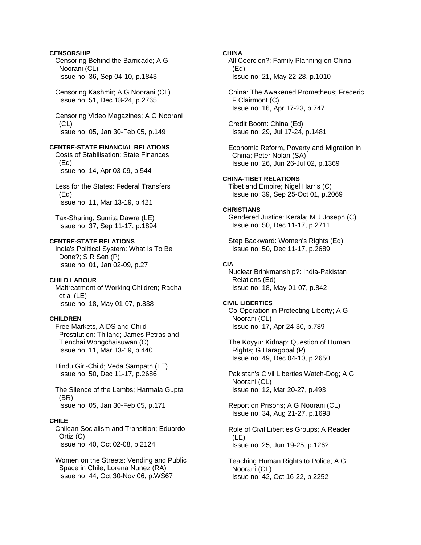# **CENSORSHIP**

 Censoring Behind the Barricade; A G Noorani (CL) Issue no: 36, Sep 04-10, p.1843

 Censoring Kashmir; A G Noorani (CL) Issue no: 51, Dec 18-24, p.2765

 Censoring Video Magazines; A G Noorani (CL) Issue no: 05, Jan 30-Feb 05, p.149

# **CENTRE-STATE FINANCIAL RELATIONS**

 Costs of Stabilisation: State Finances (Ed) Issue no: 14, Apr 03-09, p.544

 Less for the States: Federal Transfers (Ed) Issue no: 11, Mar 13-19, p.421

 Tax-Sharing; Sumita Dawra (LE) Issue no: 37, Sep 11-17, p.1894

# **CENTRE-STATE RELATIONS**

 India's Political System: What Is To Be Done?; S R Sen (P) Issue no: 01, Jan 02-09, p.27

# **CHILD LABOUR**

 Maltreatment of Working Children; Radha et al (LE) Issue no: 18, May 01-07, p.838

# **CHILDREN**

 Free Markets, AIDS and Child Prostitution: Thiland; James Petras and Tienchai Wongchaisuwan (C) Issue no: 11, Mar 13-19, p.440

 Hindu Girl-Child; Veda Sampath (LE) Issue no: 50, Dec 11-17, p.2686

 The Silence of the Lambs; Harmala Gupta (BR) Issue no: 05, Jan 30-Feb 05, p.171

# **CHILE**

 Chilean Socialism and Transition; Eduardo Ortiz (C) Issue no: 40, Oct 02-08, p.2124

 Women on the Streets: Vending and Public Space in Chile; Lorena Nunez (RA) Issue no: 44, Oct 30-Nov 06, p.WS67

## **CHINA**

 All Coercion?: Family Planning on China (Ed) Issue no: 21, May 22-28, p.1010

 China: The Awakened Prometheus; Frederic F Clairmont (C) Issue no: 16, Apr 17-23, p.747

 Credit Boom: China (Ed) Issue no: 29, Jul 17-24, p.1481

 Economic Reform, Poverty and Migration in China; Peter Nolan (SA) Issue no: 26, Jun 26-Jul 02, p.1369

**CHINA-TIBET RELATIONS**  Tibet and Empire; Nigel Harris (C) Issue no: 39, Sep 25-Oct 01, p.2069

# **CHRISTIANS**

 Gendered Justice: Kerala; M J Joseph (C) Issue no: 50, Dec 11-17, p.2711

 Step Backward: Women's Rights (Ed) Issue no: 50, Dec 11-17, p.2689

# **CIA**

 Nuclear Brinkmanship?: India-Pakistan Relations (Ed) Issue no: 18, May 01-07, p.842

## **CIVIL LIBERTIES**

 Co-Operation in Protecting Liberty; A G Noorani (CL) Issue no: 17, Apr 24-30, p.789

 The Koyyur Kidnap: Question of Human Rights; G Haragopal (P) Issue no: 49, Dec 04-10, p.2650

 Pakistan's Civil Liberties Watch-Dog; A G Noorani (CL) Issue no: 12, Mar 20-27, p.493

 Report on Prisons; A G Noorani (CL) Issue no: 34, Aug 21-27, p.1698

 Role of Civil Liberties Groups; A Reader (LE) Issue no: 25, Jun 19-25, p.1262

 Teaching Human Rights to Police; A G Noorani (CL) Issue no: 42, Oct 16-22, p.2252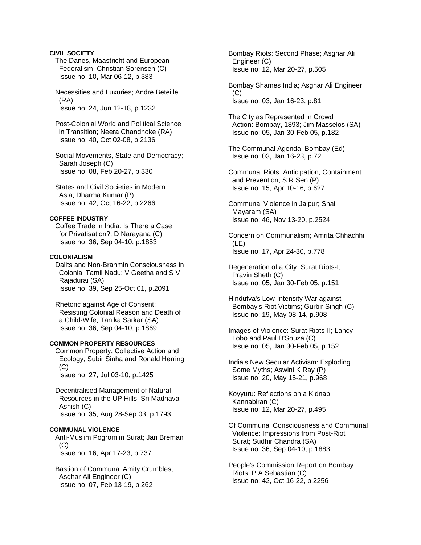# **CIVIL SOCIETY**

 The Danes, Maastricht and European Federalism; Christian Sorensen (C) Issue no: 10, Mar 06-12, p.383

 Necessities and Luxuries; Andre Beteille (RA) Issue no: 24, Jun 12-18, p.1232

 Post-Colonial World and Political Science in Transition; Neera Chandhoke (RA) Issue no: 40, Oct 02-08, p.2136

 Social Movements, State and Democracy; Sarah Joseph (C) Issue no: 08, Feb 20-27, p.330

 States and Civil Societies in Modern Asia; Dharma Kumar (P) Issue no: 42, Oct 16-22, p.2266

## **COFFEE INDUSTRY**

 Coffee Trade in India: Is There a Case for Privatisation?; D Narayana (C) Issue no: 36, Sep 04-10, p.1853

# **COLONIALISM**

 Dalits and Non-Brahmin Consciousness in Colonial Tamil Nadu; V Geetha and S V Rajadurai (SA) Issue no: 39, Sep 25-Oct 01, p.2091

 Rhetoric against Age of Consent: Resisting Colonial Reason and Death of a Child-Wife; Tanika Sarkar (SA) Issue no: 36, Sep 04-10, p.1869

## **COMMON PROPERTY RESOURCES**

 Common Property, Collective Action and Ecology; Subir Sinha and Ronald Herring  $(C)$ Issue no: 27, Jul 03-10, p.1425

 Decentralised Management of Natural Resources in the UP Hills; Sri Madhava Ashish (C) Issue no: 35, Aug 28-Sep 03, p.1793

## **COMMUNAL VIOLENCE**

 Anti-Muslim Pogrom in Surat; Jan Breman  $(C)$ Issue no: 16, Apr 17-23, p.737

 Bastion of Communal Amity Crumbles; Asghar Ali Engineer (C) Issue no: 07, Feb 13-19, p.262

 Bombay Riots: Second Phase; Asghar Ali Engineer (C) Issue no: 12, Mar 20-27, p.505

 Bombay Shames India; Asghar Ali Engineer (C) Issue no: 03, Jan 16-23, p.81

 The City as Represented in Crowd Action: Bombay, 1893; Jim Masselos (SA) Issue no: 05, Jan 30-Feb 05, p.182

 The Communal Agenda: Bombay (Ed) Issue no: 03, Jan 16-23, p.72

 Communal Riots: Anticipation, Containment and Prevention; S R Sen (P) Issue no: 15, Apr 10-16, p.627

 Communal Violence in Jaipur; Shail Mayaram (SA) Issue no: 46, Nov 13-20, p.2524

 Concern on Communalism; Amrita Chhachhi (LE) Issue no: 17, Apr 24-30, p.778

 Degeneration of a City: Surat Riots-I; Pravin Sheth (C) Issue no: 05, Jan 30-Feb 05, p.151

 Hindutva's Low-Intensity War against Bombay's Riot Victims; Gurbir Singh (C) Issue no: 19, May 08-14, p.908

 Images of Violence: Surat Riots-II; Lancy Lobo and Paul D'Souza (C) Issue no: 05, Jan 30-Feb 05, p.152

 India's New Secular Activism: Exploding Some Myths; Aswini K Ray (P) Issue no: 20, May 15-21, p.968

 Koyyuru: Reflections on a Kidnap; Kannabiran (C) Issue no: 12, Mar 20-27, p.495

 Of Communal Consciousness and Communal Violence: Impressions from Post-Riot Surat; Sudhir Chandra (SA) Issue no: 36, Sep 04-10, p.1883

 People's Commission Report on Bombay Riots; P A Sebastian (C) Issue no: 42, Oct 16-22, p.2256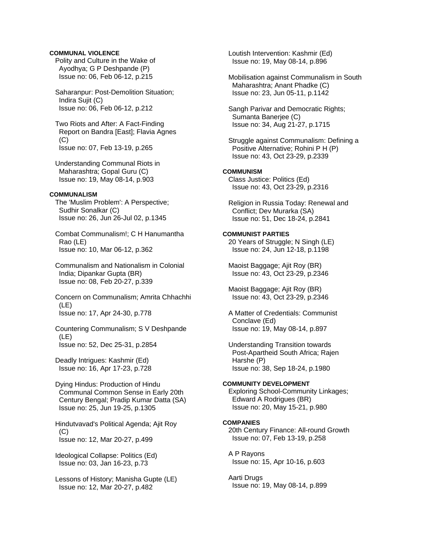# **COMMUNAL VIOLENCE**

 Polity and Culture in the Wake of Ayodhya; G P Deshpande (P) Issue no: 06, Feb 06-12, p.215

 Saharanpur: Post-Demolition Situation; Indira Sujit (C) Issue no: 06, Feb 06-12, p.212

 Two Riots and After: A Fact-Finding Report on Bandra [East]; Flavia Agnes (C) Issue no: 07, Feb 13-19, p.265

 Understanding Communal Riots in Maharashtra; Gopal Guru (C) Issue no: 19, May 08-14, p.903

## **COMMUNALISM**

 The 'Muslim Problem': A Perspective; Sudhir Sonalkar (C) Issue no: 26, Jun 26-Jul 02, p.1345

 Combat Communalism!; C H Hanumantha Rao (LE) Issue no: 10, Mar 06-12, p.362

 Communalism and Nationalism in Colonial India; Dipankar Gupta (BR) Issue no: 08, Feb 20-27, p.339

 Concern on Communalism; Amrita Chhachhi (LE) Issue no: 17, Apr 24-30, p.778

 Countering Communalism; S V Deshpande (LE) Issue no: 52, Dec 25-31, p.2854

 Deadly Intrigues: Kashmir (Ed) Issue no: 16, Apr 17-23, p.728

 Dying Hindus: Production of Hindu Communal Common Sense in Early 20th Century Bengal; Pradip Kumar Datta (SA) Issue no: 25, Jun 19-25, p.1305

 Hindutvavad's Political Agenda; Ajit Roy (C) Issue no: 12, Mar 20-27, p.499

 Ideological Collapse: Politics (Ed) Issue no: 03, Jan 16-23, p.73

 Lessons of History; Manisha Gupte (LE) Issue no: 12, Mar 20-27, p.482

 Loutish Intervention: Kashmir (Ed) Issue no: 19, May 08-14, p.896

 Mobilisation against Communalism in South Maharashtra; Anant Phadke (C) Issue no: 23, Jun 05-11, p.1142

 Sangh Parivar and Democratic Rights; Sumanta Banerjee (C) Issue no: 34, Aug 21-27, p.1715

 Struggle against Communalism: Defining a Positive Alternative; Rohini P H (P) Issue no: 43, Oct 23-29, p.2339

# **COMMUNISM**

 Class Justice: Politics (Ed) Issue no: 43, Oct 23-29, p.2316

 Religion in Russia Today: Renewal and Conflict; Dev Murarka (SA) Issue no: 51, Dec 18-24, p.2841

## **COMMUNIST PARTIES**

 20 Years of Struggle; N Singh (LE) Issue no: 24, Jun 12-18, p.1198

 Maoist Baggage; Ajit Roy (BR) Issue no: 43, Oct 23-29, p.2346

 Maoist Baggage; Ajit Roy (BR) Issue no: 43, Oct 23-29, p.2346

 A Matter of Credentials: Communist Conclave (Ed) Issue no: 19, May 08-14, p.897

 Understanding Transition towards Post-Apartheid South Africa; Rajen Harshe (P) Issue no: 38, Sep 18-24, p.1980

## **COMMUNITY DEVELOPMENT**

 Exploring School-Community Linkages; Edward A Rodrigues (BR) Issue no: 20, May 15-21, p.980

#### **COMPANIES**

 20th Century Finance: All-round Growth Issue no: 07, Feb 13-19, p.258

 A P Rayons Issue no: 15, Apr 10-16, p.603

 Aarti Drugs Issue no: 19, May 08-14, p.899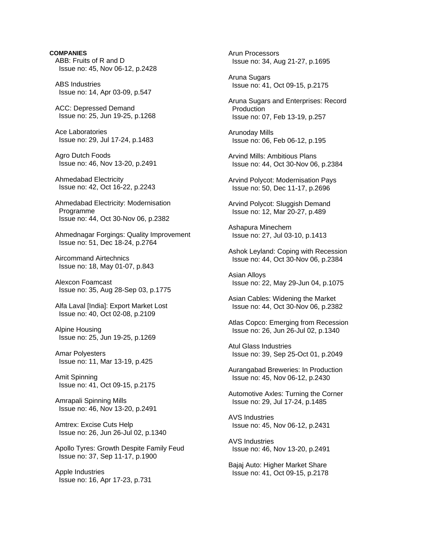**COMPANIES**  ABB: Fruits of R and D Issue no: 45, Nov 06-12, p.2428

 ABS Industries Issue no: 14, Apr 03-09, p.547

 ACC: Depressed Demand Issue no: 25, Jun 19-25, p.1268

 Ace Laboratories Issue no: 29, Jul 17-24, p.1483

 Agro Dutch Foods Issue no: 46, Nov 13-20, p.2491

 Ahmedabad Electricity Issue no: 42, Oct 16-22, p.2243

 Ahmedabad Electricity: Modernisation Programme Issue no: 44, Oct 30-Nov 06, p.2382

 Ahmednagar Forgings: Quality Improvement Issue no: 51, Dec 18-24, p.2764

 Aircommand Airtechnics Issue no: 18, May 01-07, p.843

 Alexcon Foamcast Issue no: 35, Aug 28-Sep 03, p.1775

 Alfa Laval [India]: Export Market Lost Issue no: 40, Oct 02-08, p.2109

 Alpine Housing Issue no: 25, Jun 19-25, p.1269

 Amar Polyesters Issue no: 11, Mar 13-19, p.425

 Amit Spinning Issue no: 41, Oct 09-15, p.2175

 Amrapali Spinning Mills Issue no: 46, Nov 13-20, p.2491

 Amtrex: Excise Cuts Help Issue no: 26, Jun 26-Jul 02, p.1340

 Apollo Tyres: Growth Despite Family Feud Issue no: 37, Sep 11-17, p.1900

 Apple Industries Issue no: 16, Apr 17-23, p.731  Arun Processors Issue no: 34, Aug 21-27, p.1695

 Aruna Sugars Issue no: 41, Oct 09-15, p.2175

 Aruna Sugars and Enterprises: Record Production Issue no: 07, Feb 13-19, p.257

 Arunoday Mills Issue no: 06, Feb 06-12, p.195

 Arvind Mills: Ambitious Plans Issue no: 44, Oct 30-Nov 06, p.2384

 Arvind Polycot: Modernisation Pays Issue no: 50, Dec 11-17, p.2696

 Arvind Polycot: Sluggish Demand Issue no: 12, Mar 20-27, p.489

 Ashapura Minechem Issue no: 27, Jul 03-10, p.1413

 Ashok Leyland: Coping with Recession Issue no: 44, Oct 30-Nov 06, p.2384

 Asian Alloys Issue no: 22, May 29-Jun 04, p.1075

 Asian Cables: Widening the Market Issue no: 44, Oct 30-Nov 06, p.2382

 Atlas Copco: Emerging from Recession Issue no: 26, Jun 26-Jul 02, p.1340

 Atul Glass Industries Issue no: 39, Sep 25-Oct 01, p.2049

 Aurangabad Breweries: In Production Issue no: 45, Nov 06-12, p.2430

 Automotive Axles: Turning the Corner Issue no: 29, Jul 17-24, p.1485

 AVS Industries Issue no: 45, Nov 06-12, p.2431

 AVS Industries Issue no: 46, Nov 13-20, p.2491

 Bajaj Auto: Higher Market Share Issue no: 41, Oct 09-15, p.2178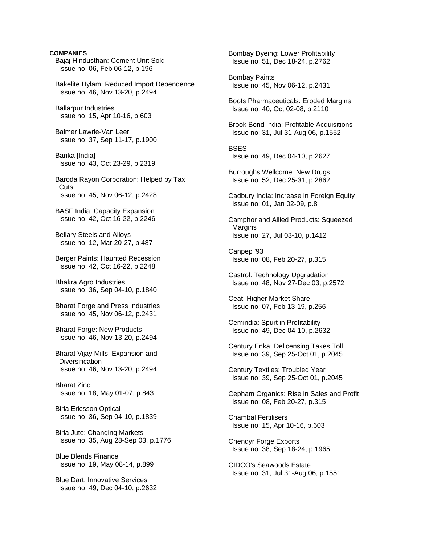## **COMPANIES**

 Bajaj Hindusthan: Cement Unit Sold Issue no: 06, Feb 06-12, p.196

 Bakelite Hylam: Reduced Import Dependence Issue no: 46, Nov 13-20, p.2494

 Ballarpur Industries Issue no: 15, Apr 10-16, p.603

 Balmer Lawrie-Van Leer Issue no: 37, Sep 11-17, p.1900

 Banka [India] Issue no: 43, Oct 23-29, p.2319

 Baroda Rayon Corporation: Helped by Tax **Cuts** Issue no: 45, Nov 06-12, p.2428

 BASF India: Capacity Expansion Issue no: 42, Oct 16-22, p.2246

 Bellary Steels and Alloys Issue no: 12, Mar 20-27, p.487

 Berger Paints: Haunted Recession Issue no: 42, Oct 16-22, p.2248

 Bhakra Agro Industries Issue no: 36, Sep 04-10, p.1840

 Bharat Forge and Press Industries Issue no: 45, Nov 06-12, p.2431

 Bharat Forge: New Products Issue no: 46, Nov 13-20, p.2494

 Bharat Vijay Mills: Expansion and **Diversification** Issue no: 46, Nov 13-20, p.2494

 Bharat Zinc Issue no: 18, May 01-07, p.843

 Birla Ericsson Optical Issue no: 36, Sep 04-10, p.1839

 Birla Jute: Changing Markets Issue no: 35, Aug 28-Sep 03, p.1776

 Blue Blends Finance Issue no: 19, May 08-14, p.899

 Blue Dart: Innovative Services Issue no: 49, Dec 04-10, p.2632  Bombay Dyeing: Lower Profitability Issue no: 51, Dec 18-24, p.2762

 Bombay Paints Issue no: 45, Nov 06-12, p.2431

 Boots Pharmaceuticals: Eroded Margins Issue no: 40, Oct 02-08, p.2110

 Brook Bond India: Profitable Acquisitions Issue no: 31, Jul 31-Aug 06, p.1552

**BSES** Issue no: 49, Dec 04-10, p.2627

 Burroughs Wellcome: New Drugs Issue no: 52, Dec 25-31, p.2862

 Cadbury India: Increase in Foreign Equity Issue no: 01, Jan 02-09, p.8

 Camphor and Allied Products: Squeezed **Margins** Issue no: 27, Jul 03-10, p.1412

 Canpep '93 Issue no: 08, Feb 20-27, p.315

 Castrol: Technology Upgradation Issue no: 48, Nov 27-Dec 03, p.2572

 Ceat: Higher Market Share Issue no: 07, Feb 13-19, p.256

 Cemindia: Spurt in Profitability Issue no: 49, Dec 04-10, p.2632

 Century Enka: Delicensing Takes Toll Issue no: 39, Sep 25-Oct 01, p.2045

 Century Textiles: Troubled Year Issue no: 39, Sep 25-Oct 01, p.2045

 Cepham Organics: Rise in Sales and Profit Issue no: 08, Feb 20-27, p.315

 Chambal Fertilisers Issue no: 15, Apr 10-16, p.603

 Chendyr Forge Exports Issue no: 38, Sep 18-24, p.1965

 CIDCO's Seawoods Estate Issue no: 31, Jul 31-Aug 06, p.1551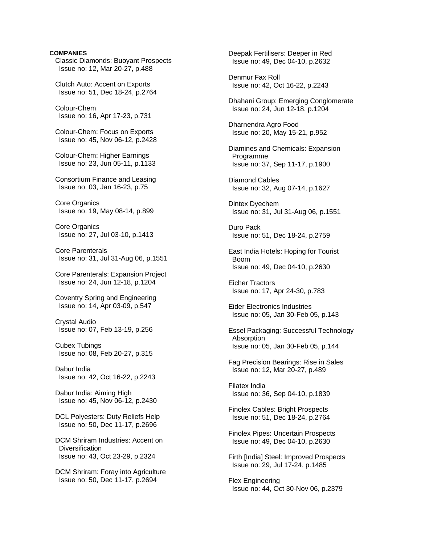# **COMPANIES**

 Classic Diamonds: Buoyant Prospects Issue no: 12, Mar 20-27, p.488

 Clutch Auto: Accent on Exports Issue no: 51, Dec 18-24, p.2764

 Colour-Chem Issue no: 16, Apr 17-23, p.731

 Colour-Chem: Focus on Exports Issue no: 45, Nov 06-12, p.2428

 Colour-Chem: Higher Earnings Issue no: 23, Jun 05-11, p.1133

 Consortium Finance and Leasing Issue no: 03, Jan 16-23, p.75

 Core Organics Issue no: 19, May 08-14, p.899

 Core Organics Issue no: 27, Jul 03-10, p.1413

 Core Parenterals Issue no: 31, Jul 31-Aug 06, p.1551

 Core Parenterals: Expansion Project Issue no: 24, Jun 12-18, p.1204

 Coventry Spring and Engineering Issue no: 14, Apr 03-09, p.547

 Crystal Audio Issue no: 07, Feb 13-19, p.256

 Cubex Tubings Issue no: 08, Feb 20-27, p.315

 Dabur India Issue no: 42, Oct 16-22, p.2243

 Dabur India: Aiming High Issue no: 45, Nov 06-12, p.2430

 DCL Polyesters: Duty Reliefs Help Issue no: 50, Dec 11-17, p.2696

 DCM Shriram Industries: Accent on Diversification Issue no: 43, Oct 23-29, p.2324

 DCM Shriram: Foray into Agriculture Issue no: 50, Dec 11-17, p.2694

 Deepak Fertilisers: Deeper in Red Issue no: 49, Dec 04-10, p.2632 Denmur Fax Roll Issue no: 42, Oct 16-22, p.2243 Dhahani Group: Emerging Conglomerate Issue no: 24, Jun 12-18, p.1204 Dharnendra Agro Food Issue no: 20, May 15-21, p.952 Diamines and Chemicals: Expansion Programme Issue no: 37, Sep 11-17, p.1900 Diamond Cables Issue no: 32, Aug 07-14, p.1627 Dintex Dyechem Issue no: 31, Jul 31-Aug 06, p.1551 Duro Pack Issue no: 51, Dec 18-24, p.2759 East India Hotels: Hoping for Tourist Boom Issue no: 49, Dec 04-10, p.2630 Eicher Tractors Issue no: 17, Apr 24-30, p.783 Eider Electronics Industries Issue no: 05, Jan 30-Feb 05, p.143 Essel Packaging: Successful Technology **Absorption**  Issue no: 05, Jan 30-Feb 05, p.144 Fag Precision Bearings: Rise in Sales Issue no: 12, Mar 20-27, p.489 Filatex India Issue no: 36, Sep 04-10, p.1839 Finolex Cables: Bright Prospects Issue no: 51, Dec 18-24, p.2764 Finolex Pipes: Uncertain Prospects Issue no: 49, Dec 04-10, p.2630 Firth [India] Steel: Improved Prospects Issue no: 29, Jul 17-24, p.1485 Flex Engineering

Issue no: 44, Oct 30-Nov 06, p.2379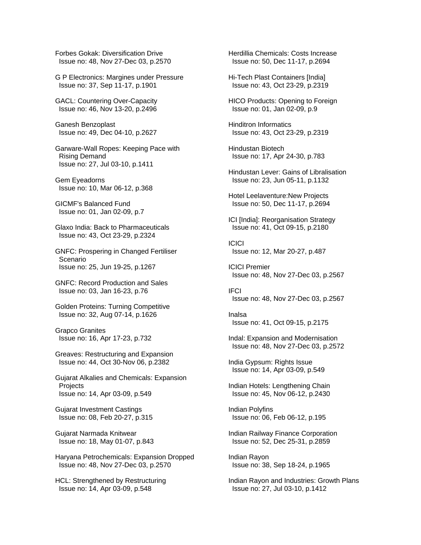Forbes Gokak: Diversification Drive Issue no: 48, Nov 27-Dec 03, p.2570

 G P Electronics: Margines under Pressure Issue no: 37, Sep 11-17, p.1901

 GACL: Countering Over-Capacity Issue no: 46, Nov 13-20, p.2496

 Ganesh Benzoplast Issue no: 49, Dec 04-10, p.2627

 Garware-Wall Ropes: Keeping Pace with Rising Demand Issue no: 27, Jul 03-10, p.1411

 Gem Eyeadorns Issue no: 10, Mar 06-12, p.368

 GICMF's Balanced Fund Issue no: 01, Jan 02-09, p.7

 Glaxo India: Back to Pharmaceuticals Issue no: 43, Oct 23-29, p.2324

 GNFC: Prospering in Changed Fertiliser Scenario Issue no: 25, Jun 19-25, p.1267

 GNFC: Record Production and Sales Issue no: 03, Jan 16-23, p.76

 Golden Proteins: Turning Competitive Issue no: 32, Aug 07-14, p.1626

 Grapco Granites Issue no: 16, Apr 17-23, p.732

 Greaves: Restructuring and Expansion Issue no: 44, Oct 30-Nov 06, p.2382

 Gujarat Alkalies and Chemicals: Expansion **Projects** Issue no: 14, Apr 03-09, p.549

 Gujarat Investment Castings Issue no: 08, Feb 20-27, p.315

 Gujarat Narmada Knitwear Issue no: 18, May 01-07, p.843

 Haryana Petrochemicals: Expansion Dropped Issue no: 48, Nov 27-Dec 03, p.2570

 HCL: Strengthened by Restructuring Issue no: 14, Apr 03-09, p.548

 Herdillia Chemicals: Costs Increase Issue no: 50, Dec 11-17, p.2694

 Hi-Tech Plast Containers [India] Issue no: 43, Oct 23-29, p.2319

 HICO Products: Opening to Foreign Issue no: 01, Jan 02-09, p.9

 Hinditron Informatics Issue no: 43, Oct 23-29, p.2319

 Hindustan Biotech Issue no: 17, Apr 24-30, p.783

 Hindustan Lever: Gains of Libralisation Issue no: 23, Jun 05-11, p.1132

 Hotel Leelaventure:New Projects Issue no: 50, Dec 11-17, p.2694

 ICI [India]: Reorganisation Strategy Issue no: 41, Oct 09-15, p.2180

**ICICI** Issue no: 12, Mar 20-27, p.487

 ICICI Premier Issue no: 48, Nov 27-Dec 03, p.2567

 IFCI Issue no: 48, Nov 27-Dec 03, p.2567

 Inalsa Issue no: 41, Oct 09-15, p.2175

 Indal: Expansion and Modernisation Issue no: 48, Nov 27-Dec 03, p.2572

 India Gypsum: Rights Issue Issue no: 14, Apr 03-09, p.549

 Indian Hotels: Lengthening Chain Issue no: 45, Nov 06-12, p.2430

 Indian Polyfins Issue no: 06, Feb 06-12, p.195

 Indian Railway Finance Corporation Issue no: 52, Dec 25-31, p.2859

 Indian Rayon Issue no: 38, Sep 18-24, p.1965

 Indian Rayon and Industries: Growth Plans Issue no: 27, Jul 03-10, p.1412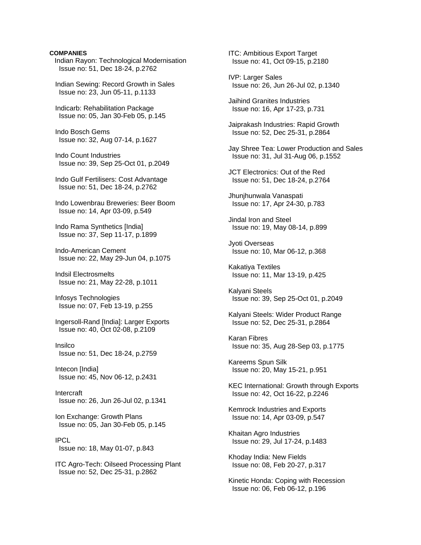## **COMPANIES**

Indian Rayon: Technological Modernisation Issue no: 51, Dec 18-24, p.2762

 Indian Sewing: Record Growth in Sales Issue no: 23, Jun 05-11, p.1133

 Indicarb: Rehabilitation Package Issue no: 05, Jan 30-Feb 05, p.145

 Indo Bosch Gems Issue no: 32, Aug 07-14, p.1627

 Indo Count Industries Issue no: 39, Sep 25-Oct 01, p.2049

 Indo Gulf Fertilisers: Cost Advantage Issue no: 51, Dec 18-24, p.2762

 Indo Lowenbrau Breweries: Beer Boom Issue no: 14, Apr 03-09, p.549

 Indo Rama Synthetics [India] Issue no: 37, Sep 11-17, p.1899

 Indo-American Cement Issue no: 22, May 29-Jun 04, p.1075

 Indsil Electrosmelts Issue no: 21, May 22-28, p.1011

 Infosys Technologies Issue no: 07, Feb 13-19, p.255

 Ingersoll-Rand [India]: Larger Exports Issue no: 40, Oct 02-08, p.2109

 Insilco Issue no: 51, Dec 18-24, p.2759

 Intecon [India] Issue no: 45, Nov 06-12, p.2431

 Intercraft Issue no: 26, Jun 26-Jul 02, p.1341

 Ion Exchange: Growth Plans Issue no: 05, Jan 30-Feb 05, p.145

 IPCL Issue no: 18, May 01-07, p.843

 ITC Agro-Tech: Oilseed Processing Plant Issue no: 52, Dec 25-31, p.2862

 ITC: Ambitious Export Target Issue no: 41, Oct 09-15, p.2180

 IVP: Larger Sales Issue no: 26, Jun 26-Jul 02, p.1340

 Jaihind Granites Industries Issue no: 16, Apr 17-23, p.731

 Jaiprakash Industries: Rapid Growth Issue no: 52, Dec 25-31, p.2864

 Jay Shree Tea: Lower Production and Sales Issue no: 31, Jul 31-Aug 06, p.1552

 JCT Electronics: Out of the Red Issue no: 51, Dec 18-24, p.2764

 Jhunjhunwala Vanaspati Issue no: 17, Apr 24-30, p.783

 Jindal Iron and Steel Issue no: 19, May 08-14, p.899

 Jyoti Overseas Issue no: 10, Mar 06-12, p.368

 Kakatiya Textiles Issue no: 11, Mar 13-19, p.425

 Kalyani Steels Issue no: 39, Sep 25-Oct 01, p.2049

 Kalyani Steels: Wider Product Range Issue no: 52, Dec 25-31, p.2864

 Karan Fibres Issue no: 35, Aug 28-Sep 03, p.1775

 Kareems Spun Silk Issue no: 20, May 15-21, p.951

 KEC International: Growth through Exports Issue no: 42, Oct 16-22, p.2246

 Kemrock Industries and Exports Issue no: 14, Apr 03-09, p.547

 Khaitan Agro Industries Issue no: 29, Jul 17-24, p.1483

 Khoday India: New Fields Issue no: 08, Feb 20-27, p.317

 Kinetic Honda: Coping with Recession Issue no: 06, Feb 06-12, p.196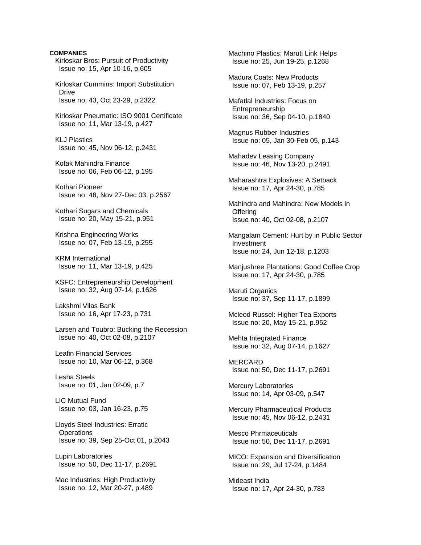# **COMPANIES**  Kirloskar Bros: Pursuit of Productivity Issue no: 15, Apr 10-16, p.605 Kirloskar Cummins: Import Substitution Drive Issue no: 43, Oct 23-29, p.2322 Kirloskar Pneumatic: ISO 9001 Certificate Issue no: 11, Mar 13-19, p.427 KLJ Plastics Issue no: 45, Nov 06-12, p.2431 Kotak Mahindra Finance Issue no: 06, Feb 06-12, p.195 Kothari Pioneer Issue no: 48, Nov 27-Dec 03, p.2567 Kothari Sugars and Chemicals Issue no: 20, May 15-21, p.951 Krishna Engineering Works Issue no: 07, Feb 13-19, p.255 KRM International Issue no: 11, Mar 13-19, p.425 KSFC: Entrepreneurship Development Issue no: 32, Aug 07-14, p.1626 Lakshmi Vilas Bank Issue no: 16, Apr 17-23, p.731 Larsen and Toubro: Bucking the Recession Issue no: 40, Oct 02-08, p.2107 Leafin Financial Services Issue no: 10, Mar 06-12, p.368 Lesha Steels Issue no: 01, Jan 02-09, p.7 LIC Mutual Fund Issue no: 03, Jan 16-23, p.75 Lloyds Steel Industries: Erratic **Operations**  Issue no: 39, Sep 25-Oct 01, p.2043 Lupin Laboratories Issue no: 50, Dec 11-17, p.2691

 Mac Industries: High Productivity Issue no: 12, Mar 20-27, p.489

 Machino Plastics: Maruti Link Helps Issue no: 25, Jun 19-25, p.1268

 Madura Coats: New Products Issue no: 07, Feb 13-19, p.257

 Mafatlal Industries: Focus on Entrepreneurship Issue no: 36, Sep 04-10, p.1840

 Magnus Rubber Industries Issue no: 05, Jan 30-Feb 05, p.143

 Mahadev Leasing Company Issue no: 46, Nov 13-20, p.2491

 Maharashtra Explosives: A Setback Issue no: 17, Apr 24-30, p.785

 Mahindra and Mahindra: New Models in **Offering** Issue no: 40, Oct 02-08, p.2107

 Mangalam Cement: Hurt by in Public Sector Investment Issue no: 24, Jun 12-18, p.1203

 Manjushree Plantations: Good Coffee Crop Issue no: 17, Apr 24-30, p.785

 Maruti Organics Issue no: 37, Sep 11-17, p.1899

 Mcleod Russel: Higher Tea Exports Issue no: 20, May 15-21, p.952

 Mehta Integrated Finance Issue no: 32, Aug 07-14, p.1627

 MERCARD Issue no: 50, Dec 11-17, p.2691

 Mercury Laboratories Issue no: 14, Apr 03-09, p.547

 Mercury Pharmaceutical Products Issue no: 45, Nov 06-12, p.2431

 Mesco Phrmaceuticals Issue no: 50, Dec 11-17, p.2691

 MICO: Expansion and Diversification Issue no: 29, Jul 17-24, p.1484

 Mideast India Issue no: 17, Apr 24-30, p.783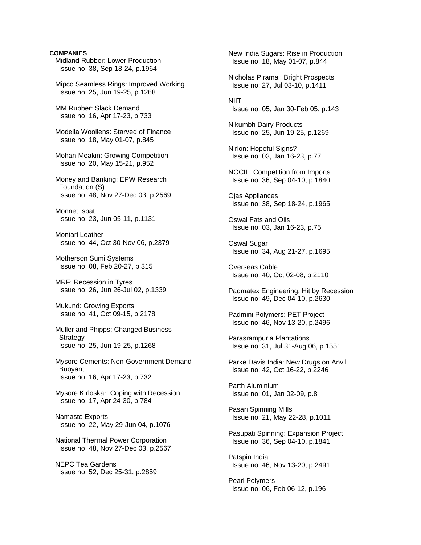## **COMPANIES**

 Midland Rubber: Lower Production Issue no: 38, Sep 18-24, p.1964

 Mipco Seamless Rings: Improved Working Issue no: 25, Jun 19-25, p.1268

 MM Rubber: Slack Demand Issue no: 16, Apr 17-23, p.733

 Modella Woollens: Starved of Finance Issue no: 18, May 01-07, p.845

 Mohan Meakin: Growing Competition Issue no: 20, May 15-21, p.952

 Money and Banking; EPW Research Foundation (S) Issue no: 48, Nov 27-Dec 03, p.2569

 Monnet Ispat Issue no: 23, Jun 05-11, p.1131

 Montari Leather Issue no: 44, Oct 30-Nov 06, p.2379

 Motherson Sumi Systems Issue no: 08, Feb 20-27, p.315

 MRF: Recession in Tyres Issue no: 26, Jun 26-Jul 02, p.1339

 Mukund: Growing Exports Issue no: 41, Oct 09-15, p.2178

 Muller and Phipps: Changed Business **Strategy** Issue no: 25, Jun 19-25, p.1268

 Mysore Cements: Non-Government Demand Buoyant Issue no: 16, Apr 17-23, p.732

 Mysore Kirloskar: Coping with Recession Issue no: 17, Apr 24-30, p.784

 Namaste Exports Issue no: 22, May 29-Jun 04, p.1076

 National Thermal Power Corporation Issue no: 48, Nov 27-Dec 03, p.2567

 NEPC Tea Gardens Issue no: 52, Dec 25-31, p.2859  New India Sugars: Rise in Production Issue no: 18, May 01-07, p.844 Nicholas Piramal: Bright Prospects Issue no: 27, Jul 03-10, p.1411 **NIIT**  Issue no: 05, Jan 30-Feb 05, p.143 Nikumbh Dairy Products Issue no: 25, Jun 19-25, p.1269 Nirlon: Hopeful Signs? Issue no: 03, Jan 16-23, p.77 NOCIL: Competition from Imports Issue no: 36, Sep 04-10, p.1840 Ojas Appliances Issue no: 38, Sep 18-24, p.1965 Oswal Fats and Oils Issue no: 03, Jan 16-23, p.75 Oswal Sugar Issue no: 34, Aug 21-27, p.1695 Overseas Cable Issue no: 40, Oct 02-08, p.2110 Padmatex Engineering: Hit by Recession Issue no: 49, Dec 04-10, p.2630 Padmini Polymers: PET Project Issue no: 46, Nov 13-20, p.2496

 Parasrampuria Plantations Issue no: 31, Jul 31-Aug 06, p.1551

 Parke Davis India: New Drugs on Anvil Issue no: 42, Oct 16-22, p.2246

 Parth Aluminium Issue no: 01, Jan 02-09, p.8

 Pasari Spinning Mills Issue no: 21, May 22-28, p.1011

 Pasupati Spinning: Expansion Project Issue no: 36, Sep 04-10, p.1841

 Patspin India Issue no: 46, Nov 13-20, p.2491

 Pearl Polymers Issue no: 06, Feb 06-12, p.196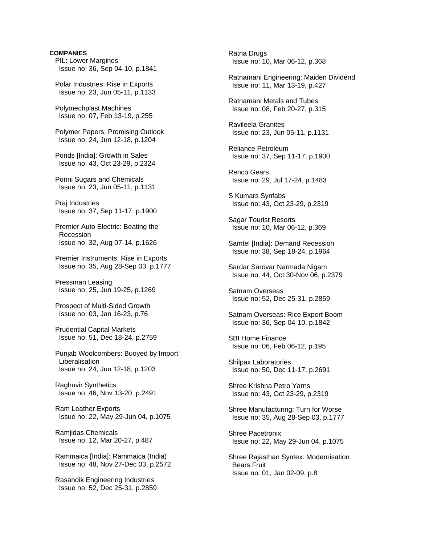# **COMPANIES**  PIL: Lower Margines Issue no: 36, Sep 04-10, p.1841 Polar Industries: Rise in Exports Issue no: 23, Jun 05-11, p.1133 Polymechplast Machines Issue no: 07, Feb 13-19, p.255 Polymer Papers: Promising Outlook Issue no: 24, Jun 12-18, p.1204 Ponds [India]: Growth in Sales Issue no: 43, Oct 23-29, p.2324 Ponni Sugars and Chemicals Issue no: 23, Jun 05-11, p.1131 Praj Industries Issue no: 37, Sep 11-17, p.1900 Premier Auto Electric: Beating the Recession Issue no: 32, Aug 07-14, p.1626 Premier Instruments: Rise in Exports Issue no: 35, Aug 28-Sep 03, p.1777 Pressman Leasing Issue no: 25, Jun 19-25, p.1269 Prospect of Multi-Sided Growth Issue no: 03, Jan 16-23, p.76 Prudential Capital Markets Issue no: 51, Dec 18-24, p.2759 Punjab Woolcombers: Buoyed by Import Liberalisation Issue no: 24, Jun 12-18, p.1203 Raghuvir Synthetics Issue no: 46, Nov 13-20, p.2491 Ram Leather Exports Issue no: 22, May 29-Jun 04, p.1075 Ramjidas Chemicals Issue no: 12, Mar 20-27, p.487 Rammaica [India]: Rammaica (India) Issue no: 48, Nov 27-Dec 03, p.2572 Rasandik Engineering Industries Issue no: 52, Dec 25-31, p.2859

 Ratna Drugs Issue no: 10, Mar 06-12, p.368 Ratnamani Engineering: Maiden Dividend Issue no: 11, Mar 13-19, p.427 Ratnamani Metals and Tubes Issue no: 08, Feb 20-27, p.315 Ravileela Granites Issue no: 23, Jun 05-11, p.1131 Reliance Petroleum Issue no: 37, Sep 11-17, p.1900 Renco Gears Issue no: 29, Jul 17-24, p.1483 S Kumars Synfabs Issue no: 43, Oct 23-29, p.2319 Sagar Tourist Resorts Issue no: 10, Mar 06-12, p.369 Samtel [India]: Demand Recession Issue no: 38, Sep 18-24, p.1964 Sardar Sarovar Narmada Nigam Issue no: 44, Oct 30-Nov 06, p.2379 Satnam Overseas Issue no: 52, Dec 25-31, p.2859 Satnam Overseas: Rice Export Boom Issue no: 36, Sep 04-10, p.1842 SBI Home Finance Issue no: 06, Feb 06-12, p.195 Shilpax Laboratories Issue no: 50, Dec 11-17, p.2691 Shree Krishna Petro Yarns Issue no: 43, Oct 23-29, p.2319 Shree Manufacturing: Turn for Worse Issue no: 35, Aug 28-Sep 03, p.1777 Shree Pacetronix Issue no: 22, May 29-Jun 04, p.1075 Shree Rajasthan Syntex: Modernisation Bears Fruit Issue no: 01, Jan 02-09, p.8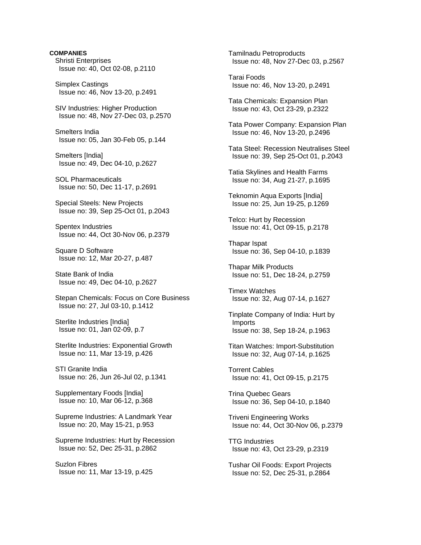**COMPANIES**  Shristi Enterprises Issue no: 40, Oct 02-08, p.2110 Simplex Castings Issue no: 46, Nov 13-20, p.2491 SIV Industries: Higher Production Issue no: 48, Nov 27-Dec 03, p.2570 Smelters India Issue no: 05, Jan 30-Feb 05, p.144 Smelters [India] Issue no: 49, Dec 04-10, p.2627 SOL Pharmaceuticals Issue no: 50, Dec 11-17, p.2691 Special Steels: New Projects Issue no: 39, Sep 25-Oct 01, p.2043 Spentex Industries Issue no: 44, Oct 30-Nov 06, p.2379 Square D Software Issue no: 12, Mar 20-27, p.487 State Bank of India Issue no: 49, Dec 04-10, p.2627 Stepan Chemicals: Focus on Core Business Issue no: 27, Jul 03-10, p.1412 Sterlite Industries [India] Issue no: 01, Jan 02-09, p.7 Sterlite Industries: Exponential Growth Issue no: 11, Mar 13-19, p.426 STI Granite India Issue no: 26, Jun 26-Jul 02, p.1341 Supplementary Foods [India] Issue no: 10, Mar 06-12, p.368 Supreme Industries: A Landmark Year Issue no: 20, May 15-21, p.953 Supreme Industries: Hurt by Recession Issue no: 52, Dec 25-31, p.2862 Suzlon Fibres Issue no: 11, Mar 13-19, p.425

 Tamilnadu Petroproducts Issue no: 48, Nov 27-Dec 03, p.2567

 Tarai Foods Issue no: 46, Nov 13-20, p.2491

 Tata Chemicals: Expansion Plan Issue no: 43, Oct 23-29, p.2322

 Tata Power Company: Expansion Plan Issue no: 46, Nov 13-20, p.2496

 Tata Steel: Recession Neutralises Steel Issue no: 39, Sep 25-Oct 01, p.2043

 Tatia Skylines and Health Farms Issue no: 34, Aug 21-27, p.1695

 Teknomin Aqua Exports [India] Issue no: 25, Jun 19-25, p.1269

 Telco: Hurt by Recession Issue no: 41, Oct 09-15, p.2178

 Thapar Ispat Issue no: 36, Sep 04-10, p.1839

 Thapar Milk Products Issue no: 51, Dec 18-24, p.2759

 Timex Watches Issue no: 32, Aug 07-14, p.1627

 Tinplate Company of India: Hurt by Imports Issue no: 38, Sep 18-24, p.1963

 Titan Watches: Import-Substitution Issue no: 32, Aug 07-14, p.1625

 Torrent Cables Issue no: 41, Oct 09-15, p.2175

 Trina Quebec Gears Issue no: 36, Sep 04-10, p.1840

 Triveni Engineering Works Issue no: 44, Oct 30-Nov 06, p.2379

 TTG Industries Issue no: 43, Oct 23-29, p.2319

 Tushar Oil Foods: Export Projects Issue no: 52, Dec 25-31, p.2864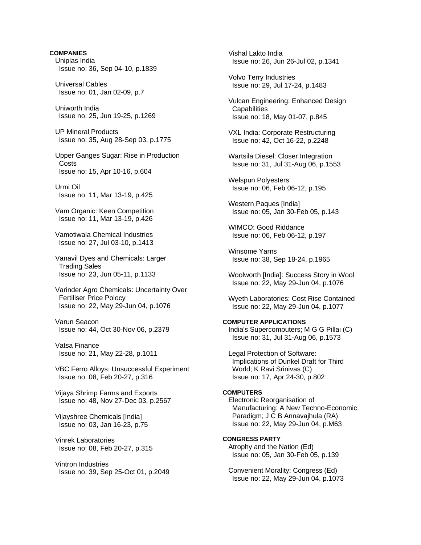**COMPANIES**  Uniplas India Issue no: 36, Sep 04-10, p.1839 Universal Cables Issue no: 01, Jan 02-09, p.7 Uniworth India Issue no: 25, Jun 19-25, p.1269 UP Mineral Products Issue no: 35, Aug 28-Sep 03, p.1775 Upper Ganges Sugar: Rise in Production **Costs**  Issue no: 15, Apr 10-16, p.604 Urmi Oil Issue no: 11, Mar 13-19, p.425 Vam Organic: Keen Competition Issue no: 11, Mar 13-19, p.426 Vamotiwala Chemical Industries Issue no: 27, Jul 03-10, p.1413 Vanavil Dyes and Chemicals: Larger Trading Sales Issue no: 23, Jun 05-11, p.1133 Varinder Agro Chemicals: Uncertainty Over Fertiliser Price Polocy Issue no: 22, May 29-Jun 04, p.1076 Varun Seacon Issue no: 44, Oct 30-Nov 06, p.2379 Vatsa Finance Issue no: 21, May 22-28, p.1011 VBC Ferro Alloys: Unsuccessful Experiment Issue no: 08, Feb 20-27, p.316 Vijaya Shrimp Farms and Exports Issue no: 48, Nov 27-Dec 03, p.2567 Vijayshree Chemicals [India] Issue no: 03, Jan 16-23, p.75 Vinrek Laboratories Issue no: 08, Feb 20-27, p.315 Vintron Industries Issue no: 39, Sep 25-Oct 01, p.2049

 Vishal Lakto India Issue no: 26, Jun 26-Jul 02, p.1341

 Volvo Terry Industries Issue no: 29, Jul 17-24, p.1483

 Vulcan Engineering: Enhanced Design **Capabilities** Issue no: 18, May 01-07, p.845

 VXL India: Corporate Restructuring Issue no: 42, Oct 16-22, p.2248

 Wartsila Diesel: Closer Integration Issue no: 31, Jul 31-Aug 06, p.1553

 Welspun Polyesters Issue no: 06, Feb 06-12, p.195

 Western Paques [India] Issue no: 05, Jan 30-Feb 05, p.143

 WIMCO: Good Riddance Issue no: 06, Feb 06-12, p.197

 Winsome Yarns Issue no: 38, Sep 18-24, p.1965

 Woolworth [India]: Success Story in Wool Issue no: 22, May 29-Jun 04, p.1076

 Wyeth Laboratories: Cost Rise Contained Issue no: 22, May 29-Jun 04, p.1077

# **COMPUTER APPLICATIONS**

 India's Supercomputers; M G G Pillai (C) Issue no: 31, Jul 31-Aug 06, p.1573

 Legal Protection of Software: Implications of Dunkel Draft for Third World; K Ravi Srinivas (C) Issue no: 17, Apr 24-30, p.802

#### **COMPUTERS**

 Electronic Reorganisation of Manufacturing: A New Techno-Economic Paradigm; J C B Annavajhula (RA) Issue no: 22, May 29-Jun 04, p.M63

# **CONGRESS PARTY**

 Atrophy and the Nation (Ed) Issue no: 05, Jan 30-Feb 05, p.139

 Convenient Morality: Congress (Ed) Issue no: 22, May 29-Jun 04, p.1073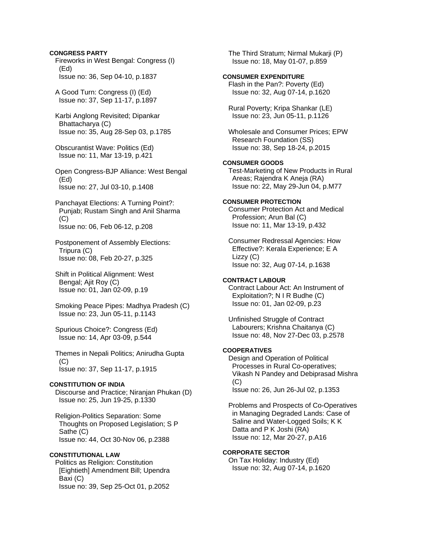Fireworks in West Bengal: Congress (I) (Ed) Issue no: 36, Sep 04-10, p.1837 A Good Turn: Congress (I) (Ed) Issue no: 37, Sep 11-17, p.1897 Karbi Anglong Revisited; Dipankar Bhattacharya (C) Issue no: 35, Aug 28-Sep 03, p.1785 Obscurantist Wave: Politics (Ed) Issue no: 11, Mar 13-19, p.421 Open Congress-BJP Alliance: West Bengal (Ed) Issue no: 27, Jul 03-10, p.1408 Panchayat Elections: A Turning Point?: Punjab; Rustam Singh and Anil Sharma (C) Issue no: 06, Feb 06-12, p.208 Postponement of Assembly Elections: Tripura (C) Issue no: 08, Feb 20-27, p.325 Shift in Political Alignment: West Bengal; Ajit Roy (C) Issue no: 01, Jan 02-09, p.19 Smoking Peace Pipes: Madhya Pradesh (C) Issue no: 23, Jun 05-11, p.1143 Spurious Choice?: Congress (Ed) Issue no: 14, Apr 03-09, p.544 Themes in Nepali Politics; Anirudha Gupta (C) Issue no: 37, Sep 11-17, p.1915 **CONSTITUTION OF INDIA**  Discourse and Practice; Niranjan Phukan (D) Issue no: 25, Jun 19-25, p.1330 Religion-Politics Separation: Some Thoughts on Proposed Legislation; S P Sathe (C) Issue no: 44, Oct 30-Nov 06, p.2388 **CONSTITUTIONAL LAW** 

**CONGRESS PARTY** 

 Politics as Religion: Constitution [Eightieth] Amendment Bill; Upendra Baxi (C) Issue no: 39, Sep 25-Oct 01, p.2052

 The Third Stratum; Nirmal Mukarji (P) Issue no: 18, May 01-07, p.859

# **CONSUMER EXPENDITURE**

 Flash in the Pan?: Poverty (Ed) Issue no: 32, Aug 07-14, p.1620

 Rural Poverty; Kripa Shankar (LE) Issue no: 23, Jun 05-11, p.1126

 Wholesale and Consumer Prices; EPW Research Foundation (SS) Issue no: 38, Sep 18-24, p.2015

# **CONSUMER GOODS**

 Test-Marketing of New Products in Rural Areas; Rajendra K Aneja (RA) Issue no: 22, May 29-Jun 04, p.M77

# **CONSUMER PROTECTION**

 Consumer Protection Act and Medical Profession; Arun Bal (C) Issue no: 11, Mar 13-19, p.432

 Consumer Redressal Agencies: How Effective?: Kerala Experience; E A Lizzy (C) Issue no: 32, Aug 07-14, p.1638

# **CONTRACT LABOUR**

 Contract Labour Act: An Instrument of Exploitation?; N I R Budhe (C) Issue no: 01, Jan 02-09, p.23

 Unfinished Struggle of Contract Labourers; Krishna Chaitanya (C) Issue no: 48, Nov 27-Dec 03, p.2578

## **COOPERATIVES**

 Design and Operation of Political Processes in Rural Co-operatives; Vikash N Pandey and Debiprasad Mishra (C) Issue no: 26, Jun 26-Jul 02, p.1353

 Problems and Prospects of Co-Operatives in Managing Degraded Lands: Case of Saline and Water-Logged Soils; K K Datta and P K Joshi (RA) Issue no: 12, Mar 20-27, p.A16

# **CORPORATE SECTOR**

 On Tax Holiday: Industry (Ed) Issue no: 32, Aug 07-14, p.1620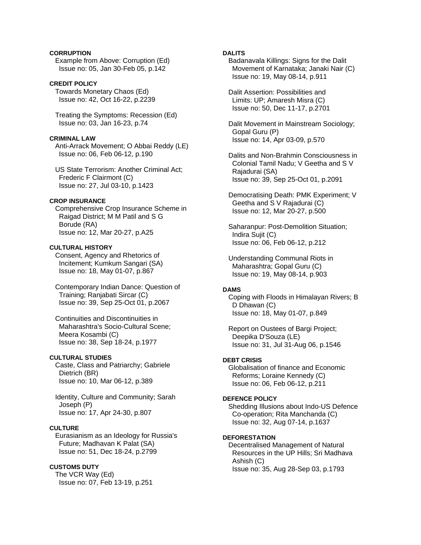# **CORRUPTION**

 Example from Above: Corruption (Ed) Issue no: 05, Jan 30-Feb 05, p.142

## **CREDIT POLICY**

 Towards Monetary Chaos (Ed) Issue no: 42, Oct 16-22, p.2239

 Treating the Symptoms: Recession (Ed) Issue no: 03, Jan 16-23, p.74

## **CRIMINAL LAW**

 Anti-Arrack Movement; O Abbai Reddy (LE) Issue no: 06, Feb 06-12, p.190

 US State Terrorism: Another Criminal Act; Frederic F Clairmont (C) Issue no: 27, Jul 03-10, p.1423

# **CROP INSURANCE**

 Comprehensive Crop Insurance Scheme in Raigad District; M M Patil and S G Borude (RA) Issue no: 12, Mar 20-27, p.A25

# **CULTURAL HISTORY**

 Consent, Agency and Rhetorics of Incitement; Kumkum Sangari (SA) Issue no: 18, May 01-07, p.867

 Contemporary Indian Dance: Question of Training; Ranjabati Sircar (C) Issue no: 39, Sep 25-Oct 01, p.2067

 Continuities and Discontinuities in Maharashtra's Socio-Cultural Scene; Meera Kosambi (C) Issue no: 38, Sep 18-24, p.1977

## **CULTURAL STUDIES**

 Caste, Class and Patriarchy; Gabriele Dietrich (BR) Issue no: 10, Mar 06-12, p.389

 Identity, Culture and Community; Sarah Joseph (P) Issue no: 17, Apr 24-30, p.807

# **CULTURE**

 Eurasianism as an Ideology for Russia's Future; Madhavan K Palat (SA) Issue no: 51, Dec 18-24, p.2799

## **CUSTOMS DUTY**

 The VCR Way (Ed) Issue no: 07, Feb 13-19, p.251

# **DALITS**

 Badanavala Killings: Signs for the Dalit Movement of Karnataka; Janaki Nair (C) Issue no: 19, May 08-14, p.911

 Dalit Assertion: Possibilities and Limits: UP; Amaresh Misra (C) Issue no: 50, Dec 11-17, p.2701

 Dalit Movement in Mainstream Sociology; Gopal Guru (P) Issue no: 14, Apr 03-09, p.570

 Dalits and Non-Brahmin Consciousness in Colonial Tamil Nadu; V Geetha and S V Rajadurai (SA) Issue no: 39, Sep 25-Oct 01, p.2091

 Democratising Death: PMK Experiment; V Geetha and S V Rajadurai (C) Issue no: 12, Mar 20-27, p.500

 Saharanpur: Post-Demolition Situation; Indira Sujit (C) Issue no: 06, Feb 06-12, p.212

 Understanding Communal Riots in Maharashtra; Gopal Guru (C) Issue no: 19, May 08-14, p.903

# **DAMS**

 Coping with Floods in Himalayan Rivers; B D Dhawan (C) Issue no: 18, May 01-07, p.849

 Report on Oustees of Bargi Project; Deepika D'Souza (LE) Issue no: 31, Jul 31-Aug 06, p.1546

# **DEBT CRISIS**

 Globalisation of finance and Economic Reforms; Loraine Kennedy (C) Issue no: 06, Feb 06-12, p.211

## **DEFENCE POLICY**

 Shedding Illusions about Indo-US Defence Co-operation; Rita Manchanda (C) Issue no: 32, Aug 07-14, p.1637

#### **DEFORESTATION**

 Decentralised Management of Natural Resources in the UP Hills; Sri Madhava Ashish (C) Issue no: 35, Aug 28-Sep 03, p.1793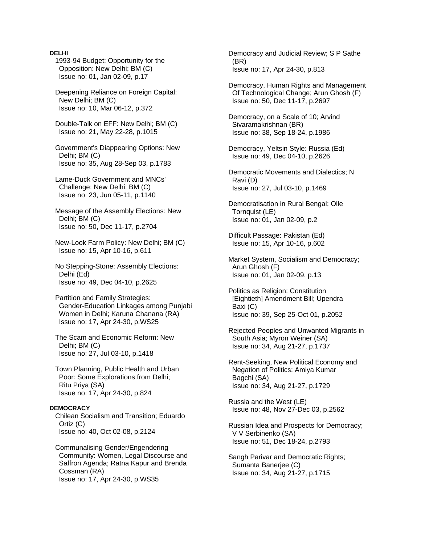1993-94 Budget: Opportunity for the Opposition: New Delhi; BM (C) Issue no: 01, Jan 02-09, p.17

 Deepening Reliance on Foreign Capital: New Delhi; BM (C) Issue no: 10, Mar 06-12, p.372

 Double-Talk on EFF: New Delhi; BM (C) Issue no: 21, May 22-28, p.1015

 Government's Diappearing Options: New Delhi; BM (C) Issue no: 35, Aug 28-Sep 03, p.1783

 Lame-Duck Government and MNCs' Challenge: New Delhi; BM (C) Issue no: 23, Jun 05-11, p.1140

 Message of the Assembly Elections: New Delhi; BM (C) Issue no: 50, Dec 11-17, p.2704

 New-Look Farm Policy: New Delhi; BM (C) Issue no: 15, Apr 10-16, p.611

 No Stepping-Stone: Assembly Elections: Delhi (Ed) Issue no: 49, Dec 04-10, p.2625

 Partition and Family Strategies: Gender-Education Linkages among Punjabi Women in Delhi; Karuna Chanana (RA) Issue no: 17, Apr 24-30, p.WS25

 The Scam and Economic Reform: New Delhi; BM (C) Issue no: 27, Jul 03-10, p.1418

 Town Planning, Public Health and Urban Poor: Some Explorations from Delhi; Ritu Priya (SA) Issue no: 17, Apr 24-30, p.824

# **DEMOCRACY**

 Chilean Socialism and Transition; Eduardo Ortiz (C) Issue no: 40, Oct 02-08, p.2124

 Communalising Gender/Engendering Community: Women, Legal Discourse and Saffron Agenda; Ratna Kapur and Brenda Cossman (RA) Issue no: 17, Apr 24-30, p.WS35

 Democracy and Judicial Review; S P Sathe (BR) Issue no: 17, Apr 24-30, p.813

 Democracy, Human Rights and Management Of Technological Change; Arun Ghosh (F) Issue no: 50, Dec 11-17, p.2697

 Democracy, on a Scale of 10; Arvind Sivaramakrishnan (BR) Issue no: 38, Sep 18-24, p.1986

 Democracy, Yeltsin Style: Russia (Ed) Issue no: 49, Dec 04-10, p.2626

 Democratic Movements and Dialectics; N Ravi (D) Issue no: 27, Jul 03-10, p.1469

 Democratisation in Rural Bengal; Olle Tornquist (LE) Issue no: 01, Jan 02-09, p.2

 Difficult Passage: Pakistan (Ed) Issue no: 15, Apr 10-16, p.602

 Market System, Socialism and Democracy; Arun Ghosh (F) Issue no: 01, Jan 02-09, p.13

 Politics as Religion: Constitution [Eightieth] Amendment Bill; Upendra Baxi (C) Issue no: 39, Sep 25-Oct 01, p.2052

 Rejected Peoples and Unwanted Migrants in South Asia; Myron Weiner (SA) Issue no: 34, Aug 21-27, p.1737

 Rent-Seeking, New Political Economy and Negation of Politics; Amiya Kumar Bagchi (SA) Issue no: 34, Aug 21-27, p.1729

 Russia and the West (LE) Issue no: 48, Nov 27-Dec 03, p.2562

 Russian Idea and Prospects for Democracy; V V Serbinenko (SA) Issue no: 51, Dec 18-24, p.2793

 Sangh Parivar and Democratic Rights; Sumanta Banerjee (C) Issue no: 34, Aug 21-27, p.1715

## **DELHI**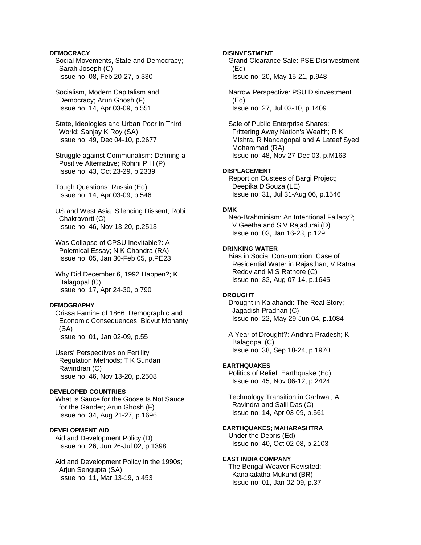## **DEMOCRACY**

 Social Movements, State and Democracy; Sarah Joseph (C) Issue no: 08, Feb 20-27, p.330

 Socialism, Modern Capitalism and Democracy; Arun Ghosh (F) Issue no: 14, Apr 03-09, p.551

 State, Ideologies and Urban Poor in Third World; Sanjay K Roy (SA) Issue no: 49, Dec 04-10, p.2677

 Struggle against Communalism: Defining a Positive Alternative; Rohini P H (P) Issue no: 43, Oct 23-29, p.2339

 Tough Questions: Russia (Ed) Issue no: 14, Apr 03-09, p.546

 US and West Asia: Silencing Dissent; Robi Chakravorti (C) Issue no: 46, Nov 13-20, p.2513

 Was Collapse of CPSU Inevitable?: A Polemical Essay; N K Chandra (RA) Issue no: 05, Jan 30-Feb 05, p.PE23

 Why Did December 6, 1992 Happen?; K Balagopal (C) Issue no: 17, Apr 24-30, p.790

## **DEMOGRAPHY**

 Orissa Famine of 1866: Demographic and Economic Consequences; Bidyut Mohanty (SA) Issue no: 01, Jan 02-09, p.55

 Users' Perspectives on Fertility Regulation Methods; T K Sundari Ravindran (C) Issue no: 46, Nov 13-20, p.2508

# **DEVELOPED COUNTRIES**

 What Is Sauce for the Goose Is Not Sauce for the Gander; Arun Ghosh (F) Issue no: 34, Aug 21-27, p.1696

# **DEVELOPMENT AID**

 Aid and Development Policy (D) Issue no: 26, Jun 26-Jul 02, p.1398

 Aid and Development Policy in the 1990s; Arjun Sengupta (SA) Issue no: 11, Mar 13-19, p.453

## **DISINVESTMENT**

 Grand Clearance Sale: PSE Disinvestment (Ed) Issue no: 20, May 15-21, p.948

 Narrow Perspective: PSU Disinvestment (Ed) Issue no: 27, Jul 03-10, p.1409

 Sale of Public Enterprise Shares: Frittering Away Nation's Wealth; R K Mishra, R Nandagopal and A Lateef Syed Mohammad (RA) Issue no: 48, Nov 27-Dec 03, p.M163

## **DISPLACEMENT**

 Report on Oustees of Bargi Project; Deepika D'Souza (LE) Issue no: 31, Jul 31-Aug 06, p.1546

# **DMK**

 Neo-Brahminism: An Intentional Fallacy?; V Geetha and S V Rajadurai (D) Issue no: 03, Jan 16-23, p.129

#### **DRINKING WATER**

 Bias in Social Consumption: Case of Residential Water in Rajasthan; V Ratna Reddy and M S Rathore (C) Issue no: 32, Aug 07-14, p.1645

## **DROUGHT**

 Drought in Kalahandi: The Real Story; Jagadish Pradhan (C) Issue no: 22, May 29-Jun 04, p.1084

 A Year of Drought?: Andhra Pradesh; K Balagopal (C) Issue no: 38, Sep 18-24, p.1970

## **EARTHQUAKES**

 Politics of Relief: Earthquake (Ed) Issue no: 45, Nov 06-12, p.2424

 Technology Transition in Garhwal; A Ravindra and Salil Das (C) Issue no: 14, Apr 03-09, p.561

## **EARTHQUAKES; MAHARASHTRA**

 Under the Debris (Ed) Issue no: 40, Oct 02-08, p.2103

## **EAST INDIA COMPANY**

 The Bengal Weaver Revisited; Kanakalatha Mukund (BR) Issue no: 01, Jan 02-09, p.37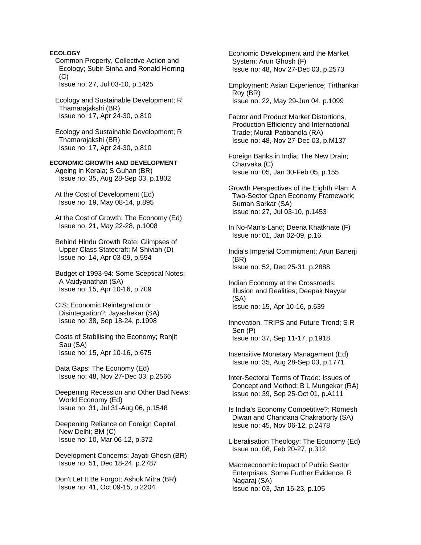Common Property, Collective Action and Ecology; Subir Sinha and Ronald Herring  $(C)$  Issue no: 27, Jul 03-10, p.1425 Ecology and Sustainable Development; R Thamarajakshi (BR) Issue no: 17, Apr 24-30, p.810 Ecology and Sustainable Development; R Thamarajakshi (BR) Issue no: 17, Apr 24-30, p.810 **ECONOMIC GROWTH AND DEVELOPMENT**  Ageing in Kerala; S Guhan (BR) Issue no: 35, Aug 28-Sep 03, p.1802 At the Cost of Development (Ed) Issue no: 19, May 08-14, p.895 At the Cost of Growth: The Economy (Ed) Issue no: 21, May 22-28, p.1008 Behind Hindu Growth Rate: Glimpses of Upper Class Statecraft; M Shiviah (D) Issue no: 14, Apr 03-09, p.594 Budget of 1993-94: Some Sceptical Notes; A Vaidyanathan (SA) Issue no: 15, Apr 10-16, p.709 CIS: Economic Reintegration or Disintegration?; Jayashekar (SA) Issue no: 38, Sep 18-24, p.1998 Costs of Stabilising the Economy; Ranjit Sau (SA) Issue no: 15, Apr 10-16, p.675 Data Gaps: The Economy (Ed) Issue no: 48, Nov 27-Dec 03, p.2566 Deepening Recession and Other Bad News: World Economy (Ed) Issue no: 31, Jul 31-Aug 06, p.1548 Deepening Reliance on Foreign Capital: New Delhi; BM (C) Issue no: 10, Mar 06-12, p.372 Development Concerns; Jayati Ghosh (BR) Issue no: 51, Dec 18-24, p.2787 Don't Let It Be Forgot; Ashok Mitra (BR) Issue no: 41, Oct 09-15, p.2204

**ECOLOGY** 

 Economic Development and the Market System; Arun Ghosh (F) Issue no: 48, Nov 27-Dec 03, p.2573

 Employment: Asian Experience; Tirthankar Roy (BR) Issue no: 22, May 29-Jun 04, p.1099

 Factor and Product Market Distortions, Production Efficiency and International Trade; Murali Patibandla (RA) Issue no: 48, Nov 27-Dec 03, p.M137

 Foreign Banks in India: The New Drain; Charvaka (C) Issue no: 05, Jan 30-Feb 05, p.155

 Growth Perspectives of the Eighth Plan: A Two-Sector Open Economy Framework; Suman Sarkar (SA) Issue no: 27, Jul 03-10, p.1453

 In No-Man's-Land; Deena Khatkhate (F) Issue no: 01, Jan 02-09, p.16

 India's Imperial Commitment; Arun Banerji (BR) Issue no: 52, Dec 25-31, p.2888

 Indian Economy at the Crossroads: Illusion and Realities; Deepak Nayyar (SA) Issue no: 15, Apr 10-16, p.639

 Innovation, TRIPS and Future Trend; S R Sen (P) Issue no: 37, Sep 11-17, p.1918

 Insensitive Monetary Management (Ed) Issue no: 35, Aug 28-Sep 03, p.1771

 Inter-Sectoral Terms of Trade: Issues of Concept and Method; B L Mungekar (RA) Issue no: 39, Sep 25-Oct 01, p.A111

 Is India's Economy Competitive?; Romesh Diwan and Chandana Chakraborty (SA) Issue no: 45, Nov 06-12, p.2478

 Liberalisation Theology: The Economy (Ed) Issue no: 08, Feb 20-27, p.312

 Macroeconomic Impact of Public Sector Enterprises: Some Further Evidence; R Nagaraj (SA) Issue no: 03, Jan 16-23, p.105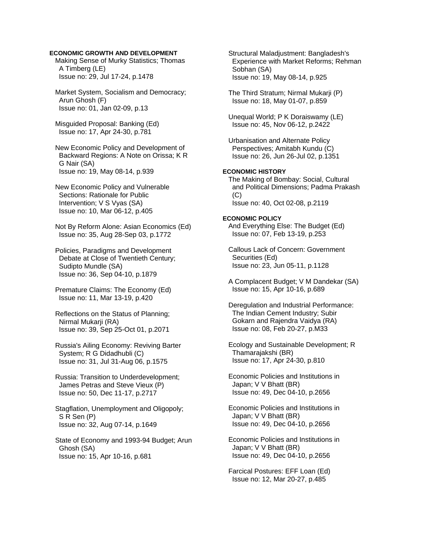# **ECONOMIC GROWTH AND DEVELOPMENT**

 Making Sense of Murky Statistics; Thomas A Timberg (LE) Issue no: 29, Jul 17-24, p.1478

 Market System, Socialism and Democracy; Arun Ghosh (F) Issue no: 01, Jan 02-09, p.13

 Misguided Proposal: Banking (Ed) Issue no: 17, Apr 24-30, p.781

 New Economic Policy and Development of Backward Regions: A Note on Orissa; K R G Nair (SA) Issue no: 19, May 08-14, p.939

 New Economic Policy and Vulnerable Sections: Rationale for Public Intervention; V S Vyas (SA) Issue no: 10, Mar 06-12, p.405

 Not By Reform Alone: Asian Economics (Ed) Issue no: 35, Aug 28-Sep 03, p.1772

 Policies, Paradigms and Development Debate at Close of Twentieth Century; Sudipto Mundle (SA) Issue no: 36, Sep 04-10, p.1879

 Premature Claims: The Economy (Ed) Issue no: 11, Mar 13-19, p.420

 Reflections on the Status of Planning; Nirmal Mukarji (RA) Issue no: 39, Sep 25-Oct 01, p.2071

 Russia's Ailing Economy: Reviving Barter System; R G Didadhubli (C) Issue no: 31, Jul 31-Aug 06, p.1575

 Russia: Transition to Underdevelopment; James Petras and Steve Vieux (P) Issue no: 50, Dec 11-17, p.2717

 Stagflation, Unemployment and Oligopoly; S R Sen (P) Issue no: 32, Aug 07-14, p.1649

 State of Economy and 1993-94 Budget; Arun Ghosh (SA) Issue no: 15, Apr 10-16, p.681

 Structural Maladjustment: Bangladesh's Experience with Market Reforms; Rehman Sobhan (SA) Issue no: 19, May 08-14, p.925

 The Third Stratum; Nirmal Mukarji (P) Issue no: 18, May 01-07, p.859

 Unequal World; P K Doraiswamy (LE) Issue no: 45, Nov 06-12, p.2422

 Urbanisation and Alternate Policy Perspectives; Amitabh Kundu (C) Issue no: 26, Jun 26-Jul 02, p.1351

# **ECONOMIC HISTORY**

 The Making of Bombay: Social, Cultural and Political Dimensions; Padma Prakash (C) Issue no: 40, Oct 02-08, p.2119

## **ECONOMIC POLICY**

 And Everything Else: The Budget (Ed) Issue no: 07, Feb 13-19, p.253

 Callous Lack of Concern: Government Securities (Ed) Issue no: 23, Jun 05-11, p.1128

 A Complacent Budget; V M Dandekar (SA) Issue no: 15, Apr 10-16, p.689

 Deregulation and Industrial Performance: The Indian Cement Industry; Subir Gokarn and Rajendra Vaidya (RA) Issue no: 08, Feb 20-27, p.M33

 Ecology and Sustainable Development; R Thamarajakshi (BR) Issue no: 17, Apr 24-30, p.810

 Economic Policies and Institutions in Japan; V V Bhatt (BR) Issue no: 49, Dec 04-10, p.2656

 Economic Policies and Institutions in Japan; V V Bhatt (BR) Issue no: 49, Dec 04-10, p.2656

 Economic Policies and Institutions in Japan; V V Bhatt (BR) Issue no: 49, Dec 04-10, p.2656

 Farcical Postures: EFF Loan (Ed) Issue no: 12, Mar 20-27, p.485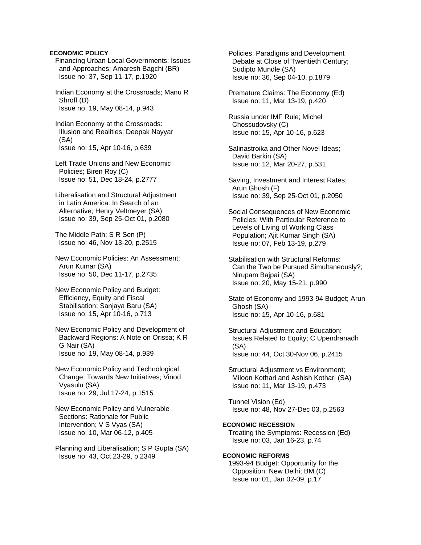## **ECONOMIC POLICY**

- Financing Urban Local Governments: Issues and Approaches; Amaresh Bagchi (BR) Issue no: 37, Sep 11-17, p.1920
- Indian Economy at the Crossroads; Manu R Shroff (D) Issue no: 19, May 08-14, p.943
- Indian Economy at the Crossroads: Illusion and Realities; Deepak Nayyar (SA) Issue no: 15, Apr 10-16, p.639
- Left Trade Unions and New Economic Policies; Biren Roy (C) Issue no: 51, Dec 18-24, p.2777
- Liberalisation and Structural Adjustment in Latin America: In Search of an Alternative; Henry Veltmeyer (SA) Issue no: 39, Sep 25-Oct 01, p.2080
- The Middle Path; S R Sen (P) Issue no: 46, Nov 13-20, p.2515
- New Economic Policies: An Assessment; Arun Kumar (SA) Issue no: 50, Dec 11-17, p.2735
- New Economic Policy and Budget: Efficiency, Equity and Fiscal Stabilisation; Sanjaya Baru (SA) Issue no: 15, Apr 10-16, p.713
- New Economic Policy and Development of Backward Regions: A Note on Orissa; K R G Nair (SA) Issue no: 19, May 08-14, p.939
- New Economic Policy and Technological Change: Towards New Initiatives; Vinod Vyasulu (SA) Issue no: 29, Jul 17-24, p.1515
- New Economic Policy and Vulnerable Sections: Rationale for Public Intervention; V S Vyas (SA) Issue no: 10, Mar 06-12, p.405
- Planning and Liberalisation; S P Gupta (SA) Issue no: 43, Oct 23-29, p.2349

 Policies, Paradigms and Development Debate at Close of Twentieth Century; Sudipto Mundle (SA) Issue no: 36, Sep 04-10, p.1879

- Premature Claims: The Economy (Ed) Issue no: 11, Mar 13-19, p.420
- Russia under IMF Rule; Michel Chossudovsky (C) Issue no: 15, Apr 10-16, p.623
- Salinastroika and Other Novel Ideas; David Barkin (SA) Issue no: 12, Mar 20-27, p.531
- Saving, Investment and Interest Rates; Arun Ghosh (F) Issue no: 39, Sep 25-Oct 01, p.2050
- Social Consequences of New Economic Policies: With Particular Reference to Levels of Living of Working Class Population; Ajit Kumar Singh (SA) Issue no: 07, Feb 13-19, p.279
- Stabilisation with Structural Reforms: Can the Two be Pursued Simultaneously?; Nirupam Bajpai (SA) Issue no: 20, May 15-21, p.990
- State of Economy and 1993-94 Budget; Arun Ghosh (SA) Issue no: 15, Apr 10-16, p.681
- Structural Adjustment and Education: Issues Related to Equity; C Upendranadh (SA) Issue no: 44, Oct 30-Nov 06, p.2415
- Structural Adjustment vs Environment; Miloon Kothari and Ashish Kothari (SA) Issue no: 11, Mar 13-19, p.473
- Tunnel Vision (Ed) Issue no: 48, Nov 27-Dec 03, p.2563
- **ECONOMIC RECESSION**  Treating the Symptoms: Recession (Ed) Issue no: 03, Jan 16-23, p.74

## **ECONOMIC REFORMS**

 1993-94 Budget: Opportunity for the Opposition: New Delhi; BM (C) Issue no: 01, Jan 02-09, p.17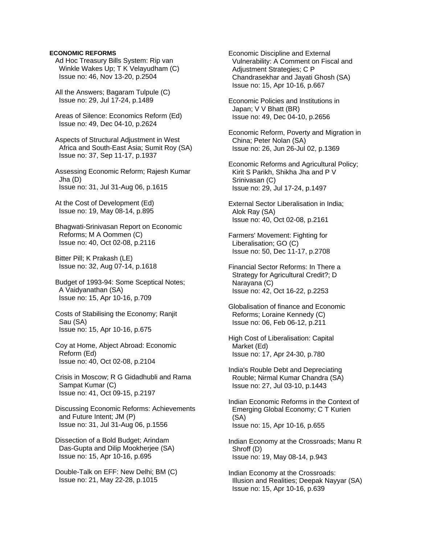## **ECONOMIC REFORMS**

 Ad Hoc Treasury Bills System: Rip van Winkle Wakes Up; T K Velayudham (C) Issue no: 46, Nov 13-20, p.2504

 All the Answers; Bagaram Tulpule (C) Issue no: 29, Jul 17-24, p.1489

 Areas of Silence: Economics Reform (Ed) Issue no: 49, Dec 04-10, p.2624

 Aspects of Structural Adjustment in West Africa and South-East Asia; Sumit Roy (SA) Issue no: 37, Sep 11-17, p.1937

 Assessing Economic Reform; Rajesh Kumar Jha (D) Issue no: 31, Jul 31-Aug 06, p.1615

 At the Cost of Development (Ed) Issue no: 19, May 08-14, p.895

 Bhagwati-Srinivasan Report on Economic Reforms; M A Oommen (C) Issue no: 40, Oct 02-08, p.2116

 Bitter Pill; K Prakash (LE) Issue no: 32, Aug 07-14, p.1618

 Budget of 1993-94: Some Sceptical Notes; A Vaidyanathan (SA) Issue no: 15, Apr 10-16, p.709

 Costs of Stabilising the Economy; Ranjit Sau (SA) Issue no: 15, Apr 10-16, p.675

 Coy at Home, Abject Abroad: Economic Reform (Ed) Issue no: 40, Oct 02-08, p.2104

 Crisis in Moscow; R G Gidadhubli and Rama Sampat Kumar (C) Issue no: 41, Oct 09-15, p.2197

 Discussing Economic Reforms: Achievements and Future Intent; JM (P) Issue no: 31, Jul 31-Aug 06, p.1556

 Dissection of a Bold Budget; Arindam Das-Gupta and Dilip Mookherjee (SA) Issue no: 15, Apr 10-16, p.695

 Double-Talk on EFF: New Delhi; BM (C) Issue no: 21, May 22-28, p.1015

 Economic Discipline and External Vulnerability: A Comment on Fiscal and Adjustment Strategies; C P Chandrasekhar and Jayati Ghosh (SA) Issue no: 15, Apr 10-16, p.667

 Economic Policies and Institutions in Japan; V V Bhatt (BR) Issue no: 49, Dec 04-10, p.2656

 Economic Reform, Poverty and Migration in China; Peter Nolan (SA) Issue no: 26, Jun 26-Jul 02, p.1369

 Economic Reforms and Agricultural Policy; Kirit S Parikh, Shikha Jha and P V Srinivasan (C) Issue no: 29, Jul 17-24, p.1497

 External Sector Liberalisation in India; Alok Ray (SA) Issue no: 40, Oct 02-08, p.2161

 Farmers' Movement: Fighting for Liberalisation; GO (C) Issue no: 50, Dec 11-17, p.2708

 Financial Sector Reforms: In There a Strategy for Agricultural Credit?; D Narayana (C) Issue no: 42, Oct 16-22, p.2253

 Globalisation of finance and Economic Reforms; Loraine Kennedy (C) Issue no: 06, Feb 06-12, p.211

 High Cost of Liberalisation: Capital Market (Ed) Issue no: 17, Apr 24-30, p.780

 India's Rouble Debt and Depreciating Rouble; Nirmal Kumar Chandra (SA) Issue no: 27, Jul 03-10, p.1443

 Indian Economic Reforms in the Context of Emerging Global Economy; C T Kurien (SA) Issue no: 15, Apr 10-16, p.655

 Indian Economy at the Crossroads; Manu R Shroff (D) Issue no: 19, May 08-14, p.943

 Indian Economy at the Crossroads: Illusion and Realities; Deepak Nayyar (SA) Issue no: 15, Apr 10-16, p.639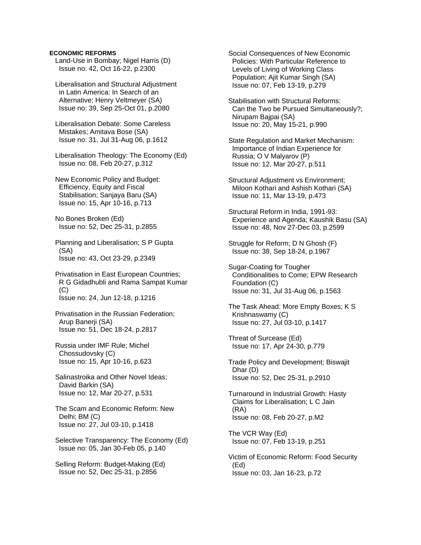## **ECONOMIC REFORMS**

 Land-Use in Bombay; Nigel Harris (D) Issue no: 42, Oct 16-22, p.2300

 Liberalisation and Structural Adjustment in Latin America: In Search of an Alternative; Henry Veltmeyer (SA) Issue no: 39, Sep 25-Oct 01, p.2080

 Liberalisation Debate: Some Careless Mistakes; Amitava Bose (SA) Issue no: 31, Jul 31-Aug 06, p.1612

 Liberalisation Theology: The Economy (Ed) Issue no: 08, Feb 20-27, p.312

 New Economic Policy and Budget: Efficiency, Equity and Fiscal Stabilisation; Sanjaya Baru (SA) Issue no: 15, Apr 10-16, p.713

 No Bones Broken (Ed) Issue no: 52, Dec 25-31, p.2855

 Planning and Liberalisation; S P Gupta (SA) Issue no: 43, Oct 23-29, p.2349

 Privatisation in East European Countries; R G Gidadhubli and Rama Sampat Kumar (C) Issue no: 24, Jun 12-18, p.1216

 Privatisation in the Russian Federation; Arup Banerji (SA) Issue no: 51, Dec 18-24, p.2817

 Russia under IMF Rule; Michel Chossudovsky (C) Issue no: 15, Apr 10-16, p.623

 Salinastroika and Other Novel Ideas; David Barkin (SA) Issue no: 12, Mar 20-27, p.531

- The Scam and Economic Reform: New Delhi; BM (C) Issue no: 27, Jul 03-10, p.1418
- Selective Transparency: The Economy (Ed) Issue no: 05, Jan 30-Feb 05, p.140

 Selling Reform: Budget-Making (Ed) Issue no: 52, Dec 25-31, p.2856

 Social Consequences of New Economic Policies: With Particular Reference to Levels of Living of Working Class Population; Ajit Kumar Singh (SA) Issue no: 07, Feb 13-19, p.279

 Stabilisation with Structural Reforms: Can the Two be Pursued Simultaneously?; Nirupam Bajpai (SA) Issue no: 20, May 15-21, p.990

 State Regulation and Market Mechanism: Importance of Indian Experience for Russia; O V Malyarov (P) Issue no: 12, Mar 20-27, p.511

 Structural Adjustment vs Environment; Miloon Kothari and Ashish Kothari (SA) Issue no: 11, Mar 13-19, p.473

 Structural Reform in India, 1991-93: Experience and Agenda; Kaushik Basu (SA) Issue no: 48, Nov 27-Dec 03, p.2599

 Struggle for Reform; D N Ghosh (F) Issue no: 38, Sep 18-24, p.1967

 Sugar-Coating for Tougher Conditionalities to Come; EPW Research Foundation (C) Issue no: 31, Jul 31-Aug 06, p.1563

 The Task Ahead: More Empty Boxes; K S Krishnaswamy (C) Issue no: 27, Jul 03-10, p.1417

 Threat of Surcease (Ed) Issue no: 17, Apr 24-30, p.779

 Trade Policy and Development; Biswajit Dhar (D) Issue no: 52, Dec 25-31, p.2910

 Turnaround in Industrial Growth: Hasty Claims for Liberalisation; L C Jain (RA) Issue no: 08, Feb 20-27, p.M2

 The VCR Way (Ed) Issue no: 07, Feb 13-19, p.251

 Victim of Economic Reform: Food Security (Ed) Issue no: 03, Jan 16-23, p.72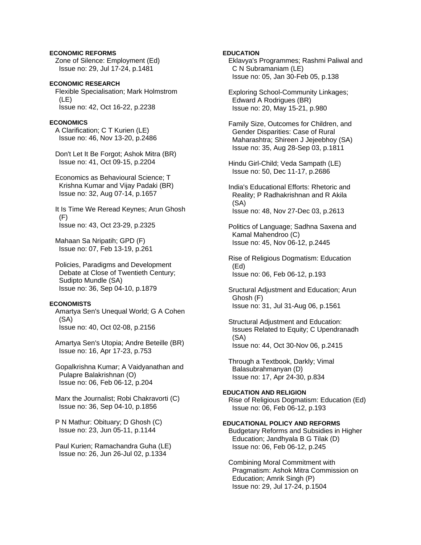# **ECONOMIC REFORMS**

 Zone of Silence: Employment (Ed) Issue no: 29, Jul 17-24, p.1481

**ECONOMIC RESEARCH**  Flexible Specialisation; Mark Holmstrom (LE) Issue no: 42, Oct 16-22, p.2238

# **ECONOMICS**

 A Clarification; C T Kurien (LE) Issue no: 46, Nov 13-20, p.2486

 Don't Let It Be Forgot; Ashok Mitra (BR) Issue no: 41, Oct 09-15, p.2204

 Economics as Behavioural Science; T Krishna Kumar and Vijay Padaki (BR) Issue no: 32, Aug 07-14, p.1657

 It Is Time We Reread Keynes; Arun Ghosh (F) Issue no: 43, Oct 23-29, p.2325

 Mahaan Sa Nripatih; GPD (F) Issue no: 07, Feb 13-19, p.261

 Policies, Paradigms and Development Debate at Close of Twentieth Century; Sudipto Mundle (SA) Issue no: 36, Sep 04-10, p.1879

# **ECONOMISTS**

 Amartya Sen's Unequal World; G A Cohen (SA) Issue no: 40, Oct 02-08, p.2156

 Amartya Sen's Utopia; Andre Beteille (BR) Issue no: 16, Apr 17-23, p.753

 Gopalkrishna Kumar; A Vaidyanathan and Pulapre Balakrishnan (O) Issue no: 06, Feb 06-12, p.204

 Marx the Journalist; Robi Chakravorti (C) Issue no: 36, Sep 04-10, p.1856

 P N Mathur: Obituary; D Ghosh (C) Issue no: 23, Jun 05-11, p.1144

 Paul Kurien; Ramachandra Guha (LE) Issue no: 26, Jun 26-Jul 02, p.1334

# **EDUCATION**

 Eklavya's Programmes; Rashmi Paliwal and C N Subramaniam (LE) Issue no: 05, Jan 30-Feb 05, p.138

 Exploring School-Community Linkages; Edward A Rodrigues (BR) Issue no: 20, May 15-21, p.980

 Family Size, Outcomes for Children, and Gender Disparities: Case of Rural Maharashtra; Shireen J Jejeebhoy (SA) Issue no: 35, Aug 28-Sep 03, p.1811

 Hindu Girl-Child; Veda Sampath (LE) Issue no: 50, Dec 11-17, p.2686

 India's Educational Efforts: Rhetoric and Reality; P Radhakrishnan and R Akila (SA) Issue no: 48, Nov 27-Dec 03, p.2613

 Politics of Language; Sadhna Saxena and Kamal Mahendroo (C) Issue no: 45, Nov 06-12, p.2445

 Rise of Religious Dogmatism: Education (Ed) Issue no: 06, Feb 06-12, p.193

 Sructural Adjustment and Education; Arun Ghosh (F) Issue no: 31, Jul 31-Aug 06, p.1561

 Structural Adjustment and Education: Issues Related to Equity; C Upendranadh (SA) Issue no: 44, Oct 30-Nov 06, p.2415

 Through a Textbook, Darkly; Vimal Balasubrahmanyan (D) Issue no: 17, Apr 24-30, p.834

## **EDUCATION AND RELIGION**

 Rise of Religious Dogmatism: Education (Ed) Issue no: 06, Feb 06-12, p.193

# **EDUCATIONAL POLICY AND REFORMS**

 Budgetary Reforms and Subsidies in Higher Education; Jandhyala B G Tilak (D) Issue no: 06, Feb 06-12, p.245

 Combining Moral Commitment with Pragmatism: Ashok Mitra Commission on Education; Amrik Singh (P) Issue no: 29, Jul 17-24, p.1504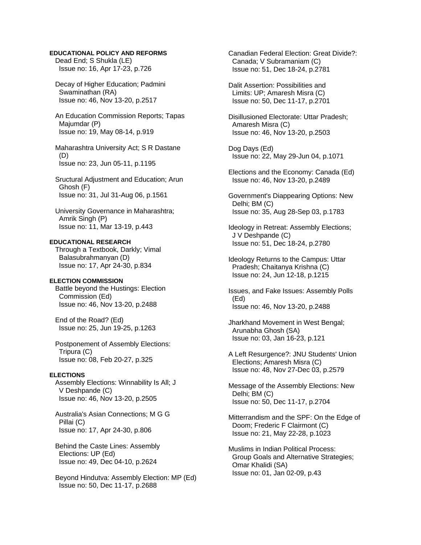## **EDUCATIONAL POLICY AND REFORMS**

 Dead End; S Shukla (LE) Issue no: 16, Apr 17-23, p.726

 Decay of Higher Education; Padmini Swaminathan (RA) Issue no: 46, Nov 13-20, p.2517

 An Education Commission Reports; Tapas Majumdar (P) Issue no: 19, May 08-14, p.919

 Maharashtra University Act; S R Dastane (D) Issue no: 23, Jun 05-11, p.1195

 Sructural Adjustment and Education; Arun Ghosh (F) Issue no: 31, Jul 31-Aug 06, p.1561

 University Governance in Maharashtra; Amrik Singh (P) Issue no: 11, Mar 13-19, p.443

**EDUCATIONAL RESEARCH**  Through a Textbook, Darkly; Vimal Balasubrahmanyan (D)

Issue no: 17, Apr 24-30, p.834

# **ELECTION COMMISSION**

 Battle beyond the Hustings: Election Commission (Ed) Issue no: 46, Nov 13-20, p.2488

 End of the Road? (Ed) Issue no: 25, Jun 19-25, p.1263

 Postponement of Assembly Elections: Tripura (C) Issue no: 08, Feb 20-27, p.325

#### **ELECTIONS**

 Assembly Elections: Winnability Is All; J V Deshpande (C) Issue no: 46, Nov 13-20, p.2505

 Australia's Asian Connections; M G G Pillai (C) Issue no: 17, Apr 24-30, p.806

 Behind the Caste Lines: Assembly Elections: UP (Ed) Issue no: 49, Dec 04-10, p.2624

 Beyond Hindutva: Assembly Election: MP (Ed) Issue no: 50, Dec 11-17, p.2688

 Canadian Federal Election: Great Divide?: Canada; V Subramaniam (C) Issue no: 51, Dec 18-24, p.2781

 Dalit Assertion: Possibilities and Limits: UP; Amaresh Misra (C) Issue no: 50, Dec 11-17, p.2701

 Disillusioned Electorate: Uttar Pradesh; Amaresh Misra (C) Issue no: 46, Nov 13-20, p.2503

 Dog Days (Ed) Issue no: 22, May 29-Jun 04, p.1071

 Elections and the Economy: Canada (Ed) Issue no: 46, Nov 13-20, p.2489

 Government's Diappearing Options: New Delhi; BM (C) Issue no: 35, Aug 28-Sep 03, p.1783

 Ideology in Retreat: Assembly Elections; J V Deshpande (C) Issue no: 51, Dec 18-24, p.2780

 Ideology Returns to the Campus: Uttar Pradesh; Chaitanya Krishna (C) Issue no: 24, Jun 12-18, p.1215

 Issues, and Fake Issues: Assembly Polls (Ed) Issue no: 46, Nov 13-20, p.2488

 Jharkhand Movement in West Bengal; Arunabha Ghosh (SA) Issue no: 03, Jan 16-23, p.121

 A Left Resurgence?: JNU Students' Union Elections; Amaresh Misra (C) Issue no: 48, Nov 27-Dec 03, p.2579

 Message of the Assembly Elections: New Delhi; BM (C) Issue no: 50, Dec 11-17, p.2704

 Mitterrandism and the SPF: On the Edge of Doom; Frederic F Clairmont (C) Issue no: 21, May 22-28, p.1023

 Muslims in Indian Political Process: Group Goals and Alternative Strategies; Omar Khalidi (SA) Issue no: 01, Jan 02-09, p.43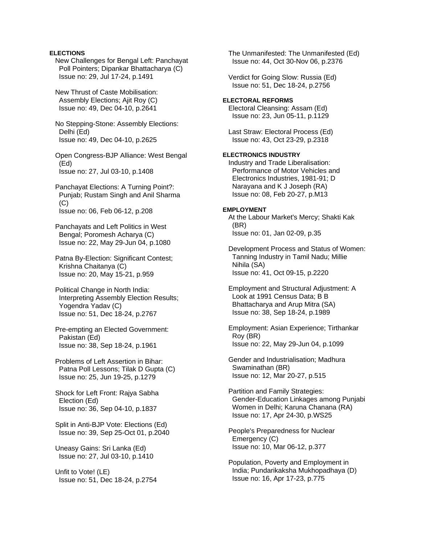# **ELECTIONS**

 New Challenges for Bengal Left: Panchayat Poll Pointers; Dipankar Bhattacharya (C) Issue no: 29, Jul 17-24, p.1491

 New Thrust of Caste Mobilisation: Assembly Elections: Aiit Roy (C) Issue no: 49, Dec 04-10, p.2641

 No Stepping-Stone: Assembly Elections: Delhi (Ed) Issue no: 49, Dec 04-10, p.2625

 Open Congress-BJP Alliance: West Bengal (Ed) Issue no: 27, Jul 03-10, p.1408

 Panchayat Elections: A Turning Point?: Punjab; Rustam Singh and Anil Sharma  $(C)$ Issue no: 06, Feb 06-12, p.208

 Panchayats and Left Politics in West Bengal; Poromesh Acharya (C) Issue no: 22, May 29-Jun 04, p.1080

 Patna By-Election: Significant Contest; Krishna Chaitanya (C) Issue no: 20, May 15-21, p.959

 Political Change in North India: Interpreting Assembly Election Results; Yogendra Yadav (C) Issue no: 51, Dec 18-24, p.2767

 Pre-empting an Elected Government: Pakistan (Ed) Issue no: 38, Sep 18-24, p.1961

 Problems of Left Assertion in Bihar: Patna Poll Lessons; Tilak D Gupta (C) Issue no: 25, Jun 19-25, p.1279

 Shock for Left Front: Rajya Sabha Election (Ed) Issue no: 36, Sep 04-10, p.1837

 Split in Anti-BJP Vote: Elections (Ed) Issue no: 39, Sep 25-Oct 01, p.2040

 Uneasy Gains: Sri Lanka (Ed) Issue no: 27, Jul 03-10, p.1410

 Unfit to Vote! (LE) Issue no: 51, Dec 18-24, p.2754  The Unmanifested: The Unmanifested (Ed) Issue no: 44, Oct 30-Nov 06, p.2376

 Verdict for Going Slow: Russia (Ed) Issue no: 51, Dec 18-24, p.2756

# **ELECTORAL REFORMS**

 Electoral Cleansing: Assam (Ed) Issue no: 23, Jun 05-11, p.1129

 Last Straw: Electoral Process (Ed) Issue no: 43, Oct 23-29, p.2318

## **ELECTRONICS INDUSTRY**

 Industry and Trade Liberalisation: Performance of Motor Vehicles and Electronics Industries, 1981-91; D Narayana and K J Joseph (RA) Issue no: 08, Feb 20-27, p.M13

## **EMPLOYMENT**

 At the Labour Market's Mercy; Shakti Kak (BR) Issue no: 01, Jan 02-09, p.35

 Development Process and Status of Women: Tanning Industry in Tamil Nadu; Millie Nihila (SA) Issue no: 41, Oct 09-15, p.2220

 Employment and Structural Adjustment: A Look at 1991 Census Data; B B Bhattacharya and Arup Mitra (SA) Issue no: 38, Sep 18-24, p.1989

 Employment: Asian Experience; Tirthankar Roy (BR) Issue no: 22, May 29-Jun 04, p.1099

 Gender and Industrialisation; Madhura Swaminathan (BR) Issue no: 12, Mar 20-27, p.515

 Partition and Family Strategies: Gender-Education Linkages among Punjabi Women in Delhi; Karuna Chanana (RA) Issue no: 17, Apr 24-30, p.WS25

 People's Preparedness for Nuclear Emergency (C) Issue no: 10, Mar 06-12, p.377

 Population, Poverty and Employment in India; Pundarikaksha Mukhopadhaya (D) Issue no: 16, Apr 17-23, p.775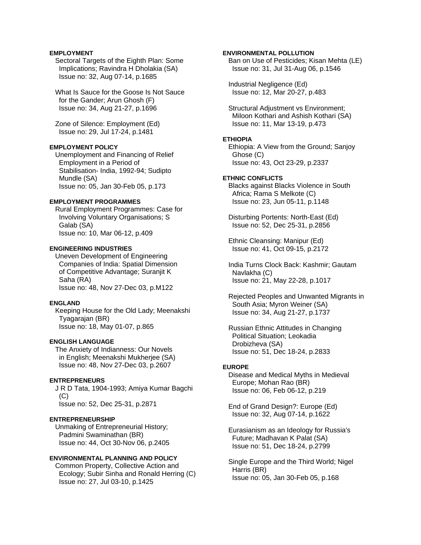## **EMPLOYMENT**

 Sectoral Targets of the Eighth Plan: Some Implications; Ravindra H Dholakia (SA) Issue no: 32, Aug 07-14, p.1685

 What Is Sauce for the Goose Is Not Sauce for the Gander; Arun Ghosh (F) Issue no: 34, Aug 21-27, p.1696

 Zone of Silence: Employment (Ed) Issue no: 29, Jul 17-24, p.1481

### **EMPLOYMENT POLICY**

 Unemployment and Financing of Relief Employment in a Period of Stabilisation- India, 1992-94; Sudipto Mundle (SA) Issue no: 05, Jan 30-Feb 05, p.173

## **EMPLOYMENT PROGRAMMES**

 Rural Employment Programmes: Case for Involving Voluntary Organisations; S Galab (SA) Issue no: 10, Mar 06-12, p.409

#### **ENGINEERING INDUSTRIES**

 Uneven Development of Engineering Companies of India: Spatial Dimension of Competitive Advantage; Suranjit K Saha (RA) Issue no: 48, Nov 27-Dec 03, p.M122

### **ENGLAND**

 Keeping House for the Old Lady; Meenakshi Tyagarajan (BR) Issue no: 18, May 01-07, p.865

## **ENGLISH LANGUAGE**

 The Anxiety of Indianness: Our Novels in English; Meenakshi Mukherjee (SA) Issue no: 48, Nov 27-Dec 03, p.2607

#### **ENTREPRENEURS**

 J R D Tata, 1904-1993; Amiya Kumar Bagchi  $(C)$ Issue no: 52, Dec 25-31, p.2871

## **ENTREPRENEURSHIP**

 Unmaking of Entrepreneurial History; Padmini Swaminathan (BR) Issue no: 44, Oct 30-Nov 06, p.2405

# **ENVIRONMENTAL PLANNING AND POLICY**

 Common Property, Collective Action and Ecology; Subir Sinha and Ronald Herring (C) Issue no: 27, Jul 03-10, p.1425

## **ENVIRONMENTAL POLLUTION**

 Ban on Use of Pesticides; Kisan Mehta (LE) Issue no: 31, Jul 31-Aug 06, p.1546

 Industrial Negligence (Ed) Issue no: 12, Mar 20-27, p.483

 Structural Adjustment vs Environment; Miloon Kothari and Ashish Kothari (SA) Issue no: 11, Mar 13-19, p.473

### **ETHIOPIA**

 Ethiopia: A View from the Ground; Sanjoy Ghose (C) Issue no: 43, Oct 23-29, p.2337

### **ETHNIC CONFLICTS**

 Blacks against Blacks Violence in South Africa; Rama S Melkote (C) Issue no: 23, Jun 05-11, p.1148

 Disturbing Portents: North-East (Ed) Issue no: 52, Dec 25-31, p.2856

 Ethnic Cleansing: Manipur (Ed) Issue no: 41, Oct 09-15, p.2172

 India Turns Clock Back: Kashmir; Gautam Navlakha (C) Issue no: 21, May 22-28, p.1017

 Rejected Peoples and Unwanted Migrants in South Asia; Myron Weiner (SA) Issue no: 34, Aug 21-27, p.1737

 Russian Ethnic Attitudes in Changing Political Situation; Leokadia Drobizheva (SA) Issue no: 51, Dec 18-24, p.2833

#### **EUROPE**

 Disease and Medical Myths in Medieval Europe; Mohan Rao (BR) Issue no: 06, Feb 06-12, p.219

 End of Grand Design?: Europe (Ed) Issue no: 32, Aug 07-14, p.1622

 Eurasianism as an Ideology for Russia's Future; Madhavan K Palat (SA) Issue no: 51, Dec 18-24, p.2799

 Single Europe and the Third World; Nigel Harris (BR) Issue no: 05, Jan 30-Feb 05, p.168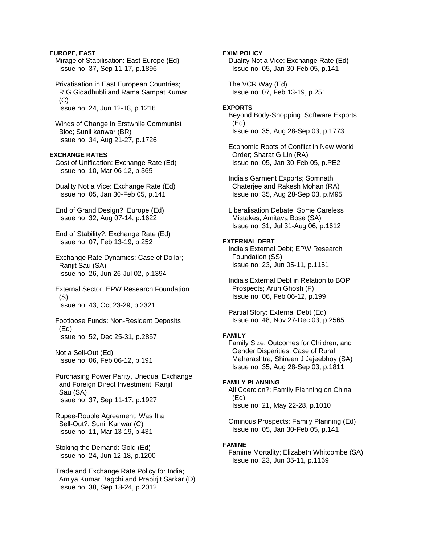# **EUROPE, EAST**

 Mirage of Stabilisation: East Europe (Ed) Issue no: 37, Sep 11-17, p.1896

 Privatisation in East European Countries; R G Gidadhubli and Rama Sampat Kumar (C) Issue no: 24, Jun 12-18, p.1216

 Winds of Change in Erstwhile Communist Bloc; Sunil kanwar (BR) Issue no: 34, Aug 21-27, p.1726

# **EXCHANGE RATES**

 Cost of Unification: Exchange Rate (Ed) Issue no: 10, Mar 06-12, p.365

 Duality Not a Vice: Exchange Rate (Ed) Issue no: 05, Jan 30-Feb 05, p.141

 End of Grand Design?: Europe (Ed) Issue no: 32, Aug 07-14, p.1622

 End of Stability?: Exchange Rate (Ed) Issue no: 07, Feb 13-19, p.252

 Exchange Rate Dynamics: Case of Dollar; Ranjit Sau (SA) Issue no: 26, Jun 26-Jul 02, p.1394

 External Sector; EPW Research Foundation (S) Issue no: 43, Oct 23-29, p.2321

# Footloose Funds: Non-Resident Deposits (Ed) Issue no: 52, Dec 25-31, p.2857

 Not a Sell-Out (Ed) Issue no: 06, Feb 06-12, p.191

# Purchasing Power Parity, Unequal Exchange and Foreign Direct Investment; Ranjit Sau (SA) Issue no: 37, Sep 11-17, p.1927

 Rupee-Rouble Agreement: Was It a Sell-Out?; Sunil Kanwar (C) Issue no: 11, Mar 13-19, p.431

 Stoking the Demand: Gold (Ed) Issue no: 24, Jun 12-18, p.1200

 Trade and Exchange Rate Policy for India; Amiya Kumar Bagchi and Prabirjit Sarkar (D) Issue no: 38, Sep 18-24, p.2012

## **EXIM POLICY**

 Duality Not a Vice: Exchange Rate (Ed) Issue no: 05, Jan 30-Feb 05, p.141

 The VCR Way (Ed) Issue no: 07, Feb 13-19, p.251

## **EXPORTS**

 Beyond Body-Shopping: Software Exports (Ed) Issue no: 35, Aug 28-Sep 03, p.1773

 Economic Roots of Conflict in New World Order; Sharat G Lin (RA) Issue no: 05, Jan 30-Feb 05, p.PE2

 India's Garment Exports; Somnath Chaterjee and Rakesh Mohan (RA) Issue no: 35, Aug 28-Sep 03, p.M95

 Liberalisation Debate: Some Careless Mistakes; Amitava Bose (SA) Issue no: 31, Jul 31-Aug 06, p.1612

### **EXTERNAL DEBT**

 India's External Debt; EPW Research Foundation (SS) Issue no: 23, Jun 05-11, p.1151

 India's External Debt in Relation to BOP Prospects; Arun Ghosh (F) Issue no: 06, Feb 06-12, p.199

 Partial Story: External Debt (Ed) Issue no: 48, Nov 27-Dec 03, p.2565

### **FAMILY**

 Family Size, Outcomes for Children, and Gender Disparities: Case of Rural Maharashtra; Shireen J Jejeebhoy (SA) Issue no: 35, Aug 28-Sep 03, p.1811

### **FAMILY PLANNING**

 All Coercion?: Family Planning on China (Ed) Issue no: 21, May 22-28, p.1010

 Ominous Prospects: Family Planning (Ed) Issue no: 05, Jan 30-Feb 05, p.141

#### **FAMINE**

 Famine Mortality; Elizabeth Whitcombe (SA) Issue no: 23, Jun 05-11, p.1169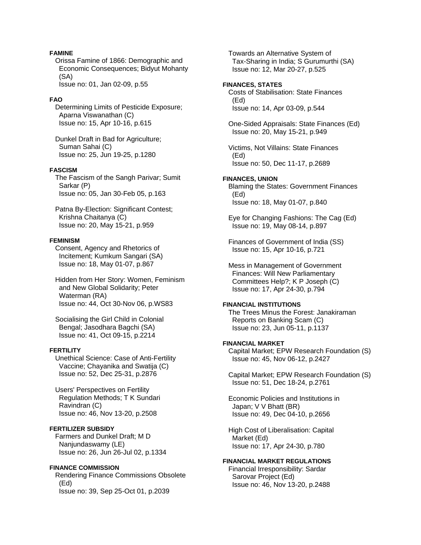## **FAMINE**

 Orissa Famine of 1866: Demographic and Economic Consequences; Bidyut Mohanty (SA) Issue no: 01, Jan 02-09, p.55

#### **FAO**

 Determining Limits of Pesticide Exposure; Aparna Viswanathan (C) Issue no: 15, Apr 10-16, p.615

 Dunkel Draft in Bad for Agriculture; Suman Sahai (C) Issue no: 25, Jun 19-25, p.1280

# **FASCISM**

 The Fascism of the Sangh Parivar; Sumit Sarkar (P) Issue no: 05, Jan 30-Feb 05, p.163

 Patna By-Election: Significant Contest; Krishna Chaitanya (C) Issue no: 20, May 15-21, p.959

#### **FEMINISM**

 Consent, Agency and Rhetorics of Incitement; Kumkum Sangari (SA) Issue no: 18, May 01-07, p.867

 Hidden from Her Story: Women, Feminism and New Global Solidarity; Peter Waterman (RA) Issue no: 44, Oct 30-Nov 06, p.WS83

 Socialising the Girl Child in Colonial Bengal; Jasodhara Bagchi (SA) Issue no: 41, Oct 09-15, p.2214

#### **FERTILITY**

 Unethical Science: Case of Anti-Fertility Vaccine; Chayanika and Swatija (C) Issue no: 52, Dec 25-31, p.2876

 Users' Perspectives on Fertility Regulation Methods; T K Sundari Ravindran (C) Issue no: 46, Nov 13-20, p.2508

# **FERTILIZER SUBSIDY**

 Farmers and Dunkel Draft; M D Nanjundaswamy (LE) Issue no: 26, Jun 26-Jul 02, p.1334

#### **FINANCE COMMISSION**

 Rendering Finance Commissions Obsolete (Ed) Issue no: 39, Sep 25-Oct 01, p.2039

 Towards an Alternative System of Tax-Sharing in India; S Gurumurthi (SA) Issue no: 12, Mar 20-27, p.525

# **FINANCES, STATES**

 Costs of Stabilisation: State Finances (Ed) Issue no: 14, Apr 03-09, p.544

 One-Sided Appraisals: State Finances (Ed) Issue no: 20, May 15-21, p.949

 Victims, Not Villains: State Finances (Ed) Issue no: 50, Dec 11-17, p.2689

#### **FINANCES, UNION**

 Blaming the States: Government Finances (Ed) Issue no: 18, May 01-07, p.840

 Eye for Changing Fashions: The Cag (Ed) Issue no: 19, May 08-14, p.897

 Finances of Government of India (SS) Issue no: 15, Apr 10-16, p.721

 Mess in Management of Government Finances: Will New Parliamentary Committees Help?; K P Joseph (C) Issue no: 17, Apr 24-30, p.794

# **FINANCIAL INSTITUTIONS**

 The Trees Minus the Forest: Janakiraman Reports on Banking Scam (C) Issue no: 23, Jun 05-11, p.1137

#### **FINANCIAL MARKET**

 Capital Market; EPW Research Foundation (S) Issue no: 45, Nov 06-12, p.2427

 Capital Market; EPW Research Foundation (S) Issue no: 51, Dec 18-24, p.2761

 Economic Policies and Institutions in Japan; V V Bhatt (BR) Issue no: 49, Dec 04-10, p.2656

 High Cost of Liberalisation: Capital Market (Ed) Issue no: 17, Apr 24-30, p.780

#### **FINANCIAL MARKET REGULATIONS**

 Financial Irresponsibility: Sardar Sarovar Project (Ed) Issue no: 46, Nov 13-20, p.2488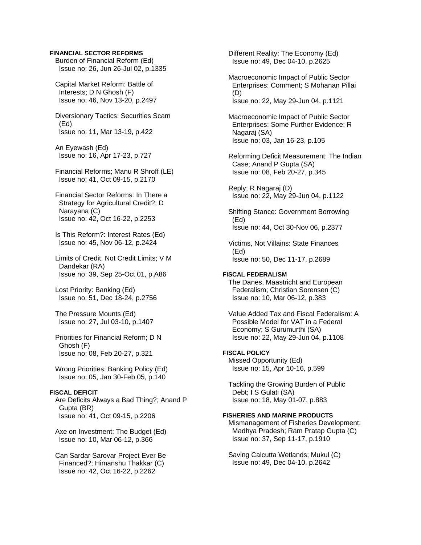# **FINANCIAL SECTOR REFORMS**

 Burden of Financial Reform (Ed) Issue no: 26, Jun 26-Jul 02, p.1335

 Capital Market Reform: Battle of Interests; D N Ghosh (F) Issue no: 46, Nov 13-20, p.2497

 Diversionary Tactics: Securities Scam (Ed) Issue no: 11, Mar 13-19, p.422

 An Eyewash (Ed) Issue no: 16, Apr 17-23, p.727

 Financial Reforms; Manu R Shroff (LE) Issue no: 41, Oct 09-15, p.2170

 Financial Sector Reforms: In There a Strategy for Agricultural Credit?; D Narayana (C) Issue no: 42, Oct 16-22, p.2253

 Is This Reform?: Interest Rates (Ed) Issue no: 45, Nov 06-12, p.2424

 Limits of Credit, Not Credit Limits; V M Dandekar (RA) Issue no: 39, Sep 25-Oct 01, p.A86

 Lost Priority: Banking (Ed) Issue no: 51, Dec 18-24, p.2756

 The Pressure Mounts (Ed) Issue no: 27, Jul 03-10, p.1407

 Priorities for Financial Reform; D N Ghosh (F) Issue no: 08, Feb 20-27, p.321

 Wrong Priorities: Banking Policy (Ed) Issue no: 05, Jan 30-Feb 05, p.140

#### **FISCAL DEFICIT**

 Are Deficits Always a Bad Thing?; Anand P Gupta (BR) Issue no: 41, Oct 09-15, p.2206

 Axe on Investment: The Budget (Ed) Issue no: 10, Mar 06-12, p.366

 Can Sardar Sarovar Project Ever Be Financed?; Himanshu Thakkar (C) Issue no: 42, Oct 16-22, p.2262

 Different Reality: The Economy (Ed) Issue no: 49, Dec 04-10, p.2625

 Macroeconomic Impact of Public Sector Enterprises: Comment; S Mohanan Pillai (D) Issue no: 22, May 29-Jun 04, p.1121

 Macroeconomic Impact of Public Sector Enterprises: Some Further Evidence; R Nagaraj (SA) Issue no: 03, Jan 16-23, p.105

 Reforming Deficit Measurement: The Indian Case; Anand P Gupta (SA) Issue no: 08, Feb 20-27, p.345

 Reply; R Nagaraj (D) Issue no: 22, May 29-Jun 04, p.1122

 Shifting Stance: Government Borrowing (Ed) Issue no: 44, Oct 30-Nov 06, p.2377

 Victims, Not Villains: State Finances (Ed) Issue no: 50, Dec 11-17, p.2689

# **FISCAL FEDERALISM**

 The Danes, Maastricht and European Federalism; Christian Sorensen (C) Issue no: 10, Mar 06-12, p.383

 Value Added Tax and Fiscal Federalism: A Possible Model for VAT in a Federal Economy; S Gurumurthi (SA) Issue no: 22, May 29-Jun 04, p.1108

# **FISCAL POLICY**

 Missed Opportunity (Ed) Issue no: 15, Apr 10-16, p.599

 Tackling the Growing Burden of Public Debt; I S Gulati (SA) Issue no: 18, May 01-07, p.883

### **FISHERIES AND MARINE PRODUCTS**

 Mismanagement of Fisheries Development: Madhya Pradesh; Ram Pratap Gupta (C) Issue no: 37, Sep 11-17, p.1910

 Saving Calcutta Wetlands; Mukul (C) Issue no: 49, Dec 04-10, p.2642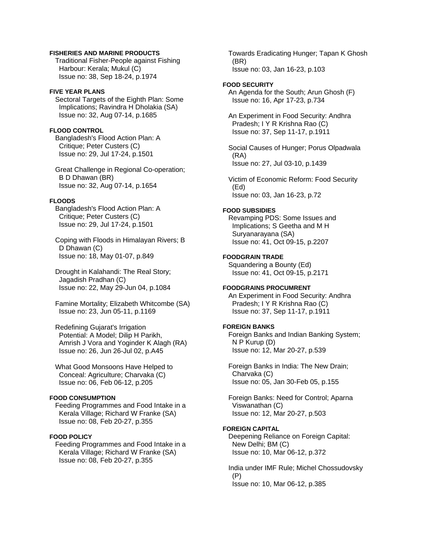### **FISHERIES AND MARINE PRODUCTS**

 Traditional Fisher-People against Fishing Harbour: Kerala; Mukul (C) Issue no: 38, Sep 18-24, p.1974

#### **FIVE YEAR PLANS**

 Sectoral Targets of the Eighth Plan: Some Implications; Ravindra H Dholakia (SA) Issue no: 32, Aug 07-14, p.1685

### **FLOOD CONTROL**

 Bangladesh's Flood Action Plan: A Critique; Peter Custers (C) Issue no: 29, Jul 17-24, p.1501

 Great Challenge in Regional Co-operation; B D Dhawan (BR) Issue no: 32, Aug 07-14, p.1654

### **FLOODS**

 Bangladesh's Flood Action Plan: A Critique; Peter Custers (C) Issue no: 29, Jul 17-24, p.1501

 Coping with Floods in Himalayan Rivers; B D Dhawan (C) Issue no: 18, May 01-07, p.849

 Drought in Kalahandi: The Real Story; Jagadish Pradhan (C) Issue no: 22, May 29-Jun 04, p.1084

 Famine Mortality; Elizabeth Whitcombe (SA) Issue no: 23, Jun 05-11, p.1169

 Redefining Gujarat's Irrigation Potential: A Model; Dilip H Parikh, Amrish J Vora and Yoginder K Alagh (RA) Issue no: 26, Jun 26-Jul 02, p.A45

 What Good Monsoons Have Helped to Conceal: Agriculture; Charvaka (C) Issue no: 06, Feb 06-12, p.205

# **FOOD CONSUMPTION**

 Feeding Programmes and Food Intake in a Kerala Village; Richard W Franke (SA) Issue no: 08, Feb 20-27, p.355

# **FOOD POLICY**

 Feeding Programmes and Food Intake in a Kerala Village; Richard W Franke (SA) Issue no: 08, Feb 20-27, p.355

 Towards Eradicating Hunger; Tapan K Ghosh (BR) Issue no: 03, Jan 16-23, p.103

### **FOOD SECURITY**

 An Agenda for the South; Arun Ghosh (F) Issue no: 16, Apr 17-23, p.734

 An Experiment in Food Security: Andhra Pradesh; I Y R Krishna Rao (C) Issue no: 37, Sep 11-17, p.1911

 Social Causes of Hunger; Porus Olpadwala (RA) Issue no: 27, Jul 03-10, p.1439

 Victim of Economic Reform: Food Security (Ed) Issue no: 03, Jan 16-23, p.72

# **FOOD SUBSIDIES**

 Revamping PDS: Some Issues and Implications; S Geetha and M H Suryanarayana (SA) Issue no: 41, Oct 09-15, p.2207

# **FOODGRAIN TRADE**

 Squandering a Bounty (Ed) Issue no: 41, Oct 09-15, p.2171

# **FOODGRAINS PROCUMRENT**

 An Experiment in Food Security: Andhra Pradesh; I Y R Krishna Rao (C) Issue no: 37, Sep 11-17, p.1911

#### **FOREIGN BANKS**

 Foreign Banks and Indian Banking System; N P Kurup (D) Issue no: 12, Mar 20-27, p.539

 Foreign Banks in India: The New Drain; Charvaka (C) Issue no: 05, Jan 30-Feb 05, p.155

 Foreign Banks: Need for Control; Aparna Viswanathan (C) Issue no: 12, Mar 20-27, p.503

## **FOREIGN CAPITAL**

 Deepening Reliance on Foreign Capital: New Delhi; BM (C) Issue no: 10, Mar 06-12, p.372

 India under IMF Rule; Michel Chossudovsky (P) Issue no: 10, Mar 06-12, p.385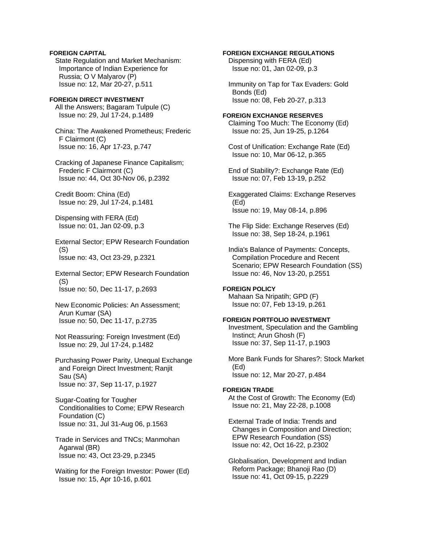# **FOREIGN CAPITAL**

 State Regulation and Market Mechanism: Importance of Indian Experience for Russia; O V Malyarov (P) Issue no: 12, Mar 20-27, p.511

**FOREIGN DIRECT INVESTMENT**  All the Answers; Bagaram Tulpule (C) Issue no: 29, Jul 17-24, p.1489

 China: The Awakened Prometheus; Frederic F Clairmont (C) Issue no: 16, Apr 17-23, p.747

 Cracking of Japanese Finance Capitalism; Frederic F Clairmont (C) Issue no: 44, Oct 30-Nov 06, p.2392

 Credit Boom: China (Ed) Issue no: 29, Jul 17-24, p.1481

 Dispensing with FERA (Ed) Issue no: 01, Jan 02-09, p.3

 External Sector; EPW Research Foundation (S) Issue no: 43, Oct 23-29, p.2321

 External Sector; EPW Research Foundation (S) Issue no: 50, Dec 11-17, p.2693

 New Economic Policies: An Assessment; Arun Kumar (SA) Issue no: 50, Dec 11-17, p.2735

 Not Reassuring: Foreign Investment (Ed) Issue no: 29, Jul 17-24, p.1482

 Purchasing Power Parity, Unequal Exchange and Foreign Direct Investment; Ranjit Sau (SA) Issue no: 37, Sep 11-17, p.1927

 Sugar-Coating for Tougher Conditionalities to Come; EPW Research Foundation (C) Issue no: 31, Jul 31-Aug 06, p.1563

 Trade in Services and TNCs; Manmohan Agarwal (BR) Issue no: 43, Oct 23-29, p.2345

 Waiting for the Foreign Investor: Power (Ed) Issue no: 15, Apr 10-16, p.601

# **FOREIGN EXCHANGE REGULATIONS**

 Dispensing with FERA (Ed) Issue no: 01, Jan 02-09, p.3

 Immunity on Tap for Tax Evaders: Gold Bonds (Ed) Issue no: 08, Feb 20-27, p.313

### **FOREIGN EXCHANGE RESERVES**  Claiming Too Much: The Economy (Ed) Issue no: 25, Jun 19-25, p.1264

 Cost of Unification: Exchange Rate (Ed) Issue no: 10, Mar 06-12, p.365

 End of Stability?: Exchange Rate (Ed) Issue no: 07, Feb 13-19, p.252

 Exaggerated Claims: Exchange Reserves (Ed) Issue no: 19, May 08-14, p.896

 The Flip Side: Exchange Reserves (Ed) Issue no: 38, Sep 18-24, p.1961

 India's Balance of Payments: Concepts, Compilation Procedure and Recent Scenario; EPW Research Foundation (SS) Issue no: 46, Nov 13-20, p.2551

### **FOREIGN POLICY**

 Mahaan Sa Nripatih; GPD (F) Issue no: 07, Feb 13-19, p.261

### **FOREIGN PORTFOLIO INVESTMENT**

 Investment, Speculation and the Gambling Instinct; Arun Ghosh (F) Issue no: 37, Sep 11-17, p.1903

 More Bank Funds for Shares?: Stock Market (Ed) Issue no: 12, Mar 20-27, p.484

# **FOREIGN TRADE**

 At the Cost of Growth: The Economy (Ed) Issue no: 21, May 22-28, p.1008

 External Trade of India: Trends and Changes in Composition and Direction; EPW Research Foundation (SS) Issue no: 42, Oct 16-22, p.2302

 Globalisation, Development and Indian Reform Package; Bhanoji Rao (D) Issue no: 41, Oct 09-15, p.2229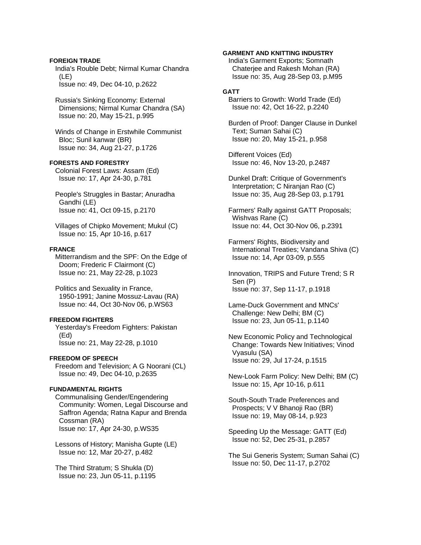## **FOREIGN TRADE**

 India's Rouble Debt; Nirmal Kumar Chandra (LE) Issue no: 49, Dec 04-10, p.2622

 Russia's Sinking Economy: External Dimensions; Nirmal Kumar Chandra (SA) Issue no: 20, May 15-21, p.995

 Winds of Change in Erstwhile Communist Bloc; Sunil kanwar (BR) Issue no: 34, Aug 21-27, p.1726

# **FORESTS AND FORESTRY**

 Colonial Forest Laws: Assam (Ed) Issue no: 17, Apr 24-30, p.781

 People's Struggles in Bastar; Anuradha Gandhi (LE) Issue no: 41, Oct 09-15, p.2170

 Villages of Chipko Movement; Mukul (C) Issue no: 15, Apr 10-16, p.617

## **FRANCE**

 Mitterrandism and the SPF: On the Edge of Doom; Frederic F Clairmont (C) Issue no: 21, May 22-28, p.1023

 Politics and Sexuality in France, 1950-1991; Janine Mossuz-Lavau (RA) Issue no: 44, Oct 30-Nov 06, p.WS63

### **FREEDOM FIGHTERS**

 Yesterday's Freedom Fighters: Pakistan (Ed) Issue no: 21, May 22-28, p.1010

#### **FREEDOM OF SPEECH**

 Freedom and Television; A G Noorani (CL) Issue no: 49, Dec 04-10, p.2635

# **FUNDAMENTAL RIGHTS**

 Communalising Gender/Engendering Community: Women, Legal Discourse and Saffron Agenda; Ratna Kapur and Brenda Cossman (RA) Issue no: 17, Apr 24-30, p.WS35

 Lessons of History; Manisha Gupte (LE) Issue no: 12, Mar 20-27, p.482

 The Third Stratum; S Shukla (D) Issue no: 23, Jun 05-11, p.1195

### **GARMENT AND KNITTING INDUSTRY**

 India's Garment Exports; Somnath Chaterjee and Rakesh Mohan (RA) Issue no: 35, Aug 28-Sep 03, p.M95

# **GATT**

 Barriers to Growth: World Trade (Ed) Issue no: 42, Oct 16-22, p.2240

 Burden of Proof: Danger Clause in Dunkel Text; Suman Sahai (C) Issue no: 20, May 15-21, p.958

 Different Voices (Ed) Issue no: 46, Nov 13-20, p.2487

 Dunkel Draft: Critique of Government's Interpretation; C Niranjan Rao (C) Issue no: 35, Aug 28-Sep 03, p.1791

 Farmers' Rally against GATT Proposals; Wishvas Rane (C) Issue no: 44, Oct 30-Nov 06, p.2391

 Farmers' Rights, Biodiversity and International Treaties; Vandana Shiva (C) Issue no: 14, Apr 03-09, p.555

 Innovation, TRIPS and Future Trend; S R Sen (P) Issue no: 37, Sep 11-17, p.1918

 Lame-Duck Government and MNCs' Challenge: New Delhi; BM (C) Issue no: 23, Jun 05-11, p.1140

 New Economic Policy and Technological Change: Towards New Initiatives; Vinod Vyasulu (SA) Issue no: 29, Jul 17-24, p.1515

 New-Look Farm Policy: New Delhi; BM (C) Issue no: 15, Apr 10-16, p.611

 South-South Trade Preferences and Prospects; V V Bhanoji Rao (BR) Issue no: 19, May 08-14, p.923

 Speeding Up the Message: GATT (Ed) Issue no: 52, Dec 25-31, p.2857

 The Sui Generis System; Suman Sahai (C) Issue no: 50, Dec 11-17, p.2702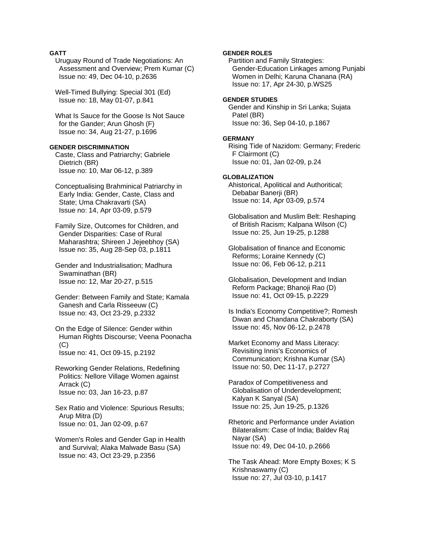# **GATT**

 Uruguay Round of Trade Negotiations: An Assessment and Overview; Prem Kumar (C) Issue no: 49, Dec 04-10, p.2636

 Well-Timed Bullying: Special 301 (Ed) Issue no: 18, May 01-07, p.841

 What Is Sauce for the Goose Is Not Sauce for the Gander; Arun Ghosh (F) Issue no: 34, Aug 21-27, p.1696

### **GENDER DISCRIMINATION**

 Caste, Class and Patriarchy; Gabriele Dietrich (BR) Issue no: 10, Mar 06-12, p.389

 Conceptualising Brahminical Patriarchy in Early India: Gender, Caste, Class and State; Uma Chakravarti (SA) Issue no: 14, Apr 03-09, p.579

 Family Size, Outcomes for Children, and Gender Disparities: Case of Rural Maharashtra; Shireen J Jejeebhoy (SA) Issue no: 35, Aug 28-Sep 03, p.1811

 Gender and Industrialisation; Madhura Swaminathan (BR) Issue no: 12, Mar 20-27, p.515

 Gender: Between Family and State; Kamala Ganesh and Carla Risseeuw (C) Issue no: 43, Oct 23-29, p.2332

 On the Edge of Silence: Gender within Human Rights Discourse; Veena Poonacha (C) Issue no: 41, Oct 09-15, p.2192

 Reworking Gender Relations, Redefining Politics: Nellore Village Women against Arrack (C) Issue no: 03, Jan 16-23, p.87

 Sex Ratio and Violence: Spurious Results; Arup Mitra (D) Issue no: 01, Jan 02-09, p.67

 Women's Roles and Gender Gap in Health and Survival; Alaka Malwade Basu (SA) Issue no: 43, Oct 23-29, p.2356

# **GENDER ROLES**

 Partition and Family Strategies: Gender-Education Linkages among Punjabi Women in Delhi; Karuna Chanana (RA) Issue no: 17, Apr 24-30, p.WS25

#### **GENDER STUDIES**

 Gender and Kinship in Sri Lanka; Sujata Patel (BR) Issue no: 36, Sep 04-10, p.1867

#### **GERMANY**

 Rising Tide of Nazidom: Germany; Frederic F Clairmont (C) Issue no: 01, Jan 02-09, p.24

### **GLOBALIZATION**

 Ahistorical, Apolitical and Authoritical; Debabar Banerji (BR) Issue no: 14, Apr 03-09, p.574

 Globalisation and Muslim Belt: Reshaping of British Racism; Kalpana Wilson (C) Issue no: 25, Jun 19-25, p.1288

 Globalisation of finance and Economic Reforms; Loraine Kennedy (C) Issue no: 06, Feb 06-12, p.211

 Globalisation, Development and Indian Reform Package; Bhanoji Rao (D) Issue no: 41, Oct 09-15, p.2229

 Is India's Economy Competitive?; Romesh Diwan and Chandana Chakraborty (SA) Issue no: 45, Nov 06-12, p.2478

 Market Economy and Mass Literacy: Revisiting Innis's Economics of Communication; Krishna Kumar (SA) Issue no: 50, Dec 11-17, p.2727

 Paradox of Competitiveness and Globalisation of Underdevelopment; Kalyan K Sanyal (SA) Issue no: 25, Jun 19-25, p.1326

 Rhetoric and Performance under Aviation Bilateralism: Case of India; Baldev Raj Nayar (SA) Issue no: 49, Dec 04-10, p.2666

 The Task Ahead: More Empty Boxes; K S Krishnaswamy (C) Issue no: 27, Jul 03-10, p.1417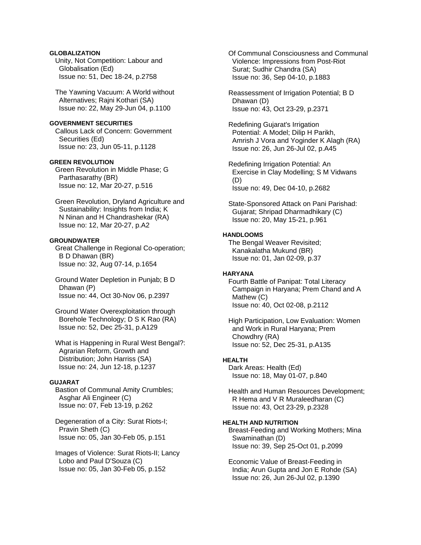# **GLOBALIZATION**

 Unity, Not Competition: Labour and Globalisation (Ed) Issue no: 51, Dec 18-24, p.2758

 The Yawning Vacuum: A World without Alternatives; Rajni Kothari (SA) Issue no: 22, May 29-Jun 04, p.1100

### **GOVERNMENT SECURITIES**

 Callous Lack of Concern: Government Securities (Ed) Issue no: 23, Jun 05-11, p.1128

# **GREEN REVOLUTION**

 Green Revolution in Middle Phase; G Parthasarathy (BR) Issue no: 12, Mar 20-27, p.516

 Green Revolution, Dryland Agriculture and Sustainability: Insights from India; K N Ninan and H Chandrashekar (RA) Issue no: 12, Mar 20-27, p.A2

## **GROUNDWATER**

 Great Challenge in Regional Co-operation; B D Dhawan (BR) Issue no: 32, Aug 07-14, p.1654

 Ground Water Depletion in Punjab; B D Dhawan (P) Issue no: 44, Oct 30-Nov 06, p.2397

 Ground Water Overexploitation through Borehole Technology; D S K Rao (RA) Issue no: 52, Dec 25-31, p.A129

 What is Happening in Rural West Bengal?: Agrarian Reform, Growth and Distribution; John Harriss (SA) Issue no: 24, Jun 12-18, p.1237

# **GUJARAT**

 Bastion of Communal Amity Crumbles; Asghar Ali Engineer (C) Issue no: 07, Feb 13-19, p.262

 Degeneration of a City: Surat Riots-I; Pravin Sheth (C) Issue no: 05, Jan 30-Feb 05, p.151

 Images of Violence: Surat Riots-II; Lancy Lobo and Paul D'Souza (C) Issue no: 05, Jan 30-Feb 05, p.152

 Of Communal Consciousness and Communal Violence: Impressions from Post-Riot Surat; Sudhir Chandra (SA) Issue no: 36, Sep 04-10, p.1883

 Reassessment of Irrigation Potential; B D Dhawan (D) Issue no: 43, Oct 23-29, p.2371

 Redefining Gujarat's Irrigation Potential: A Model; Dilip H Parikh, Amrish J Vora and Yoginder K Alagh (RA) Issue no: 26, Jun 26-Jul 02, p.A45

 Redefining Irrigation Potential: An Exercise in Clay Modelling; S M Vidwans (D) Issue no: 49, Dec 04-10, p.2682

 State-Sponsored Attack on Pani Parishad: Gujarat; Shripad Dharmadhikary (C) Issue no: 20, May 15-21, p.961

# **HANDLOOMS**

 The Bengal Weaver Revisited; Kanakalatha Mukund (BR) Issue no: 01, Jan 02-09, p.37

#### **HARYANA**

 Fourth Battle of Panipat: Total Literacy Campaign in Haryana; Prem Chand and A Mathew (C) Issue no: 40, Oct 02-08, p.2112

 High Participation, Low Evaluation: Women and Work in Rural Haryana; Prem Chowdhry (RA) Issue no: 52, Dec 25-31, p.A135

#### **HEALTH**

 Dark Areas: Health (Ed) Issue no: 18, May 01-07, p.840

 Health and Human Resources Development; R Hema and V R Muraleedharan (C) Issue no: 43, Oct 23-29, p.2328

# **HEALTH AND NUTRITION**

 Breast-Feeding and Working Mothers; Mina Swaminathan (D) Issue no: 39, Sep 25-Oct 01, p.2099

 Economic Value of Breast-Feeding in India; Arun Gupta and Jon E Rohde (SA) Issue no: 26, Jun 26-Jul 02, p.1390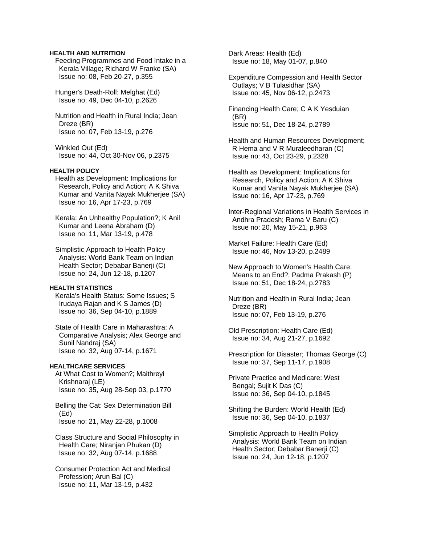## **HEALTH AND NUTRITION**

 Feeding Programmes and Food Intake in a Kerala Village; Richard W Franke (SA) Issue no: 08, Feb 20-27, p.355

 Hunger's Death-Roll: Melghat (Ed) Issue no: 49, Dec 04-10, p.2626

 Nutrition and Health in Rural India; Jean Dreze (BR) Issue no: 07, Feb 13-19, p.276

 Winkled Out (Ed) Issue no: 44, Oct 30-Nov 06, p.2375

# **HEALTH POLICY**

 Health as Development: Implications for Research, Policy and Action; A K Shiva Kumar and Vanita Nayak Mukherjee (SA) Issue no: 16, Apr 17-23, p.769

 Kerala: An Unhealthy Population?; K Anil Kumar and Leena Abraham (D) Issue no: 11, Mar 13-19, p.478

 Simplistic Approach to Health Policy Analysis: World Bank Team on Indian Health Sector; Debabar Banerji (C) Issue no: 24, Jun 12-18, p.1207

# **HEALTH STATISTICS**

 Kerala's Health Status: Some Issues; S Irudaya Rajan and K S James (D) Issue no: 36, Sep 04-10, p.1889

 State of Health Care in Maharashtra: A Comparative Analysis; Alex George and Sunil Nandraj (SA) Issue no: 32, Aug 07-14, p.1671

#### **HEALTHCARE SERVICES**

 At What Cost to Women?; Maithreyi Krishnaraj (LE) Issue no: 35, Aug 28-Sep 03, p.1770

 Belling the Cat: Sex Determination Bill (Ed) Issue no: 21, May 22-28, p.1008

 Class Structure and Social Philosophy in Health Care; Niranjan Phukan (D) Issue no: 32, Aug 07-14, p.1688

 Consumer Protection Act and Medical Profession; Arun Bal (C) Issue no: 11, Mar 13-19, p.432

 Dark Areas: Health (Ed) Issue no: 18, May 01-07, p.840

 Expenditure Compession and Health Sector Outlays; V B Tulasidhar (SA) Issue no: 45, Nov 06-12, p.2473

 Financing Health Care; C A K Yesduian (BR) Issue no: 51, Dec 18-24, p.2789

 Health and Human Resources Development; R Hema and V R Muraleedharan (C) Issue no: 43, Oct 23-29, p.2328

 Health as Development: Implications for Research, Policy and Action; A K Shiva Kumar and Vanita Nayak Mukherjee (SA) Issue no: 16, Apr 17-23, p.769

 Inter-Regional Variations in Health Services in Andhra Pradesh; Rama V Baru (C) Issue no: 20, May 15-21, p.963

 Market Failure: Health Care (Ed) Issue no: 46, Nov 13-20, p.2489

 New Approach to Women's Health Care: Means to an End?; Padma Prakash (P) Issue no: 51, Dec 18-24, p.2783

 Nutrition and Health in Rural India; Jean Dreze (BR) Issue no: 07, Feb 13-19, p.276

 Old Prescription: Health Care (Ed) Issue no: 34, Aug 21-27, p.1692

 Prescription for Disaster; Thomas George (C) Issue no: 37, Sep 11-17, p.1908

 Private Practice and Medicare: West Bengal; Sujit K Das (C) Issue no: 36, Sep 04-10, p.1845

 Shifting the Burden: World Health (Ed) Issue no: 36, Sep 04-10, p.1837

 Simplistic Approach to Health Policy Analysis: World Bank Team on Indian Health Sector; Debabar Banerji (C) Issue no: 24, Jun 12-18, p.1207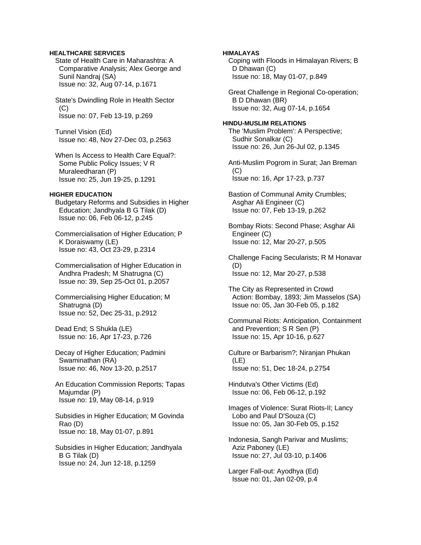# **HEALTHCARE SERVICES**

 State of Health Care in Maharashtra: A Comparative Analysis; Alex George and Sunil Nandraj (SA) Issue no: 32, Aug 07-14, p.1671

 State's Dwindling Role in Health Sector (C) Issue no: 07, Feb 13-19, p.269

 Tunnel Vision (Ed) Issue no: 48, Nov 27-Dec 03, p.2563

 When Is Access to Health Care Equal?: Some Public Policy Issues; V R Muraleedharan (P) Issue no: 25, Jun 19-25, p.1291

## **HIGHER EDUCATION**

 Budgetary Reforms and Subsidies in Higher Education; Jandhyala B G Tilak (D) Issue no: 06, Feb 06-12, p.245

 Commercialisation of Higher Education; P K Doraiswamy (LE) Issue no: 43, Oct 23-29, p.2314

 Commercialisation of Higher Education in Andhra Pradesh; M Shatrugna (C) Issue no: 39, Sep 25-Oct 01, p.2057

 Commercialising Higher Education; M Shatrugna (D) Issue no: 52, Dec 25-31, p.2912

 Dead End; S Shukla (LE) Issue no: 16, Apr 17-23, p.726

 Decay of Higher Education; Padmini Swaminathan (RA) Issue no: 46, Nov 13-20, p.2517

 An Education Commission Reports; Tapas Majumdar (P) Issue no: 19, May 08-14, p.919

 Subsidies in Higher Education; M Govinda Rao (D) Issue no: 18, May 01-07, p.891

 Subsidies in Higher Education; Jandhyala B G Tilak (D) Issue no: 24, Jun 12-18, p.1259

**HIMALAYAS**  Coping with Floods in Himalayan Rivers; B D Dhawan (C) Issue no: 18, May 01-07, p.849 Great Challenge in Regional Co-operation; B D Dhawan (BR) Issue no: 32, Aug 07-14, p.1654 **HINDU-MUSLIM RELATIONS**  The 'Muslim Problem': A Perspective; Sudhir Sonalkar (C) Issue no: 26, Jun 26-Jul 02, p.1345 Anti-Muslim Pogrom in Surat; Jan Breman  $(C)$  Issue no: 16, Apr 17-23, p.737 Bastion of Communal Amity Crumbles; Asghar Ali Engineer (C) Issue no: 07, Feb 13-19, p.262 Bombay Riots: Second Phase; Asghar Ali Engineer (C) Issue no: 12, Mar 20-27, p.505 Challenge Facing Secularists; R M Honavar (D) Issue no: 12, Mar 20-27, p.538 The City as Represented in Crowd Action: Bombay, 1893; Jim Masselos (SA) Issue no: 05, Jan 30-Feb 05, p.182 Communal Riots: Anticipation, Containment and Prevention; S R Sen (P) Issue no: 15, Apr 10-16, p.627 Culture or Barbarism?; Niranjan Phukan (LE) Issue no: 51, Dec 18-24, p.2754 Hindutva's Other Victims (Ed) Issue no: 06, Feb 06-12, p.192 Images of Violence: Surat Riots-II; Lancy Lobo and Paul D'Souza (C) Issue no: 05, Jan 30-Feb 05, p.152 Indonesia, Sangh Parivar and Muslims; Aziz Paboney (LE) Issue no: 27, Jul 03-10, p.1406

 Larger Fall-out: Ayodhya (Ed) Issue no: 01, Jan 02-09, p.4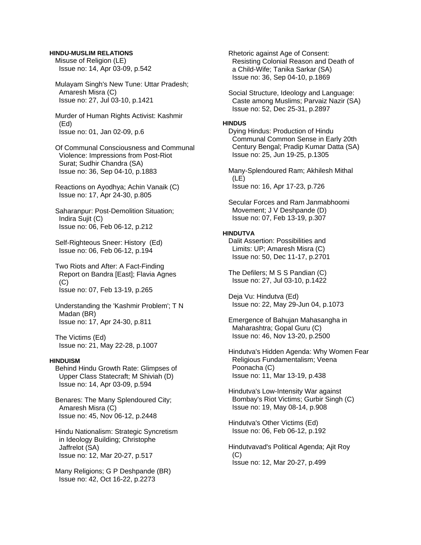#### **HINDU-MUSLIM RELATIONS**

 Misuse of Religion (LE) Issue no: 14, Apr 03-09, p.542

 Mulayam Singh's New Tune: Uttar Pradesh; Amaresh Misra (C) Issue no: 27, Jul 03-10, p.1421

 Murder of Human Rights Activist: Kashmir (Ed) Issue no: 01, Jan 02-09, p.6

 Of Communal Consciousness and Communal Violence: Impressions from Post-Riot Surat; Sudhir Chandra (SA) Issue no: 36, Sep 04-10, p.1883

 Reactions on Ayodhya; Achin Vanaik (C) Issue no: 17, Apr 24-30, p.805

 Saharanpur: Post-Demolition Situation; Indira Sujit (C) Issue no: 06, Feb 06-12, p.212

 Self-Righteous Sneer: History (Ed) Issue no: 06, Feb 06-12, p.194

 Two Riots and After: A Fact-Finding Report on Bandra [East]; Flavia Agnes  $(C)$ Issue no: 07, Feb 13-19, p.265

 Understanding the 'Kashmir Problem'; T N Madan (BR) Issue no: 17, Apr 24-30, p.811

 The Victims (Ed) Issue no: 21, May 22-28, p.1007

# **HINDUISM**

 Behind Hindu Growth Rate: Glimpses of Upper Class Statecraft; M Shiviah (D) Issue no: 14, Apr 03-09, p.594

 Benares: The Many Splendoured City; Amaresh Misra (C) Issue no: 45, Nov 06-12, p.2448

 Hindu Nationalism: Strategic Syncretism in Ideology Building; Christophe Jaffrelot (SA) Issue no: 12, Mar 20-27, p.517

 Many Religions; G P Deshpande (BR) Issue no: 42, Oct 16-22, p.2273

 Rhetoric against Age of Consent: Resisting Colonial Reason and Death of a Child-Wife; Tanika Sarkar (SA) Issue no: 36, Sep 04-10, p.1869

 Social Structure, Ideology and Language: Caste among Muslims; Parvaiz Nazir (SA) Issue no: 52, Dec 25-31, p.2897

#### **HINDUS**

 Dying Hindus: Production of Hindu Communal Common Sense in Early 20th Century Bengal; Pradip Kumar Datta (SA) Issue no: 25, Jun 19-25, p.1305

 Many-Splendoured Ram; Akhilesh Mithal (LE) Issue no: 16, Apr 17-23, p.726

 Secular Forces and Ram Janmabhoomi Movement; J V Deshpande (D) Issue no: 07, Feb 13-19, p.307

### **HINDUTVA**

 Dalit Assertion: Possibilities and Limits: UP; Amaresh Misra (C) Issue no: 50, Dec 11-17, p.2701

 The Defilers; M S S Pandian (C) Issue no: 27, Jul 03-10, p.1422

 Deja Vu: Hindutva (Ed) Issue no: 22, May 29-Jun 04, p.1073

 Emergence of Bahujan Mahasangha in Maharashtra; Gopal Guru (C) Issue no: 46, Nov 13-20, p.2500

 Hindutva's Hidden Agenda: Why Women Fear Religious Fundamentalism; Veena Poonacha (C) Issue no: 11, Mar 13-19, p.438

 Hindutva's Low-Intensity War against Bombay's Riot Victims; Gurbir Singh (C) Issue no: 19, May 08-14, p.908

 Hindutva's Other Victims (Ed) Issue no: 06, Feb 06-12, p.192

 Hindutvavad's Political Agenda; Ajit Roy (C) Issue no: 12, Mar 20-27, p.499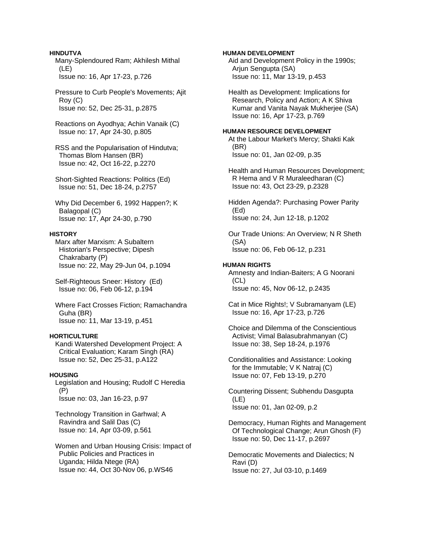### **HINDUTVA**

 Many-Splendoured Ram; Akhilesh Mithal (LE) Issue no: 16, Apr 17-23, p.726

 Pressure to Curb People's Movements; Ajit Roy (C) Issue no: 52, Dec 25-31, p.2875

 Reactions on Ayodhya; Achin Vanaik (C) Issue no: 17, Apr 24-30, p.805

 RSS and the Popularisation of Hindutva; Thomas Blom Hansen (BR) Issue no: 42, Oct 16-22, p.2270

 Short-Sighted Reactions: Politics (Ed) Issue no: 51, Dec 18-24, p.2757

 Why Did December 6, 1992 Happen?; K Balagopal (C) Issue no: 17, Apr 24-30, p.790

### **HISTORY**

 Marx after Marxism: A Subaltern Historian's Perspective; Dipesh Chakrabarty (P) Issue no: 22, May 29-Jun 04, p.1094

 Self-Righteous Sneer: History (Ed) Issue no: 06, Feb 06-12, p.194

 Where Fact Crosses Fiction; Ramachandra Guha (BR) Issue no: 11, Mar 13-19, p.451

# **HORTICULTURE**

 Kandi Watershed Development Project: A Critical Evaluation; Karam Singh (RA) Issue no: 52, Dec 25-31, p.A122

# **HOUSING**

 Legislation and Housing; Rudolf C Heredia (P) Issue no: 03, Jan 16-23, p.97

 Technology Transition in Garhwal; A Ravindra and Salil Das (C) Issue no: 14, Apr 03-09, p.561

 Women and Urban Housing Crisis: Impact of Public Policies and Practices in Uganda; Hilda Ntege (RA) Issue no: 44, Oct 30-Nov 06, p.WS46

**HUMAN DEVELOPMENT**  Aid and Development Policy in the 1990s; Arjun Sengupta (SA) Issue no: 11, Mar 13-19, p.453

 Health as Development: Implications for Research, Policy and Action; A K Shiva Kumar and Vanita Nayak Mukherjee (SA) Issue no: 16, Apr 17-23, p.769

# **HUMAN RESOURCE DEVELOPMENT**

 At the Labour Market's Mercy; Shakti Kak (BR) Issue no: 01, Jan 02-09, p.35

 Health and Human Resources Development; R Hema and V R Muraleedharan (C) Issue no: 43, Oct 23-29, p.2328

 Hidden Agenda?: Purchasing Power Parity (Ed) Issue no: 24, Jun 12-18, p.1202

 Our Trade Unions: An Overview; N R Sheth (SA) Issue no: 06, Feb 06-12, p.231

#### **HUMAN RIGHTS**

 Amnesty and Indian-Baiters; A G Noorani (CL) Issue no: 45, Nov 06-12, p.2435

 Cat in Mice Rights!; V Subramanyam (LE) Issue no: 16, Apr 17-23, p.726

 Choice and Dilemma of the Conscientious Activist; Vimal Balasubrahmanyan (C) Issue no: 38, Sep 18-24, p.1976

 Conditionalities and Assistance: Looking for the Immutable; V K Natraj (C) Issue no: 07, Feb 13-19, p.270

 Countering Dissent; Subhendu Dasgupta (LE) Issue no: 01, Jan 02-09, p.2

 Democracy, Human Rights and Management Of Technological Change; Arun Ghosh (F) Issue no: 50, Dec 11-17, p.2697

 Democratic Movements and Dialectics; N Ravi (D) Issue no: 27, Jul 03-10, p.1469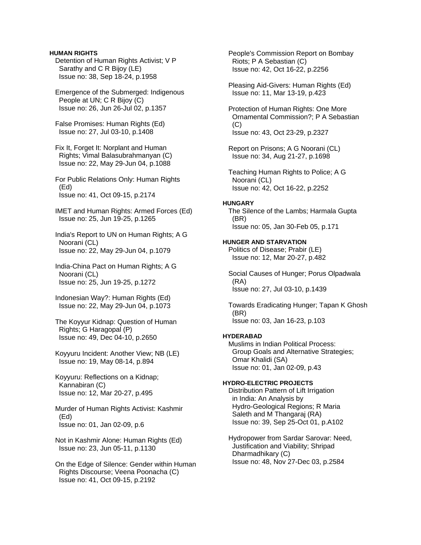### **HUMAN RIGHTS**

 Detention of Human Rights Activist; V P Sarathy and C R Bijoy (LE) Issue no: 38, Sep 18-24, p.1958

 Emergence of the Submerged: Indigenous People at UN; C R Bijoy (C) Issue no: 26, Jun 26-Jul 02, p.1357

 False Promises: Human Rights (Ed) Issue no: 27, Jul 03-10, p.1408

 Fix It, Forget It: Norplant and Human Rights; Vimal Balasubrahmanyan (C) Issue no: 22, May 29-Jun 04, p.1088

 For Public Relations Only: Human Rights (Ed) Issue no: 41, Oct 09-15, p.2174

 IMET and Human Rights: Armed Forces (Ed) Issue no: 25, Jun 19-25, p.1265

 India's Report to UN on Human Rights; A G Noorani (CL) Issue no: 22, May 29-Jun 04, p.1079

 India-China Pact on Human Rights; A G Noorani (CL) Issue no: 25, Jun 19-25, p.1272

 Indonesian Way?: Human Rights (Ed) Issue no: 22, May 29-Jun 04, p.1073

 The Koyyur Kidnap: Question of Human Rights; G Haragopal (P) Issue no: 49, Dec 04-10, p.2650

 Koyyuru Incident: Another View; NB (LE) Issue no: 19, May 08-14, p.894

 Koyyuru: Reflections on a Kidnap; Kannabiran (C) Issue no: 12, Mar 20-27, p.495

 Murder of Human Rights Activist: Kashmir (Ed) Issue no: 01, Jan 02-09, p.6

 Not in Kashmir Alone: Human Rights (Ed) Issue no: 23, Jun 05-11, p.1130

 On the Edge of Silence: Gender within Human Rights Discourse; Veena Poonacha (C) Issue no: 41, Oct 09-15, p.2192

 People's Commission Report on Bombay Riots; P A Sebastian (C) Issue no: 42, Oct 16-22, p.2256

 Pleasing Aid-Givers: Human Rights (Ed) Issue no: 11, Mar 13-19, p.423

 Protection of Human Rights: One More Ornamental Commission?; P A Sebastian  $(C)$ Issue no: 43, Oct 23-29, p.2327

 Report on Prisons; A G Noorani (CL) Issue no: 34, Aug 21-27, p.1698

 Teaching Human Rights to Police; A G Noorani (CL) Issue no: 42, Oct 16-22, p.2252

### **HUNGARY**

 The Silence of the Lambs; Harmala Gupta (BR) Issue no: 05, Jan 30-Feb 05, p.171

# **HUNGER AND STARVATION**

 Politics of Disease; Prabir (LE) Issue no: 12, Mar 20-27, p.482

 Social Causes of Hunger; Porus Olpadwala (RA) Issue no: 27, Jul 03-10, p.1439

 Towards Eradicating Hunger; Tapan K Ghosh (BR) Issue no: 03, Jan 16-23, p.103

## **HYDERABAD**

 Muslims in Indian Political Process: Group Goals and Alternative Strategies; Omar Khalidi (SA) Issue no: 01, Jan 02-09, p.43

# **HYDRO-ELECTRIC PROJECTS**

 Distribution Pattern of Lift Irrigation in India: An Analysis by Hydro-Geological Regions; R Maria Saleth and M Thangaraj (RA) Issue no: 39, Sep 25-Oct 01, p.A102

 Hydropower from Sardar Sarovar: Need, Justification and Viability; Shripad Dharmadhikary (C) Issue no: 48, Nov 27-Dec 03, p.2584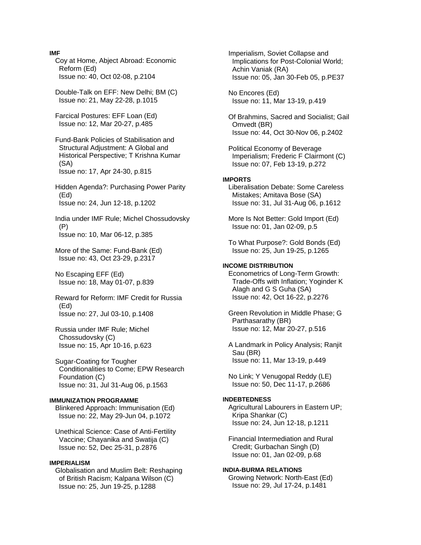#### **IMF**

 Coy at Home, Abject Abroad: Economic Reform (Ed) Issue no: 40, Oct 02-08, p.2104

 Double-Talk on EFF: New Delhi; BM (C) Issue no: 21, May 22-28, p.1015

 Farcical Postures: EFF Loan (Ed) Issue no: 12, Mar 20-27, p.485

 Fund-Bank Policies of Stabilisation and Structural Adjustment: A Global and Historical Perspective; T Krishna Kumar (SA) Issue no: 17, Apr 24-30, p.815

 Hidden Agenda?: Purchasing Power Parity (Ed) Issue no: 24, Jun 12-18, p.1202

 India under IMF Rule; Michel Chossudovsky (P) Issue no: 10, Mar 06-12, p.385

 More of the Same: Fund-Bank (Ed) Issue no: 43, Oct 23-29, p.2317

 No Escaping EFF (Ed) Issue no: 18, May 01-07, p.839

 Reward for Reform: IMF Credit for Russia (Ed) Issue no: 27, Jul 03-10, p.1408

 Russia under IMF Rule; Michel Chossudovsky (C) Issue no: 15, Apr 10-16, p.623

 Sugar-Coating for Tougher Conditionalities to Come; EPW Research Foundation (C) Issue no: 31, Jul 31-Aug 06, p.1563

#### **IMMUNIZATION PROGRAMME**

 Blinkered Approach: Immunisation (Ed) Issue no: 22, May 29-Jun 04, p.1072

 Unethical Science: Case of Anti-Fertility Vaccine; Chayanika and Swatija (C) Issue no: 52, Dec 25-31, p.2876

#### **IMPERIALISM**

 Globalisation and Muslim Belt: Reshaping of British Racism; Kalpana Wilson (C) Issue no: 25, Jun 19-25, p.1288

 Imperialism, Soviet Collapse and Implications for Post-Colonial World; Achin Vaniak (RA) Issue no: 05, Jan 30-Feb 05, p.PE37

 No Encores (Ed) Issue no: 11, Mar 13-19, p.419

 Of Brahmins, Sacred and Socialist; Gail Omvedt (BR) Issue no: 44, Oct 30-Nov 06, p.2402

 Political Economy of Beverage Imperialism; Frederic F Clairmont (C) Issue no: 07, Feb 13-19, p.272

#### **IMPORTS**

 Liberalisation Debate: Some Careless Mistakes; Amitava Bose (SA) Issue no: 31, Jul 31-Aug 06, p.1612

 More Is Not Better: Gold Import (Ed) Issue no: 01, Jan 02-09, p.5

 To What Purpose?: Gold Bonds (Ed) Issue no: 25, Jun 19-25, p.1265

# **INCOME DISTRIBUTION**

 Econometrics of Long-Term Growth: Trade-Offs with Inflation; Yoginder K Alagh and G S Guha (SA) Issue no: 42, Oct 16-22, p.2276

 Green Revolution in Middle Phase; G Parthasarathy (BR) Issue no: 12, Mar 20-27, p.516

 A Landmark in Policy Analysis; Ranjit Sau (BR) Issue no: 11, Mar 13-19, p.449

 No Link; Y Venugopal Reddy (LE) Issue no: 50, Dec 11-17, p.2686

#### **INDEBTEDNESS**

 Agricultural Labourers in Eastern UP; Kripa Shankar (C) Issue no: 24, Jun 12-18, p.1211

 Financial Intermediation and Rural Credit; Gurbachan Singh (D) Issue no: 01, Jan 02-09, p.68

**INDIA-BURMA RELATIONS**  Growing Network: North-East (Ed) Issue no: 29, Jul 17-24, p.1481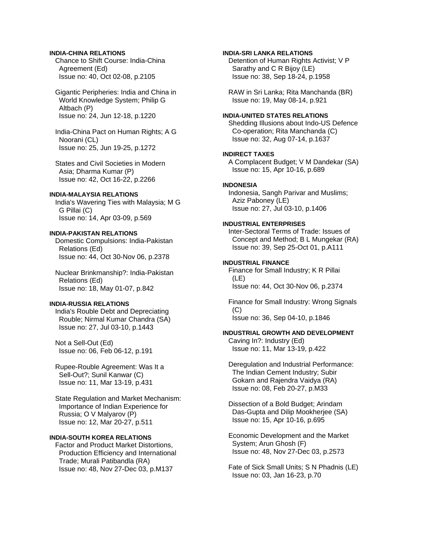# **INDIA-CHINA RELATIONS**

 Chance to Shift Course: India-China Agreement (Ed) Issue no: 40, Oct 02-08, p.2105

 Gigantic Peripheries: India and China in World Knowledge System; Philip G Altbach (P) Issue no: 24, Jun 12-18, p.1220

 India-China Pact on Human Rights; A G Noorani (CL) Issue no: 25, Jun 19-25, p.1272

 States and Civil Societies in Modern Asia; Dharma Kumar (P) Issue no: 42, Oct 16-22, p.2266

# **INDIA-MALAYSIA RELATIONS**

 India's Wavering Ties with Malaysia; M G G Pillai (C) Issue no: 14, Apr 03-09, p.569

#### **INDIA-PAKISTAN RELATIONS**

 Domestic Compulsions: India-Pakistan Relations (Ed) Issue no: 44, Oct 30-Nov 06, p.2378

 Nuclear Brinkmanship?: India-Pakistan Relations (Ed) Issue no: 18, May 01-07, p.842

# **INDIA-RUSSIA RELATIONS**

 India's Rouble Debt and Depreciating Rouble; Nirmal Kumar Chandra (SA) Issue no: 27, Jul 03-10, p.1443

 Not a Sell-Out (Ed) Issue no: 06, Feb 06-12, p.191

 Rupee-Rouble Agreement: Was It a Sell-Out?; Sunil Kanwar (C) Issue no: 11, Mar 13-19, p.431

 State Regulation and Market Mechanism: Importance of Indian Experience for Russia; O V Malyarov (P) Issue no: 12, Mar 20-27, p.511

# **INDIA-SOUTH KOREA RELATIONS**

 Factor and Product Market Distortions, Production Efficiency and International Trade; Murali Patibandla (RA) Issue no: 48, Nov 27-Dec 03, p.M137

## **INDIA-SRI LANKA RELATIONS**

 Detention of Human Rights Activist; V P Sarathy and C R Bijoy (LE) Issue no: 38, Sep 18-24, p.1958

 RAW in Sri Lanka; Rita Manchanda (BR) Issue no: 19, May 08-14, p.921

# **INDIA-UNITED STATES RELATIONS**

 Shedding Illusions about Indo-US Defence Co-operation; Rita Manchanda (C) Issue no: 32, Aug 07-14, p.1637

## **INDIRECT TAXES**

 A Complacent Budget; V M Dandekar (SA) Issue no: 15, Apr 10-16, p.689

# **INDONESIA**

 Indonesia, Sangh Parivar and Muslims; Aziz Paboney (LE) Issue no: 27, Jul 03-10, p.1406

# **INDUSTRIAL ENTERPRISES**

 Inter-Sectoral Terms of Trade: Issues of Concept and Method; B L Mungekar (RA) Issue no: 39, Sep 25-Oct 01, p.A111

### **INDUSTRIAL FINANCE**

 Finance for Small Industry; K R Pillai (LE) Issue no: 44, Oct 30-Nov 06, p.2374

 Finance for Small Industry: Wrong Signals  $(C)$ Issue no: 36, Sep 04-10, p.1846

# **INDUSTRIAL GROWTH AND DEVELOPMENT**

 Caving In?: Industry (Ed) Issue no: 11, Mar 13-19, p.422

 Deregulation and Industrial Performance: The Indian Cement Industry; Subir Gokarn and Rajendra Vaidya (RA) Issue no: 08, Feb 20-27, p.M33

 Dissection of a Bold Budget; Arindam Das-Gupta and Dilip Mookherjee (SA) Issue no: 15, Apr 10-16, p.695

 Economic Development and the Market System; Arun Ghosh (F) Issue no: 48, Nov 27-Dec 03, p.2573

 Fate of Sick Small Units; S N Phadnis (LE) Issue no: 03, Jan 16-23, p.70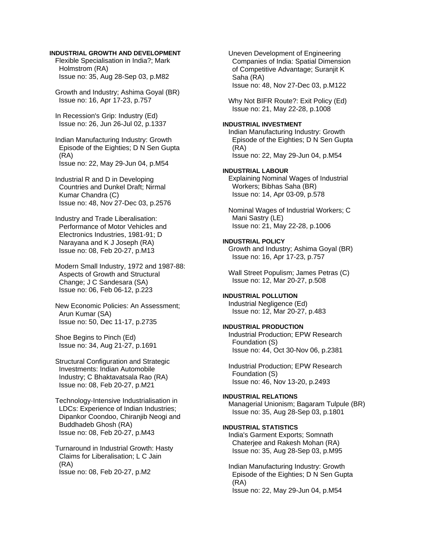# **INDUSTRIAL GROWTH AND DEVELOPMENT**

 Flexible Specialisation in India?; Mark Holmstrom (RA) Issue no: 35, Aug 28-Sep 03, p.M82

 Growth and Industry; Ashima Goyal (BR) Issue no: 16, Apr 17-23, p.757

 In Recession's Grip: Industry (Ed) Issue no: 26, Jun 26-Jul 02, p.1337

 Indian Manufacturing Industry: Growth Episode of the Eighties; D N Sen Gupta (RA) Issue no: 22, May 29-Jun 04, p.M54

 Industrial R and D in Developing Countries and Dunkel Draft; Nirmal Kumar Chandra (C) Issue no: 48, Nov 27-Dec 03, p.2576

 Industry and Trade Liberalisation: Performance of Motor Vehicles and Electronics Industries, 1981-91; D Narayana and K J Joseph (RA) Issue no: 08, Feb 20-27, p.M13

 Modern Small Industry, 1972 and 1987-88: Aspects of Growth and Structural Change; J C Sandesara (SA) Issue no: 06, Feb 06-12, p.223

 New Economic Policies: An Assessment; Arun Kumar (SA) Issue no: 50, Dec 11-17, p.2735

 Shoe Begins to Pinch (Ed) Issue no: 34, Aug 21-27, p.1691

 Structural Configuration and Strategic Investments: Indian Automobile Industry; C Bhaktavatsala Rao (RA) Issue no: 08, Feb 20-27, p.M21

 Technology-Intensive Industrialisation in LDCs: Experience of Indian Industries; Dipankor Coondoo, Chiranjib Neogi and Buddhadeb Ghosh (RA) Issue no: 08, Feb 20-27, p.M43

 Turnaround in Industrial Growth: Hasty Claims for Liberalisation; L C Jain (RA) Issue no: 08, Feb 20-27, p.M2

 Uneven Development of Engineering Companies of India: Spatial Dimension of Competitive Advantage; Suranjit K Saha (RA) Issue no: 48, Nov 27-Dec 03, p.M122

 Why Not BIFR Route?: Exit Policy (Ed) Issue no: 21, May 22-28, p.1008

## **INDUSTRIAL INVESTMENT**

 Indian Manufacturing Industry: Growth Episode of the Eighties; D N Sen Gupta (RA) Issue no: 22, May 29-Jun 04, p.M54

# **INDUSTRIAL LABOUR**

 Explaining Nominal Wages of Industrial Workers; Bibhas Saha (BR) Issue no: 14, Apr 03-09, p.578

 Nominal Wages of Industrial Workers; C Mani Sastry (LE) Issue no: 21, May 22-28, p.1006

### **INDUSTRIAL POLICY**

 Growth and Industry; Ashima Goyal (BR) Issue no: 16, Apr 17-23, p.757

 Wall Street Populism; James Petras (C) Issue no: 12, Mar 20-27, p.508

# **INDUSTRIAL POLLUTION**

 Industrial Negligence (Ed) Issue no: 12, Mar 20-27, p.483

# **INDUSTRIAL PRODUCTION**

 Industrial Production; EPW Research Foundation (S) Issue no: 44, Oct 30-Nov 06, p.2381

 Industrial Production; EPW Research Foundation (S) Issue no: 46, Nov 13-20, p.2493

#### **INDUSTRIAL RELATIONS**

 Managerial Unionism; Bagaram Tulpule (BR) Issue no: 35, Aug 28-Sep 03, p.1801

## **INDUSTRIAL STATISTICS**

 India's Garment Exports; Somnath Chaterjee and Rakesh Mohan (RA) Issue no: 35, Aug 28-Sep 03, p.M95

 Indian Manufacturing Industry: Growth Episode of the Eighties; D N Sen Gupta (RA) Issue no: 22, May 29-Jun 04, p.M54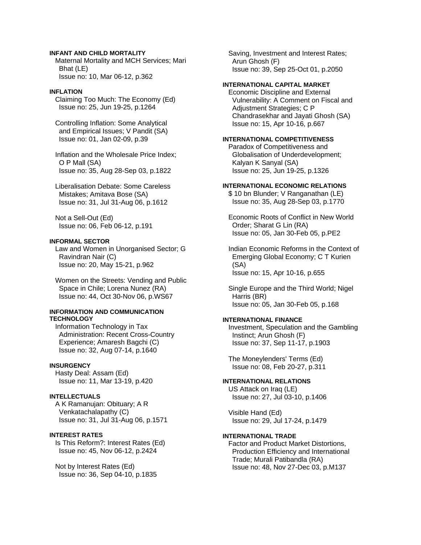## **INFANT AND CHILD MORTALITY**

 Maternal Mortality and MCH Services; Mari Bhat (LE) Issue no: 10, Mar 06-12, p.362

## **INFLATION**

 Claiming Too Much: The Economy (Ed) Issue no: 25, Jun 19-25, p.1264

 Controlling Inflation: Some Analytical and Empirical Issues; V Pandit (SA) Issue no: 01, Jan 02-09, p.39

 Inflation and the Wholesale Price Index; O P Mall (SA) Issue no: 35, Aug 28-Sep 03, p.1822

 Liberalisation Debate: Some Careless Mistakes; Amitava Bose (SA) Issue no: 31, Jul 31-Aug 06, p.1612

 Not a Sell-Out (Ed) Issue no: 06, Feb 06-12, p.191

#### **INFORMAL SECTOR**

 Law and Women in Unorganised Sector; G Ravindran Nair (C) Issue no: 20, May 15-21, p.962

 Women on the Streets: Vending and Public Space in Chile; Lorena Nunez (RA) Issue no: 44, Oct 30-Nov 06, p.WS67

## **INFORMATION AND COMMUNICATION TECHNOLOGY**

 Information Technology in Tax Administration: Recent Cross-Country Experience; Amaresh Bagchi (C) Issue no: 32, Aug 07-14, p.1640

# **INSURGENCY**

 Hasty Deal: Assam (Ed) Issue no: 11, Mar 13-19, p.420

#### **INTELLECTUALS**

 A K Ramanujan: Obituary; A R Venkatachalapathy (C) Issue no: 31, Jul 31-Aug 06, p.1571

#### **INTEREST RATES**

 Is This Reform?: Interest Rates (Ed) Issue no: 45, Nov 06-12, p.2424

 Not by Interest Rates (Ed) Issue no: 36, Sep 04-10, p.1835  Saving, Investment and Interest Rates; Arun Ghosh (F) Issue no: 39, Sep 25-Oct 01, p.2050

### **INTERNATIONAL CAPITAL MARKET**

 Economic Discipline and External Vulnerability: A Comment on Fiscal and Adjustment Strategies; C P Chandrasekhar and Jayati Ghosh (SA) Issue no: 15, Apr 10-16, p.667

# **INTERNATIONAL COMPETITIVENESS**

 Paradox of Competitiveness and Globalisation of Underdevelopment; Kalyan K Sanyal (SA) Issue no: 25, Jun 19-25, p.1326

### **INTERNATIONAL ECONOMIC RELATIONS**

 \$ 10 bn Blunder; V Ranganathan (LE) Issue no: 35, Aug 28-Sep 03, p.1770

 Economic Roots of Conflict in New World Order; Sharat G Lin (RA) Issue no: 05, Jan 30-Feb 05, p.PE2

 Indian Economic Reforms in the Context of Emerging Global Economy; C T Kurien (SA) Issue no: 15, Apr 10-16, p.655

 Single Europe and the Third World; Nigel Harris (BR) Issue no: 05, Jan 30-Feb 05, p.168

# **INTERNATIONAL FINANCE**

 Investment, Speculation and the Gambling Instinct; Arun Ghosh (F) Issue no: 37, Sep 11-17, p.1903

 The Moneylenders' Terms (Ed) Issue no: 08, Feb 20-27, p.311

#### **INTERNATIONAL RELATIONS**

 US Attack on Iraq (LE) Issue no: 27, Jul 03-10, p.1406

 Visible Hand (Ed) Issue no: 29, Jul 17-24, p.1479

# **INTERNATIONAL TRADE**

 Factor and Product Market Distortions, Production Efficiency and International Trade; Murali Patibandla (RA) Issue no: 48, Nov 27-Dec 03, p.M137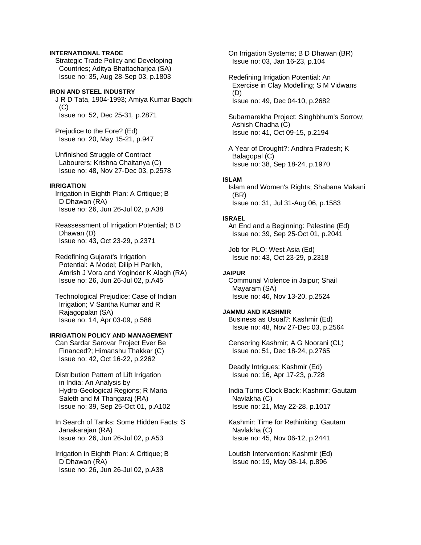# **INTERNATIONAL TRADE**

 Strategic Trade Policy and Developing Countries; Aditya Bhattacharjea (SA) Issue no: 35, Aug 28-Sep 03, p.1803

## **IRON AND STEEL INDUSTRY**

 J R D Tata, 1904-1993; Amiya Kumar Bagchi (C) Issue no: 52, Dec 25-31, p.2871

 Prejudice to the Fore? (Ed) Issue no: 20, May 15-21, p.947

 Unfinished Struggle of Contract Labourers; Krishna Chaitanya (C) Issue no: 48, Nov 27-Dec 03, p.2578

### **IRRIGATION**

 Irrigation in Eighth Plan: A Critique; B D Dhawan (RA) Issue no: 26, Jun 26-Jul 02, p.A38

 Reassessment of Irrigation Potential; B D Dhawan (D) Issue no: 43, Oct 23-29, p.2371

 Redefining Gujarat's Irrigation Potential: A Model; Dilip H Parikh, Amrish J Vora and Yoginder K Alagh (RA) Issue no: 26, Jun 26-Jul 02, p.A45

 Technological Prejudice: Case of Indian Irrigation; V Santha Kumar and R Rajagopalan (SA) Issue no: 14, Apr 03-09, p.586

# **IRRIGATION POLICY AND MANAGEMENT**

 Can Sardar Sarovar Project Ever Be Financed?; Himanshu Thakkar (C) Issue no: 42, Oct 16-22, p.2262

- Distribution Pattern of Lift Irrigation in India: An Analysis by Hydro-Geological Regions; R Maria Saleth and M Thangaraj (RA) Issue no: 39, Sep 25-Oct 01, p.A102
- In Search of Tanks: Some Hidden Facts; S Janakarajan (RA) Issue no: 26, Jun 26-Jul 02, p.A53

 Irrigation in Eighth Plan: A Critique; B D Dhawan (RA) Issue no: 26, Jun 26-Jul 02, p.A38

 On Irrigation Systems; B D Dhawan (BR) Issue no: 03, Jan 16-23, p.104

 Redefining Irrigation Potential: An Exercise in Clay Modelling; S M Vidwans (D) Issue no: 49, Dec 04-10, p.2682

 Subarnarekha Project: Singhbhum's Sorrow; Ashish Chadha (C) Issue no: 41, Oct 09-15, p.2194

 A Year of Drought?: Andhra Pradesh; K Balagopal (C) Issue no: 38, Sep 18-24, p.1970

#### **ISLAM**

 Islam and Women's Rights; Shabana Makani (BR) Issue no: 31, Jul 31-Aug 06, p.1583

#### **ISRAEL**

 An End and a Beginning: Palestine (Ed) Issue no: 39, Sep 25-Oct 01, p.2041

 Job for PLO: West Asia (Ed) Issue no: 43, Oct 23-29, p.2318

# **JAIPUR**

 Communal Violence in Jaipur; Shail Mayaram (SA) Issue no: 46, Nov 13-20, p.2524

# **JAMMU AND KASHMIR**

 Business as Usual?: Kashmir (Ed) Issue no: 48, Nov 27-Dec 03, p.2564

 Censoring Kashmir; A G Noorani (CL) Issue no: 51, Dec 18-24, p.2765

 Deadly Intrigues: Kashmir (Ed) Issue no: 16, Apr 17-23, p.728

 India Turns Clock Back: Kashmir; Gautam Navlakha (C) Issue no: 21, May 22-28, p.1017

 Kashmir: Time for Rethinking; Gautam Navlakha (C) Issue no: 45, Nov 06-12, p.2441

 Loutish Intervention: Kashmir (Ed) Issue no: 19, May 08-14, p.896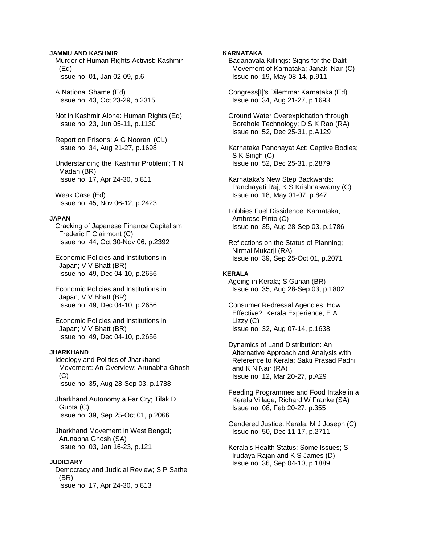## **JAMMU AND KASHMIR**

 Murder of Human Rights Activist: Kashmir (Ed) Issue no: 01, Jan 02-09, p.6

 A National Shame (Ed) Issue no: 43, Oct 23-29, p.2315

 Not in Kashmir Alone: Human Rights (Ed) Issue no: 23, Jun 05-11, p.1130

 Report on Prisons; A G Noorani (CL) Issue no: 34, Aug 21-27, p.1698

 Understanding the 'Kashmir Problem'; T N Madan (BR) Issue no: 17, Apr 24-30, p.811

 Weak Case (Ed) Issue no: 45, Nov 06-12, p.2423

#### **JAPAN**

 Cracking of Japanese Finance Capitalism; Frederic F Clairmont (C) Issue no: 44, Oct 30-Nov 06, p.2392

 Economic Policies and Institutions in Japan; V V Bhatt (BR) Issue no: 49, Dec 04-10, p.2656

 Economic Policies and Institutions in Japan; V V Bhatt (BR) Issue no: 49, Dec 04-10, p.2656

 Economic Policies and Institutions in Japan; V V Bhatt (BR) Issue no: 49, Dec 04-10, p.2656

#### **JHARKHAND**

 Ideology and Politics of Jharkhand Movement: An Overview; Arunabha Ghosh  $(C)$ Issue no: 35, Aug 28-Sep 03, p.1788

 Jharkhand Autonomy a Far Cry; Tilak D Gupta (C) Issue no: 39, Sep 25-Oct 01, p.2066

 Jharkhand Movement in West Bengal; Arunabha Ghosh (SA) Issue no: 03, Jan 16-23, p.121

# **JUDICIARY**

 Democracy and Judicial Review; S P Sathe (BR) Issue no: 17, Apr 24-30, p.813

## **KARNATAKA**

 Badanavala Killings: Signs for the Dalit Movement of Karnataka; Janaki Nair (C) Issue no: 19, May 08-14, p.911

 Congress[I]'s Dilemma: Karnataka (Ed) Issue no: 34, Aug 21-27, p.1693

 Ground Water Overexploitation through Borehole Technology; D S K Rao (RA) Issue no: 52, Dec 25-31, p.A129

 Karnataka Panchayat Act: Captive Bodies; S K Singh (C) Issue no: 52, Dec 25-31, p.2879

 Karnataka's New Step Backwards: Panchayati Raj; K S Krishnaswamy (C) Issue no: 18, May 01-07, p.847

 Lobbies Fuel Dissidence: Karnataka; Ambrose Pinto (C) Issue no: 35, Aug 28-Sep 03, p.1786

 Reflections on the Status of Planning; Nirmal Mukarji (RA) Issue no: 39, Sep 25-Oct 01, p.2071

#### **KERALA**

 Ageing in Kerala; S Guhan (BR) Issue no: 35, Aug 28-Sep 03, p.1802

 Consumer Redressal Agencies: How Effective?: Kerala Experience; E A Lizzy (C) Issue no: 32, Aug 07-14, p.1638

 Dynamics of Land Distribution: An Alternative Approach and Analysis with Reference to Kerala; Sakti Prasad Padhi and K N Nair (RA) Issue no: 12, Mar 20-27, p.A29

 Feeding Programmes and Food Intake in a Kerala Village; Richard W Franke (SA) Issue no: 08, Feb 20-27, p.355

 Gendered Justice: Kerala; M J Joseph (C) Issue no: 50, Dec 11-17, p.2711

 Kerala's Health Status: Some Issues; S Irudaya Rajan and K S James (D) Issue no: 36, Sep 04-10, p.1889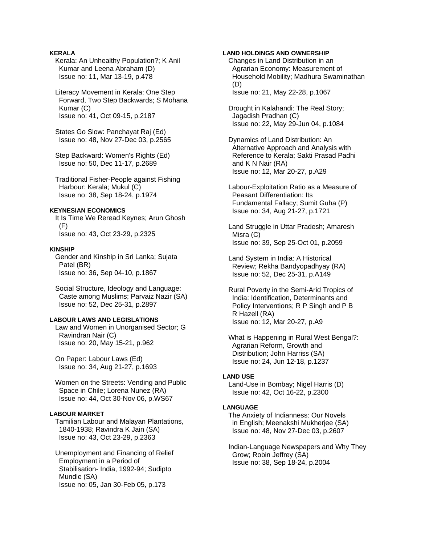# **KERALA**

 Kerala: An Unhealthy Population?; K Anil Kumar and Leena Abraham (D) Issue no: 11, Mar 13-19, p.478

 Literacy Movement in Kerala: One Step Forward, Two Step Backwards; S Mohana Kumar (C) Issue no: 41, Oct 09-15, p.2187

 States Go Slow: Panchayat Raj (Ed) Issue no: 48, Nov 27-Dec 03, p.2565

 Step Backward: Women's Rights (Ed) Issue no: 50, Dec 11-17, p.2689

 Traditional Fisher-People against Fishing Harbour: Kerala; Mukul (C) Issue no: 38, Sep 18-24, p.1974

#### **KEYNESIAN ECONOMICS**

 It Is Time We Reread Keynes; Arun Ghosh (F) Issue no: 43, Oct 23-29, p.2325

## **KINSHIP**

 Gender and Kinship in Sri Lanka; Sujata Patel (BR) Issue no: 36, Sep 04-10, p.1867

 Social Structure, Ideology and Language: Caste among Muslims; Parvaiz Nazir (SA) Issue no: 52, Dec 25-31, p.2897

### **LABOUR LAWS AND LEGISLATIONS**

 Law and Women in Unorganised Sector; G Ravindran Nair (C) Issue no: 20, May 15-21, p.962

 On Paper: Labour Laws (Ed) Issue no: 34, Aug 21-27, p.1693

 Women on the Streets: Vending and Public Space in Chile; Lorena Nunez (RA) Issue no: 44, Oct 30-Nov 06, p.WS67

# **LABOUR MARKET**

 Tamilian Labour and Malayan Plantations, 1840-1938; Ravindra K Jain (SA) Issue no: 43, Oct 23-29, p.2363

 Unemployment and Financing of Relief Employment in a Period of Stabilisation- India, 1992-94; Sudipto Mundle (SA) Issue no: 05, Jan 30-Feb 05, p.173

## **LAND HOLDINGS AND OWNERSHIP**

 Changes in Land Distribution in an Agrarian Economy: Measurement of Household Mobility; Madhura Swaminathan (D) Issue no: 21, May 22-28, p.1067

 Drought in Kalahandi: The Real Story; Jagadish Pradhan (C) Issue no: 22, May 29-Jun 04, p.1084

 Dynamics of Land Distribution: An Alternative Approach and Analysis with Reference to Kerala; Sakti Prasad Padhi and K N Nair (RA) Issue no: 12, Mar 20-27, p.A29

 Labour-Exploitation Ratio as a Measure of Peasant Differentiation: Its Fundamental Fallacy; Sumit Guha (P) Issue no: 34, Aug 21-27, p.1721

 Land Struggle in Uttar Pradesh; Amaresh Misra (C) Issue no: 39, Sep 25-Oct 01, p.2059

 Land System in India: A Historical Review; Rekha Bandyopadhyay (RA) Issue no: 52, Dec 25-31, p.A149

 Rural Poverty in the Semi-Arid Tropics of India: Identification, Determinants and Policy Interventions; R P Singh and P B R Hazell (RA) Issue no: 12, Mar 20-27, p.A9

 What is Happening in Rural West Bengal?: Agrarian Reform, Growth and Distribution; John Harriss (SA) Issue no: 24, Jun 12-18, p.1237

#### **LAND USE**

 Land-Use in Bombay; Nigel Harris (D) Issue no: 42, Oct 16-22, p.2300

#### **LANGUAGE**

 The Anxiety of Indianness: Our Novels in English; Meenakshi Mukherjee (SA) Issue no: 48, Nov 27-Dec 03, p.2607

 Indian-Language Newspapers and Why They Grow; Robin Jeffrey (SA) Issue no: 38, Sep 18-24, p.2004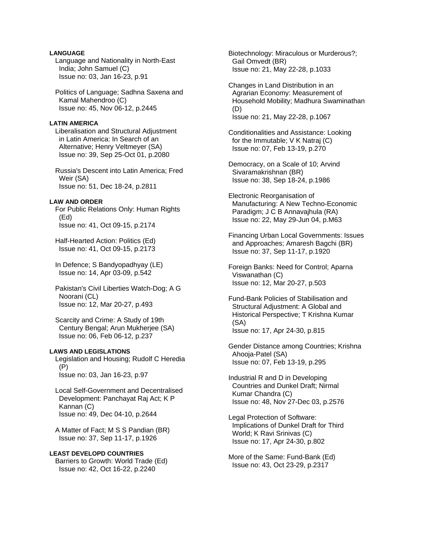# **LANGUAGE**

 Language and Nationality in North-East India; John Samuel (C) Issue no: 03, Jan 16-23, p.91

 Politics of Language; Sadhna Saxena and Kamal Mahendroo (C) Issue no: 45, Nov 06-12, p.2445

### **LATIN AMERICA**

 Liberalisation and Structural Adjustment in Latin America: In Search of an Alternative; Henry Veltmeyer (SA) Issue no: 39, Sep 25-Oct 01, p.2080

 Russia's Descent into Latin America; Fred Weir (SA) Issue no: 51, Dec 18-24, p.2811

#### **LAW AND ORDER**

 For Public Relations Only: Human Rights (Ed) Issue no: 41, Oct 09-15, p.2174

 Half-Hearted Action: Politics (Ed) Issue no: 41, Oct 09-15, p.2173

 In Defence; S Bandyopadhyay (LE) Issue no: 14, Apr 03-09, p.542

 Pakistan's Civil Liberties Watch-Dog; A G Noorani (CL) Issue no: 12, Mar 20-27, p.493

 Scarcity and Crime: A Study of 19th Century Bengal; Arun Mukherjee (SA) Issue no: 06, Feb 06-12, p.237

## **LAWS AND LEGISLATIONS**

 Legislation and Housing; Rudolf C Heredia (P) Issue no: 03, Jan 16-23, p.97

 Local Self-Government and Decentralised Development: Panchayat Raj Act; K P Kannan (C) Issue no: 49, Dec 04-10, p.2644

 A Matter of Fact; M S S Pandian (BR) Issue no: 37, Sep 11-17, p.1926

**LEAST DEVELOPD COUNTRIES**  Barriers to Growth: World Trade (Ed) Issue no: 42, Oct 16-22, p.2240

 Biotechnology: Miraculous or Murderous?; Gail Omvedt (BR) Issue no: 21, May 22-28, p.1033

 Changes in Land Distribution in an Agrarian Economy: Measurement of Household Mobility; Madhura Swaminathan (D) Issue no: 21, May 22-28, p.1067

 Conditionalities and Assistance: Looking for the Immutable; V K Natraj (C) Issue no: 07, Feb 13-19, p.270

 Democracy, on a Scale of 10; Arvind Sivaramakrishnan (BR) Issue no: 38, Sep 18-24, p.1986

 Electronic Reorganisation of Manufacturing: A New Techno-Economic Paradigm; J C B Annavajhula (RA) Issue no: 22, May 29-Jun 04, p.M63

 Financing Urban Local Governments: Issues and Approaches; Amaresh Bagchi (BR) Issue no: 37, Sep 11-17, p.1920

 Foreign Banks: Need for Control; Aparna Viswanathan (C) Issue no: 12, Mar 20-27, p.503

 Fund-Bank Policies of Stabilisation and Structural Adjustment: A Global and Historical Perspective; T Krishna Kumar (SA) Issue no: 17, Apr 24-30, p.815

 Gender Distance among Countries; Krishna Ahooja-Patel (SA) Issue no: 07, Feb 13-19, p.295

 Industrial R and D in Developing Countries and Dunkel Draft; Nirmal Kumar Chandra (C) Issue no: 48, Nov 27-Dec 03, p.2576

 Legal Protection of Software: Implications of Dunkel Draft for Third World; K Ravi Srinivas (C) Issue no: 17, Apr 24-30, p.802

 More of the Same: Fund-Bank (Ed) Issue no: 43, Oct 23-29, p.2317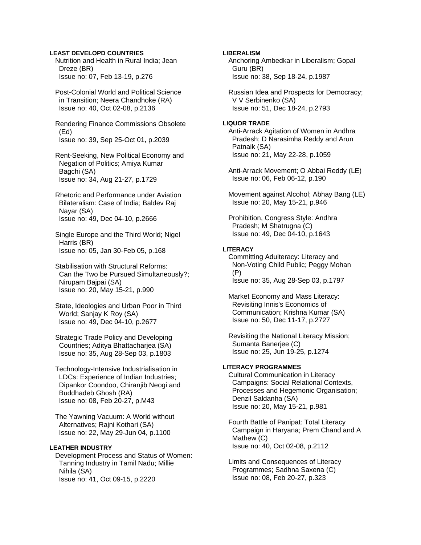# **LEAST DEVELOPD COUNTRIES**

 Nutrition and Health in Rural India; Jean Dreze (BR) Issue no: 07, Feb 13-19, p.276

 Post-Colonial World and Political Science in Transition; Neera Chandhoke (RA) Issue no: 40, Oct 02-08, p.2136

 Rendering Finance Commissions Obsolete (Ed) Issue no: 39, Sep 25-Oct 01, p.2039

 Rent-Seeking, New Political Economy and Negation of Politics; Amiya Kumar Bagchi (SA) Issue no: 34, Aug 21-27, p.1729

 Rhetoric and Performance under Aviation Bilateralism: Case of India; Baldev Raj Nayar (SA) Issue no: 49, Dec 04-10, p.2666

 Single Europe and the Third World; Nigel Harris (BR) Issue no: 05, Jan 30-Feb 05, p.168

 Stabilisation with Structural Reforms: Can the Two be Pursued Simultaneously?; Nirupam Bajpai (SA) Issue no: 20, May 15-21, p.990

 State, Ideologies and Urban Poor in Third World; Sanjay K Roy (SA) Issue no: 49, Dec 04-10, p.2677

 Strategic Trade Policy and Developing Countries: Aditva Bhattachariea (SA) Issue no: 35, Aug 28-Sep 03, p.1803

 Technology-Intensive Industrialisation in LDCs: Experience of Indian Industries; Dipankor Coondoo, Chiranjib Neogi and Buddhadeb Ghosh (RA) Issue no: 08, Feb 20-27, p.M43

 The Yawning Vacuum: A World without Alternatives; Rajni Kothari (SA) Issue no: 22, May 29-Jun 04, p.1100

# **LEATHER INDUSTRY**

 Development Process and Status of Women: Tanning Industry in Tamil Nadu; Millie Nihila (SA) Issue no: 41, Oct 09-15, p.2220

## **LIBERALISM**

 Anchoring Ambedkar in Liberalism; Gopal Guru (BR) Issue no: 38, Sep 18-24, p.1987

 Russian Idea and Prospects for Democracy; V V Serbinenko (SA) Issue no: 51, Dec 18-24, p.2793

#### **LIQUOR TRADE**

 Anti-Arrack Agitation of Women in Andhra Pradesh; D Narasimha Reddy and Arun Patnaik (SA) Issue no: 21, May 22-28, p.1059

 Anti-Arrack Movement; O Abbai Reddy (LE) Issue no: 06, Feb 06-12, p.190

 Movement against Alcohol; Abhay Bang (LE) Issue no: 20, May 15-21, p.946

 Prohibition, Congress Style: Andhra Pradesh; M Shatrugna (C) Issue no: 49, Dec 04-10, p.1643

### **LITERACY**

 Committing Adulteracy: Literacy and Non-Voting Child Public; Peggy Mohan (P) Issue no: 35, Aug 28-Sep 03, p.1797

 Market Economy and Mass Literacy: Revisiting Innis's Economics of Communication; Krishna Kumar (SA) Issue no: 50, Dec 11-17, p.2727

 Revisiting the National Literacy Mission; Sumanta Banerjee (C) Issue no: 25, Jun 19-25, p.1274

# **LITERACY PROGRAMMES**

 Cultural Communication in Literacy Campaigns: Social Relational Contexts, Processes and Hegemonic Organisation; Denzil Saldanha (SA) Issue no: 20, May 15-21, p.981

 Fourth Battle of Panipat: Total Literacy Campaign in Haryana; Prem Chand and A Mathew (C) Issue no: 40, Oct 02-08, p.2112

 Limits and Consequences of Literacy Programmes; Sadhna Saxena (C) Issue no: 08, Feb 20-27, p.323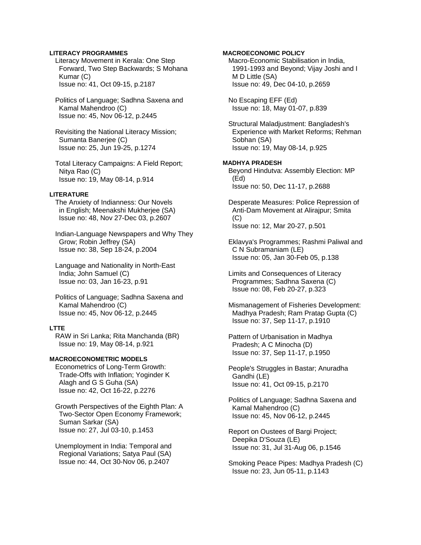## **LITERACY PROGRAMMES**

 Literacy Movement in Kerala: One Step Forward, Two Step Backwards; S Mohana Kumar (C) Issue no: 41, Oct 09-15, p.2187

 Politics of Language; Sadhna Saxena and Kamal Mahendroo (C) Issue no: 45, Nov 06-12, p.2445

 Revisiting the National Literacy Mission; Sumanta Banerjee (C) Issue no: 25, Jun 19-25, p.1274

 Total Literacy Campaigns: A Field Report; Nitya Rao (C) Issue no: 19, May 08-14, p.914

## **LITERATURE**

 The Anxiety of Indianness: Our Novels in English; Meenakshi Mukherjee (SA) Issue no: 48, Nov 27-Dec 03, p.2607

 Indian-Language Newspapers and Why They Grow; Robin Jeffrey (SA) Issue no: 38, Sep 18-24, p.2004

 Language and Nationality in North-East India; John Samuel (C) Issue no: 03, Jan 16-23, p.91

 Politics of Language; Sadhna Saxena and Kamal Mahendroo (C) Issue no: 45, Nov 06-12, p.2445

### **LTTE**

 RAW in Sri Lanka; Rita Manchanda (BR) Issue no: 19, May 08-14, p.921

## **MACROECONOMETRIC MODELS**

 Econometrics of Long-Term Growth: Trade-Offs with Inflation; Yoginder K Alagh and G S Guha (SA) Issue no: 42, Oct 16-22, p.2276

 Growth Perspectives of the Eighth Plan: A Two-Sector Open Economy Framework; Suman Sarkar (SA) Issue no: 27, Jul 03-10, p.1453

 Unemployment in India: Temporal and Regional Variations; Satya Paul (SA) Issue no: 44, Oct 30-Nov 06, p.2407

**MACROECONOMIC POLICY**  Macro-Economic Stabilisation in India, 1991-1993 and Beyond; Vijay Joshi and I M D Little (SA) Issue no: 49, Dec 04-10, p.2659

 No Escaping EFF (Ed) Issue no: 18, May 01-07, p.839

 Structural Maladjustment: Bangladesh's Experience with Market Reforms; Rehman Sobhan (SA) Issue no: 19, May 08-14, p.925

## **MADHYA PRADESH**

 Beyond Hindutva: Assembly Election: MP (Ed) Issue no: 50, Dec 11-17, p.2688

 Desperate Measures: Police Repression of Anti-Dam Movement at Alirajpur; Smita (C) Issue no: 12, Mar 20-27, p.501

 Eklavya's Programmes; Rashmi Paliwal and C N Subramaniam (LE) Issue no: 05, Jan 30-Feb 05, p.138

 Limits and Consequences of Literacy Programmes; Sadhna Saxena (C) Issue no: 08, Feb 20-27, p.323

 Mismanagement of Fisheries Development: Madhya Pradesh; Ram Pratap Gupta (C) Issue no: 37, Sep 11-17, p.1910

 Pattern of Urbanisation in Madhya Pradesh; A C Minocha (D) Issue no: 37, Sep 11-17, p.1950

 People's Struggles in Bastar; Anuradha Gandhi (LE) Issue no: 41, Oct 09-15, p.2170

 Politics of Language; Sadhna Saxena and Kamal Mahendroo (C) Issue no: 45, Nov 06-12, p.2445

 Report on Oustees of Bargi Project; Deepika D'Souza (LE) Issue no: 31, Jul 31-Aug 06, p.1546

 Smoking Peace Pipes: Madhya Pradesh (C) Issue no: 23, Jun 05-11, p.1143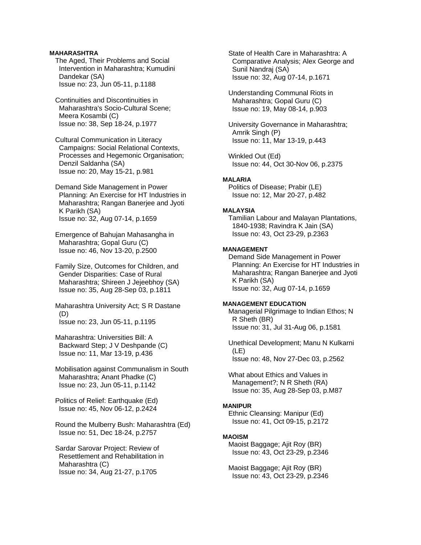## **MAHARASHTRA**

 The Aged, Their Problems and Social Intervention in Maharashtra; Kumudini Dandekar (SA) Issue no: 23, Jun 05-11, p.1188

 Continuities and Discontinuities in Maharashtra's Socio-Cultural Scene; Meera Kosambi (C) Issue no: 38, Sep 18-24, p.1977

 Cultural Communication in Literacy Campaigns: Social Relational Contexts, Processes and Hegemonic Organisation; Denzil Saldanha (SA) Issue no: 20, May 15-21, p.981

 Demand Side Management in Power Planning: An Exercise for HT Industries in Maharashtra; Rangan Banerjee and Jyoti K Parikh (SA) Issue no: 32, Aug 07-14, p.1659

 Emergence of Bahujan Mahasangha in Maharashtra; Gopal Guru (C) Issue no: 46, Nov 13-20, p.2500

 Family Size, Outcomes for Children, and Gender Disparities: Case of Rural Maharashtra; Shireen J Jejeebhoy (SA) Issue no: 35, Aug 28-Sep 03, p.1811

 Maharashtra University Act; S R Dastane (D) Issue no: 23, Jun 05-11, p.1195

 Maharashtra: Universities Bill: A Backward Step; J V Deshpande (C) Issue no: 11, Mar 13-19, p.436

 Mobilisation against Communalism in South Maharashtra; Anant Phadke (C) Issue no: 23, Jun 05-11, p.1142

 Politics of Relief: Earthquake (Ed) Issue no: 45, Nov 06-12, p.2424

 Round the Mulberry Bush: Maharashtra (Ed) Issue no: 51, Dec 18-24, p.2757

 Sardar Sarovar Project: Review of Resettlement and Rehabilitation in Maharashtra (C) Issue no: 34, Aug 21-27, p.1705

 State of Health Care in Maharashtra: A Comparative Analysis; Alex George and Sunil Nandraj (SA) Issue no: 32, Aug 07-14, p.1671

 Understanding Communal Riots in Maharashtra; Gopal Guru (C) Issue no: 19, May 08-14, p.903

 University Governance in Maharashtra; Amrik Singh (P) Issue no: 11, Mar 13-19, p.443

 Winkled Out (Ed) Issue no: 44, Oct 30-Nov 06, p.2375

### **MALARIA**

 Politics of Disease; Prabir (LE) Issue no: 12, Mar 20-27, p.482

#### **MALAYSIA**

 Tamilian Labour and Malayan Plantations, 1840-1938; Ravindra K Jain (SA) Issue no: 43, Oct 23-29, p.2363

# **MANAGEMENT**

 Demand Side Management in Power Planning: An Exercise for HT Industries in Maharashtra; Rangan Banerjee and Jyoti K Parikh (SA) Issue no: 32, Aug 07-14, p.1659

### **MANAGEMENT EDUCATION**

 Managerial Pilgrimage to Indian Ethos; N R Sheth (BR) Issue no: 31, Jul 31-Aug 06, p.1581

 Unethical Development; Manu N Kulkarni (LE) Issue no: 48, Nov 27-Dec 03, p.2562

 What about Ethics and Values in Management?; N R Sheth (RA) Issue no: 35, Aug 28-Sep 03, p.M87

#### **MANIPUR**

 Ethnic Cleansing: Manipur (Ed) Issue no: 41, Oct 09-15, p.2172

### **MAOISM**

 Maoist Baggage; Ajit Roy (BR) Issue no: 43, Oct 23-29, p.2346

 Maoist Baggage; Ajit Roy (BR) Issue no: 43, Oct 23-29, p.2346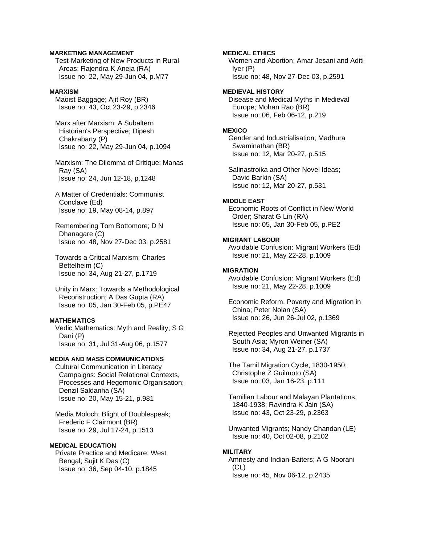## **MARKETING MANAGEMENT**

 Test-Marketing of New Products in Rural Areas; Rajendra K Aneja (RA) Issue no: 22, May 29-Jun 04, p.M77

## **MARXISM**

 Maoist Baggage; Ajit Roy (BR) Issue no: 43, Oct 23-29, p.2346

 Marx after Marxism: A Subaltern Historian's Perspective; Dipesh Chakrabarty (P) Issue no: 22, May 29-Jun 04, p.1094

 Marxism: The Dilemma of Critique; Manas Ray (SA) Issue no: 24, Jun 12-18, p.1248

 A Matter of Credentials: Communist Conclave (Ed) Issue no: 19, May 08-14, p.897

 Remembering Tom Bottomore; D N Dhanagare (C) Issue no: 48, Nov 27-Dec 03, p.2581

 Towards a Critical Marxism; Charles Bettelheim (C) Issue no: 34, Aug 21-27, p.1719

 Unity in Marx: Towards a Methodological Reconstruction; A Das Gupta (RA) Issue no: 05, Jan 30-Feb 05, p.PE47

#### **MATHEMATICS**

 Vedic Mathematics: Myth and Reality; S G Dani (P) Issue no: 31, Jul 31-Aug 06, p.1577

## **MEDIA AND MASS COMMUNICATIONS**

 Cultural Communication in Literacy Campaigns: Social Relational Contexts, Processes and Hegemonic Organisation; Denzil Saldanha (SA) Issue no: 20, May 15-21, p.981

 Media Moloch: Blight of Doublespeak; Frederic F Clairmont (BR) Issue no: 29, Jul 17-24, p.1513

## **MEDICAL EDUCATION**

 Private Practice and Medicare: West Bengal; Sujit K Das (C) Issue no: 36, Sep 04-10, p.1845

**MEDICAL ETHICS** 

 Women and Abortion; Amar Jesani and Aditi Iyer (P) Issue no: 48, Nov 27-Dec 03, p.2591

### **MEDIEVAL HISTORY**

 Disease and Medical Myths in Medieval Europe; Mohan Rao (BR) Issue no: 06, Feb 06-12, p.219

#### **MEXICO**

 Gender and Industrialisation; Madhura Swaminathan (BR) Issue no: 12, Mar 20-27, p.515

 Salinastroika and Other Novel Ideas; David Barkin (SA) Issue no: 12, Mar 20-27, p.531

### **MIDDLE EAST**

 Economic Roots of Conflict in New World Order; Sharat G Lin (RA) Issue no: 05, Jan 30-Feb 05, p.PE2

#### **MIGRANT LABOUR**

 Avoidable Confusion: Migrant Workers (Ed) Issue no: 21, May 22-28, p.1009

### **MIGRATION**

 Avoidable Confusion: Migrant Workers (Ed) Issue no: 21, May 22-28, p.1009

 Economic Reform, Poverty and Migration in China; Peter Nolan (SA) Issue no: 26, Jun 26-Jul 02, p.1369

 Rejected Peoples and Unwanted Migrants in South Asia; Myron Weiner (SA) Issue no: 34, Aug 21-27, p.1737

 The Tamil Migration Cycle, 1830-1950; Christophe Z Guilmoto (SA) Issue no: 03, Jan 16-23, p.111

 Tamilian Labour and Malayan Plantations, 1840-1938; Ravindra K Jain (SA) Issue no: 43, Oct 23-29, p.2363

 Unwanted Migrants; Nandy Chandan (LE) Issue no: 40, Oct 02-08, p.2102

#### **MILITARY**

 Amnesty and Indian-Baiters; A G Noorani (CL) Issue no: 45, Nov 06-12, p.2435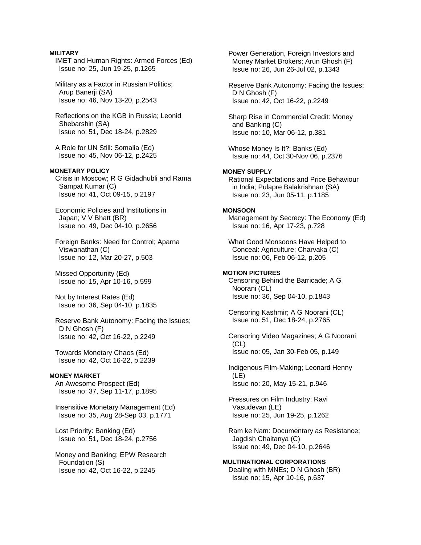## **MILITARY**

 IMET and Human Rights: Armed Forces (Ed) Issue no: 25, Jun 19-25, p.1265

 Military as a Factor in Russian Politics; Arup Banerji (SA) Issue no: 46, Nov 13-20, p.2543

 Reflections on the KGB in Russia; Leonid Shebarshin (SA) Issue no: 51, Dec 18-24, p.2829

 A Role for UN Still: Somalia (Ed) Issue no: 45, Nov 06-12, p.2425

## **MONETARY POLICY**

 Crisis in Moscow; R G Gidadhubli and Rama Sampat Kumar (C) Issue no: 41, Oct 09-15, p.2197

 Economic Policies and Institutions in Japan; V V Bhatt (BR) Issue no: 49, Dec 04-10, p.2656

 Foreign Banks: Need for Control; Aparna Viswanathan (C) Issue no: 12, Mar 20-27, p.503

 Missed Opportunity (Ed) Issue no: 15, Apr 10-16, p.599

 Not by Interest Rates (Ed) Issue no: 36, Sep 04-10, p.1835

 Reserve Bank Autonomy: Facing the Issues; D N Ghosh (F) Issue no: 42, Oct 16-22, p.2249

 Towards Monetary Chaos (Ed) Issue no: 42, Oct 16-22, p.2239

#### **MONEY MARKET**

 An Awesome Prospect (Ed) Issue no: 37, Sep 11-17, p.1895

 Insensitive Monetary Management (Ed) Issue no: 35, Aug 28-Sep 03, p.1771

 Lost Priority: Banking (Ed) Issue no: 51, Dec 18-24, p.2756

 Money and Banking; EPW Research Foundation (S) Issue no: 42, Oct 16-22, p.2245

 Power Generation, Foreign Investors and Money Market Brokers; Arun Ghosh (F) Issue no: 26, Jun 26-Jul 02, p.1343

 Reserve Bank Autonomy: Facing the Issues; D N Ghosh (F) Issue no: 42, Oct 16-22, p.2249

 Sharp Rise in Commercial Credit: Money and Banking (C) Issue no: 10, Mar 06-12, p.381

 Whose Money Is It?: Banks (Ed) Issue no: 44, Oct 30-Nov 06, p.2376

## **MONEY SUPPLY**

 Rational Expectations and Price Behaviour in India; Pulapre Balakrishnan (SA) Issue no: 23, Jun 05-11, p.1185

#### **MONSOON**

 Management by Secrecy: The Economy (Ed) Issue no: 16, Apr 17-23, p.728

 What Good Monsoons Have Helped to Conceal: Agriculture; Charvaka (C) Issue no: 06, Feb 06-12, p.205

#### **MOTION PICTURES**

 Censoring Behind the Barricade; A G Noorani (CL) Issue no: 36, Sep 04-10, p.1843

 Censoring Kashmir; A G Noorani (CL) Issue no: 51, Dec 18-24, p.2765

 Censoring Video Magazines; A G Noorani (CL) Issue no: 05, Jan 30-Feb 05, p.149

 Indigenous Film-Making; Leonard Henny (LE) Issue no: 20, May 15-21, p.946

 Pressures on Film Industry; Ravi Vasudevan (LE) Issue no: 25, Jun 19-25, p.1262

 Ram ke Nam: Documentary as Resistance; Jagdish Chaitanya (C) Issue no: 49, Dec 04-10, p.2646

# **MULTINATIONAL CORPORATIONS**  Dealing with MNEs; D N Ghosh (BR)

Issue no: 15, Apr 10-16, p.637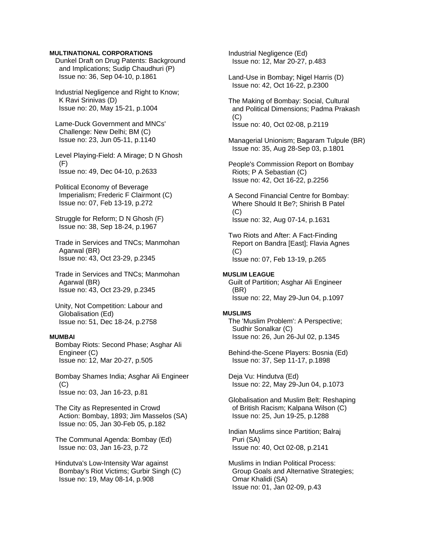### **MULTINATIONAL CORPORATIONS**

 Dunkel Draft on Drug Patents: Background and Implications; Sudip Chaudhuri (P) Issue no: 36, Sep 04-10, p.1861

 Industrial Negligence and Right to Know; K Ravi Srinivas (D) Issue no: 20, May 15-21, p.1004

 Lame-Duck Government and MNCs' Challenge: New Delhi; BM (C) Issue no: 23, Jun 05-11, p.1140

 Level Playing-Field: A Mirage; D N Ghosh (F) Issue no: 49, Dec 04-10, p.2633

 Political Economy of Beverage Imperialism; Frederic F Clairmont (C) Issue no: 07, Feb 13-19, p.272

 Struggle for Reform; D N Ghosh (F) Issue no: 38, Sep 18-24, p.1967

 Trade in Services and TNCs; Manmohan Agarwal (BR) Issue no: 43, Oct 23-29, p.2345

 Trade in Services and TNCs; Manmohan Agarwal (BR) Issue no: 43, Oct 23-29, p.2345

 Unity, Not Competition: Labour and Globalisation (Ed) Issue no: 51, Dec 18-24, p.2758

# **MUMBAI**

 Bombay Riots: Second Phase; Asghar Ali Engineer (C) Issue no: 12, Mar 20-27, p.505

 Bombay Shames India; Asghar Ali Engineer (C) Issue no: 03, Jan 16-23, p.81

 The City as Represented in Crowd Action: Bombay, 1893; Jim Masselos (SA) Issue no: 05, Jan 30-Feb 05, p.182

 The Communal Agenda: Bombay (Ed) Issue no: 03, Jan 16-23, p.72

 Hindutva's Low-Intensity War against Bombay's Riot Victims; Gurbir Singh (C) Issue no: 19, May 08-14, p.908

 Industrial Negligence (Ed) Issue no: 12, Mar 20-27, p.483

 Land-Use in Bombay; Nigel Harris (D) Issue no: 42, Oct 16-22, p.2300

 The Making of Bombay: Social, Cultural and Political Dimensions; Padma Prakash  $(C)$ Issue no: 40, Oct 02-08, p.2119

 Managerial Unionism; Bagaram Tulpule (BR) Issue no: 35, Aug 28-Sep 03, p.1801

 People's Commission Report on Bombay Riots; P A Sebastian (C) Issue no: 42, Oct 16-22, p.2256

 A Second Financial Centre for Bombay: Where Should It Be?; Shirish B Patel  $(C)$ Issue no: 32, Aug 07-14, p.1631

 Two Riots and After: A Fact-Finding Report on Bandra [East]; Flavia Agnes (C) Issue no: 07, Feb 13-19, p.265

#### **MUSLIM LEAGUE**

 Guilt of Partition; Asghar Ali Engineer (BR) Issue no: 22, May 29-Jun 04, p.1097

#### **MUSLIMS**

 The 'Muslim Problem': A Perspective; Sudhir Sonalkar (C) Issue no: 26, Jun 26-Jul 02, p.1345

 Behind-the-Scene Players: Bosnia (Ed) Issue no: 37, Sep 11-17, p.1898

 Deja Vu: Hindutva (Ed) Issue no: 22, May 29-Jun 04, p.1073

 Globalisation and Muslim Belt: Reshaping of British Racism; Kalpana Wilson (C) Issue no: 25, Jun 19-25, p.1288

 Indian Muslims since Partition; Balraj Puri (SA) Issue no: 40, Oct 02-08, p.2141

 Muslims in Indian Political Process: Group Goals and Alternative Strategies; Omar Khalidi (SA) Issue no: 01, Jan 02-09, p.43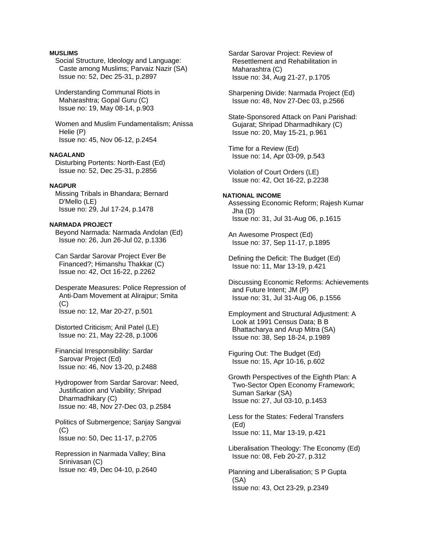## **MUSLIMS**

 Social Structure, Ideology and Language: Caste among Muslims; Parvaiz Nazir (SA) Issue no: 52, Dec 25-31, p.2897

 Understanding Communal Riots in Maharashtra; Gopal Guru (C) Issue no: 19, May 08-14, p.903

 Women and Muslim Fundamentalism; Anissa Helie (P) Issue no: 45, Nov 06-12, p.2454

# **NAGALAND**

 Disturbing Portents: North-East (Ed) Issue no: 52, Dec 25-31, p.2856

### **NAGPUR**

 Missing Tribals in Bhandara; Bernard D'Mello (LE) Issue no: 29, Jul 17-24, p.1478

# **NARMADA PROJECT**

 Beyond Narmada: Narmada Andolan (Ed) Issue no: 26, Jun 26-Jul 02, p.1336

 Can Sardar Sarovar Project Ever Be Financed?; Himanshu Thakkar (C) Issue no: 42, Oct 16-22, p.2262

 Desperate Measures: Police Repression of Anti-Dam Movement at Alirajpur; Smita  $(C)$ Issue no: 12, Mar 20-27, p.501

 Distorted Criticism; Anil Patel (LE) Issue no: 21, May 22-28, p.1006

 Financial Irresponsibility: Sardar Sarovar Project (Ed) Issue no: 46, Nov 13-20, p.2488

 Hydropower from Sardar Sarovar: Need, Justification and Viability; Shripad Dharmadhikary (C) Issue no: 48, Nov 27-Dec 03, p.2584

 Politics of Submergence; Sanjay Sangvai (C) Issue no: 50, Dec 11-17, p.2705

 Repression in Narmada Valley; Bina Srinivasan (C) Issue no: 49, Dec 04-10, p.2640

 Sardar Sarovar Project: Review of Resettlement and Rehabilitation in Maharashtra (C) Issue no: 34, Aug 21-27, p.1705

 Sharpening Divide: Narmada Project (Ed) Issue no: 48, Nov 27-Dec 03, p.2566

 State-Sponsored Attack on Pani Parishad: Gujarat; Shripad Dharmadhikary (C) Issue no: 20, May 15-21, p.961

 Time for a Review (Ed) Issue no: 14, Apr 03-09, p.543

 Violation of Court Orders (LE) Issue no: 42, Oct 16-22, p.2238

#### **NATIONAL INCOME**  Assessing Economic Reform; Rajesh Kumar Jha (D)

Issue no: 31, Jul 31-Aug 06, p.1615

 An Awesome Prospect (Ed) Issue no: 37, Sep 11-17, p.1895

 Defining the Deficit: The Budget (Ed) Issue no: 11, Mar 13-19, p.421

 Discussing Economic Reforms: Achievements and Future Intent; JM (P) Issue no: 31, Jul 31-Aug 06, p.1556

 Employment and Structural Adjustment: A Look at 1991 Census Data; B B Bhattacharya and Arup Mitra (SA) Issue no: 38, Sep 18-24, p.1989

 Figuring Out: The Budget (Ed) Issue no: 15, Apr 10-16, p.602

 Growth Perspectives of the Eighth Plan: A Two-Sector Open Economy Framework; Suman Sarkar (SA) Issue no: 27, Jul 03-10, p.1453

 Less for the States: Federal Transfers (Ed) Issue no: 11, Mar 13-19, p.421

 Liberalisation Theology: The Economy (Ed) Issue no: 08, Feb 20-27, p.312

 Planning and Liberalisation; S P Gupta (SA) Issue no: 43, Oct 23-29, p.2349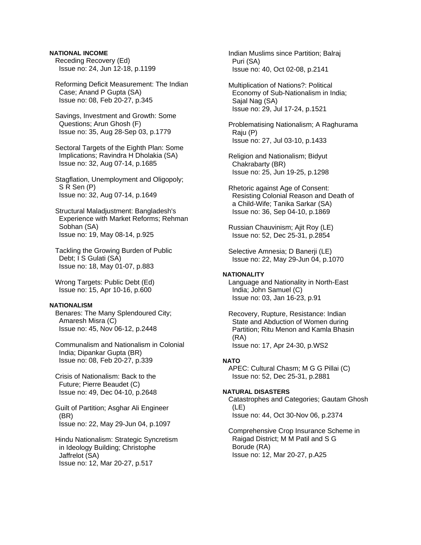# **NATIONAL INCOME**

 Receding Recovery (Ed) Issue no: 24, Jun 12-18, p.1199

 Reforming Deficit Measurement: The Indian Case; Anand P Gupta (SA) Issue no: 08, Feb 20-27, p.345

 Savings, Investment and Growth: Some Questions; Arun Ghosh (F) Issue no: 35, Aug 28-Sep 03, p.1779

 Sectoral Targets of the Eighth Plan: Some Implications; Ravindra H Dholakia (SA) Issue no: 32, Aug 07-14, p.1685

 Stagflation, Unemployment and Oligopoly; S R Sen (P) Issue no: 32, Aug 07-14, p.1649

 Structural Maladjustment: Bangladesh's Experience with Market Reforms; Rehman Sobhan (SA) Issue no: 19, May 08-14, p.925

 Tackling the Growing Burden of Public Debt; I S Gulati (SA) Issue no: 18, May 01-07, p.883

 Wrong Targets: Public Debt (Ed) Issue no: 15, Apr 10-16, p.600

### **NATIONALISM**

 Benares: The Many Splendoured City; Amaresh Misra (C) Issue no: 45, Nov 06-12, p.2448

 Communalism and Nationalism in Colonial India; Dipankar Gupta (BR) Issue no: 08, Feb 20-27, p.339

 Crisis of Nationalism: Back to the Future; Pierre Beaudet (C) Issue no: 49, Dec 04-10, p.2648

 Guilt of Partition; Asghar Ali Engineer (BR) Issue no: 22, May 29-Jun 04, p.1097

 Hindu Nationalism: Strategic Syncretism in Ideology Building; Christophe Jaffrelot (SA) Issue no: 12, Mar 20-27, p.517

 Indian Muslims since Partition; Balraj Puri (SA) Issue no: 40, Oct 02-08, p.2141

 Multiplication of Nations?: Political Economy of Sub-Nationalism in India; Sajal Nag (SA) Issue no: 29, Jul 17-24, p.1521

 Problematising Nationalism; A Raghurama Raju (P) Issue no: 27, Jul 03-10, p.1433

 Religion and Nationalism; Bidyut Chakrabarty (BR) Issue no: 25, Jun 19-25, p.1298

 Rhetoric against Age of Consent: Resisting Colonial Reason and Death of a Child-Wife; Tanika Sarkar (SA) Issue no: 36, Sep 04-10, p.1869

 Russian Chauvinism; Ajit Roy (LE) Issue no: 52, Dec 25-31, p.2854

 Selective Amnesia; D Banerji (LE) Issue no: 22, May 29-Jun 04, p.1070

### **NATIONALITY**

 Language and Nationality in North-East India; John Samuel (C) Issue no: 03, Jan 16-23, p.91

 Recovery, Rupture, Resistance: Indian State and Abduction of Women during Partition; Ritu Menon and Kamla Bhasin (RA) Issue no: 17, Apr 24-30, p.WS2

### **NATO**

 APEC: Cultural Chasm; M G G Pillai (C) Issue no: 52, Dec 25-31, p.2881

#### **NATURAL DISASTERS**

 Catastrophes and Categories; Gautam Ghosh (LE) Issue no: 44, Oct 30-Nov 06, p.2374

 Comprehensive Crop Insurance Scheme in Raigad District; M M Patil and S G Borude (RA) Issue no: 12, Mar 20-27, p.A25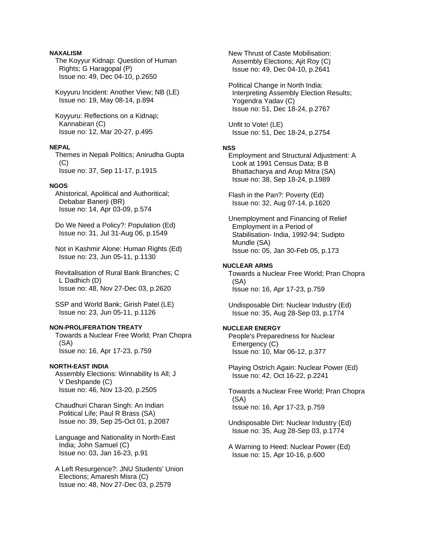# **NAXALISM**

 The Koyyur Kidnap: Question of Human Rights; G Haragopal (P) Issue no: 49, Dec 04-10, p.2650

 Koyyuru Incident: Another View; NB (LE) Issue no: 19, May 08-14, p.894

 Koyyuru: Reflections on a Kidnap; Kannabiran (C) Issue no: 12, Mar 20-27, p.495

## **NEPAL**

 Themes in Nepali Politics; Anirudha Gupta (C) Issue no: 37, Sep 11-17, p.1915

## **NGOS**

 Ahistorical, Apolitical and Authoritical; Debabar Banerji (BR) Issue no: 14, Apr 03-09, p.574

 Do We Need a Policy?: Population (Ed) Issue no: 31, Jul 31-Aug 06, p.1549

 Not in Kashmir Alone: Human Rights (Ed) Issue no: 23, Jun 05-11, p.1130

 Revitalisation of Rural Bank Branches; C L Dadhich (D) Issue no: 48, Nov 27-Dec 03, p.2620

 SSP and World Bank; Girish Patel (LE) Issue no: 23, Jun 05-11, p.1126

# **NON-PROLIFERATION TREATY**

 Towards a Nuclear Free World; Pran Chopra (SA) Issue no: 16, Apr 17-23, p.759

#### **NORTH-EAST INDIA**

 Assembly Elections: Winnability Is All; J V Deshpande (C) Issue no: 46, Nov 13-20, p.2505

 Chaudhuri Charan Singh: An Indian Political Life; Paul R Brass (SA) Issue no: 39, Sep 25-Oct 01, p.2087

 Language and Nationality in North-East India; John Samuel (C) Issue no: 03, Jan 16-23, p.91

 A Left Resurgence?: JNU Students' Union Elections; Amaresh Misra (C) Issue no: 48, Nov 27-Dec 03, p.2579

 New Thrust of Caste Mobilisation: Assembly Elections; Ajit Roy (C) Issue no: 49, Dec 04-10, p.2641

 Political Change in North India: Interpreting Assembly Election Results; Yogendra Yadav (C) Issue no: 51, Dec 18-24, p.2767

 Unfit to Vote! (LE) Issue no: 51, Dec 18-24, p.2754

# **NSS**

 Employment and Structural Adjustment: A Look at 1991 Census Data; B B Bhattacharya and Arup Mitra (SA) Issue no: 38, Sep 18-24, p.1989

 Flash in the Pan?: Poverty (Ed) Issue no: 32, Aug 07-14, p.1620

 Unemployment and Financing of Relief Employment in a Period of Stabilisation- India, 1992-94; Sudipto Mundle (SA) Issue no: 05, Jan 30-Feb 05, p.173

# **NUCLEAR ARMS**

 Towards a Nuclear Free World; Pran Chopra (SA) Issue no: 16, Apr 17-23, p.759

 Undisposable Dirt: Nuclear Industry (Ed) Issue no: 35, Aug 28-Sep 03, p.1774

### **NUCLEAR ENERGY**

 People's Preparedness for Nuclear Emergency (C) Issue no: 10, Mar 06-12, p.377

 Playing Ostrich Again: Nuclear Power (Ed) Issue no: 42, Oct 16-22, p.2241

 Towards a Nuclear Free World; Pran Chopra (SA) Issue no: 16, Apr 17-23, p.759

 Undisposable Dirt: Nuclear Industry (Ed) Issue no: 35, Aug 28-Sep 03, p.1774

 A Warning to Heed: Nuclear Power (Ed) Issue no: 15, Apr 10-16, p.600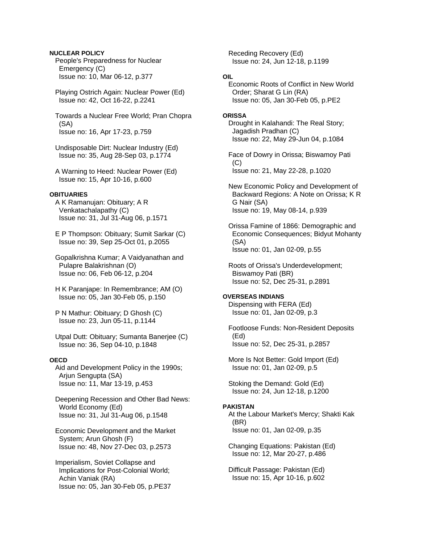# **NUCLEAR POLICY**

 People's Preparedness for Nuclear Emergency (C) Issue no: 10, Mar 06-12, p.377

 Playing Ostrich Again: Nuclear Power (Ed) Issue no: 42, Oct 16-22, p.2241

 Towards a Nuclear Free World; Pran Chopra (SA) Issue no: 16, Apr 17-23, p.759

 Undisposable Dirt: Nuclear Industry (Ed) Issue no: 35, Aug 28-Sep 03, p.1774

 A Warning to Heed: Nuclear Power (Ed) Issue no: 15, Apr 10-16, p.600

## **OBITUARIES**

 A K Ramanujan: Obituary; A R Venkatachalapathy (C) Issue no: 31, Jul 31-Aug 06, p.1571

 E P Thompson: Obituary; Sumit Sarkar (C) Issue no: 39, Sep 25-Oct 01, p.2055

 Gopalkrishna Kumar; A Vaidyanathan and Pulapre Balakrishnan (O) Issue no: 06, Feb 06-12, p.204

 H K Paranjape: In Remembrance; AM (O) Issue no: 05, Jan 30-Feb 05, p.150

 P N Mathur: Obituary; D Ghosh (C) Issue no: 23, Jun 05-11, p.1144

 Utpal Dutt: Obituary; Sumanta Banerjee (C) Issue no: 36, Sep 04-10, p.1848

# **OECD**

 Aid and Development Policy in the 1990s; Arjun Sengupta (SA) Issue no: 11, Mar 13-19, p.453

 Deepening Recession and Other Bad News: World Economy (Ed) Issue no: 31, Jul 31-Aug 06, p.1548

 Economic Development and the Market System; Arun Ghosh (F) Issue no: 48, Nov 27-Dec 03, p.2573

 Imperialism, Soviet Collapse and Implications for Post-Colonial World; Achin Vaniak (RA) Issue no: 05, Jan 30-Feb 05, p.PE37  Receding Recovery (Ed) Issue no: 24, Jun 12-18, p.1199

# **OIL**

 Economic Roots of Conflict in New World Order; Sharat G Lin (RA) Issue no: 05, Jan 30-Feb 05, p.PE2

#### **ORISSA**

 Drought in Kalahandi: The Real Story; Jagadish Pradhan (C) Issue no: 22, May 29-Jun 04, p.1084

 Face of Dowry in Orissa; Biswamoy Pati (C) Issue no: 21, May 22-28, p.1020

 New Economic Policy and Development of Backward Regions: A Note on Orissa; K R G Nair (SA) Issue no: 19, May 08-14, p.939

 Orissa Famine of 1866: Demographic and Economic Consequences; Bidyut Mohanty (SA) Issue no: 01, Jan 02-09, p.55

 Roots of Orissa's Underdevelopment; Biswamoy Pati (BR) Issue no: 52, Dec 25-31, p.2891

# **OVERSEAS INDIANS**

 Dispensing with FERA (Ed) Issue no: 01, Jan 02-09, p.3

 Footloose Funds: Non-Resident Deposits (Ed) Issue no: 52, Dec 25-31, p.2857

 More Is Not Better: Gold Import (Ed) Issue no: 01, Jan 02-09, p.5

 Stoking the Demand: Gold (Ed) Issue no: 24, Jun 12-18, p.1200

# **PAKISTAN**

 At the Labour Market's Mercy; Shakti Kak (BR) Issue no: 01, Jan 02-09, p.35

 Changing Equations: Pakistan (Ed) Issue no: 12, Mar 20-27, p.486

 Difficult Passage: Pakistan (Ed) Issue no: 15, Apr 10-16, p.602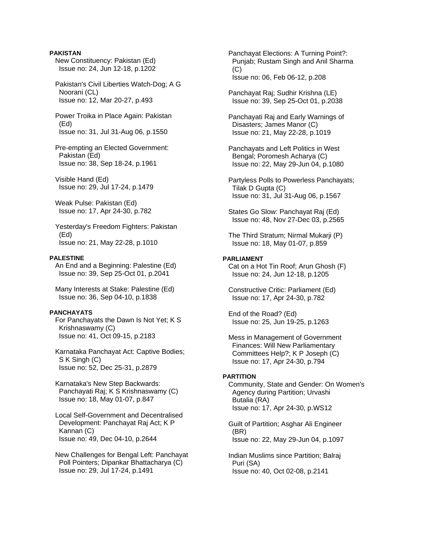## **PAKISTAN**

 New Constituency: Pakistan (Ed) Issue no: 24, Jun 12-18, p.1202

 Pakistan's Civil Liberties Watch-Dog; A G Noorani (CL) Issue no: 12, Mar 20-27, p.493

 Power Troika in Place Again: Pakistan (Ed) Issue no: 31, Jul 31-Aug 06, p.1550

 Pre-empting an Elected Government: Pakistan (Ed) Issue no: 38, Sep 18-24, p.1961

 Visible Hand (Ed) Issue no: 29, Jul 17-24, p.1479

 Weak Pulse: Pakistan (Ed) Issue no: 17, Apr 24-30, p.782

 Yesterday's Freedom Fighters: Pakistan (Ed) Issue no: 21, May 22-28, p.1010

#### **PALESTINE**

 An End and a Beginning: Palestine (Ed) Issue no: 39, Sep 25-Oct 01, p.2041

 Many Interests at Stake: Palestine (Ed) Issue no: 36, Sep 04-10, p.1838

#### **PANCHAYATS**

 For Panchayats the Dawn Is Not Yet; K S Krishnaswamy (C) Issue no: 41, Oct 09-15, p.2183

 Karnataka Panchayat Act: Captive Bodies; S K Singh (C) Issue no: 52, Dec 25-31, p.2879

 Karnataka's New Step Backwards: Panchayati Raj; K S Krishnaswamy (C) Issue no: 18, May 01-07, p.847

 Local Self-Government and Decentralised Development: Panchayat Raj Act; K P Kannan (C) Issue no: 49, Dec 04-10, p.2644

 New Challenges for Bengal Left: Panchayat Poll Pointers; Dipankar Bhattacharya (C) Issue no: 29, Jul 17-24, p.1491

 Panchayat Elections: A Turning Point?: Punjab; Rustam Singh and Anil Sharma (C) Issue no: 06, Feb 06-12, p.208

 Panchayat Raj; Sudhir Krishna (LE) Issue no: 39, Sep 25-Oct 01, p.2038

 Panchayati Raj and Early Warnings of Disasters; James Manor (C) Issue no: 21, May 22-28, p.1019

 Panchayats and Left Politics in West Bengal; Poromesh Acharya (C) Issue no: 22, May 29-Jun 04, p.1080

 Partyless Polls to Powerless Panchayats; Tilak D Gupta (C) Issue no: 31, Jul 31-Aug 06, p.1567

 States Go Slow: Panchayat Raj (Ed) Issue no: 48, Nov 27-Dec 03, p.2565

 The Third Stratum; Nirmal Mukarji (P) Issue no: 18, May 01-07, p.859

## **PARLIAMENT**

 Cat on a Hot Tin Roof; Arun Ghosh (F) Issue no: 24, Jun 12-18, p.1205

 Constructive Critic: Parliament (Ed) Issue no: 17, Apr 24-30, p.782

 End of the Road? (Ed) Issue no: 25, Jun 19-25, p.1263

 Mess in Management of Government Finances: Will New Parliamentary Committees Help?; K P Joseph (C) Issue no: 17, Apr 24-30, p.794

#### **PARTITION**

 Community, State and Gender: On Women's Agency during Partition; Urvashi Butalia (RA) Issue no: 17, Apr 24-30, p.WS12

 Guilt of Partition; Asghar Ali Engineer (BR) Issue no: 22, May 29-Jun 04, p.1097

 Indian Muslims since Partition; Balraj Puri (SA) Issue no: 40, Oct 02-08, p.2141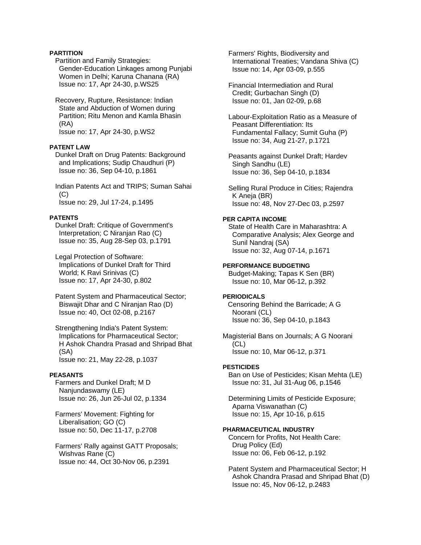# **PARTITION**

 Partition and Family Strategies: Gender-Education Linkages among Punjabi Women in Delhi; Karuna Chanana (RA) Issue no: 17, Apr 24-30, p.WS25

 Recovery, Rupture, Resistance: Indian State and Abduction of Women during Partition; Ritu Menon and Kamla Bhasin (RA) Issue no: 17, Apr 24-30, p.WS2

#### **PATENT LAW**

 Dunkel Draft on Drug Patents: Background and Implications; Sudip Chaudhuri (P) Issue no: 36, Sep 04-10, p.1861

 Indian Patents Act and TRIPS; Suman Sahai  $(C)$ Issue no: 29, Jul 17-24, p.1495

### **PATENTS**

 Dunkel Draft: Critique of Government's Interpretation; C Niranjan Rao (C) Issue no: 35, Aug 28-Sep 03, p.1791

 Legal Protection of Software: Implications of Dunkel Draft for Third World; K Ravi Srinivas (C) Issue no: 17, Apr 24-30, p.802

 Patent System and Pharmaceutical Sector; Biswajit Dhar and C Niranjan Rao (D) Issue no: 40, Oct 02-08, p.2167

 Strengthening India's Patent System: Implications for Pharmaceutical Sector; H Ashok Chandra Prasad and Shripad Bhat (SA) Issue no: 21, May 22-28, p.1037

## **PEASANTS**

 Farmers and Dunkel Draft; M D Nanjundaswamy (LE) Issue no: 26, Jun 26-Jul 02, p.1334

 Farmers' Movement: Fighting for Liberalisation; GO (C) Issue no: 50, Dec 11-17, p.2708

 Farmers' Rally against GATT Proposals; Wishvas Rane (C) Issue no: 44, Oct 30-Nov 06, p.2391

 Farmers' Rights, Biodiversity and International Treaties; Vandana Shiva (C) Issue no: 14, Apr 03-09, p.555

 Financial Intermediation and Rural Credit; Gurbachan Singh (D) Issue no: 01, Jan 02-09, p.68

 Labour-Exploitation Ratio as a Measure of Peasant Differentiation: Its Fundamental Fallacy; Sumit Guha (P) Issue no: 34, Aug 21-27, p.1721

 Peasants against Dunkel Draft; Hardev Singh Sandhu (LE) Issue no: 36, Sep 04-10, p.1834

 Selling Rural Produce in Cities; Rajendra K Aneja (BR) Issue no: 48, Nov 27-Dec 03, p.2597

# **PER CAPITA INCOME**

 State of Health Care in Maharashtra: A Comparative Analysis; Alex George and Sunil Nandraj (SA) Issue no: 32, Aug 07-14, p.1671

# **PERFORMANCE BUDGETING**

 Budget-Making; Tapas K Sen (BR) Issue no: 10, Mar 06-12, p.392

# **PERIODICALS**

Censoring Behind the Barricade; A G Noorani (CL) Issue no: 36, Sep 04-10, p.1843

Magisterial Bans on Journals; A G Noorani (CL) Issue no: 10, Mar 06-12, p.371

## **PESTICIDES**

 Ban on Use of Pesticides; Kisan Mehta (LE) Issue no: 31, Jul 31-Aug 06, p.1546

 Determining Limits of Pesticide Exposure; Aparna Viswanathan (C) Issue no: 15, Apr 10-16, p.615

## **PHARMACEUTICAL INDUSTRY**

 Concern for Profits, Not Health Care: Drug Policy (Ed) Issue no: 06, Feb 06-12, p.192

 Patent System and Pharmaceutical Sector; H Ashok Chandra Prasad and Shripad Bhat (D) Issue no: 45, Nov 06-12, p.2483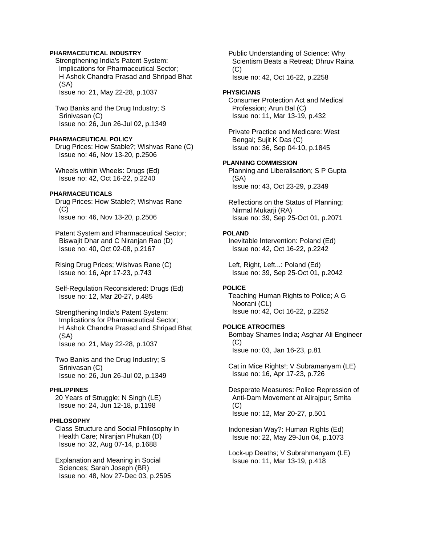## **PHARMACEUTICAL INDUSTRY**

 Strengthening India's Patent System: Implications for Pharmaceutical Sector; H Ashok Chandra Prasad and Shripad Bhat (SA)

Issue no: 21, May 22-28, p.1037

 Two Banks and the Drug Industry; S Srinivasan (C) Issue no: 26, Jun 26-Jul 02, p.1349

# **PHARMACEUTICAL POLICY**

 Drug Prices: How Stable?; Wishvas Rane (C) Issue no: 46, Nov 13-20, p.2506

 Wheels within Wheels: Drugs (Ed) Issue no: 42, Oct 16-22, p.2240

#### **PHARMACEUTICALS**

 Drug Prices: How Stable?; Wishvas Rane  $(C)$ Issue no: 46, Nov 13-20, p.2506

 Patent System and Pharmaceutical Sector; Biswajit Dhar and C Niranjan Rao (D) Issue no: 40, Oct 02-08, p.2167

 Rising Drug Prices; Wishvas Rane (C) Issue no: 16, Apr 17-23, p.743

 Self-Regulation Reconsidered: Drugs (Ed) Issue no: 12, Mar 20-27, p.485

 Strengthening India's Patent System: Implications for Pharmaceutical Sector; H Ashok Chandra Prasad and Shripad Bhat (SA) Issue no: 21, May 22-28, p.1037

 Two Banks and the Drug Industry; S Srinivasan (C) Issue no: 26, Jun 26-Jul 02, p.1349

### **PHILIPPINES**

 20 Years of Struggle; N Singh (LE) Issue no: 24, Jun 12-18, p.1198

#### **PHILOSOPHY**

 Class Structure and Social Philosophy in Health Care; Niranjan Phukan (D) Issue no: 32, Aug 07-14, p.1688

 Explanation and Meaning in Social Sciences; Sarah Joseph (BR) Issue no: 48, Nov 27-Dec 03, p.2595  Public Understanding of Science: Why Scientism Beats a Retreat; Dhruv Raina  $(C)$ Issue no: 42, Oct 16-22, p.2258

#### **PHYSICIANS**

 Consumer Protection Act and Medical Profession; Arun Bal (C) Issue no: 11, Mar 13-19, p.432

 Private Practice and Medicare: West Bengal; Sujit K Das (C) Issue no: 36, Sep 04-10, p.1845

# **PLANNING COMMISSION**

 Planning and Liberalisation; S P Gupta (SA) Issue no: 43, Oct 23-29, p.2349

 Reflections on the Status of Planning; Nirmal Mukarji (RA) Issue no: 39, Sep 25-Oct 01, p.2071

### **POLAND**

 Inevitable Intervention: Poland (Ed) Issue no: 42, Oct 16-22, p.2242

 Left, Right, Left...: Poland (Ed) Issue no: 39, Sep 25-Oct 01, p.2042

# **POLICE**

 Teaching Human Rights to Police; A G Noorani (CL) Issue no: 42, Oct 16-22, p.2252

#### **POLICE ATROCITIES**

 Bombay Shames India; Asghar Ali Engineer (C) Issue no: 03, Jan 16-23, p.81

 Cat in Mice Rights!; V Subramanyam (LE) Issue no: 16, Apr 17-23, p.726

 Desperate Measures: Police Repression of Anti-Dam Movement at Alirajpur; Smita (C) Issue no: 12, Mar 20-27, p.501

 Indonesian Way?: Human Rights (Ed) Issue no: 22, May 29-Jun 04, p.1073

 Lock-up Deaths; V Subrahmanyam (LE) Issue no: 11, Mar 13-19, p.418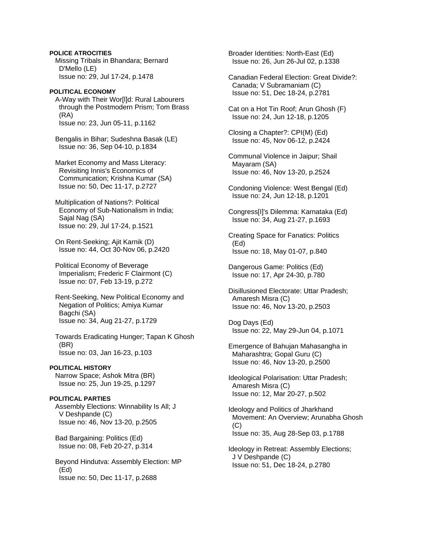**POLICE ATROCITIES**  Missing Tribals in Bhandara; Bernard D'Mello (LE) Issue no: 29, Jul 17-24, p.1478

**POLITICAL ECONOMY**  A-Way with Their Wor[l]d: Rural Labourers through the Postmodern Prism; Tom Brass (RA) Issue no: 23, Jun 05-11, p.1162

 Bengalis in Bihar; Sudeshna Basak (LE) Issue no: 36, Sep 04-10, p.1834

 Market Economy and Mass Literacy: Revisiting Innis's Economics of Communication; Krishna Kumar (SA) Issue no: 50, Dec 11-17, p.2727

 Multiplication of Nations?: Political Economy of Sub-Nationalism in India; Sajal Nag (SA) Issue no: 29, Jul 17-24, p.1521

 On Rent-Seeking; Ajit Karnik (D) Issue no: 44, Oct 30-Nov 06, p.2420

 Political Economy of Beverage Imperialism; Frederic F Clairmont (C) Issue no: 07, Feb 13-19, p.272

 Rent-Seeking, New Political Economy and Negation of Politics; Amiya Kumar Bagchi (SA) Issue no: 34, Aug 21-27, p.1729

 Towards Eradicating Hunger; Tapan K Ghosh (BR) Issue no: 03, Jan 16-23, p.103

## **POLITICAL HISTORY**

 Narrow Space; Ashok Mitra (BR) Issue no: 25, Jun 19-25, p.1297

# **POLITICAL PARTIES**

 Assembly Elections: Winnability Is All; J V Deshpande (C) Issue no: 46, Nov 13-20, p.2505

 Bad Bargaining: Politics (Ed) Issue no: 08, Feb 20-27, p.314

 Beyond Hindutva: Assembly Election: MP (Ed) Issue no: 50, Dec 11-17, p.2688

 Broader Identities: North-East (Ed) Issue no: 26, Jun 26-Jul 02, p.1338

 Canadian Federal Election: Great Divide?: Canada; V Subramaniam (C) Issue no: 51, Dec 18-24, p.2781

 Cat on a Hot Tin Roof; Arun Ghosh (F) Issue no: 24, Jun 12-18, p.1205

 Closing a Chapter?: CPI(M) (Ed) Issue no: 45, Nov 06-12, p.2424

 Communal Violence in Jaipur; Shail Mayaram (SA) Issue no: 46, Nov 13-20, p.2524

 Condoning Violence: West Bengal (Ed) Issue no: 24, Jun 12-18, p.1201

 Congress[I]'s Dilemma: Karnataka (Ed) Issue no: 34, Aug 21-27, p.1693

 Creating Space for Fanatics: Politics (Ed) Issue no: 18, May 01-07, p.840

 Dangerous Game: Politics (Ed) Issue no: 17, Apr 24-30, p.780

 Disillusioned Electorate: Uttar Pradesh; Amaresh Misra (C) Issue no: 46, Nov 13-20, p.2503

 Dog Days (Ed) Issue no: 22, May 29-Jun 04, p.1071

 Emergence of Bahujan Mahasangha in Maharashtra; Gopal Guru (C) Issue no: 46, Nov 13-20, p.2500

 Ideological Polarisation: Uttar Pradesh; Amaresh Misra (C) Issue no: 12, Mar 20-27, p.502

 Ideology and Politics of Jharkhand Movement: An Overview; Arunabha Ghosh  $(C)$ Issue no: 35, Aug 28-Sep 03, p.1788

 Ideology in Retreat: Assembly Elections; J V Deshpande (C) Issue no: 51, Dec 18-24, p.2780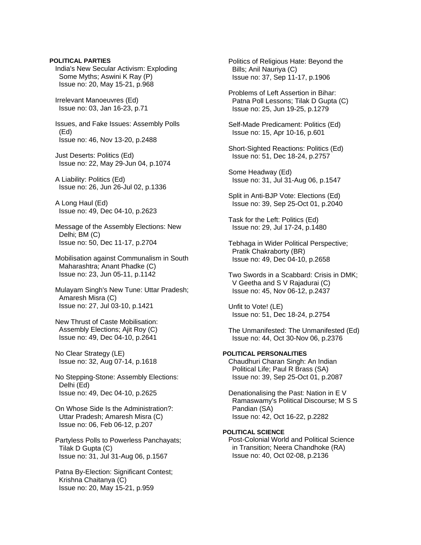**POLITICAL PARTIES**  India's New Secular Activism: Exploding Some Myths; Aswini K Ray (P) Issue no: 20, May 15-21, p.968 Irrelevant Manoeuvres (Ed) Issue no: 03, Jan 16-23, p.71 Issues, and Fake Issues: Assembly Polls (Ed) Issue no: 46, Nov 13-20, p.2488 Just Deserts: Politics (Ed) Issue no: 22, May 29-Jun 04, p.1074 A Liability: Politics (Ed) Issue no: 26, Jun 26-Jul 02, p.1336 A Long Haul (Ed) Issue no: 49, Dec 04-10, p.2623 Message of the Assembly Elections: New Delhi; BM (C) Issue no: 50, Dec 11-17, p.2704 Mobilisation against Communalism in South Maharashtra; Anant Phadke (C) Issue no: 23, Jun 05-11, p.1142 Mulayam Singh's New Tune: Uttar Pradesh; Amaresh Misra (C) Issue no: 27, Jul 03-10, p.1421 New Thrust of Caste Mobilisation: Assembly Elections; Ajit Roy (C) Issue no: 49, Dec 04-10, p.2641 No Clear Strategy (LE) Issue no: 32, Aug 07-14, p.1618 No Stepping-Stone: Assembly Elections: Delhi (Ed) Issue no: 49, Dec 04-10, p.2625 On Whose Side Is the Administration?: Uttar Pradesh; Amaresh Misra (C) Issue no: 06, Feb 06-12, p.207 Partyless Polls to Powerless Panchayats; Tilak D Gupta (C) Issue no: 31, Jul 31-Aug 06, p.1567 Patna By-Election: Significant Contest; Krishna Chaitanya (C) Issue no: 20, May 15-21, p.959

 Politics of Religious Hate: Beyond the Bills; Anil Nauriya (C) Issue no: 37, Sep 11-17, p.1906

 Problems of Left Assertion in Bihar: Patna Poll Lessons; Tilak D Gupta (C) Issue no: 25, Jun 19-25, p.1279

 Self-Made Predicament: Politics (Ed) Issue no: 15, Apr 10-16, p.601

 Short-Sighted Reactions: Politics (Ed) Issue no: 51, Dec 18-24, p.2757

 Some Headway (Ed) Issue no: 31, Jul 31-Aug 06, p.1547

 Split in Anti-BJP Vote: Elections (Ed) Issue no: 39, Sep 25-Oct 01, p.2040

 Task for the Left: Politics (Ed) Issue no: 29, Jul 17-24, p.1480

 Tebhaga in Wider Political Perspective; Pratik Chakraborty (BR) Issue no: 49, Dec 04-10, p.2658

 Two Swords in a Scabbard: Crisis in DMK; V Geetha and S V Rajadurai (C) Issue no: 45, Nov 06-12, p.2437

 Unfit to Vote! (LE) Issue no: 51, Dec 18-24, p.2754

 The Unmanifested: The Unmanifested (Ed) Issue no: 44, Oct 30-Nov 06, p.2376

# **POLITICAL PERSONALITIES**

 Chaudhuri Charan Singh: An Indian Political Life; Paul R Brass (SA) Issue no: 39, Sep 25-Oct 01, p.2087

 Denationalising the Past: Nation in E V Ramaswamy's Political Discourse; M S S Pandian (SA) Issue no: 42, Oct 16-22, p.2282

# **POLITICAL SCIENCE**

 Post-Colonial World and Political Science in Transition; Neera Chandhoke (RA) Issue no: 40, Oct 02-08, p.2136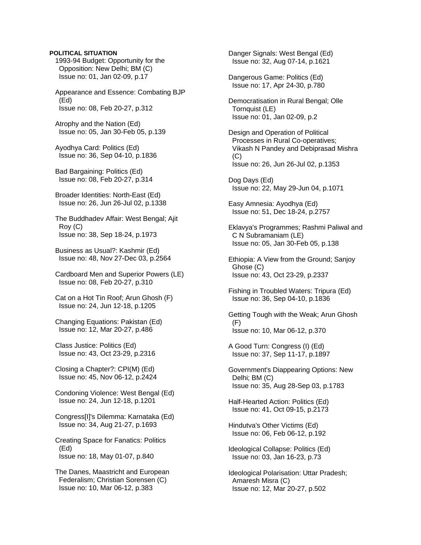# **POLITICAL SITUATION**

 1993-94 Budget: Opportunity for the Opposition: New Delhi; BM (C) Issue no: 01, Jan 02-09, p.17

 Appearance and Essence: Combating BJP (Ed) Issue no: 08, Feb 20-27, p.312

 Atrophy and the Nation (Ed) Issue no: 05, Jan 30-Feb 05, p.139

 Ayodhya Card: Politics (Ed) Issue no: 36, Sep 04-10, p.1836

 Bad Bargaining: Politics (Ed) Issue no: 08, Feb 20-27, p.314

 Broader Identities: North-East (Ed) Issue no: 26, Jun 26-Jul 02, p.1338

 The Buddhadev Affair: West Bengal; Ajit Roy (C) Issue no: 38, Sep 18-24, p.1973

 Business as Usual?: Kashmir (Ed) Issue no: 48, Nov 27-Dec 03, p.2564

 Cardboard Men and Superior Powers (LE) Issue no: 08, Feb 20-27, p.310

 Cat on a Hot Tin Roof; Arun Ghosh (F) Issue no: 24, Jun 12-18, p.1205

 Changing Equations: Pakistan (Ed) Issue no: 12, Mar 20-27, p.486

 Class Justice: Politics (Ed) Issue no: 43, Oct 23-29, p.2316

 Closing a Chapter?: CPI(M) (Ed) Issue no: 45, Nov 06-12, p.2424

 Condoning Violence: West Bengal (Ed) Issue no: 24, Jun 12-18, p.1201

 Congress[I]'s Dilemma: Karnataka (Ed) Issue no: 34, Aug 21-27, p.1693

 Creating Space for Fanatics: Politics (Ed) Issue no: 18, May 01-07, p.840

 The Danes, Maastricht and European Federalism; Christian Sorensen (C) Issue no: 10, Mar 06-12, p.383

 Danger Signals: West Bengal (Ed) Issue no: 32, Aug 07-14, p.1621 Dangerous Game: Politics (Ed) Issue no: 17, Apr 24-30, p.780 Democratisation in Rural Bengal; Olle Tornquist (LE) Issue no: 01, Jan 02-09, p.2 Design and Operation of Political Processes in Rural Co-operatives; Vikash N Pandey and Debiprasad Mishra (C) Issue no: 26, Jun 26-Jul 02, p.1353 Dog Days (Ed) Issue no: 22, May 29-Jun 04, p.1071 Easy Amnesia: Ayodhya (Ed) Issue no: 51, Dec 18-24, p.2757 Eklavya's Programmes; Rashmi Paliwal and C N Subramaniam (LE) Issue no: 05, Jan 30-Feb 05, p.138 Ethiopia: A View from the Ground; Sanjoy Ghose (C) Issue no: 43, Oct 23-29, p.2337 Fishing in Troubled Waters: Tripura (Ed) Issue no: 36, Sep 04-10, p.1836 Getting Tough with the Weak; Arun Ghosh (F) Issue no: 10, Mar 06-12, p.370 A Good Turn: Congress (I) (Ed) Issue no: 37, Sep 11-17, p.1897 Government's Diappearing Options: New Delhi; BM (C) Issue no: 35, Aug 28-Sep 03, p.1783 Half-Hearted Action: Politics (Ed) Issue no: 41, Oct 09-15, p.2173 Hindutva's Other Victims (Ed) Issue no: 06, Feb 06-12, p.192 Ideological Collapse: Politics (Ed) Issue no: 03, Jan 16-23, p.73 Ideological Polarisation: Uttar Pradesh; Amaresh Misra (C) Issue no: 12, Mar 20-27, p.502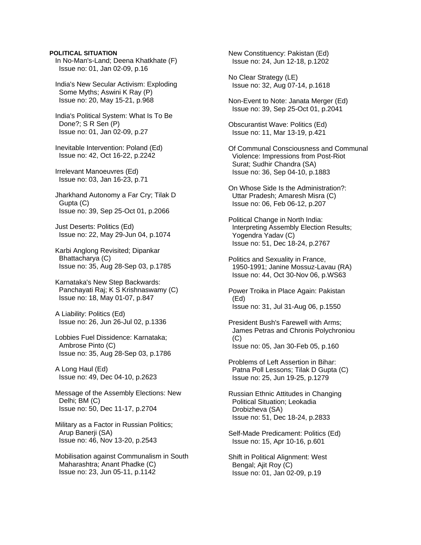### **POLITICAL SITUATION**

 In No-Man's-Land; Deena Khatkhate (F) Issue no: 01, Jan 02-09, p.16

 India's New Secular Activism: Exploding Some Myths; Aswini K Ray (P) Issue no: 20, May 15-21, p.968

 India's Political System: What Is To Be Done?; S R Sen (P) Issue no: 01, Jan 02-09, p.27

 Inevitable Intervention: Poland (Ed) Issue no: 42, Oct 16-22, p.2242

 Irrelevant Manoeuvres (Ed) Issue no: 03, Jan 16-23, p.71

 Jharkhand Autonomy a Far Cry; Tilak D Gupta (C) Issue no: 39, Sep 25-Oct 01, p.2066

 Just Deserts: Politics (Ed) Issue no: 22, May 29-Jun 04, p.1074

 Karbi Anglong Revisited; Dipankar Bhattacharya (C) Issue no: 35, Aug 28-Sep 03, p.1785

 Karnataka's New Step Backwards: Panchayati Raj; K S Krishnaswamy (C) Issue no: 18, May 01-07, p.847

 A Liability: Politics (Ed) Issue no: 26, Jun 26-Jul 02, p.1336

 Lobbies Fuel Dissidence: Karnataka; Ambrose Pinto (C) Issue no: 35, Aug 28-Sep 03, p.1786

 A Long Haul (Ed) Issue no: 49, Dec 04-10, p.2623

 Message of the Assembly Elections: New Delhi; BM (C) Issue no: 50, Dec 11-17, p.2704

 Military as a Factor in Russian Politics; Arup Banerji (SA) Issue no: 46, Nov 13-20, p.2543

 Mobilisation against Communalism in South Maharashtra; Anant Phadke (C) Issue no: 23, Jun 05-11, p.1142

 New Constituency: Pakistan (Ed) Issue no: 24, Jun 12-18, p.1202

 No Clear Strategy (LE) Issue no: 32, Aug 07-14, p.1618

 Non-Event to Note: Janata Merger (Ed) Issue no: 39, Sep 25-Oct 01, p.2041

 Obscurantist Wave: Politics (Ed) Issue no: 11, Mar 13-19, p.421

 Of Communal Consciousness and Communal Violence: Impressions from Post-Riot Surat; Sudhir Chandra (SA) Issue no: 36, Sep 04-10, p.1883

 On Whose Side Is the Administration?: Uttar Pradesh; Amaresh Misra (C) Issue no: 06, Feb 06-12, p.207

 Political Change in North India: Interpreting Assembly Election Results; Yogendra Yadav (C) Issue no: 51, Dec 18-24, p.2767

 Politics and Sexuality in France, 1950-1991; Janine Mossuz-Lavau (RA) Issue no: 44, Oct 30-Nov 06, p.WS63

 Power Troika in Place Again: Pakistan (Ed) Issue no: 31, Jul 31-Aug 06, p.1550

 President Bush's Farewell with Arms; James Petras and Chronis Polychroniou  $(C)$ Issue no: 05, Jan 30-Feb 05, p.160

 Problems of Left Assertion in Bihar: Patna Poll Lessons; Tilak D Gupta (C) Issue no: 25, Jun 19-25, p.1279

 Russian Ethnic Attitudes in Changing Political Situation; Leokadia Drobizheva (SA) Issue no: 51, Dec 18-24, p.2833

 Self-Made Predicament: Politics (Ed) Issue no: 15, Apr 10-16, p.601

 Shift in Political Alignment: West Bengal; Ajit Roy (C) Issue no: 01, Jan 02-09, p.19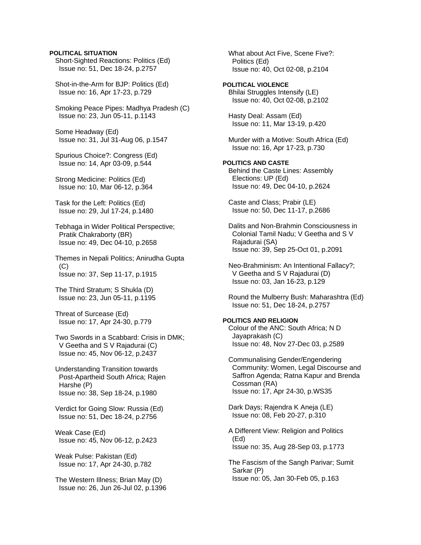# **POLITICAL SITUATION**

 Short-Sighted Reactions: Politics (Ed) Issue no: 51, Dec 18-24, p.2757

 Shot-in-the-Arm for BJP: Politics (Ed) Issue no: 16, Apr 17-23, p.729

 Smoking Peace Pipes: Madhya Pradesh (C) Issue no: 23, Jun 05-11, p.1143

 Some Headway (Ed) Issue no: 31, Jul 31-Aug 06, p.1547

 Spurious Choice?: Congress (Ed) Issue no: 14, Apr 03-09, p.544

 Strong Medicine: Politics (Ed) Issue no: 10, Mar 06-12, p.364

 Task for the Left: Politics (Ed) Issue no: 29, Jul 17-24, p.1480

 Tebhaga in Wider Political Perspective; Pratik Chakraborty (BR) Issue no: 49, Dec 04-10, p.2658

 Themes in Nepali Politics; Anirudha Gupta (C) Issue no: 37, Sep 11-17, p.1915

 The Third Stratum; S Shukla (D) Issue no: 23, Jun 05-11, p.1195

 Threat of Surcease (Ed) Issue no: 17, Apr 24-30, p.779

 Two Swords in a Scabbard: Crisis in DMK; V Geetha and S V Rajadurai (C) Issue no: 45, Nov 06-12, p.2437

 Understanding Transition towards Post-Apartheid South Africa; Rajen Harshe (P) Issue no: 38, Sep 18-24, p.1980

 Verdict for Going Slow: Russia (Ed) Issue no: 51, Dec 18-24, p.2756

 Weak Case (Ed) Issue no: 45, Nov 06-12, p.2423

 Weak Pulse: Pakistan (Ed) Issue no: 17, Apr 24-30, p.782

 The Western Illness; Brian May (D) Issue no: 26, Jun 26-Jul 02, p.1396  What about Act Five, Scene Five?: Politics (Ed) Issue no: 40, Oct 02-08, p.2104

**POLITICAL VIOLENCE**  Bhilai Struggles Intensify (LE) Issue no: 40, Oct 02-08, p.2102

 Hasty Deal: Assam (Ed) Issue no: 11, Mar 13-19, p.420

 Murder with a Motive: South Africa (Ed) Issue no: 16, Apr 17-23, p.730

# **POLITICS AND CASTE**  Behind the Caste Lines: Assembly Elections: UP (Ed)

Issue no: 49, Dec 04-10, p.2624

 Caste and Class; Prabir (LE) Issue no: 50, Dec 11-17, p.2686

 Dalits and Non-Brahmin Consciousness in Colonial Tamil Nadu; V Geetha and S V Rajadurai (SA) Issue no: 39, Sep 25-Oct 01, p.2091

 Neo-Brahminism: An Intentional Fallacy?; V Geetha and S V Rajadurai (D) Issue no: 03, Jan 16-23, p.129

 Round the Mulberry Bush: Maharashtra (Ed) Issue no: 51, Dec 18-24, p.2757

# **POLITICS AND RELIGION**

 Colour of the ANC: South Africa; N D Jayaprakash (C) Issue no: 48, Nov 27-Dec 03, p.2589

 Communalising Gender/Engendering Community: Women, Legal Discourse and Saffron Agenda; Ratna Kapur and Brenda Cossman (RA) Issue no: 17, Apr 24-30, p.WS35

 Dark Days; Rajendra K Aneja (LE) Issue no: 08, Feb 20-27, p.310

 A Different View: Religion and Politics (Ed) Issue no: 35, Aug 28-Sep 03, p.1773

 The Fascism of the Sangh Parivar; Sumit Sarkar (P) Issue no: 05, Jan 30-Feb 05, p.163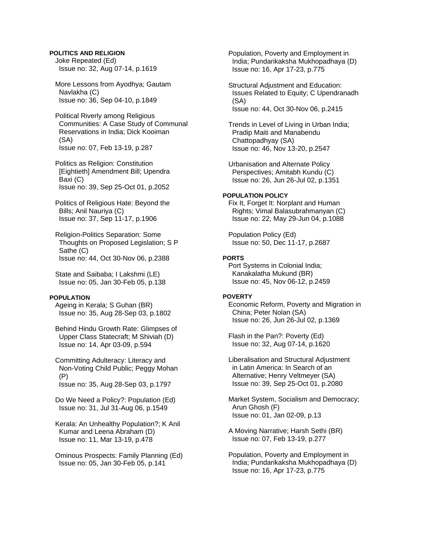# **POLITICS AND RELIGION**

 Joke Repeated (Ed) Issue no: 32, Aug 07-14, p.1619

 More Lessons from Ayodhya; Gautam Navlakha (C) Issue no: 36, Sep 04-10, p.1849

 Political Riverly among Religious Communities: A Case Study of Communal Reservations in India; Dick Kooiman (SA) Issue no: 07, Feb 13-19, p.287

 Politics as Religion: Constitution [Eightieth] Amendment Bill; Upendra Baxi (C) Issue no: 39, Sep 25-Oct 01, p.2052

 Politics of Religious Hate: Beyond the Bills; Anil Nauriya (C) Issue no: 37, Sep 11-17, p.1906

 Religion-Politics Separation: Some Thoughts on Proposed Legislation; S P Sathe (C) Issue no: 44, Oct 30-Nov 06, p.2388

 State and Saibaba; I Lakshmi (LE) Issue no: 05, Jan 30-Feb 05, p.138

#### **POPULATION**

 Ageing in Kerala; S Guhan (BR) Issue no: 35, Aug 28-Sep 03, p.1802

 Behind Hindu Growth Rate: Glimpses of Upper Class Statecraft; M Shiviah (D) Issue no: 14, Apr 03-09, p.594

 Committing Adulteracy: Literacy and Non-Voting Child Public; Peggy Mohan (P) Issue no: 35, Aug 28-Sep 03, p.1797

 Do We Need a Policy?: Population (Ed) Issue no: 31, Jul 31-Aug 06, p.1549

 Kerala: An Unhealthy Population?; K Anil Kumar and Leena Abraham (D) Issue no: 11, Mar 13-19, p.478

 Ominous Prospects: Family Planning (Ed) Issue no: 05, Jan 30-Feb 05, p.141

 Population, Poverty and Employment in India; Pundarikaksha Mukhopadhaya (D) Issue no: 16, Apr 17-23, p.775

 Structural Adjustment and Education: Issues Related to Equity; C Upendranadh (SA) Issue no: 44, Oct 30-Nov 06, p.2415

 Trends in Level of Living in Urban India; Pradip Maiti and Manabendu Chattopadhyay (SA) Issue no: 46, Nov 13-20, p.2547

 Urbanisation and Alternate Policy Perspectives; Amitabh Kundu (C) Issue no: 26, Jun 26-Jul 02, p.1351

# **POPULATION POLICY**

 Fix It, Forget It: Norplant and Human Rights; Vimal Balasubrahmanyan (C) Issue no: 22, May 29-Jun 04, p.1088

 Population Policy (Ed) Issue no: 50, Dec 11-17, p.2687

### **PORTS**

 Port Systems in Colonial India; Kanakalatha Mukund (BR) Issue no: 45, Nov 06-12, p.2459

# **POVERTY**

 Economic Reform, Poverty and Migration in China; Peter Nolan (SA) Issue no: 26, Jun 26-Jul 02, p.1369

 Flash in the Pan?: Poverty (Ed) Issue no: 32, Aug 07-14, p.1620

 Liberalisation and Structural Adjustment in Latin America: In Search of an Alternative; Henry Veltmeyer (SA) Issue no: 39, Sep 25-Oct 01, p.2080

 Market System, Socialism and Democracy; Arun Ghosh (F) Issue no: 01, Jan 02-09, p.13

 A Moving Narrative; Harsh Sethi (BR) Issue no: 07, Feb 13-19, p.277

 Population, Poverty and Employment in India; Pundarikaksha Mukhopadhaya (D) Issue no: 16, Apr 17-23, p.775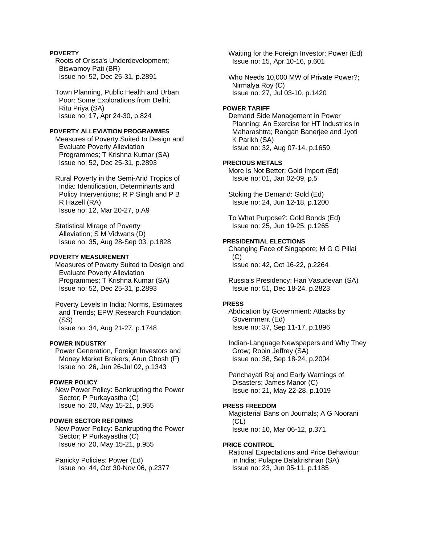# **POVERTY**

 Roots of Orissa's Underdevelopment; Biswamoy Pati (BR) Issue no: 52, Dec 25-31, p.2891

 Town Planning, Public Health and Urban Poor: Some Explorations from Delhi; Ritu Priya (SA) Issue no: 17, Apr 24-30, p.824

# **POVERTY ALLEVIATION PROGRAMMES**

 Measures of Poverty Suited to Design and Evaluate Poverty Alleviation Programmes; T Krishna Kumar (SA) Issue no: 52, Dec 25-31, p.2893

 Rural Poverty in the Semi-Arid Tropics of India: Identification, Determinants and Policy Interventions; R P Singh and P B R Hazell (RA) Issue no: 12, Mar 20-27, p.A9

 Statistical Mirage of Poverty Alleviation; S M Vidwans (D) Issue no: 35, Aug 28-Sep 03, p.1828

# **POVERTY MEASUREMENT**

 Measures of Poverty Suited to Design and Evaluate Poverty Alleviation Programmes; T Krishna Kumar (SA) Issue no: 52, Dec 25-31, p.2893

 Poverty Levels in India: Norms, Estimates and Trends; EPW Research Foundation (SS) Issue no: 34, Aug 21-27, p.1748

#### **POWER INDUSTRY**

 Power Generation, Foreign Investors and Money Market Brokers; Arun Ghosh (F) Issue no: 26, Jun 26-Jul 02, p.1343

### **POWER POLICY**

 New Power Policy: Bankrupting the Power Sector; P Purkayastha (C) Issue no: 20, May 15-21, p.955

# **POWER SECTOR REFORMS**

 New Power Policy: Bankrupting the Power Sector; P Purkayastha (C) Issue no: 20, May 15-21, p.955

 Panicky Policies: Power (Ed) Issue no: 44, Oct 30-Nov 06, p.2377  Waiting for the Foreign Investor: Power (Ed) Issue no: 15, Apr 10-16, p.601

 Who Needs 10,000 MW of Private Power?; Nirmalya Roy (C) Issue no: 27, Jul 03-10, p.1420

#### **POWER TARIFF**

 Demand Side Management in Power Planning: An Exercise for HT Industries in Maharashtra; Rangan Banerjee and Jyoti K Parikh (SA) Issue no: 32, Aug 07-14, p.1659

# **PRECIOUS METALS**

 More Is Not Better: Gold Import (Ed) Issue no: 01, Jan 02-09, p.5

 Stoking the Demand: Gold (Ed) Issue no: 24, Jun 12-18, p.1200

 To What Purpose?: Gold Bonds (Ed) Issue no: 25, Jun 19-25, p.1265

#### **PRESIDENTIAL ELECTIONS**

 Changing Face of Singapore; M G G Pillai  $(C)$ Issue no: 42, Oct 16-22, p.2264

 Russia's Presidency; Hari Vasudevan (SA) Issue no: 51, Dec 18-24, p.2823

#### **PRESS**

 Abdication by Government: Attacks by Government (Ed) Issue no: 37, Sep 11-17, p.1896

 Indian-Language Newspapers and Why They Grow; Robin Jeffrey (SA) Issue no: 38, Sep 18-24, p.2004

 Panchayati Raj and Early Warnings of Disasters; James Manor (C) Issue no: 21, May 22-28, p.1019

### **PRESS FREEDOM**

 Magisterial Bans on Journals; A G Noorani (CL) Issue no: 10, Mar 06-12, p.371

#### **PRICE CONTROL**

 Rational Expectations and Price Behaviour in India; Pulapre Balakrishnan (SA) Issue no: 23, Jun 05-11, p.1185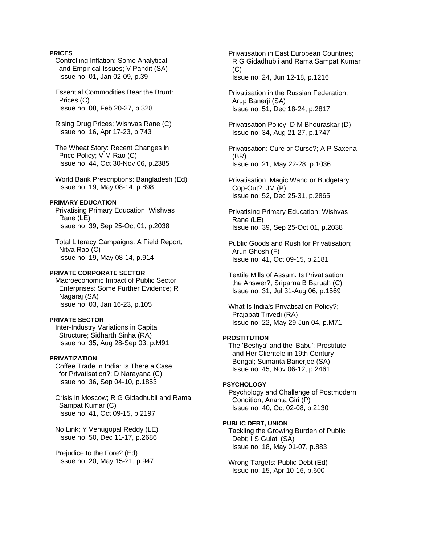## **PRICES**

- Controlling Inflation: Some Analytical and Empirical Issues; V Pandit (SA) Issue no: 01, Jan 02-09, p.39
- Essential Commodities Bear the Brunt: Prices (C) Issue no: 08, Feb 20-27, p.328
- Rising Drug Prices; Wishvas Rane (C) Issue no: 16, Apr 17-23, p.743
- The Wheat Story: Recent Changes in Price Policy; V M Rao (C) Issue no: 44, Oct 30-Nov 06, p.2385
- World Bank Prescriptions: Bangladesh (Ed) Issue no: 19, May 08-14, p.898

# **PRIMARY EDUCATION**

- Privatising Primary Education; Wishvas Rane (LE) Issue no: 39, Sep 25-Oct 01, p.2038
- Total Literacy Campaigns: A Field Report; Nitya Rao (C) Issue no: 19, May 08-14, p.914

## **PRIVATE CORPORATE SECTOR**

 Macroeconomic Impact of Public Sector Enterprises: Some Further Evidence; R Nagaraj (SA) Issue no: 03, Jan 16-23, p.105

#### **PRIVATE SECTOR**

 Inter-Industry Variations in Capital Structure; Sidharth Sinha (RA) Issue no: 35, Aug 28-Sep 03, p.M91

#### **PRIVATIZATION**

 Coffee Trade in India: Is There a Case for Privatisation?; D Narayana (C) Issue no: 36, Sep 04-10, p.1853

 Crisis in Moscow; R G Gidadhubli and Rama Sampat Kumar (C) Issue no: 41, Oct 09-15, p.2197

 No Link; Y Venugopal Reddy (LE) Issue no: 50, Dec 11-17, p.2686

 Prejudice to the Fore? (Ed) Issue no: 20, May 15-21, p.947  Privatisation in East European Countries; R G Gidadhubli and Rama Sampat Kumar (C) Issue no: 24, Jun 12-18, p.1216

- Privatisation in the Russian Federation; Arup Banerji (SA) Issue no: 51, Dec 18-24, p.2817
- Privatisation Policy; D M Bhouraskar (D) Issue no: 34, Aug 21-27, p.1747

 Privatisation: Cure or Curse?; A P Saxena (BR) Issue no: 21, May 22-28, p.1036

 Privatisation: Magic Wand or Budgetary Cop-Out?; JM (P) Issue no: 52, Dec 25-31, p.2865

 Privatising Primary Education; Wishvas Rane (LE) Issue no: 39, Sep 25-Oct 01, p.2038

 Public Goods and Rush for Privatisation; Arun Ghosh (F) Issue no: 41, Oct 09-15, p.2181

 Textile Mills of Assam: Is Privatisation the Answer?; Sriparna B Baruah (C) Issue no: 31, Jul 31-Aug 06, p.1569

 What Is India's Privatisation Policy?; Prajapati Trivedi (RA) Issue no: 22, May 29-Jun 04, p.M71

# **PROSTITUTION**

 The 'Beshya' and the 'Babu': Prostitute and Her Clientele in 19th Century Bengal; Sumanta Banerjee (SA) Issue no: 45, Nov 06-12, p.2461

## **PSYCHOLOGY**

 Psychology and Challenge of Postmodern Condition; Ananta Giri (P) Issue no: 40, Oct 02-08, p.2130

# **PUBLIC DEBT, UNION**

 Tackling the Growing Burden of Public Debt; I S Gulati (SA) Issue no: 18, May 01-07, p.883

 Wrong Targets: Public Debt (Ed) Issue no: 15, Apr 10-16, p.600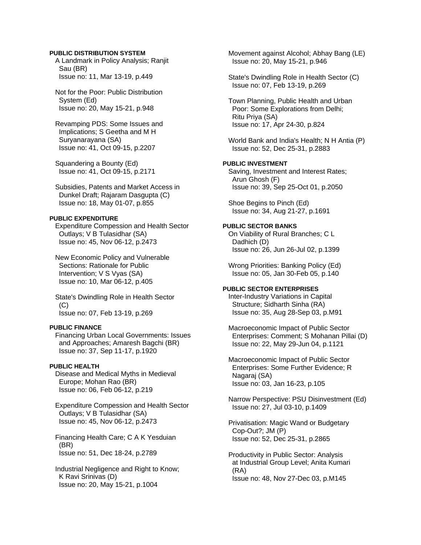## **PUBLIC DISTRIBUTION SYSTEM**

 A Landmark in Policy Analysis; Ranjit Sau (BR) Issue no: 11, Mar 13-19, p.449

 Not for the Poor: Public Distribution System (Ed) Issue no: 20, May 15-21, p.948

 Revamping PDS: Some Issues and Implications; S Geetha and M H Suryanarayana (SA) Issue no: 41, Oct 09-15, p.2207

 Squandering a Bounty (Ed) Issue no: 41, Oct 09-15, p.2171

 Subsidies, Patents and Market Access in Dunkel Draft; Rajaram Dasgupta (C) Issue no: 18, May 01-07, p.855

#### **PUBLIC EXPENDITURE**

 Expenditure Compession and Health Sector Outlays; V B Tulasidhar (SA) Issue no: 45, Nov 06-12, p.2473

 New Economic Policy and Vulnerable Sections: Rationale for Public Intervention; V S Vyas (SA) Issue no: 10, Mar 06-12, p.405

 State's Dwindling Role in Health Sector  $(C)$ Issue no: 07, Feb 13-19, p.269

# **PUBLIC FINANCE**

 Financing Urban Local Governments: Issues and Approaches; Amaresh Bagchi (BR) Issue no: 37, Sep 11-17, p.1920

# **PUBLIC HEALTH**

 Disease and Medical Myths in Medieval Europe; Mohan Rao (BR) Issue no: 06, Feb 06-12, p.219

 Expenditure Compession and Health Sector Outlays; V B Tulasidhar (SA) Issue no: 45, Nov 06-12, p.2473

 Financing Health Care; C A K Yesduian (BR) Issue no: 51, Dec 18-24, p.2789

 Industrial Negligence and Right to Know; K Ravi Srinivas (D) Issue no: 20, May 15-21, p.1004

 Movement against Alcohol; Abhay Bang (LE) Issue no: 20, May 15-21, p.946

 State's Dwindling Role in Health Sector (C) Issue no: 07, Feb 13-19, p.269

 Town Planning, Public Health and Urban Poor: Some Explorations from Delhi; Ritu Priya (SA) Issue no: 17, Apr 24-30, p.824

 World Bank and India's Health; N H Antia (P) Issue no: 52, Dec 25-31, p.2883

### **PUBLIC INVESTMENT**

 Saving, Investment and Interest Rates; Arun Ghosh (F) Issue no: 39, Sep 25-Oct 01, p.2050

 Shoe Begins to Pinch (Ed) Issue no: 34, Aug 21-27, p.1691

# **PUBLIC SECTOR BANKS**

 On Viability of Rural Branches; C L Dadhich (D) Issue no: 26, Jun 26-Jul 02, p.1399

 Wrong Priorities: Banking Policy (Ed) Issue no: 05, Jan 30-Feb 05, p.140

# **PUBLIC SECTOR ENTERPRISES**

 Inter-Industry Variations in Capital Structure; Sidharth Sinha (RA) Issue no: 35, Aug 28-Sep 03, p.M91

 Macroeconomic Impact of Public Sector Enterprises: Comment; S Mohanan Pillai (D) Issue no: 22, May 29-Jun 04, p.1121

 Macroeconomic Impact of Public Sector Enterprises: Some Further Evidence; R Nagaraj (SA) Issue no: 03, Jan 16-23, p.105

 Narrow Perspective: PSU Disinvestment (Ed) Issue no: 27, Jul 03-10, p.1409

 Privatisation: Magic Wand or Budgetary Cop-Out?; JM (P) Issue no: 52, Dec 25-31, p.2865

 Productivity in Public Sector: Analysis at Industrial Group Level; Anita Kumari (RA) Issue no: 48, Nov 27-Dec 03, p.M145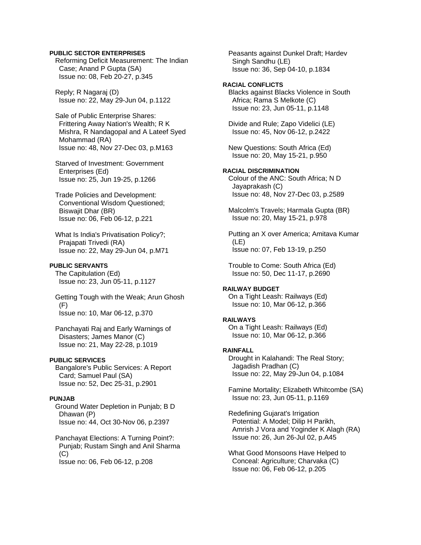## **PUBLIC SECTOR ENTERPRISES**

 Reforming Deficit Measurement: The Indian Case; Anand P Gupta (SA) Issue no: 08, Feb 20-27, p.345

 Reply; R Nagaraj (D) Issue no: 22, May 29-Jun 04, p.1122

 Sale of Public Enterprise Shares: Frittering Away Nation's Wealth; R K Mishra, R Nandagopal and A Lateef Syed Mohammad (RA) Issue no: 48, Nov 27-Dec 03, p.M163

 Starved of Investment: Government Enterprises (Ed) Issue no: 25, Jun 19-25, p.1266

 Trade Policies and Development: Conventional Wisdom Questioned; Biswajit Dhar (BR) Issue no: 06, Feb 06-12, p.221

 What Is India's Privatisation Policy?; Prajapati Trivedi (RA) Issue no: 22, May 29-Jun 04, p.M71

# **PUBLIC SERVANTS**

 The Capitulation (Ed) Issue no: 23, Jun 05-11, p.1127

 Getting Tough with the Weak; Arun Ghosh (F) Issue no: 10, Mar 06-12, p.370

 Panchayati Raj and Early Warnings of Disasters; James Manor (C) Issue no: 21, May 22-28, p.1019

# **PUBLIC SERVICES**

 Bangalore's Public Services: A Report Card; Samuel Paul (SA) Issue no: 52, Dec 25-31, p.2901

# **PUNJAB**

 Ground Water Depletion in Punjab; B D Dhawan (P) Issue no: 44, Oct 30-Nov 06, p.2397

 Panchayat Elections: A Turning Point?: Punjab; Rustam Singh and Anil Sharma  $(C)$ Issue no: 06, Feb 06-12, p.208

 Peasants against Dunkel Draft; Hardev Singh Sandhu (LE) Issue no: 36, Sep 04-10, p.1834

# **RACIAL CONFLICTS**

 Blacks against Blacks Violence in South Africa; Rama S Melkote (C) Issue no: 23, Jun 05-11, p.1148

 Divide and Rule; Zapo Videlici (LE) Issue no: 45, Nov 06-12, p.2422

 New Questions: South Africa (Ed) Issue no: 20, May 15-21, p.950

## **RACIAL DISCRIMINATION**

 Colour of the ANC: South Africa; N D Jayaprakash (C) Issue no: 48, Nov 27-Dec 03, p.2589

 Malcolm's Travels; Harmala Gupta (BR) Issue no: 20, May 15-21, p.978

 Putting an X over America; Amitava Kumar (LE) Issue no: 07, Feb 13-19, p.250

 Trouble to Come: South Africa (Ed) Issue no: 50, Dec 11-17, p.2690

#### **RAILWAY BUDGET**

 On a Tight Leash: Railways (Ed) Issue no: 10, Mar 06-12, p.366

#### **RAILWAYS**

 On a Tight Leash: Railways (Ed) Issue no: 10, Mar 06-12, p.366

#### **RAINFALL**

 Drought in Kalahandi: The Real Story; Jagadish Pradhan (C) Issue no: 22, May 29-Jun 04, p.1084

 Famine Mortality; Elizabeth Whitcombe (SA) Issue no: 23, Jun 05-11, p.1169

 Redefining Gujarat's Irrigation Potential: A Model; Dilip H Parikh, Amrish J Vora and Yoginder K Alagh (RA) Issue no: 26, Jun 26-Jul 02, p.A45

 What Good Monsoons Have Helped to Conceal: Agriculture; Charvaka (C) Issue no: 06, Feb 06-12, p.205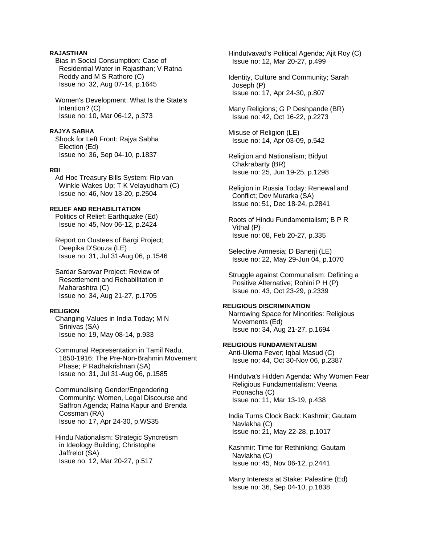# **RAJASTHAN**

 Bias in Social Consumption: Case of Residential Water in Rajasthan; V Ratna Reddy and M S Rathore (C) Issue no: 32, Aug 07-14, p.1645

 Women's Development: What Is the State's Intention? (C) Issue no: 10, Mar 06-12, p.373

#### **RAJYA SABHA**

 Shock for Left Front: Rajya Sabha Election (Ed) Issue no: 36, Sep 04-10, p.1837

#### **RBI**

 Ad Hoc Treasury Bills System: Rip van Winkle Wakes Up; T K Velayudham (C) Issue no: 46, Nov 13-20, p.2504

# **RELIEF AND REHABILITATION**

 Politics of Relief: Earthquake (Ed) Issue no: 45, Nov 06-12, p.2424

 Report on Oustees of Bargi Project; Deepika D'Souza (LE) Issue no: 31, Jul 31-Aug 06, p.1546

 Sardar Sarovar Project: Review of Resettlement and Rehabilitation in Maharashtra (C) Issue no: 34, Aug 21-27, p.1705

# **RELIGION**

 Changing Values in India Today; M N Srinivas (SA) Issue no: 19, May 08-14, p.933

 Communal Representation in Tamil Nadu, 1850-1916: The Pre-Non-Brahmin Movement Phase; P Radhakrishnan (SA) Issue no: 31, Jul 31-Aug 06, p.1585

 Communalising Gender/Engendering Community: Women, Legal Discourse and Saffron Agenda; Ratna Kapur and Brenda Cossman (RA) Issue no: 17, Apr 24-30, p.WS35

 Hindu Nationalism: Strategic Syncretism in Ideology Building; Christophe Jaffrelot (SA) Issue no: 12, Mar 20-27, p.517

 Hindutvavad's Political Agenda; Ajit Roy (C) Issue no: 12, Mar 20-27, p.499

 Identity, Culture and Community; Sarah Joseph (P) Issue no: 17, Apr 24-30, p.807

 Many Religions; G P Deshpande (BR) Issue no: 42, Oct 16-22, p.2273

 Misuse of Religion (LE) Issue no: 14, Apr 03-09, p.542

 Religion and Nationalism; Bidyut Chakrabarty (BR) Issue no: 25, Jun 19-25, p.1298

 Religion in Russia Today: Renewal and Conflict; Dev Murarka (SA) Issue no: 51, Dec 18-24, p.2841

 Roots of Hindu Fundamentalism; B P R Vithal (P) Issue no: 08, Feb 20-27, p.335

 Selective Amnesia; D Banerji (LE) Issue no: 22, May 29-Jun 04, p.1070

 Struggle against Communalism: Defining a Positive Alternative; Rohini P H (P) Issue no: 43, Oct 23-29, p.2339

## **RELIGIOUS DISCRIMINATION**

 Narrowing Space for Minorities: Religious Movements (Ed) Issue no: 34, Aug 21-27, p.1694

# **RELIGIOUS FUNDAMENTALISM**

 Anti-Ulema Fever; Iqbal Masud (C) Issue no: 44, Oct 30-Nov 06, p.2387

 Hindutva's Hidden Agenda: Why Women Fear Religious Fundamentalism; Veena Poonacha (C) Issue no: 11, Mar 13-19, p.438

 India Turns Clock Back: Kashmir; Gautam Navlakha (C) Issue no: 21, May 22-28, p.1017

 Kashmir: Time for Rethinking; Gautam Navlakha (C) Issue no: 45, Nov 06-12, p.2441

 Many Interests at Stake: Palestine (Ed) Issue no: 36, Sep 04-10, p.1838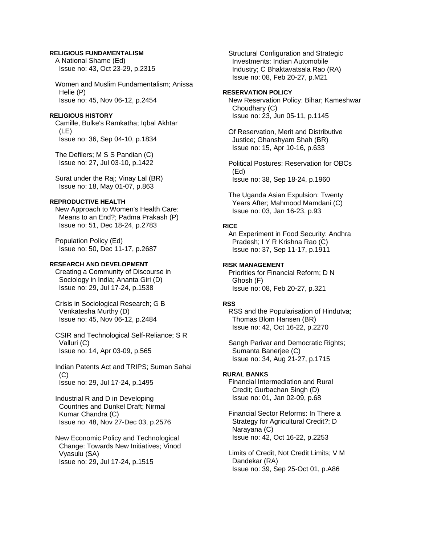### **RELIGIOUS FUNDAMENTALISM**

 A National Shame (Ed) Issue no: 43, Oct 23-29, p.2315

 Women and Muslim Fundamentalism; Anissa Helie (P) Issue no: 45, Nov 06-12, p.2454

# **RELIGIOUS HISTORY**

 Camille, Bulke's Ramkatha; Iqbal Akhtar (LE) Issue no: 36, Sep 04-10, p.1834

 The Defilers; M S S Pandian (C) Issue no: 27, Jul 03-10, p.1422

 Surat under the Raj; Vinay Lal (BR) Issue no: 18, May 01-07, p.863

#### **REPRODUCTIVE HEALTH**

 New Approach to Women's Health Care: Means to an End?; Padma Prakash (P) Issue no: 51, Dec 18-24, p.2783

 Population Policy (Ed) Issue no: 50, Dec 11-17, p.2687

# **RESEARCH AND DEVELOPMENT**

 Creating a Community of Discourse in Sociology in India; Ananta Giri (D) Issue no: 29, Jul 17-24, p.1538

 Crisis in Sociological Research; G B Venkatesha Murthy (D) Issue no: 45, Nov 06-12, p.2484

 CSIR and Technological Self-Reliance; S R Valluri (C) Issue no: 14, Apr 03-09, p.565

 Indian Patents Act and TRIPS; Suman Sahai  $(C)$ Issue no: 29, Jul 17-24, p.1495

 Industrial R and D in Developing Countries and Dunkel Draft; Nirmal Kumar Chandra (C) Issue no: 48, Nov 27-Dec 03, p.2576

 New Economic Policy and Technological Change: Towards New Initiatives; Vinod Vyasulu (SA) Issue no: 29, Jul 17-24, p.1515

 Structural Configuration and Strategic Investments: Indian Automobile Industry; C Bhaktavatsala Rao (RA) Issue no: 08, Feb 20-27, p.M21

#### **RESERVATION POLICY**

 New Reservation Policy: Bihar; Kameshwar Choudhary (C) Issue no: 23, Jun 05-11, p.1145

 Of Reservation, Merit and Distributive Justice; Ghanshyam Shah (BR) Issue no: 15, Apr 10-16, p.633

 Political Postures: Reservation for OBCs (Ed) Issue no: 38, Sep 18-24, p.1960

 The Uganda Asian Expulsion: Twenty Years After; Mahmood Mamdani (C) Issue no: 03, Jan 16-23, p.93

# **RICE**

 An Experiment in Food Security: Andhra Pradesh; I Y R Krishna Rao (C) Issue no: 37, Sep 11-17, p.1911

## **RISK MANAGEMENT**

 Priorities for Financial Reform; D N Ghosh (F) Issue no: 08, Feb 20-27, p.321

#### **RSS**

 RSS and the Popularisation of Hindutva; Thomas Blom Hansen (BR) Issue no: 42, Oct 16-22, p.2270

 Sangh Parivar and Democratic Rights; Sumanta Banerjee (C) Issue no: 34, Aug 21-27, p.1715

## **RURAL BANKS**

 Financial Intermediation and Rural Credit; Gurbachan Singh (D) Issue no: 01, Jan 02-09, p.68

 Financial Sector Reforms: In There a Strategy for Agricultural Credit?; D Narayana (C) Issue no: 42, Oct 16-22, p.2253

 Limits of Credit, Not Credit Limits; V M Dandekar (RA) Issue no: 39, Sep 25-Oct 01, p.A86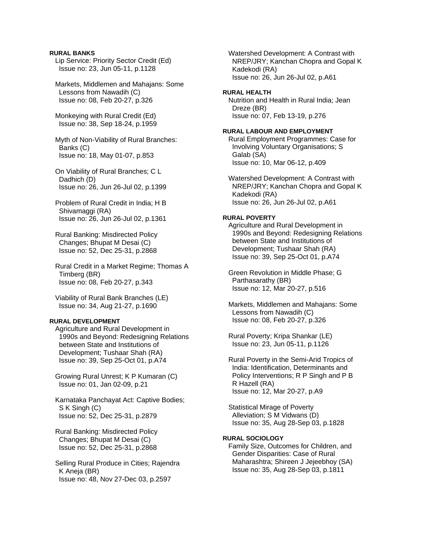## **RURAL BANKS**

 Lip Service: Priority Sector Credit (Ed) Issue no: 23, Jun 05-11, p.1128

 Markets, Middlemen and Mahajans: Some Lessons from Nawadih (C) Issue no: 08, Feb 20-27, p.326

 Monkeying with Rural Credit (Ed) Issue no: 38, Sep 18-24, p.1959

 Myth of Non-Viability of Rural Branches: Banks (C) Issue no: 18, May 01-07, p.853

- On Viability of Rural Branches; C L Dadhich (D) Issue no: 26, Jun 26-Jul 02, p.1399
- Problem of Rural Credit in India; H B Shivamaggi (RA) Issue no: 26, Jun 26-Jul 02, p.1361

 Rural Banking: Misdirected Policy Changes; Bhupat M Desai (C) Issue no: 52, Dec 25-31, p.2868

 Rural Credit in a Market Regime; Thomas A Timberg (BR) Issue no: 08, Feb 20-27, p.343

 Viability of Rural Bank Branches (LE) Issue no: 34, Aug 21-27, p.1690

# **RURAL DEVELOPMENT**

 Agriculture and Rural Development in 1990s and Beyond: Redesigning Relations between State and Institutions of Development; Tushaar Shah (RA) Issue no: 39, Sep 25-Oct 01, p.A74

 Growing Rural Unrest; K P Kumaran (C) Issue no: 01, Jan 02-09, p.21

 Karnataka Panchayat Act: Captive Bodies; S K Singh (C) Issue no: 52, Dec 25-31, p.2879

 Rural Banking: Misdirected Policy Changes; Bhupat M Desai (C) Issue no: 52, Dec 25-31, p.2868

 Selling Rural Produce in Cities; Rajendra K Aneja (BR) Issue no: 48, Nov 27-Dec 03, p.2597

 Watershed Development: A Contrast with NREP/JRY; Kanchan Chopra and Gopal K Kadekodi (RA) Issue no: 26, Jun 26-Jul 02, p.A61

#### **RURAL HEALTH**

 Nutrition and Health in Rural India; Jean Dreze (BR) Issue no: 07, Feb 13-19, p.276

#### **RURAL LABOUR AND EMPLOYMENT**

 Rural Employment Programmes: Case for Involving Voluntary Organisations; S Galab (SA) Issue no: 10, Mar 06-12, p.409

 Watershed Development: A Contrast with NREP/JRY; Kanchan Chopra and Gopal K Kadekodi (RA) Issue no: 26, Jun 26-Jul 02, p.A61

#### **RURAL POVERTY**

 Agriculture and Rural Development in 1990s and Beyond: Redesigning Relations between State and Institutions of Development; Tushaar Shah (RA) Issue no: 39, Sep 25-Oct 01, p.A74

 Green Revolution in Middle Phase; G Parthasarathy (BR) Issue no: 12, Mar 20-27, p.516

 Markets, Middlemen and Mahajans: Some Lessons from Nawadih (C) Issue no: 08, Feb 20-27, p.326

 Rural Poverty; Kripa Shankar (LE) Issue no: 23, Jun 05-11, p.1126

 Rural Poverty in the Semi-Arid Tropics of India: Identification, Determinants and Policy Interventions; R P Singh and P B R Hazell (RA) Issue no: 12, Mar 20-27, p.A9

 Statistical Mirage of Poverty Alleviation; S M Vidwans (D) Issue no: 35, Aug 28-Sep 03, p.1828

# **RURAL SOCIOLOGY**

 Family Size, Outcomes for Children, and Gender Disparities: Case of Rural Maharashtra; Shireen J Jejeebhoy (SA) Issue no: 35, Aug 28-Sep 03, p.1811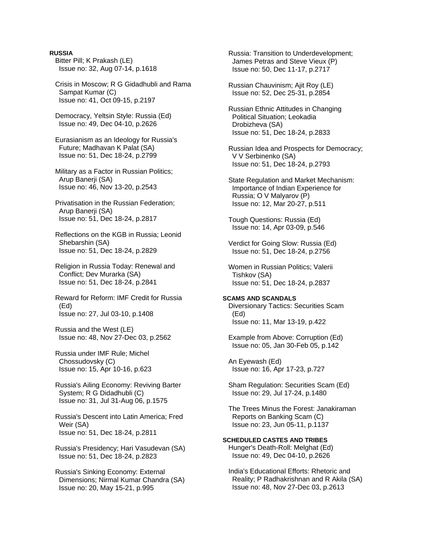### **RUSSIA**

 Bitter Pill; K Prakash (LE) Issue no: 32, Aug 07-14, p.1618

 Crisis in Moscow; R G Gidadhubli and Rama Sampat Kumar (C) Issue no: 41, Oct 09-15, p.2197

 Democracy, Yeltsin Style: Russia (Ed) Issue no: 49, Dec 04-10, p.2626

 Eurasianism as an Ideology for Russia's Future; Madhavan K Palat (SA) Issue no: 51, Dec 18-24, p.2799

 Military as a Factor in Russian Politics; Arup Banerji (SA) Issue no: 46, Nov 13-20, p.2543

 Privatisation in the Russian Federation; Arup Banerji (SA) Issue no: 51, Dec 18-24, p.2817

 Reflections on the KGB in Russia; Leonid Shebarshin (SA) Issue no: 51, Dec 18-24, p.2829

 Religion in Russia Today: Renewal and Conflict; Dev Murarka (SA) Issue no: 51, Dec 18-24, p.2841

 Reward for Reform: IMF Credit for Russia (Ed) Issue no: 27, Jul 03-10, p.1408

 Russia and the West (LE) Issue no: 48, Nov 27-Dec 03, p.2562

 Russia under IMF Rule; Michel Chossudovsky (C) Issue no: 15, Apr 10-16, p.623

 Russia's Ailing Economy: Reviving Barter System; R G Didadhubli (C) Issue no: 31, Jul 31-Aug 06, p.1575

 Russia's Descent into Latin America; Fred Weir (SA) Issue no: 51, Dec 18-24, p.2811

 Russia's Presidency; Hari Vasudevan (SA) Issue no: 51, Dec 18-24, p.2823

 Russia's Sinking Economy: External Dimensions; Nirmal Kumar Chandra (SA) Issue no: 20, May 15-21, p.995

 Russia: Transition to Underdevelopment; James Petras and Steve Vieux (P) Issue no: 50, Dec 11-17, p.2717

 Russian Chauvinism; Ajit Roy (LE) Issue no: 52, Dec 25-31, p.2854

 Russian Ethnic Attitudes in Changing Political Situation; Leokadia Drobizheva (SA) Issue no: 51, Dec 18-24, p.2833

 Russian Idea and Prospects for Democracy; V V Serbinenko (SA) Issue no: 51, Dec 18-24, p.2793

 State Regulation and Market Mechanism: Importance of Indian Experience for Russia; O V Malyarov (P) Issue no: 12, Mar 20-27, p.511

 Tough Questions: Russia (Ed) Issue no: 14, Apr 03-09, p.546

 Verdict for Going Slow: Russia (Ed) Issue no: 51, Dec 18-24, p.2756

 Women in Russian Politics; Valerii Tishkov (SA) Issue no: 51, Dec 18-24, p.2837

**SCAMS AND SCANDALS**  Diversionary Tactics: Securities Scam (Ed) Issue no: 11, Mar 13-19, p.422

 Example from Above: Corruption (Ed) Issue no: 05, Jan 30-Feb 05, p.142

 An Eyewash (Ed) Issue no: 16, Apr 17-23, p.727

 Sham Regulation: Securities Scam (Ed) Issue no: 29, Jul 17-24, p.1480

 The Trees Minus the Forest: Janakiraman Reports on Banking Scam (C) Issue no: 23, Jun 05-11, p.1137

# **SCHEDULED CASTES AND TRIBES**

 Hunger's Death-Roll: Melghat (Ed) Issue no: 49, Dec 04-10, p.2626

 India's Educational Efforts: Rhetoric and Reality; P Radhakrishnan and R Akila (SA) Issue no: 48, Nov 27-Dec 03, p.2613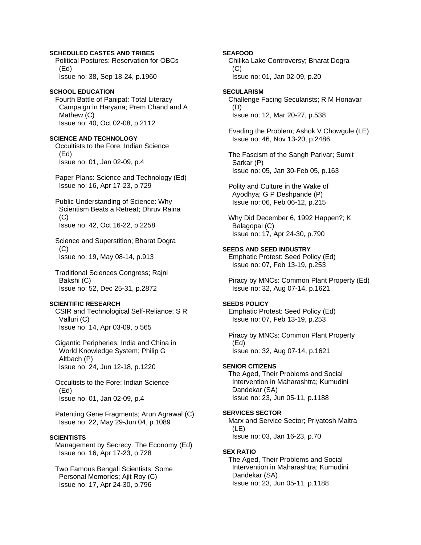## **SCHEDULED CASTES AND TRIBES**

 Political Postures: Reservation for OBCs (Ed) Issue no: 38, Sep 18-24, p.1960

# **SCHOOL EDUCATION**

 Fourth Battle of Panipat: Total Literacy Campaign in Haryana; Prem Chand and A Mathew (C) Issue no: 40, Oct 02-08, p.2112

# **SCIENCE AND TECHNOLOGY**

 Occultists to the Fore: Indian Science (Ed) Issue no: 01, Jan 02-09, p.4

 Paper Plans: Science and Technology (Ed) Issue no: 16, Apr 17-23, p.729

 Public Understanding of Science: Why Scientism Beats a Retreat; Dhruv Raina (C) Issue no: 42, Oct 16-22, p.2258

 Science and Superstition; Bharat Dogra  $(C)$ Issue no: 19, May 08-14, p.913

 Traditional Sciences Congress; Rajni Bakshi (C) Issue no: 52, Dec 25-31, p.2872

# **SCIENTIFIC RESEARCH**

 CSIR and Technological Self-Reliance; S R Valluri (C) Issue no: 14, Apr 03-09, p.565

 Gigantic Peripheries: India and China in World Knowledge System; Philip G Altbach (P) Issue no: 24, Jun 12-18, p.1220

 Occultists to the Fore: Indian Science (Ed) Issue no: 01, Jan 02-09, p.4

 Patenting Gene Fragments; Arun Agrawal (C) Issue no: 22, May 29-Jun 04, p.1089

#### **SCIENTISTS**

 Management by Secrecy: The Economy (Ed) Issue no: 16, Apr 17-23, p.728

 Two Famous Bengali Scientists: Some Personal Memories; Ajit Roy (C) Issue no: 17, Apr 24-30, p.796

**SEAFOOD**

 Chilika Lake Controversy; Bharat Dogra  $(C)$ Issue no: 01, Jan 02-09, p.20

#### **SECULARISM**

 Challenge Facing Secularists; R M Honavar (D) Issue no: 12, Mar 20-27, p.538

 Evading the Problem; Ashok V Chowgule (LE) Issue no: 46, Nov 13-20, p.2486

 The Fascism of the Sangh Parivar; Sumit Sarkar (P) Issue no: 05, Jan 30-Feb 05, p.163

 Polity and Culture in the Wake of Ayodhya; G P Deshpande (P) Issue no: 06, Feb 06-12, p.215

 Why Did December 6, 1992 Happen?; K Balagopal (C) Issue no: 17, Apr 24-30, p.790

### **SEEDS AND SEED INDUSTRY**

 Emphatic Protest: Seed Policy (Ed) Issue no: 07, Feb 13-19, p.253

 Piracy by MNCs: Common Plant Property (Ed) Issue no: 32, Aug 07-14, p.1621

# **SEEDS POLICY**

 Emphatic Protest: Seed Policy (Ed) Issue no: 07, Feb 13-19, p.253

 Piracy by MNCs: Common Plant Property (Ed) Issue no: 32, Aug 07-14, p.1621

#### **SENIOR CITIZENS**

 The Aged, Their Problems and Social Intervention in Maharashtra; Kumudini Dandekar (SA) Issue no: 23, Jun 05-11, p.1188

# **SERVICES SECTOR**

 Marx and Service Sector; Priyatosh Maitra (LE) Issue no: 03, Jan 16-23, p.70

#### **SEX RATIO**

 The Aged, Their Problems and Social Intervention in Maharashtra; Kumudini Dandekar (SA) Issue no: 23, Jun 05-11, p.1188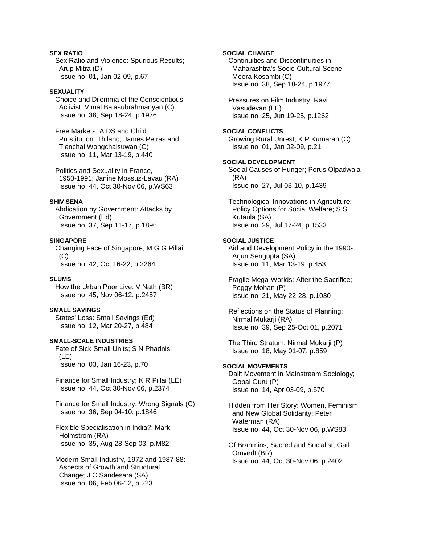# **SEX RATIO**

 Sex Ratio and Violence: Spurious Results; Arup Mitra (D) Issue no: 01, Jan 02-09, p.67

# **SEXUALITY**

 Choice and Dilemma of the Conscientious Activist; Vimal Balasubrahmanyan (C) Issue no: 38, Sep 18-24, p.1976

 Free Markets, AIDS and Child Prostitution: Thiland; James Petras and Tienchai Wongchaisuwan (C) Issue no: 11, Mar 13-19, p.440

 Politics and Sexuality in France, 1950-1991; Janine Mossuz-Lavau (RA) Issue no: 44, Oct 30-Nov 06, p.WS63

# **SHIV SENA**

 Abdication by Government: Attacks by Government (Ed) Issue no: 37, Sep 11-17, p.1896

## **SINGAPORE**

 Changing Face of Singapore; M G G Pillai (C) Issue no: 42, Oct 16-22, p.2264

### **SLUMS**

 How the Urban Poor Live; V Nath (BR) Issue no: 45, Nov 06-12, p.2457

# **SMALL SAVINGS**

 States' Loss: Small Savings (Ed) Issue no: 12, Mar 20-27, p.484

## **SMALL-SCALE INDUSTRIES**

 Fate of Sick Small Units; S N Phadnis (LE) Issue no: 03, Jan 16-23, p.70

 Finance for Small Industry; K R Pillai (LE) Issue no: 44, Oct 30-Nov 06, p.2374

 Finance for Small Industry: Wrong Signals (C) Issue no: 36, Sep 04-10, p.1846

 Flexible Specialisation in India?; Mark Holmstrom (RA) Issue no: 35, Aug 28-Sep 03, p.M82

 Modern Small Industry, 1972 and 1987-88: Aspects of Growth and Structural Change; J C Sandesara (SA) Issue no: 06, Feb 06-12, p.223

## **SOCIAL CHANGE**

 Continuities and Discontinuities in Maharashtra's Socio-Cultural Scene; Meera Kosambi (C) Issue no: 38, Sep 18-24, p.1977

 Pressures on Film Industry; Ravi Vasudevan (LE) Issue no: 25, Jun 19-25, p.1262

#### **SOCIAL CONFLICTS**

 Growing Rural Unrest; K P Kumaran (C) Issue no: 01, Jan 02-09, p.21

# **SOCIAL DEVELOPMENT**

 Social Causes of Hunger; Porus Olpadwala (RA) Issue no: 27, Jul 03-10, p.1439

 Technological Innovations in Agriculture: Policy Options for Social Welfare; S S Kutaula (SA) Issue no: 29, Jul 17-24, p.1533

# **SOCIAL JUSTICE**

 Aid and Development Policy in the 1990s; Arjun Sengupta (SA) Issue no: 11, Mar 13-19, p.453

 Fragile Mega-Worlds: After the Sacrifice; Peggy Mohan (P) Issue no: 21, May 22-28, p.1030

 Reflections on the Status of Planning; Nirmal Mukarji (RA) Issue no: 39, Sep 25-Oct 01, p.2071

 The Third Stratum; Nirmal Mukarji (P) Issue no: 18, May 01-07, p.859

#### **SOCIAL MOVEMENTS**

 Dalit Movement in Mainstream Sociology; Gopal Guru (P) Issue no: 14, Apr 03-09, p.570

 Hidden from Her Story: Women, Feminism and New Global Solidarity; Peter Waterman (RA) Issue no: 44, Oct 30-Nov 06, p.WS83

 Of Brahmins, Sacred and Socialist; Gail Omvedt (BR) Issue no: 44, Oct 30-Nov 06, p.2402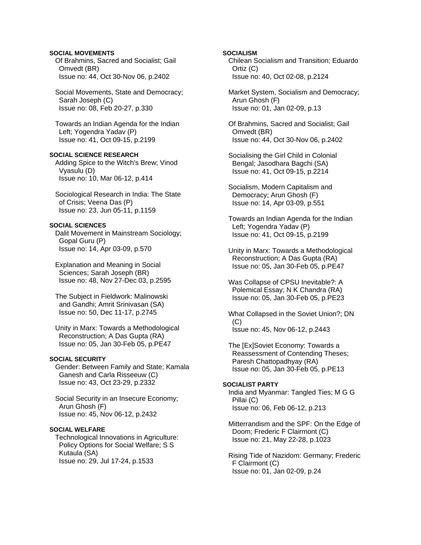# **SOCIAL MOVEMENTS**

 Of Brahmins, Sacred and Socialist; Gail Omvedt (BR) Issue no: 44, Oct 30-Nov 06, p.2402

 Social Movements, State and Democracy; Sarah Joseph (C) Issue no: 08, Feb 20-27, p.330

 Towards an Indian Agenda for the Indian Left; Yogendra Yadav (P) Issue no: 41, Oct 09-15, p.2199

# **SOCIAL SCIENCE RESEARCH**

 Adding Spice to the Witch's Brew; Vinod Vyasulu (D) Issue no: 10, Mar 06-12, p.414

 Sociological Research in India: The State of Crisis; Veena Das (P) Issue no: 23, Jun 05-11, p.1159

# **SOCIAL SCIENCES**

 Dalit Movement in Mainstream Sociology; Gopal Guru (P) Issue no: 14, Apr 03-09, p.570

 Explanation and Meaning in Social Sciences; Sarah Joseph (BR) Issue no: 48, Nov 27-Dec 03, p.2595

 The Subject in Fieldwork: Malinowski and Gandhi; Amrit Srinivasan (SA) Issue no: 50, Dec 11-17, p.2745

 Unity in Marx: Towards a Methodological Reconstruction; A Das Gupta (RA) Issue no: 05, Jan 30-Feb 05, p.PE47

# **SOCIAL SECURITY**

 Gender: Between Family and State; Kamala Ganesh and Carla Risseeuw (C) Issue no: 43, Oct 23-29, p.2332

 Social Security in an Insecure Economy; Arun Ghosh (F) Issue no: 45, Nov 06-12, p.2432

# **SOCIAL WELFARE**

 Technological Innovations in Agriculture: Policy Options for Social Welfare; S S Kutaula (SA) Issue no: 29, Jul 17-24, p.1533

### **SOCIALISM**

 Chilean Socialism and Transition; Eduardo Ortiz (C) Issue no: 40, Oct 02-08, p.2124

 Market System, Socialism and Democracy; Arun Ghosh (F) Issue no: 01, Jan 02-09, p.13

 Of Brahmins, Sacred and Socialist; Gail Omvedt (BR) Issue no: 44, Oct 30-Nov 06, p.2402

 Socialising the Girl Child in Colonial Bengal; Jasodhara Bagchi (SA) Issue no: 41, Oct 09-15, p.2214

 Socialism, Modern Capitalism and Democracy; Arun Ghosh (F) Issue no: 14, Apr 03-09, p.551

 Towards an Indian Agenda for the Indian Left; Yogendra Yadav (P) Issue no: 41, Oct 09-15, p.2199

 Unity in Marx: Towards a Methodological Reconstruction; A Das Gupta (RA) Issue no: 05, Jan 30-Feb 05, p.PE47

 Was Collapse of CPSU Inevitable?: A Polemical Essay; N K Chandra (RA) Issue no: 05, Jan 30-Feb 05, p.PE23

 What Collapsed in the Soviet Union?; DN  $(C)$ Issue no: 45, Nov 06-12, p.2443

 The [Ex]Soviet Economy: Towards a Reassessment of Contending Theses; Paresh Chattopadhyay (RA) Issue no: 05, Jan 30-Feb 05, p.PE13

# **SOCIALIST PARTY**

 India and Myanmar: Tangled Ties; M G G Pillai (C) Issue no: 06, Feb 06-12, p.213

 Mitterrandism and the SPF: On the Edge of Doom; Frederic F Clairmont (C) Issue no: 21, May 22-28, p.1023

 Rising Tide of Nazidom: Germany; Frederic F Clairmont (C) Issue no: 01, Jan 02-09, p.24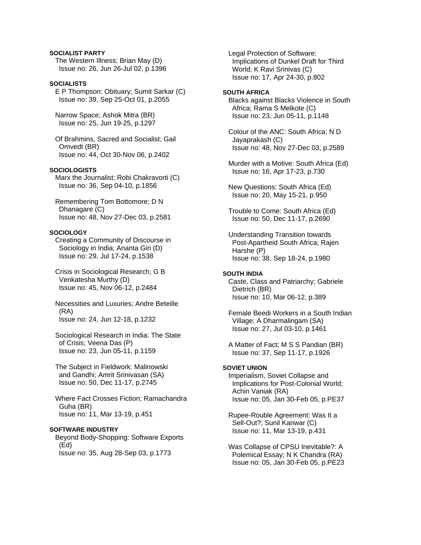# **SOCIALIST PARTY**

 The Western Illness; Brian May (D) Issue no: 26, Jun 26-Jul 02, p.1396

# **SOCIALISTS**

 E P Thompson: Obituary; Sumit Sarkar (C) Issue no: 39, Sep 25-Oct 01, p.2055

 Narrow Space; Ashok Mitra (BR) Issue no: 25, Jun 19-25, p.1297

 Of Brahmins, Sacred and Socialist; Gail Omvedt (BR) Issue no: 44, Oct 30-Nov 06, p.2402

# **SOCIOLOGISTS**

 Marx the Journalist; Robi Chakravorti (C) Issue no: 36, Sep 04-10, p.1856

 Remembering Tom Bottomore; D N Dhanagare (C) Issue no: 48, Nov 27-Dec 03, p.2581

#### **SOCIOLOGY**

 Creating a Community of Discourse in Sociology in India; Ananta Giri (D) Issue no: 29, Jul 17-24, p.1538

 Crisis in Sociological Research; G B Venkatesha Murthy (D) Issue no: 45, Nov 06-12, p.2484

 Necessities and Luxuries; Andre Beteille (RA) Issue no: 24, Jun 12-18, p.1232

 Sociological Research in India: The State of Crisis; Veena Das (P) Issue no: 23, Jun 05-11, p.1159

 The Subject in Fieldwork: Malinowski and Gandhi; Amrit Srinivasan (SA) Issue no: 50, Dec 11-17, p.2745

 Where Fact Crosses Fiction; Ramachandra Guha (BR) Issue no: 11, Mar 13-19, p.451

#### **SOFTWARE INDUSTRY**

 Beyond Body-Shopping: Software Exports (Ed) Issue no: 35, Aug 28-Sep 03, p.1773

 Legal Protection of Software: Implications of Dunkel Draft for Third World; K Ravi Srinivas (C) Issue no: 17, Apr 24-30, p.802

#### **SOUTH AFRICA**

 Blacks against Blacks Violence in South Africa; Rama S Melkote (C) Issue no: 23, Jun 05-11, p.1148

 Colour of the ANC: South Africa; N D Jayaprakash (C) Issue no: 48, Nov 27-Dec 03, p.2589

 Murder with a Motive: South Africa (Ed) Issue no: 16, Apr 17-23, p.730

 New Questions: South Africa (Ed) Issue no: 20, May 15-21, p.950

 Trouble to Come: South Africa (Ed) Issue no: 50, Dec 11-17, p.2690

 Understanding Transition towards Post-Apartheid South Africa; Rajen Harshe (P) Issue no: 38, Sep 18-24, p.1980

#### **SOUTH INDIA**

 Caste, Class and Patriarchy; Gabriele Dietrich (BR) Issue no: 10, Mar 06-12, p.389

 Female Beedi Workers in a South Indian Village; A Dharmalingam (SA) Issue no: 27, Jul 03-10, p.1461

 A Matter of Fact; M S S Pandian (BR) Issue no: 37, Sep 11-17, p.1926

# **SOVIET UNION**

 Imperialism, Soviet Collapse and Implications for Post-Colonial World; Achin Vaniak (RA) Issue no: 05, Jan 30-Feb 05, p.PE37

 Rupee-Rouble Agreement: Was It a Sell-Out?; Sunil Kanwar (C) Issue no: 11, Mar 13-19, p.431

 Was Collapse of CPSU Inevitable?: A Polemical Essay; N K Chandra (RA) Issue no: 05, Jan 30-Feb 05, p.PE23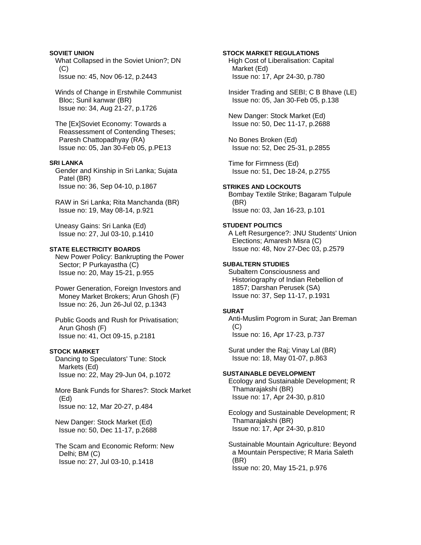**SOVIET UNION**  What Collapsed in the Soviet Union?; DN  $(C)$ Issue no: 45, Nov 06-12, p.2443

 Winds of Change in Erstwhile Communist Bloc; Sunil kanwar (BR) Issue no: 34, Aug 21-27, p.1726

 The [Ex]Soviet Economy: Towards a Reassessment of Contending Theses; Paresh Chattopadhyay (RA) Issue no: 05, Jan 30-Feb 05, p.PE13

## **SRI LANKA**

 Gender and Kinship in Sri Lanka; Sujata Patel (BR) Issue no: 36, Sep 04-10, p.1867

 RAW in Sri Lanka; Rita Manchanda (BR) Issue no: 19, May 08-14, p.921

 Uneasy Gains: Sri Lanka (Ed) Issue no: 27, Jul 03-10, p.1410

# **STATE ELECTRICITY BOARDS**

 New Power Policy: Bankrupting the Power Sector; P Purkayastha (C) Issue no: 20, May 15-21, p.955

 Power Generation, Foreign Investors and Money Market Brokers; Arun Ghosh (F) Issue no: 26, Jun 26-Jul 02, p.1343

 Public Goods and Rush for Privatisation; Arun Ghosh (F) Issue no: 41, Oct 09-15, p.2181

# **STOCK MARKET**

 Dancing to Speculators' Tune: Stock Markets (Ed) Issue no: 22, May 29-Jun 04, p.1072

 More Bank Funds for Shares?: Stock Market (Ed) Issue no: 12, Mar 20-27, p.484

 New Danger: Stock Market (Ed) Issue no: 50, Dec 11-17, p.2688

 The Scam and Economic Reform: New Delhi; BM (C) Issue no: 27, Jul 03-10, p.1418

#### **STOCK MARKET REGULATIONS**

 High Cost of Liberalisation: Capital Market (Ed) Issue no: 17, Apr 24-30, p.780

 Insider Trading and SEBI; C B Bhave (LE) Issue no: 05, Jan 30-Feb 05, p.138

 New Danger: Stock Market (Ed) Issue no: 50, Dec 11-17, p.2688

 No Bones Broken (Ed) Issue no: 52, Dec 25-31, p.2855

 Time for Firmness (Ed) Issue no: 51, Dec 18-24, p.2755

# **STRIKES AND LOCKOUTS**

 Bombay Textile Strike; Bagaram Tulpule (BR) Issue no: 03, Jan 16-23, p.101

#### **STUDENT POLITICS**

 A Left Resurgence?: JNU Students' Union Elections; Amaresh Misra (C) Issue no: 48, Nov 27-Dec 03, p.2579

### **SUBALTERN STUDIES**

 Subaltern Consciousness and Historiography of Indian Rebellion of 1857; Darshan Perusek (SA) Issue no: 37, Sep 11-17, p.1931

# **SURAT**

 Anti-Muslim Pogrom in Surat; Jan Breman  $(C)$ Issue no: 16, Apr 17-23, p.737

 Surat under the Raj; Vinay Lal (BR) Issue no: 18, May 01-07, p.863

#### **SUSTAINABLE DEVELOPMENT**

 Ecology and Sustainable Development; R Thamarajakshi (BR) Issue no: 17, Apr 24-30, p.810

 Ecology and Sustainable Development; R Thamarajakshi (BR) Issue no: 17, Apr 24-30, p.810

 Sustainable Mountain Agriculture: Beyond a Mountain Perspective; R Maria Saleth (BR) Issue no: 20, May 15-21, p.976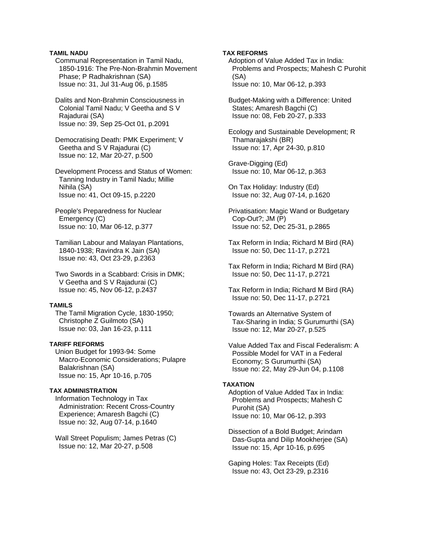# **TAMIL NADU**

 Communal Representation in Tamil Nadu, 1850-1916: The Pre-Non-Brahmin Movement Phase; P Radhakrishnan (SA) Issue no: 31, Jul 31-Aug 06, p.1585

 Dalits and Non-Brahmin Consciousness in Colonial Tamil Nadu; V Geetha and S V Rajadurai (SA) Issue no: 39, Sep 25-Oct 01, p.2091

 Democratising Death: PMK Experiment; V Geetha and S V Rajadurai (C) Issue no: 12, Mar 20-27, p.500

 Development Process and Status of Women: Tanning Industry in Tamil Nadu; Millie Nihila (SA) Issue no: 41, Oct 09-15, p.2220

 People's Preparedness for Nuclear Emergency (C) Issue no: 10, Mar 06-12, p.377

 Tamilian Labour and Malayan Plantations, 1840-1938; Ravindra K Jain (SA) Issue no: 43, Oct 23-29, p.2363

 Two Swords in a Scabbard: Crisis in DMK; V Geetha and S V Rajadurai (C) Issue no: 45, Nov 06-12, p.2437

#### **TAMILS**

 The Tamil Migration Cycle, 1830-1950; Christophe Z Guilmoto (SA) Issue no: 03, Jan 16-23, p.111

# **TARIFF REFORMS**

 Union Budget for 1993-94: Some Macro-Economic Considerations; Pulapre Balakrishnan (SA) Issue no: 15, Apr 10-16, p.705

# **TAX ADMINISTRATION**

 Information Technology in Tax Administration: Recent Cross-Country Experience; Amaresh Bagchi (C) Issue no: 32, Aug 07-14, p.1640

 Wall Street Populism; James Petras (C) Issue no: 12, Mar 20-27, p.508

### **TAX REFORMS**

 Adoption of Value Added Tax in India: Problems and Prospects; Mahesh C Purohit (SA) Issue no: 10, Mar 06-12, p.393

 Budget-Making with a Difference: United States; Amaresh Bagchi (C) Issue no: 08, Feb 20-27, p.333

 Ecology and Sustainable Development; R Thamarajakshi (BR) Issue no: 17, Apr 24-30, p.810

 Grave-Digging (Ed) Issue no: 10, Mar 06-12, p.363

 On Tax Holiday: Industry (Ed) Issue no: 32, Aug 07-14, p.1620

 Privatisation: Magic Wand or Budgetary Cop-Out?; JM (P) Issue no: 52, Dec 25-31, p.2865

 Tax Reform in India; Richard M Bird (RA) Issue no: 50, Dec 11-17, p.2721

 Tax Reform in India; Richard M Bird (RA) Issue no: 50, Dec 11-17, p.2721

 Tax Reform in India; Richard M Bird (RA) Issue no: 50, Dec 11-17, p.2721

 Towards an Alternative System of Tax-Sharing in India; S Gurumurthi (SA) Issue no: 12, Mar 20-27, p.525

 Value Added Tax and Fiscal Federalism: A Possible Model for VAT in a Federal Economy; S Gurumurthi (SA) Issue no: 22, May 29-Jun 04, p.1108

#### **TAXATION**

 Adoption of Value Added Tax in India: Problems and Prospects; Mahesh C Purohit (SA) Issue no: 10, Mar 06-12, p.393

 Dissection of a Bold Budget; Arindam Das-Gupta and Dilip Mookherjee (SA) Issue no: 15, Apr 10-16, p.695

 Gaping Holes: Tax Receipts (Ed) Issue no: 43, Oct 23-29, p.2316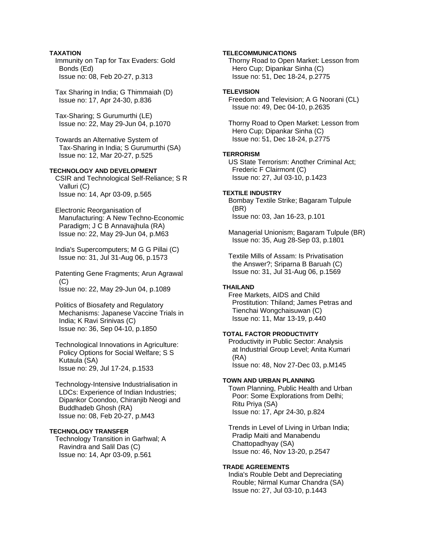# **TAXATION**

 Immunity on Tap for Tax Evaders: Gold Bonds (Ed) Issue no: 08, Feb 20-27, p.313

 Tax Sharing in India; G Thimmaiah (D) Issue no: 17, Apr 24-30, p.836

 Tax-Sharing; S Gurumurthi (LE) Issue no: 22, May 29-Jun 04, p.1070

 Towards an Alternative System of Tax-Sharing in India; S Gurumurthi (SA) Issue no: 12, Mar 20-27, p.525

# **TECHNOLOGY AND DEVELOPMENT**

 CSIR and Technological Self-Reliance; S R Valluri (C) Issue no: 14, Apr 03-09, p.565

 Electronic Reorganisation of Manufacturing: A New Techno-Economic Paradigm; J C B Annavajhula (RA) Issue no: 22, May 29-Jun 04, p.M63

 India's Supercomputers; M G G Pillai (C) Issue no: 31, Jul 31-Aug 06, p.1573

 Patenting Gene Fragments; Arun Agrawal (C) Issue no: 22, May 29-Jun 04, p.1089

 Politics of Biosafety and Regulatory Mechanisms: Japanese Vaccine Trials in India; K Ravi Srinivas (C) Issue no: 36, Sep 04-10, p.1850

 Technological Innovations in Agriculture: Policy Options for Social Welfare; S S Kutaula (SA) Issue no: 29, Jul 17-24, p.1533

 Technology-Intensive Industrialisation in LDCs: Experience of Indian Industries; Dipankor Coondoo, Chiranjib Neogi and Buddhadeb Ghosh (RA) Issue no: 08, Feb 20-27, p.M43

# **TECHNOLOGY TRANSFER**

 Technology Transition in Garhwal; A Ravindra and Salil Das (C) Issue no: 14, Apr 03-09, p.561

# **TELECOMMUNICATIONS**

 Thorny Road to Open Market: Lesson from Hero Cup; Dipankar Sinha (C) Issue no: 51, Dec 18-24, p.2775

# **TELEVISION**

 Freedom and Television; A G Noorani (CL) Issue no: 49, Dec 04-10, p.2635

 Thorny Road to Open Market: Lesson from Hero Cup; Dipankar Sinha (C) Issue no: 51, Dec 18-24, p.2775

#### **TERRORISM**

 US State Terrorism: Another Criminal Act; Frederic F Clairmont (C) Issue no: 27, Jul 03-10, p.1423

### **TEXTILE INDUSTRY**

 Bombay Textile Strike; Bagaram Tulpule (BR) Issue no: 03, Jan 16-23, p.101

 Managerial Unionism; Bagaram Tulpule (BR) Issue no: 35, Aug 28-Sep 03, p.1801

 Textile Mills of Assam: Is Privatisation the Answer?; Sriparna B Baruah (C) Issue no: 31, Jul 31-Aug 06, p.1569

# **THAILAND**

 Free Markets, AIDS and Child Prostitution: Thiland; James Petras and Tienchai Wongchaisuwan (C) Issue no: 11, Mar 13-19, p.440

# **TOTAL FACTOR PRODUCTIVITY**

 Productivity in Public Sector: Analysis at Industrial Group Level; Anita Kumari (RA) Issue no: 48, Nov 27-Dec 03, p.M145

### **TOWN AND URBAN PLANNING**

 Town Planning, Public Health and Urban Poor: Some Explorations from Delhi; Ritu Priya (SA) Issue no: 17, Apr 24-30, p.824

 Trends in Level of Living in Urban India; Pradip Maiti and Manabendu Chattopadhyay (SA) Issue no: 46, Nov 13-20, p.2547

#### **TRADE AGREEMENTS**

 India's Rouble Debt and Depreciating Rouble; Nirmal Kumar Chandra (SA) Issue no: 27, Jul 03-10, p.1443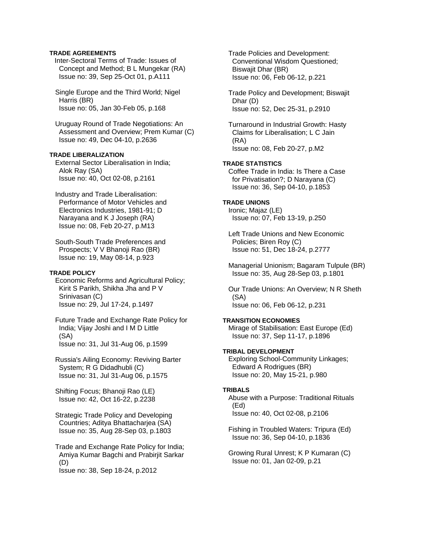# **TRADE AGREEMENTS**

Inter-Sectoral Terms of Trade: Issues of Concept and Method; B L Mungekar (RA) Issue no: 39, Sep 25-Oct 01, p.A111

 Single Europe and the Third World; Nigel Harris (BR) Issue no: 05, Jan 30-Feb 05, p.168

 Uruguay Round of Trade Negotiations: An Assessment and Overview; Prem Kumar (C) Issue no: 49, Dec 04-10, p.2636

# **TRADE LIBERALIZATION**

 External Sector Liberalisation in India; Alok Ray (SA) Issue no: 40, Oct 02-08, p.2161

 Industry and Trade Liberalisation: Performance of Motor Vehicles and Electronics Industries, 1981-91; D Narayana and K J Joseph (RA) Issue no: 08, Feb 20-27, p.M13

 South-South Trade Preferences and Prospects; V V Bhanoji Rao (BR) Issue no: 19, May 08-14, p.923

## **TRADE POLICY**

 Economic Reforms and Agricultural Policy; Kirit S Parikh, Shikha Jha and P V Srinivasan (C) Issue no: 29, Jul 17-24, p.1497

 Future Trade and Exchange Rate Policy for India; Vijay Joshi and I M D Little (SA) Issue no: 31, Jul 31-Aug 06, p.1599

 Russia's Ailing Economy: Reviving Barter System; R G Didadhubli (C) Issue no: 31, Jul 31-Aug 06, p.1575

 Shifting Focus; Bhanoji Rao (LE) Issue no: 42, Oct 16-22, p.2238

 Strategic Trade Policy and Developing Countries; Aditya Bhattacharjea (SA) Issue no: 35, Aug 28-Sep 03, p.1803

 Trade and Exchange Rate Policy for India; Amiya Kumar Bagchi and Prabirjit Sarkar (D)

Issue no: 38, Sep 18-24, p.2012

 Trade Policies and Development: Conventional Wisdom Questioned; Biswajit Dhar (BR) Issue no: 06, Feb 06-12, p.221

 Trade Policy and Development; Biswajit Dhar (D) Issue no: 52, Dec 25-31, p.2910

 Turnaround in Industrial Growth: Hasty Claims for Liberalisation; L C Jain (RA) Issue no: 08, Feb 20-27, p.M2

# **TRADE STATISTICS**

 Coffee Trade in India: Is There a Case for Privatisation?; D Narayana (C) Issue no: 36, Sep 04-10, p.1853

#### **TRADE UNIONS**

 Ironic; Majaz (LE) Issue no: 07, Feb 13-19, p.250

 Left Trade Unions and New Economic Policies; Biren Roy (C) Issue no: 51, Dec 18-24, p.2777

 Managerial Unionism; Bagaram Tulpule (BR) Issue no: 35, Aug 28-Sep 03, p.1801

 Our Trade Unions: An Overview; N R Sheth (SA) Issue no: 06, Feb 06-12, p.231

### **TRANSITION ECONOMIES**

 Mirage of Stabilisation: East Europe (Ed) Issue no: 37, Sep 11-17, p.1896

# **TRIBAL DEVELOPMENT**

 Exploring School-Community Linkages; Edward A Rodrigues (BR) Issue no: 20, May 15-21, p.980

### **TRIBALS**

 Abuse with a Purpose: Traditional Rituals (Ed) Issue no: 40, Oct 02-08, p.2106

 Fishing in Troubled Waters: Tripura (Ed) Issue no: 36, Sep 04-10, p.1836

 Growing Rural Unrest; K P Kumaran (C) Issue no: 01, Jan 02-09, p.21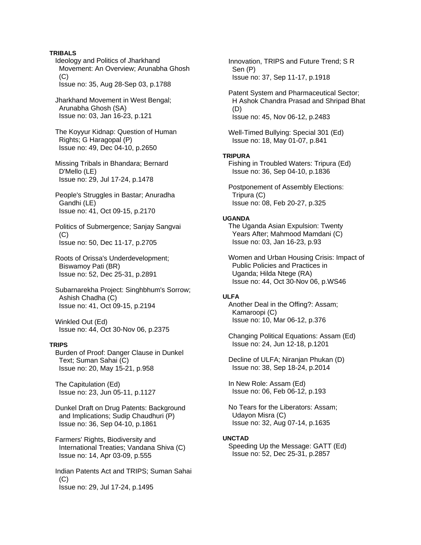### **TRIBALS**

 Ideology and Politics of Jharkhand Movement: An Overview; Arunabha Ghosh (C) Issue no: 35, Aug 28-Sep 03, p.1788

 Jharkhand Movement in West Bengal; Arunabha Ghosh (SA) Issue no: 03, Jan 16-23, p.121

 The Koyyur Kidnap: Question of Human Rights; G Haragopal (P) Issue no: 49, Dec 04-10, p.2650

 Missing Tribals in Bhandara; Bernard D'Mello (LE) Issue no: 29, Jul 17-24, p.1478

 People's Struggles in Bastar; Anuradha Gandhi (LE) Issue no: 41, Oct 09-15, p.2170

 Politics of Submergence; Sanjay Sangvai  $(C)$ Issue no: 50, Dec 11-17, p.2705

 Roots of Orissa's Underdevelopment; Biswamoy Pati (BR) Issue no: 52, Dec 25-31, p.2891

 Subarnarekha Project: Singhbhum's Sorrow; Ashish Chadha (C) Issue no: 41, Oct 09-15, p.2194

 Winkled Out (Ed) Issue no: 44, Oct 30-Nov 06, p.2375

#### **TRIPS**

 Burden of Proof: Danger Clause in Dunkel Text; Suman Sahai (C) Issue no: 20, May 15-21, p.958

 The Capitulation (Ed) Issue no: 23, Jun 05-11, p.1127

 Dunkel Draft on Drug Patents: Background and Implications; Sudip Chaudhuri (P) Issue no: 36, Sep 04-10, p.1861

 Farmers' Rights, Biodiversity and International Treaties; Vandana Shiva (C) Issue no: 14, Apr 03-09, p.555

 Indian Patents Act and TRIPS; Suman Sahai  $(C)$ Issue no: 29, Jul 17-24, p.1495

 Innovation, TRIPS and Future Trend; S R Sen (P) Issue no: 37, Sep 11-17, p.1918

 Patent System and Pharmaceutical Sector; H Ashok Chandra Prasad and Shripad Bhat (D) Issue no: 45, Nov 06-12, p.2483

 Well-Timed Bullying: Special 301 (Ed) Issue no: 18, May 01-07, p.841

#### **TRIPURA**

 Fishing in Troubled Waters: Tripura (Ed) Issue no: 36, Sep 04-10, p.1836

 Postponement of Assembly Elections: Tripura (C) Issue no: 08, Feb 20-27, p.325

### **UGANDA**

 The Uganda Asian Expulsion: Twenty Years After; Mahmood Mamdani (C) Issue no: 03, Jan 16-23, p.93

 Women and Urban Housing Crisis: Impact of Public Policies and Practices in Uganda; Hilda Ntege (RA) Issue no: 44, Oct 30-Nov 06, p.WS46

### **ULFA**

 Another Deal in the Offing?: Assam; Kamaroopi (C) Issue no: 10, Mar 06-12, p.376

 Changing Political Equations: Assam (Ed) Issue no: 24, Jun 12-18, p.1201

 Decline of ULFA; Niranjan Phukan (D) Issue no: 38, Sep 18-24, p.2014

 In New Role: Assam (Ed) Issue no: 06, Feb 06-12, p.193

 No Tears for the Liberators: Assam; Udayon Misra (C) Issue no: 32, Aug 07-14, p.1635

#### **UNCTAD**

 Speeding Up the Message: GATT (Ed) Issue no: 52, Dec 25-31, p.2857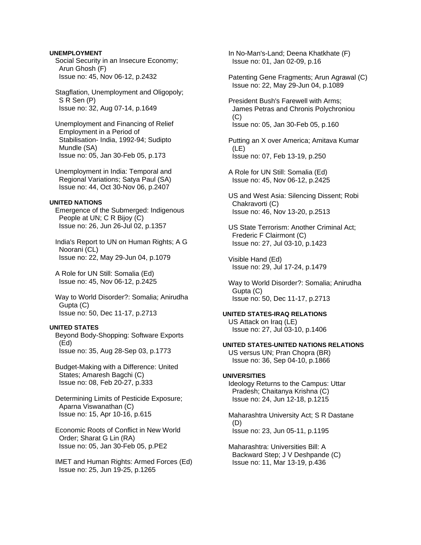## **UNEMPLOYMENT**

 Social Security in an Insecure Economy; Arun Ghosh (F) Issue no: 45, Nov 06-12, p.2432

 Stagflation, Unemployment and Oligopoly; S R Sen (P) Issue no: 32, Aug 07-14, p.1649

 Unemployment and Financing of Relief Employment in a Period of Stabilisation- India, 1992-94; Sudipto Mundle (SA) Issue no: 05, Jan 30-Feb 05, p.173

 Unemployment in India: Temporal and Regional Variations; Satya Paul (SA) Issue no: 44, Oct 30-Nov 06, p.2407

#### **UNITED NATIONS**

 Emergence of the Submerged: Indigenous People at UN; C R Bijoy (C) Issue no: 26, Jun 26-Jul 02, p.1357

 India's Report to UN on Human Rights; A G Noorani (CL) Issue no: 22, May 29-Jun 04, p.1079

 A Role for UN Still: Somalia (Ed) Issue no: 45, Nov 06-12, p.2425

 Way to World Disorder?: Somalia; Anirudha Gupta (C) Issue no: 50, Dec 11-17, p.2713

#### **UNITED STATES**

 Beyond Body-Shopping: Software Exports (Ed) Issue no: 35, Aug 28-Sep 03, p.1773

 Budget-Making with a Difference: United States; Amaresh Bagchi (C) Issue no: 08, Feb 20-27, p.333

 Determining Limits of Pesticide Exposure; Aparna Viswanathan (C) Issue no: 15, Apr 10-16, p.615

 Economic Roots of Conflict in New World Order; Sharat G Lin (RA) Issue no: 05, Jan 30-Feb 05, p.PE2

 IMET and Human Rights: Armed Forces (Ed) Issue no: 25, Jun 19-25, p.1265

 In No-Man's-Land; Deena Khatkhate (F) Issue no: 01, Jan 02-09, p.16

 Patenting Gene Fragments; Arun Agrawal (C) Issue no: 22, May 29-Jun 04, p.1089

 President Bush's Farewell with Arms; James Petras and Chronis Polychroniou  $(C)$ Issue no: 05, Jan 30-Feb 05, p.160

 Putting an X over America; Amitava Kumar (LE) Issue no: 07, Feb 13-19, p.250

 A Role for UN Still: Somalia (Ed) Issue no: 45, Nov 06-12, p.2425

 US and West Asia: Silencing Dissent; Robi Chakravorti (C) Issue no: 46, Nov 13-20, p.2513

 US State Terrorism: Another Criminal Act; Frederic F Clairmont (C) Issue no: 27, Jul 03-10, p.1423

 Visible Hand (Ed) Issue no: 29, Jul 17-24, p.1479

 Way to World Disorder?: Somalia; Anirudha Gupta (C) Issue no: 50, Dec 11-17, p.2713

#### **UNITED STATES-IRAQ RELATIONS**

 US Attack on Iraq (LE) Issue no: 27, Jul 03-10, p.1406

# **UNITED STATES-UNITED NATIONS RELATIONS**

 US versus UN; Pran Chopra (BR) Issue no: 36, Sep 04-10, p.1866

## **UNIVERSITIES**

 Ideology Returns to the Campus: Uttar Pradesh; Chaitanya Krishna (C) Issue no: 24, Jun 12-18, p.1215

 Maharashtra University Act; S R Dastane (D) Issue no: 23, Jun 05-11, p.1195

 Maharashtra: Universities Bill: A Backward Step; J V Deshpande (C) Issue no: 11, Mar 13-19, p.436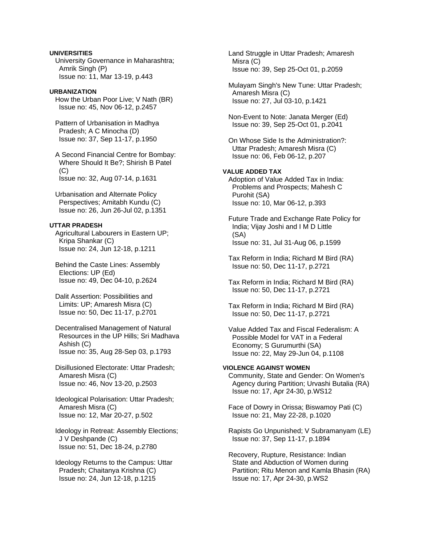# **UNIVERSITIES**

 University Governance in Maharashtra; Amrik Singh (P) Issue no: 11, Mar 13-19, p.443

#### **URBANIZATION**

 How the Urban Poor Live; V Nath (BR) Issue no: 45, Nov 06-12, p.2457

 Pattern of Urbanisation in Madhya Pradesh; A C Minocha (D) Issue no: 37, Sep 11-17, p.1950

 A Second Financial Centre for Bombay: Where Should It Be?; Shirish B Patel (C) Issue no: 32, Aug 07-14, p.1631

 Urbanisation and Alternate Policy Perspectives; Amitabh Kundu (C) Issue no: 26, Jun 26-Jul 02, p.1351

# **UTTAR PRADESH**

 Agricultural Labourers in Eastern UP; Kripa Shankar (C) Issue no: 24, Jun 12-18, p.1211

 Behind the Caste Lines: Assembly Elections: UP (Ed) Issue no: 49, Dec 04-10, p.2624

 Dalit Assertion: Possibilities and Limits: UP; Amaresh Misra (C) Issue no: 50, Dec 11-17, p.2701

 Decentralised Management of Natural Resources in the UP Hills; Sri Madhava Ashish (C) Issue no: 35, Aug 28-Sep 03, p.1793

 Disillusioned Electorate: Uttar Pradesh; Amaresh Misra (C) Issue no: 46, Nov 13-20, p.2503

 Ideological Polarisation: Uttar Pradesh; Amaresh Misra (C) Issue no: 12, Mar 20-27, p.502

 Ideology in Retreat: Assembly Elections; J V Deshpande (C) Issue no: 51, Dec 18-24, p.2780

 Ideology Returns to the Campus: Uttar Pradesh; Chaitanya Krishna (C) Issue no: 24, Jun 12-18, p.1215

 Land Struggle in Uttar Pradesh; Amaresh Misra (C) Issue no: 39, Sep 25-Oct 01, p.2059

 Mulayam Singh's New Tune: Uttar Pradesh; Amaresh Misra (C) Issue no: 27, Jul 03-10, p.1421

 Non-Event to Note: Janata Merger (Ed) Issue no: 39, Sep 25-Oct 01, p.2041

 On Whose Side Is the Administration?: Uttar Pradesh; Amaresh Misra (C) Issue no: 06, Feb 06-12, p.207

# **VALUE ADDED TAX**

 Adoption of Value Added Tax in India: Problems and Prospects; Mahesh C Purohit (SA) Issue no: 10, Mar 06-12, p.393

 Future Trade and Exchange Rate Policy for India; Vijay Joshi and I M D Little (SA) Issue no: 31, Jul 31-Aug 06, p.1599

 Tax Reform in India; Richard M Bird (RA) Issue no: 50, Dec 11-17, p.2721

 Tax Reform in India; Richard M Bird (RA) Issue no: 50, Dec 11-17, p.2721

 Tax Reform in India; Richard M Bird (RA) Issue no: 50, Dec 11-17, p.2721

 Value Added Tax and Fiscal Federalism: A Possible Model for VAT in a Federal Economy; S Gurumurthi (SA) Issue no: 22, May 29-Jun 04, p.1108

# **VIOLENCE AGAINST WOMEN**

 Community, State and Gender: On Women's Agency during Partition; Urvashi Butalia (RA) Issue no: 17, Apr 24-30, p.WS12

 Face of Dowry in Orissa; Biswamoy Pati (C) Issue no: 21, May 22-28, p.1020

 Rapists Go Unpunished; V Subramanyam (LE) Issue no: 37, Sep 11-17, p.1894

 Recovery, Rupture, Resistance: Indian State and Abduction of Women during Partition; Ritu Menon and Kamla Bhasin (RA) Issue no: 17, Apr 24-30, p.WS2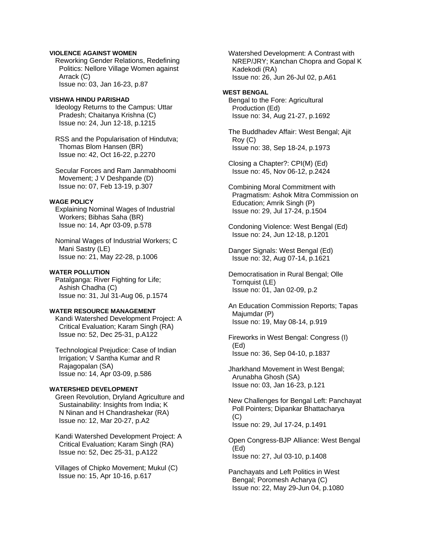# **VIOLENCE AGAINST WOMEN**

 Reworking Gender Relations, Redefining Politics: Nellore Village Women against Arrack (C) Issue no: 03, Jan 16-23, p.87

#### **VISHWA HINDU PARISHAD**

 Ideology Returns to the Campus: Uttar Pradesh; Chaitanya Krishna (C) Issue no: 24, Jun 12-18, p.1215

 RSS and the Popularisation of Hindutva; Thomas Blom Hansen (BR) Issue no: 42, Oct 16-22, p.2270

 Secular Forces and Ram Janmabhoomi Movement; J V Deshpande (D) Issue no: 07, Feb 13-19, p.307

#### **WAGE POLICY**

 Explaining Nominal Wages of Industrial Workers; Bibhas Saha (BR) Issue no: 14, Apr 03-09, p.578

 Nominal Wages of Industrial Workers; C Mani Sastry (LE) Issue no: 21, May 22-28, p.1006

#### **WATER POLLUTION**

 Patalganga: River Fighting for Life; Ashish Chadha (C) Issue no: 31, Jul 31-Aug 06, p.1574

# **WATER RESOURCE MANAGEMENT**

 Kandi Watershed Development Project: A Critical Evaluation; Karam Singh (RA) Issue no: 52, Dec 25-31, p.A122

 Technological Prejudice: Case of Indian Irrigation; V Santha Kumar and R Rajagopalan (SA) Issue no: 14, Apr 03-09, p.586

# **WATERSHED DEVELOPMENT**

 Green Revolution, Dryland Agriculture and Sustainability: Insights from India; K N Ninan and H Chandrashekar (RA) Issue no: 12, Mar 20-27, p.A2

 Kandi Watershed Development Project: A Critical Evaluation; Karam Singh (RA) Issue no: 52, Dec 25-31, p.A122

 Villages of Chipko Movement; Mukul (C) Issue no: 15, Apr 10-16, p.617

 Watershed Development: A Contrast with NREP/JRY; Kanchan Chopra and Gopal K Kadekodi (RA) Issue no: 26, Jun 26-Jul 02, p.A61

#### **WEST BENGAL**

 Bengal to the Fore: Agricultural Production (Ed) Issue no: 34, Aug 21-27, p.1692

 The Buddhadev Affair: West Bengal; Ajit Roy (C) Issue no: 38, Sep 18-24, p.1973

 Closing a Chapter?: CPI(M) (Ed) Issue no: 45, Nov 06-12, p.2424

 Combining Moral Commitment with Pragmatism: Ashok Mitra Commission on Education; Amrik Singh (P) Issue no: 29, Jul 17-24, p.1504

 Condoning Violence: West Bengal (Ed) Issue no: 24, Jun 12-18, p.1201

 Danger Signals: West Bengal (Ed) Issue no: 32, Aug 07-14, p.1621

 Democratisation in Rural Bengal; Olle Tornquist (LE) Issue no: 01, Jan 02-09, p.2

 An Education Commission Reports; Tapas Majumdar (P) Issue no: 19, May 08-14, p.919

 Fireworks in West Bengal: Congress (I) (Ed) Issue no: 36, Sep 04-10, p.1837

 Jharkhand Movement in West Bengal; Arunabha Ghosh (SA) Issue no: 03, Jan 16-23, p.121

 New Challenges for Bengal Left: Panchayat Poll Pointers; Dipankar Bhattacharya (C) Issue no: 29, Jul 17-24, p.1491

 Open Congress-BJP Alliance: West Bengal (Ed) Issue no: 27, Jul 03-10, p.1408

 Panchayats and Left Politics in West Bengal; Poromesh Acharya (C) Issue no: 22, May 29-Jun 04, p.1080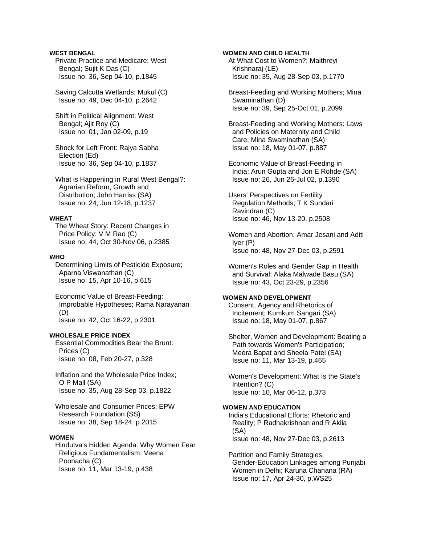# **WEST BENGAL**

 Private Practice and Medicare: West Bengal; Sujit K Das (C) Issue no: 36, Sep 04-10, p.1845

 Saving Calcutta Wetlands; Mukul (C) Issue no: 49, Dec 04-10, p.2642

 Shift in Political Alignment: West Bengal; Ajit Roy (C) Issue no: 01, Jan 02-09, p.19

 Shock for Left Front: Rajya Sabha Election (Ed) Issue no: 36, Sep 04-10, p.1837

 What is Happening in Rural West Bengal?: Agrarian Reform, Growth and Distribution; John Harriss (SA) Issue no: 24, Jun 12-18, p.1237

### **WHEAT**

 The Wheat Story: Recent Changes in Price Policy; V M Rao (C) Issue no: 44, Oct 30-Nov 06, p.2385

### **WHO**

 Determining Limits of Pesticide Exposure; Aparna Viswanathan (C) Issue no: 15, Apr 10-16, p.615

 Economic Value of Breast-Feeding: Improbable Hypotheses; Rama Narayanan (D) Issue no: 42, Oct 16-22, p.2301

#### **WHOLESALE PRICE INDEX**

 Essential Commodities Bear the Brunt: Prices (C) Issue no: 08, Feb 20-27, p.328

 Inflation and the Wholesale Price Index; O P Mall (SA) Issue no: 35, Aug 28-Sep 03, p.1822

 Wholesale and Consumer Prices; EPW Research Foundation (SS) Issue no: 38, Sep 18-24, p.2015

#### **WOMEN**

 Hindutva's Hidden Agenda: Why Women Fear Religious Fundamentalism; Veena Poonacha (C) Issue no: 11, Mar 13-19, p.438

### **WOMEN AND CHILD HEALTH**

 At What Cost to Women?; Maithreyi Krishnaraj (LE) Issue no: 35, Aug 28-Sep 03, p.1770

 Breast-Feeding and Working Mothers; Mina Swaminathan (D) Issue no: 39, Sep 25-Oct 01, p.2099

 Breast-Feeding and Working Mothers: Laws and Policies on Maternity and Child Care; Mina Swaminathan (SA) Issue no: 18, May 01-07, p.887

 Economic Value of Breast-Feeding in India; Arun Gupta and Jon E Rohde (SA) Issue no: 26, Jun 26-Jul 02, p.1390

 Users' Perspectives on Fertility Regulation Methods; T K Sundari Ravindran (C) Issue no: 46, Nov 13-20, p.2508

 Women and Abortion; Amar Jesani and Aditi Iyer (P) Issue no: 48, Nov 27-Dec 03, p.2591

 Women's Roles and Gender Gap in Health and Survival; Alaka Malwade Basu (SA) Issue no: 43, Oct 23-29, p.2356

# **WOMEN AND DEVELOPMENT**

 Consent, Agency and Rhetorics of Incitement; Kumkum Sangari (SA) Issue no: 18, May 01-07, p.867

 Shelter, Women and Development: Beating a Path towards Women's Participation; Meera Bapat and Sheela Patel (SA) Issue no: 11, Mar 13-19, p.465

 Women's Development: What Is the State's Intention? (C) Issue no: 10, Mar 06-12, p.373

#### **WOMEN AND EDUCATION**

 India's Educational Efforts: Rhetoric and Reality; P Radhakrishnan and R Akila (SA) Issue no: 48, Nov 27-Dec 03, p.2613

 Partition and Family Strategies: Gender-Education Linkages among Punjabi Women in Delhi; Karuna Chanana (RA) Issue no: 17, Apr 24-30, p.WS25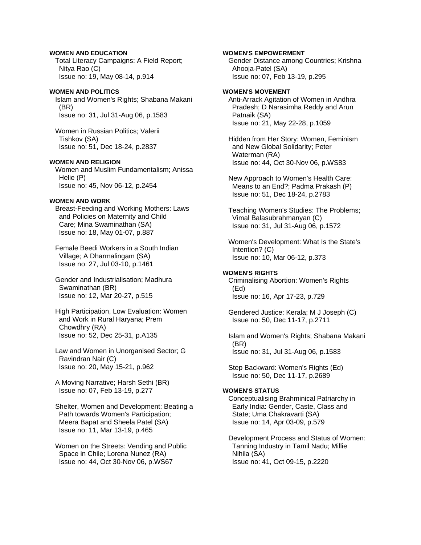# **WOMEN AND EDUCATION**

 Total Literacy Campaigns: A Field Report; Nitya Rao (C) Issue no: 19, May 08-14, p.914

# **WOMEN AND POLITICS**

 Islam and Women's Rights; Shabana Makani (BR) Issue no: 31, Jul 31-Aug 06, p.1583

 Women in Russian Politics; Valerii Tishkov (SA) Issue no: 51, Dec 18-24, p.2837

# **WOMEN AND RELIGION**

 Women and Muslim Fundamentalism; Anissa Helie (P) Issue no: 45, Nov 06-12, p.2454

## **WOMEN AND WORK**

 Breast-Feeding and Working Mothers: Laws and Policies on Maternity and Child Care; Mina Swaminathan (SA) Issue no: 18, May 01-07, p.887

 Female Beedi Workers in a South Indian Village; A Dharmalingam (SA) Issue no: 27, Jul 03-10, p.1461

 Gender and Industrialisation; Madhura Swaminathan (BR) Issue no: 12, Mar 20-27, p.515

 High Participation, Low Evaluation: Women and Work in Rural Haryana; Prem Chowdhry (RA) Issue no: 52, Dec 25-31, p.A135

 Law and Women in Unorganised Sector; G Ravindran Nair (C) Issue no: 20, May 15-21, p.962

 A Moving Narrative; Harsh Sethi (BR) Issue no: 07, Feb 13-19, p.277

 Shelter, Women and Development: Beating a Path towards Women's Participation; Meera Bapat and Sheela Patel (SA) Issue no: 11, Mar 13-19, p.465

 Women on the Streets: Vending and Public Space in Chile; Lorena Nunez (RA) Issue no: 44, Oct 30-Nov 06, p.WS67

### **WOMEN'S EMPOWERMENT**

 Gender Distance among Countries; Krishna Ahooja-Patel (SA) Issue no: 07, Feb 13-19, p.295

## **WOMEN'S MOVEMENT**

 Anti-Arrack Agitation of Women in Andhra Pradesh; D Narasimha Reddy and Arun Patnaik (SA) Issue no: 21, May 22-28, p.1059

 Hidden from Her Story: Women, Feminism and New Global Solidarity; Peter Waterman (RA) Issue no: 44, Oct 30-Nov 06, p.WS83

 New Approach to Women's Health Care: Means to an End?; Padma Prakash (P) Issue no: 51, Dec 18-24, p.2783

 Teaching Women's Studies: The Problems; Vimal Balasubrahmanyan (C) Issue no: 31, Jul 31-Aug 06, p.1572

 Women's Development: What Is the State's Intention? (C) Issue no: 10, Mar 06-12, p.373

## **WOMEN'S RIGHTS**

 Criminalising Abortion: Women's Rights (Ed) Issue no: 16, Apr 17-23, p.729

 Gendered Justice: Kerala; M J Joseph (C) Issue no: 50, Dec 11-17, p.2711

 Islam and Women's Rights; Shabana Makani (BR) Issue no: 31, Jul 31-Aug 06, p.1583

 Step Backward: Women's Rights (Ed) Issue no: 50, Dec 11-17, p.2689

### **WOMEN'S STATUS**

 Conceptualising Brahminical Patriarchy in Early India: Gender, Caste, Class and State; Uma Chakravarti (SA) Issue no: 14, Apr 03-09, p.579

 Development Process and Status of Women: Tanning Industry in Tamil Nadu; Millie Nihila (SA) Issue no: 41, Oct 09-15, p.2220